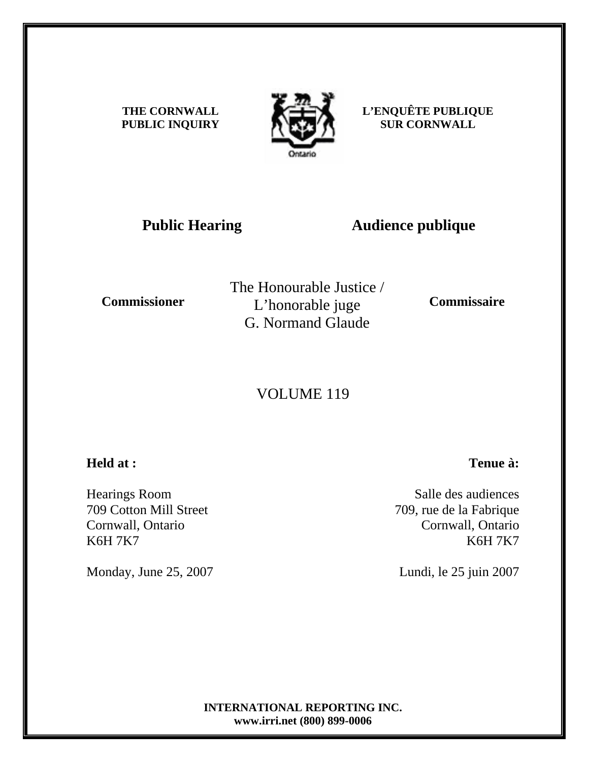**THE CORNWALL PUBLIC INQUIRY**



**L'ENQUÊTE PUBLIQUE SUR CORNWALL** 

# **Public Hearing Audience publique**

**Commissioner** 

The Honourable Justice / L'honorable juge G. Normand Glaude

**Commissaire** 

## VOLUME 119

### **Held at :**

Hearings Room 709 Cotton Mill Street Cornwall, Ontario K6H 7K7

Monday, June 25, 2007

Salle des audiences 709, rue de la Fabrique Cornwall, Ontario

**Tenue à:**

K6H 7K7

Lundi, le 25 juin 2007

**INTERNATIONAL REPORTING INC. www.irri.net (800) 899-0006**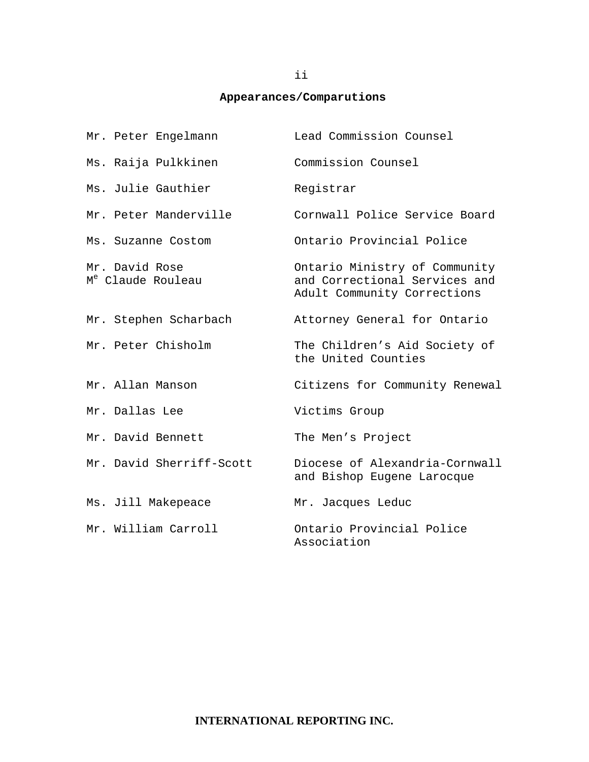#### **Appearances/Comparutions**

| Mr. Peter Engelmann                             | Lead Commission Counsel                                                                       |
|-------------------------------------------------|-----------------------------------------------------------------------------------------------|
| Ms. Raija Pulkkinen                             | Commission Counsel                                                                            |
| Ms. Julie Gauthier                              | Registrar                                                                                     |
| Mr. Peter Manderville                           | Cornwall Police Service Board                                                                 |
| Ms. Suzanne Costom                              | Ontario Provincial Police                                                                     |
| Mr. David Rose<br>M <sup>e</sup> Claude Rouleau | Ontario Ministry of Community<br>and Correctional Services and<br>Adult Community Corrections |
| Mr. Stephen Scharbach                           | Attorney General for Ontario                                                                  |
| Mr. Peter Chisholm                              | The Children's Aid Society of<br>the United Counties                                          |
| Mr. Allan Manson                                | Citizens for Community Renewal                                                                |
| Mr. Dallas Lee                                  | Victims Group                                                                                 |
| Mr. David Bennett                               | The Men's Project                                                                             |
| Mr. David Sherriff-Scott                        | Diocese of Alexandria-Cornwall<br>and Bishop Eugene Larocque                                  |
| Ms. Jill Makepeace                              | Mr. Jacques Leduc                                                                             |
| Mr. William Carroll                             | Ontario Provincial Police<br>Association                                                      |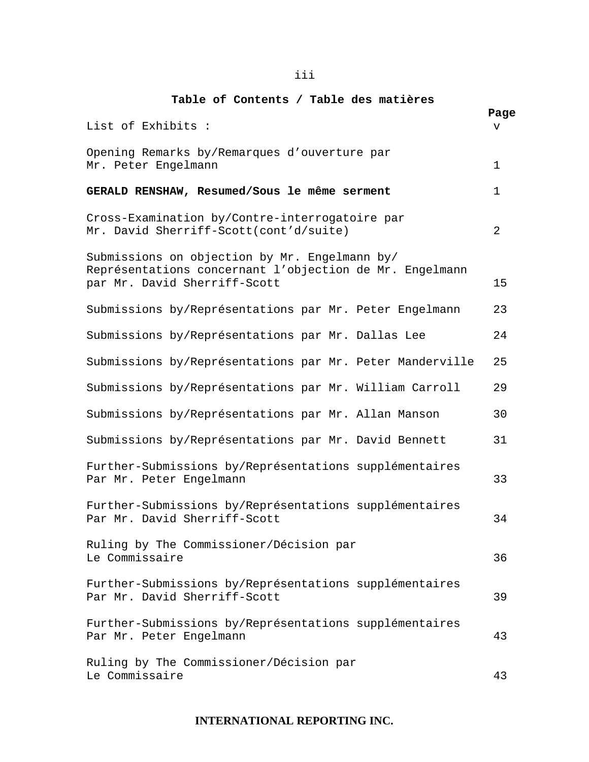#### **Table of Contents / Table des matières**

| List of Exhibits :                                                                                                                       | Page<br>v |
|------------------------------------------------------------------------------------------------------------------------------------------|-----------|
| Opening Remarks by/Remarques d'ouverture par<br>Mr. Peter Engelmann                                                                      | 1         |
| GERALD RENSHAW, Resumed/Sous le même serment                                                                                             | 1         |
| Cross-Examination by/Contre-interrogatoire par<br>Mr. David Sherriff-Scott(cont'd/suite)                                                 | 2         |
| Submissions on objection by Mr. Engelmann by/<br>Représentations concernant l'objection de Mr. Engelmann<br>par Mr. David Sherriff-Scott | 15        |
| Submissions by/Représentations par Mr. Peter Engelmann                                                                                   | 23        |
| Submissions by/Représentations par Mr. Dallas Lee                                                                                        | 24        |
| Submissions by/Représentations par Mr. Peter Manderville                                                                                 | 25        |
| Submissions by/Représentations par Mr. William Carroll                                                                                   | 29        |
| Submissions by/Représentations par Mr. Allan Manson                                                                                      | 30        |
| Submissions by/Représentations par Mr. David Bennett                                                                                     | 31        |
| Further-Submissions by/Représentations supplémentaires<br>Par Mr. Peter Engelmann                                                        | 33        |
| Further-Submissions by/Représentations supplémentaires<br>Par Mr. David Sherriff-Scott                                                   | 34        |
| Ruling by The Commissioner/Décision par<br>Le Commissaire                                                                                | 36        |
| Further-Submissions by/Représentations supplémentaires<br>Par Mr. David Sherriff-Scott                                                   | 39        |
| Further-Submissions by/Représentations supplémentaires<br>Par Mr. Peter Engelmann                                                        | 43        |
| Ruling by The Commissioner/Décision par<br>Le Commissaire                                                                                | 43        |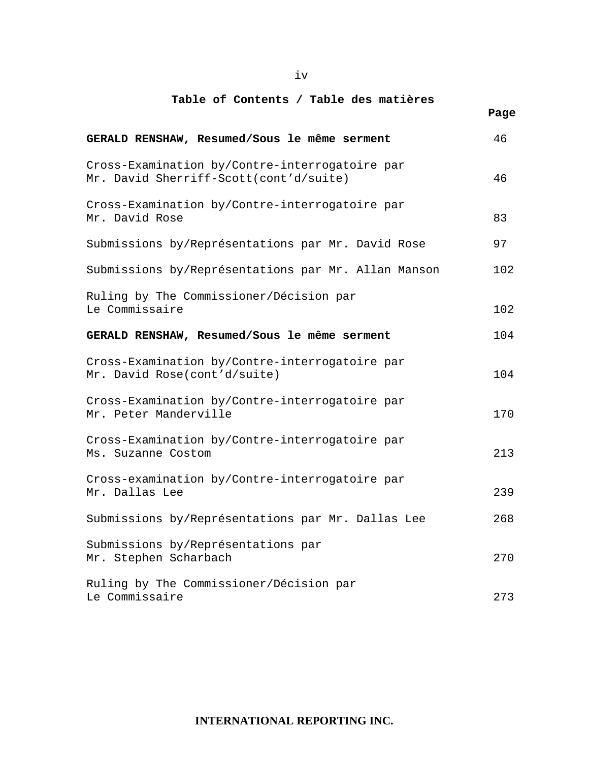iv

### **Table of Contents / Table des matières**  *Page*  $P$

| GERALD RENSHAW, Resumed/Sous le même serment                                             | 46  |
|------------------------------------------------------------------------------------------|-----|
| Cross-Examination by/Contre-interrogatoire par<br>Mr. David Sherriff-Scott(cont'd/suite) | 46  |
| Cross-Examination by/Contre-interrogatoire par<br>Mr. David Rose                         | 83  |
| Submissions by/Représentations par Mr. David Rose                                        | 97  |
| Submissions by/Représentations par Mr. Allan Manson                                      | 102 |
| Ruling by The Commissioner/Décision par<br>Le Commissaire                                | 102 |
| GERALD RENSHAW, Resumed/Sous le même serment                                             | 104 |
| Cross-Examination by/Contre-interrogatoire par<br>Mr. David Rose(cont'd/suite)           | 104 |
| Cross-Examination by/Contre-interrogatoire par<br>Mr. Peter Manderville                  | 170 |
| Cross-Examination by/Contre-interrogatoire par<br>Ms. Suzanne Costom                     | 213 |
| Cross-examination by/Contre-interrogatoire par<br>Mr. Dallas Lee                         | 239 |
| Submissions by/Représentations par Mr. Dallas Lee                                        | 268 |
| Submissions by/Représentations par<br>Mr. Stephen Scharbach                              | 270 |
| Ruling by The Commissioner/Décision par<br>Le Commissaire                                | 273 |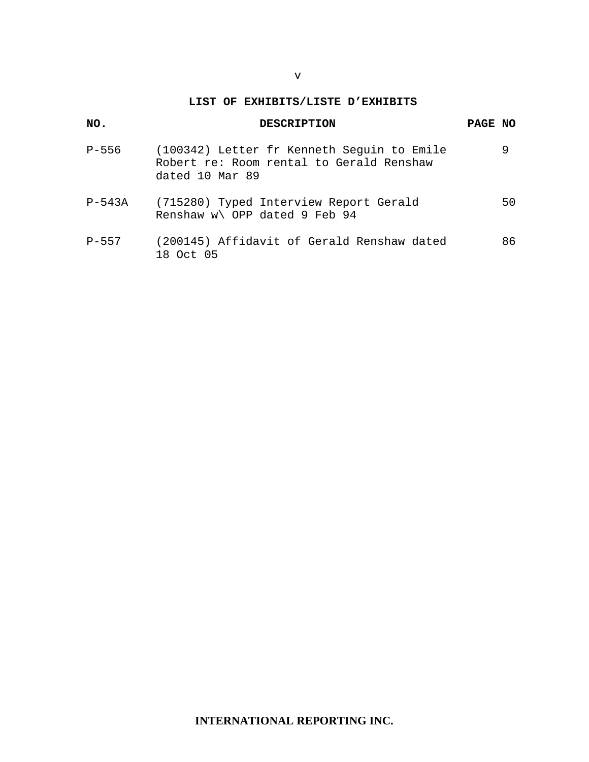#### **LIST OF EXHIBITS/LISTE D'EXHIBITS**

| NO.       | <b>DESCRIPTION</b>                                                                                        | PAGE NO |
|-----------|-----------------------------------------------------------------------------------------------------------|---------|
| P-556     | (100342) Letter fr Kenneth Seguin to Emile<br>Robert re: Room rental to Gerald Renshaw<br>dated 10 Mar 89 | 9       |
| $P-543A$  | (715280) Typed Interview Report Gerald<br>Renshaw w\ OPP dated 9 Feb 94                                   | 50      |
| $P - 557$ | (200145) Affidavit of Gerald Renshaw dated<br>18 Oct 05                                                   | 86      |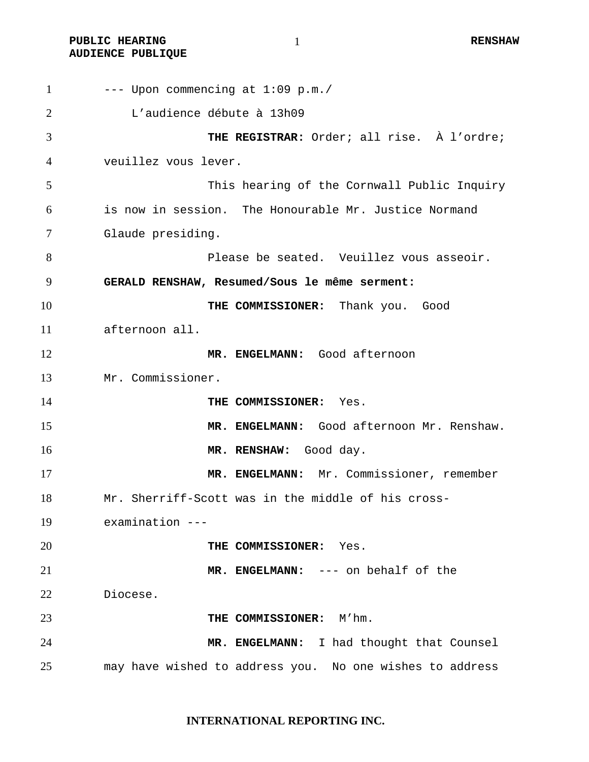PUBLIC HEARING  $\qquad \qquad 1$ **AUDIENCE PUBLIQUE** 

 --- Upon commencing at  $1:09$  p.m./ L'audience débute à 13h09 **THE REGISTRAR:** Order; all rise. À l'ordre; veuillez vous lever. This hearing of the Cornwall Public Inquiry is now in session. The Honourable Mr. Justice Normand Glaude presiding. Please be seated. Veuillez vous asseoir. **GERALD RENSHAW, Resumed/Sous le même serment: THE COMMISSIONER:** Thank you. Good afternoon all. **MR. ENGELMANN:** Good afternoon Mr. Commissioner. **THE COMMISSIONER:** Yes. **MR. ENGELMANN:** Good afternoon Mr. Renshaw. **MR. RENSHAW:** Good day. **MR. ENGELMANN:** Mr. Commissioner, remember Mr. Sherriff-Scott was in the middle of his cross-examination --- **THE COMMISSIONER:** Yes. **MR. ENGELMANN:** --- on behalf of the Diocese. **THE COMMISSIONER:** M'hm. **MR. ENGELMANN:** I had thought that Counsel may have wished to address you. No one wishes to address

**INTERNATIONAL REPORTING INC.**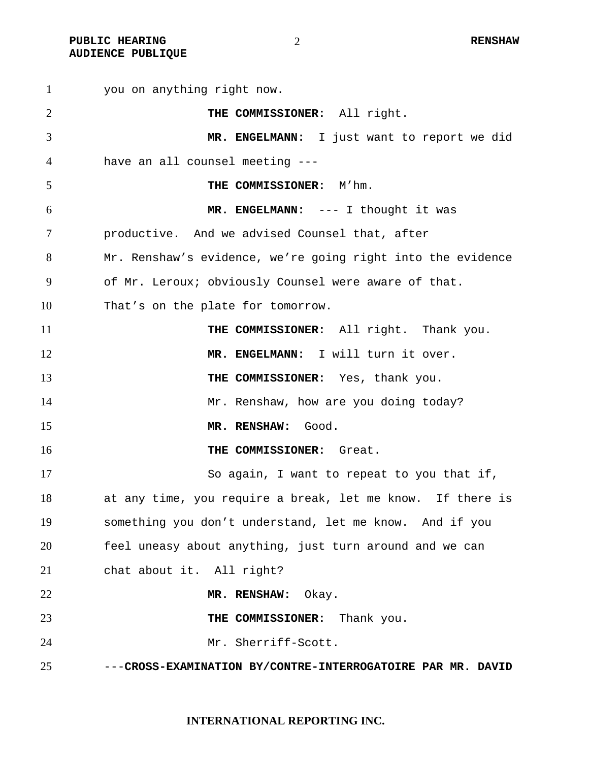**PUBLIC HEARING 2** 2 **RENSHAW AUDIENCE PUBLIQUE** 

you on anything right now. **THE COMMISSIONER:** All right. **MR. ENGELMANN:** I just want to report we did have an all counsel meeting --- **THE COMMISSIONER:** M'hm. **MR. ENGELMANN:** --- I thought it was productive. And we advised Counsel that, after Mr. Renshaw's evidence, we're going right into the evidence of Mr. Leroux; obviously Counsel were aware of that. That's on the plate for tomorrow. **THE COMMISSIONER:** All right. Thank you. **MR. ENGELMANN:** I will turn it over. **THE COMMISSIONER:** Yes, thank you. 14 Mr. Renshaw, how are you doing today? **MR. RENSHAW:** Good. **THE COMMISSIONER:** Great. So again, I want to repeat to you that if, at any time, you require a break, let me know. If there is something you don't understand, let me know. And if you feel uneasy about anything, just turn around and we can chat about it. All right? **MR. RENSHAW:** Okay. **THE COMMISSIONER:** Thank you. Mr. Sherriff-Scott. ---**CROSS-EXAMINATION BY/CONTRE-INTERROGATOIRE PAR MR. DAVID**

**INTERNATIONAL REPORTING INC.**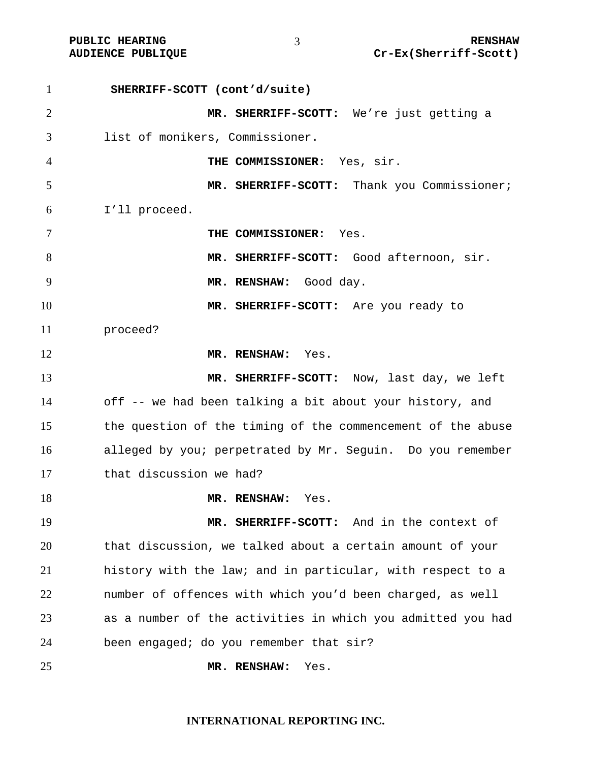PUBLIC HEARING  $\frac{1}{3}$  and  $\frac{1}{2}$  renshaw **AUDIENCE PUBLIQUE Cr-Ex(Sherriff-Scott)** 

**SHERRIFF-SCOTT (cont'd/suite) MR. SHERRIFF-SCOTT:** We're just getting a list of monikers, Commissioner. **THE COMMISSIONER:** Yes, sir. **MR. SHERRIFF-SCOTT:** Thank you Commissioner; I'll proceed. **THE COMMISSIONER:** Yes. **MR. SHERRIFF-SCOTT:** Good afternoon, sir. **MR. RENSHAW:** Good day. **MR. SHERRIFF-SCOTT:** Are you ready to proceed? **MR. RENSHAW:** Yes. **MR. SHERRIFF-SCOTT:** Now, last day, we left off -- we had been talking a bit about your history, and the question of the timing of the commencement of the abuse alleged by you; perpetrated by Mr. Seguin. Do you remember that discussion we had? **MR. RENSHAW:** Yes. **MR. SHERRIFF-SCOTT:** And in the context of that discussion, we talked about a certain amount of your history with the law; and in particular, with respect to a number of offences with which you'd been charged, as well as a number of the activities in which you admitted you had been engaged; do you remember that sir? **MR. RENSHAW:** Yes.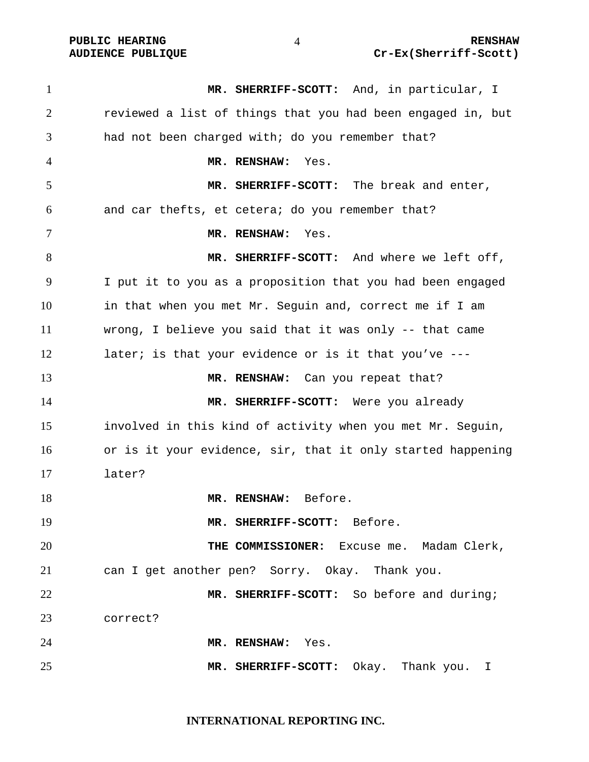**MR. SHERRIFF-SCOTT:** And, in particular, I reviewed a list of things that you had been engaged in, but had not been charged with; do you remember that? **MR. RENSHAW:** Yes. **MR. SHERRIFF-SCOTT:** The break and enter, and car thefts, et cetera; do you remember that? **MR. RENSHAW:** Yes. **MR. SHERRIFF-SCOTT:** And where we left off, I put it to you as a proposition that you had been engaged in that when you met Mr. Seguin and, correct me if I am wrong, I believe you said that it was only -- that came 12 later; is that your evidence or is it that you've ---**MR. RENSHAW:** Can you repeat that? **MR. SHERRIFF-SCOTT:** Were you already involved in this kind of activity when you met Mr. Seguin, or is it your evidence, sir, that it only started happening later? **MR. RENSHAW:** Before. **MR. SHERRIFF-SCOTT:** Before. **THE COMMISSIONER:** Excuse me. Madam Clerk, can I get another pen? Sorry. Okay. Thank you. **MR. SHERRIFF-SCOTT:** So before and during; correct? **MR. RENSHAW:** Yes. **MR. SHERRIFF-SCOTT:** Okay. Thank you. I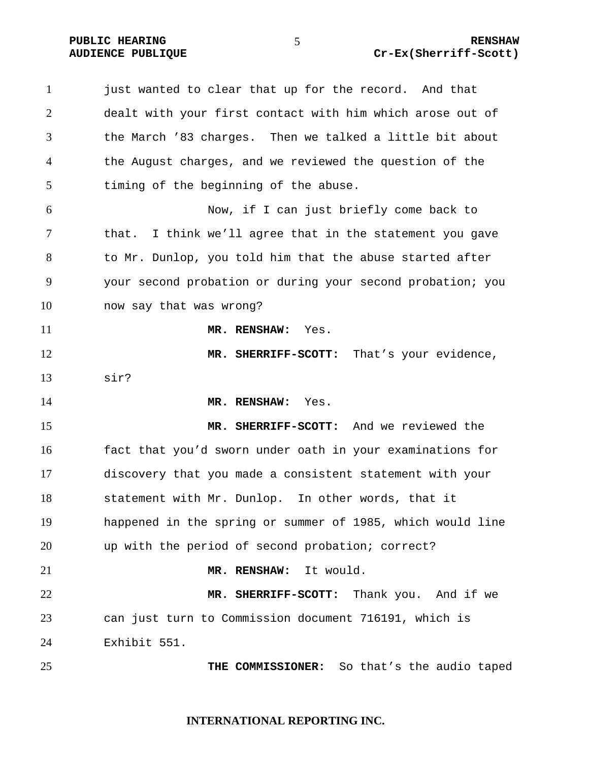| 1              | just wanted to clear that up for the record. And that       |
|----------------|-------------------------------------------------------------|
| $\overline{2}$ | dealt with your first contact with him which arose out of   |
| 3              | the March '83 charges. Then we talked a little bit about    |
| 4              | the August charges, and we reviewed the question of the     |
| 5              | timing of the beginning of the abuse.                       |
| 6              | Now, if I can just briefly come back to                     |
| 7              | I think we'll agree that in the statement you gave<br>that. |
| 8              | to Mr. Dunlop, you told him that the abuse started after    |
| 9              | your second probation or during your second probation; you  |
| 10             | now say that was wrong?                                     |
| 11             | MR. RENSHAW:<br>Yes.                                        |
| 12             | MR. SHERRIFF-SCOTT: That's your evidence,                   |
| 13             | sir?                                                        |
| 14             | MR. RENSHAW:<br>Yes.                                        |
| 15             | MR. SHERRIFF-SCOTT: And we reviewed the                     |
| 16             | fact that you'd sworn under oath in your examinations for   |
| 17             | discovery that you made a consistent statement with your    |
| 18             | statement with Mr. Dunlop. In other words, that it          |
| 19             | happened in the spring or summer of 1985, which would line  |
| 20             | up with the period of second probation; correct?            |
| 21             | MR. RENSHAW:<br>It would.                                   |
| 22             | MR. SHERRIFF-SCOTT: Thank you. And if we                    |
| 23             | can just turn to Commission document 716191, which is       |
| 24             | Exhibit 551.                                                |
| 25             | THE COMMISSIONER:<br>So that's the audio taped              |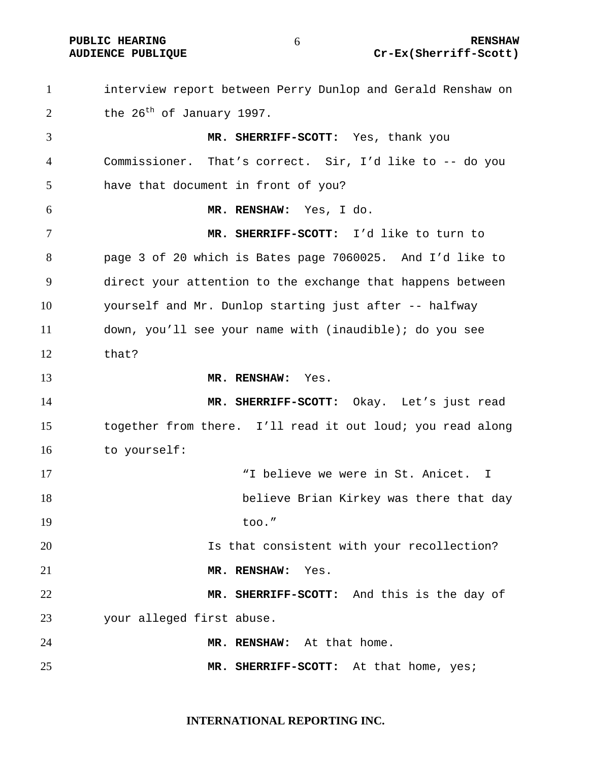interview report between Perry Dunlop and Gerald Renshaw on 2 the  $26^{th}$  of January 1997. **MR. SHERRIFF-SCOTT:** Yes, thank you Commissioner. That's correct. Sir, I'd like to -- do you have that document in front of you? **MR. RENSHAW:** Yes, I do. **MR. SHERRIFF-SCOTT:** I'd like to turn to page 3 of 20 which is Bates page 7060025. And I'd like to direct your attention to the exchange that happens between yourself and Mr. Dunlop starting just after -- halfway down, you'll see your name with (inaudible); do you see that? **MR. RENSHAW:** Yes. **MR. SHERRIFF-SCOTT:** Okay. Let's just read together from there. I'll read it out loud; you read along to yourself: 17 Thelieve we were in St. Anicet. I believe Brian Kirkey was there that day 19 too." Is that consistent with your recollection? **MR. RENSHAW:** Yes. **MR. SHERRIFF-SCOTT:** And this is the day of your alleged first abuse. **MR. RENSHAW:** At that home. **MR. SHERRIFF-SCOTT:** At that home, yes;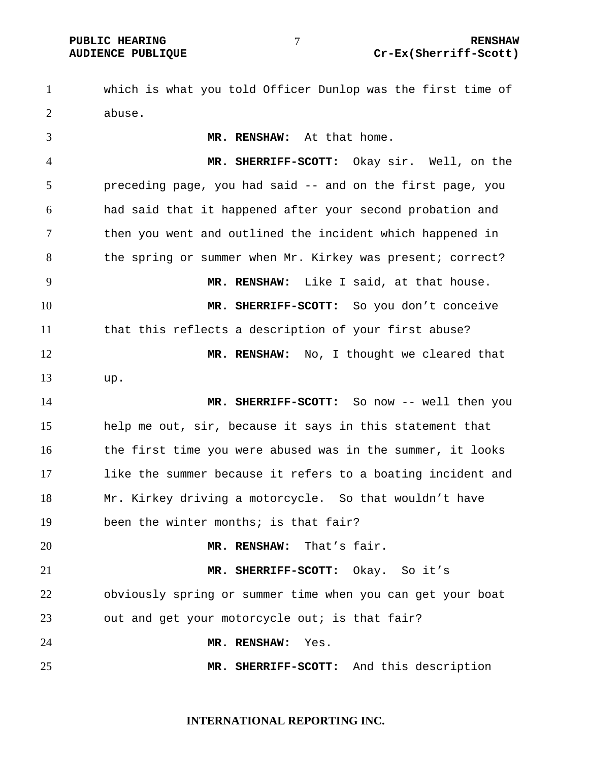which is what you told Officer Dunlop was the first time of abuse.

**MR. RENSHAW:** At that home. **MR. SHERRIFF-SCOTT:** Okay sir. Well, on the preceding page, you had said -- and on the first page, you had said that it happened after your second probation and then you went and outlined the incident which happened in 8 the spring or summer when Mr. Kirkey was present; correct? **MR. RENSHAW:** Like I said, at that house. **MR. SHERRIFF-SCOTT:** So you don't conceive that this reflects a description of your first abuse? **MR. RENSHAW:** No, I thought we cleared that up. **MR. SHERRIFF-SCOTT:** So now -- well then you help me out, sir, because it says in this statement that the first time you were abused was in the summer, it looks like the summer because it refers to a boating incident and Mr. Kirkey driving a motorcycle. So that wouldn't have been the winter months; is that fair? **MR. RENSHAW:** That's fair. **MR. SHERRIFF-SCOTT:** Okay. So it's obviously spring or summer time when you can get your boat out and get your motorcycle out; is that fair? **MR. RENSHAW:** Yes. **MR. SHERRIFF-SCOTT:** And this description

#### **INTERNATIONAL REPORTING INC.**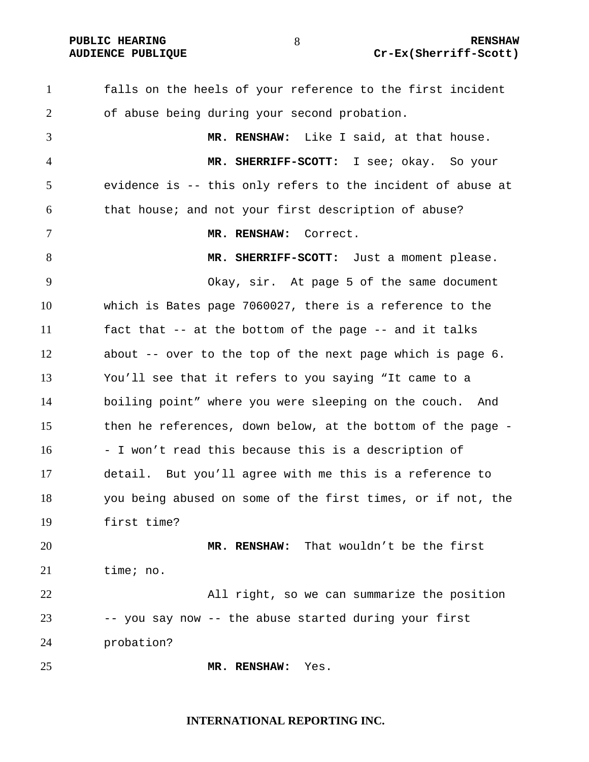falls on the heels of your reference to the first incident of abuse being during your second probation. **MR. RENSHAW:** Like I said, at that house. **MR. SHERRIFF-SCOTT:** I see; okay. So your evidence is -- this only refers to the incident of abuse at that house; and not your first description of abuse? **MR. RENSHAW:** Correct. **MR. SHERRIFF-SCOTT:** Just a moment please. Okay, sir. At page 5 of the same document which is Bates page 7060027, there is a reference to the fact that -- at the bottom of the page -- and it talks about -- over to the top of the next page which is page 6. You'll see that it refers to you saying "It came to a boiling point" where you were sleeping on the couch. And then he references, down below, at the bottom of the page - - I won't read this because this is a description of detail. But you'll agree with me this is a reference to you being abused on some of the first times, or if not, the first time? **MR. RENSHAW:** That wouldn't be the first time; no. All right, so we can summarize the position -- you say now -- the abuse started during your first probation? **MR. RENSHAW:** Yes.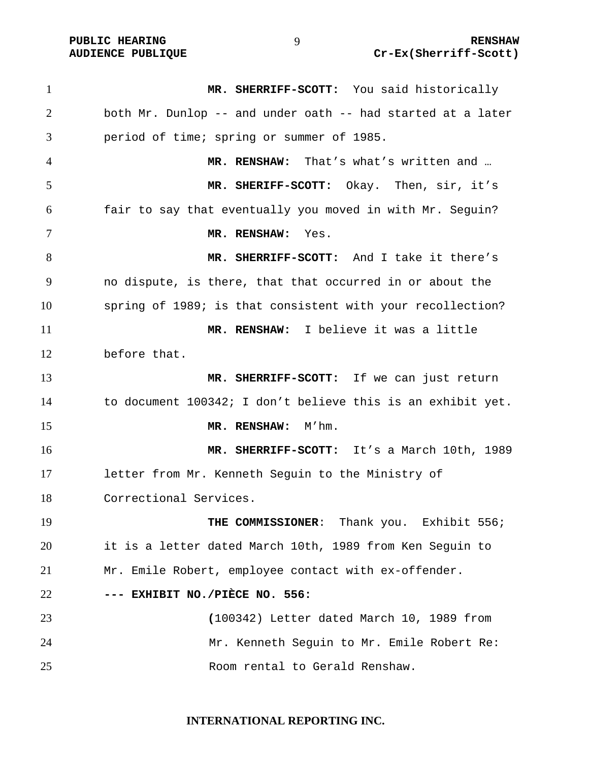**MR. SHERRIFF-SCOTT:** You said historically both Mr. Dunlop -- and under oath -- had started at a later period of time; spring or summer of 1985. **MR. RENSHAW:** That's what's written and … **MR. SHERIFF-SCOTT:** Okay. Then, sir, it's fair to say that eventually you moved in with Mr. Seguin? **MR. RENSHAW:** Yes. **MR. SHERRIFF-SCOTT:** And I take it there's no dispute, is there, that that occurred in or about the spring of 1989; is that consistent with your recollection? **MR. RENSHAW:** I believe it was a little before that. **MR. SHERRIFF-SCOTT:** If we can just return to document 100342; I don't believe this is an exhibit yet. 15 MR. RENSHAW: M'hm. **MR. SHERRIFF-SCOTT:** It's a March 10th, 1989 letter from Mr. Kenneth Seguin to the Ministry of Correctional Services. **THE COMMISSIONER**: Thank you. Exhibit 556; it is a letter dated March 10th, 1989 from Ken Seguin to Mr. Emile Robert, employee contact with ex-offender. **--- EXHIBIT NO./PIÈCE NO. 556: (**100342) Letter dated March 10, 1989 from Mr. Kenneth Seguin to Mr. Emile Robert Re: Room rental to Gerald Renshaw.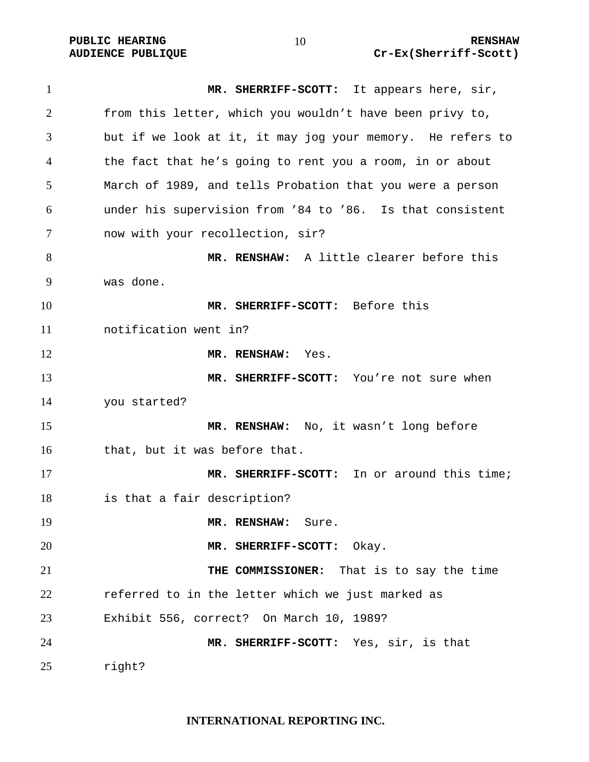**MR. SHERRIFF-SCOTT:** It appears here, sir, from this letter, which you wouldn't have been privy to, but if we look at it, it may jog your memory. He refers to the fact that he's going to rent you a room, in or about March of 1989, and tells Probation that you were a person under his supervision from '84 to '86. Is that consistent now with your recollection, sir? **MR. RENSHAW:** A little clearer before this was done. **MR. SHERRIFF-SCOTT:** Before this notification went in? **MR. RENSHAW:** Yes. **MR. SHERRIFF-SCOTT:** You're not sure when you started? **MR. RENSHAW:** No, it wasn't long before that, but it was before that. **MR. SHERRIFF-SCOTT:** In or around this time; is that a fair description? **MR. RENSHAW:** Sure. **MR. SHERRIFF-SCOTT:** Okay. **THE COMMISSIONER:** That is to say the time referred to in the letter which we just marked as Exhibit 556, correct? On March 10, 1989? **MR. SHERRIFF-SCOTT:** Yes, sir, is that right?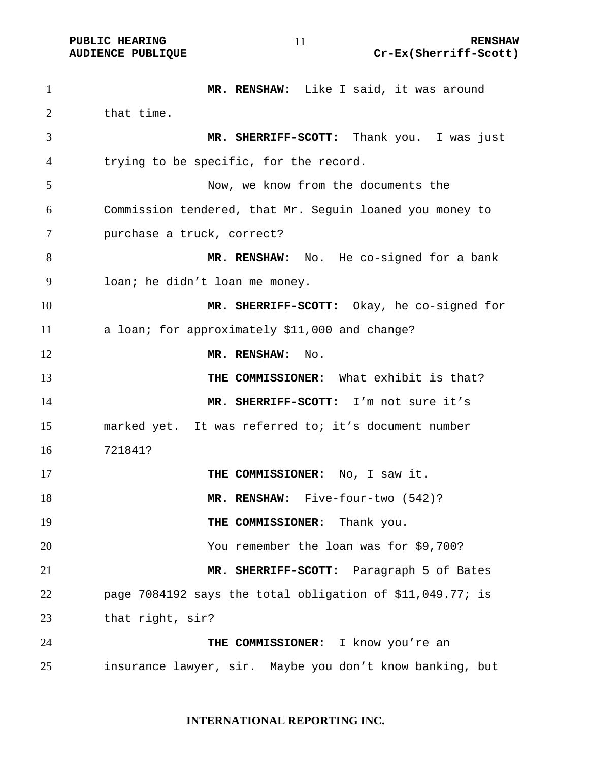**MR. RENSHAW:** Like I said, it was around 2 that time. **MR. SHERRIFF-SCOTT:** Thank you. I was just trying to be specific, for the record. Now, we know from the documents the Commission tendered, that Mr. Seguin loaned you money to purchase a truck, correct? **MR. RENSHAW:** No. He co-signed for a bank loan; he didn't loan me money. **MR. SHERRIFF-SCOTT:** Okay, he co-signed for a loan; for approximately \$11,000 and change? **MR. RENSHAW:** No. **THE COMMISSIONER:** What exhibit is that? **MR. SHERRIFF-SCOTT:** I'm not sure it's marked yet. It was referred to; it's document number 721841? **THE COMMISSIONER:** No, I saw it. **MR. RENSHAW:** Five-four-two (542)? **THE COMMISSIONER:** Thank you. You remember the loan was for \$9,700? **MR. SHERRIFF-SCOTT:** Paragraph 5 of Bates page 7084192 says the total obligation of \$11,049.77; is that right, sir? **THE COMMISSIONER:** I know you're an insurance lawyer, sir. Maybe you don't know banking, but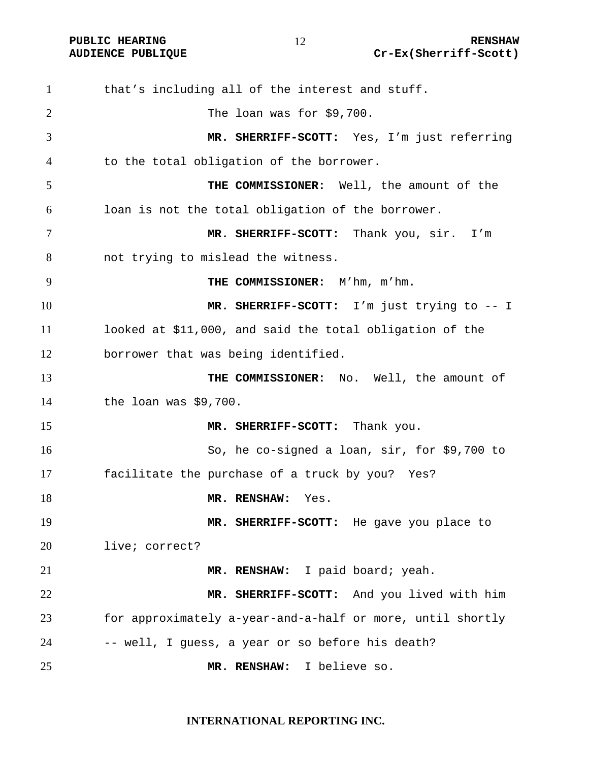**PUBLIC HEARING 12** 12 RENSHAW **AUDIENCE PUBLIQUE Cr-Ex(Sherriff-Scott)** 

that's including all of the interest and stuff. The loan was for \$9,700. **MR. SHERRIFF-SCOTT:** Yes, I'm just referring to the total obligation of the borrower. **THE COMMISSIONER:** Well, the amount of the loan is not the total obligation of the borrower. **MR. SHERRIFF-SCOTT:** Thank you, sir. I'm not trying to mislead the witness. **THE COMMISSIONER:** M'hm, m'hm. **MR. SHERRIFF-SCOTT:** I'm just trying to -- I looked at \$11,000, and said the total obligation of the borrower that was being identified. **THE COMMISSIONER:** No. Well, the amount of the loan was \$9,700. **MR. SHERRIFF-SCOTT:** Thank you. So, he co-signed a loan, sir, for \$9,700 to facilitate the purchase of a truck by you? Yes? **MR. RENSHAW:** Yes. **MR. SHERRIFF-SCOTT:** He gave you place to live; correct? **MR. RENSHAW:** I paid board; yeah. **MR. SHERRIFF-SCOTT:** And you lived with him for approximately a-year-and-a-half or more, until shortly 24 -- well, I guess, a year or so before his death? **MR. RENSHAW:** I believe so.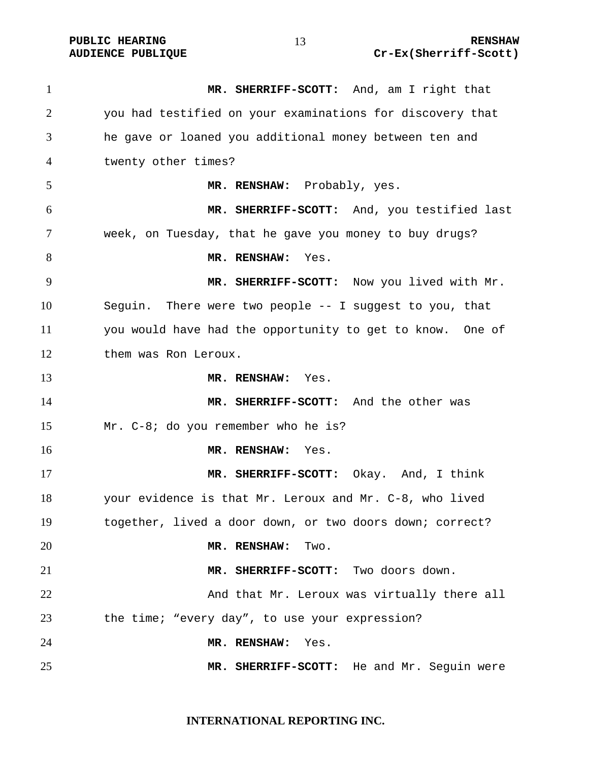**MR. SHERRIFF-SCOTT:** And, am I right that you had testified on your examinations for discovery that he gave or loaned you additional money between ten and twenty other times? **MR. RENSHAW:** Probably, yes. **MR. SHERRIFF-SCOTT:** And, you testified last week, on Tuesday, that he gave you money to buy drugs? **MR. RENSHAW:** Yes. **MR. SHERRIFF-SCOTT:** Now you lived with Mr. Seguin. There were two people -- I suggest to you, that you would have had the opportunity to get to know. One of them was Ron Leroux. **MR. RENSHAW:** Yes. **MR. SHERRIFF-SCOTT:** And the other was Mr. C-8; do you remember who he is? **MR. RENSHAW:** Yes. **MR. SHERRIFF-SCOTT:** Okay. And, I think your evidence is that Mr. Leroux and Mr. C-8, who lived together, lived a door down, or two doors down; correct? **MR. RENSHAW:** Two. **MR. SHERRIFF-SCOTT:** Two doors down. And that Mr. Leroux was virtually there all the time; "every day", to use your expression? **MR. RENSHAW:** Yes. **MR. SHERRIFF-SCOTT:** He and Mr. Seguin were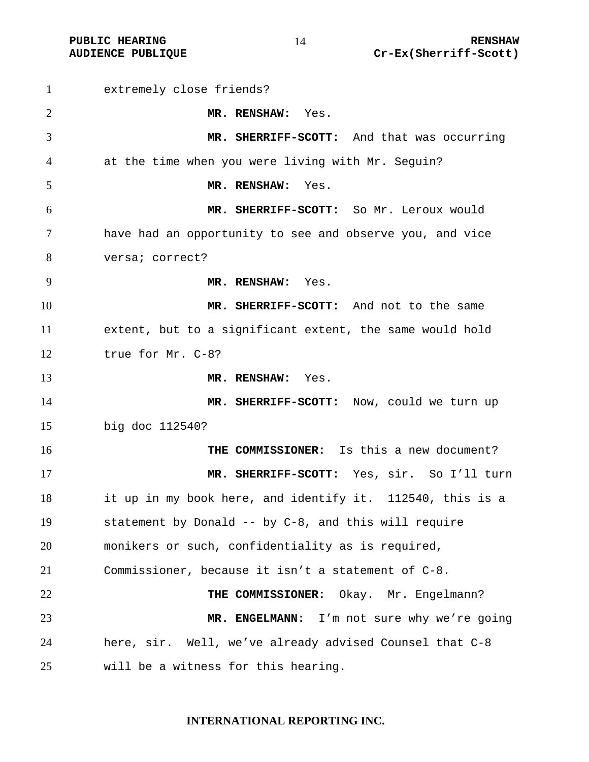extremely close friends? **MR. RENSHAW:** Yes. **MR. SHERRIFF-SCOTT:** And that was occurring at the time when you were living with Mr. Seguin? **MR. RENSHAW:** Yes. **MR. SHERRIFF-SCOTT:** So Mr. Leroux would have had an opportunity to see and observe you, and vice versa; correct? **MR. RENSHAW:** Yes. **MR. SHERRIFF-SCOTT:** And not to the same extent, but to a significant extent, the same would hold true for Mr. C-8? **MR. RENSHAW:** Yes. **MR. SHERRIFF-SCOTT:** Now, could we turn up big doc 112540? **THE COMMISSIONER:** Is this a new document? **MR. SHERRIFF-SCOTT:** Yes, sir. So I'll turn it up in my book here, and identify it. 112540, this is a statement by Donald -- by C-8, and this will require monikers or such, confidentiality as is required, Commissioner, because it isn't a statement of C-8. **THE COMMISSIONER:** Okay. Mr. Engelmann? **MR. ENGELMANN:** I'm not sure why we're going here, sir. Well, we've already advised Counsel that C-8 will be a witness for this hearing.

#### **INTERNATIONAL REPORTING INC.**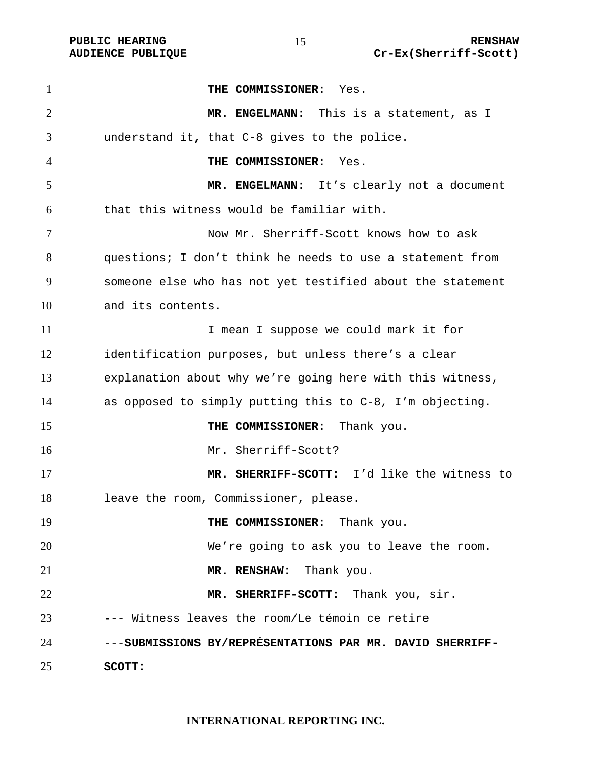| $\mathbf{1}$   | THE COMMISSIONER: Yes.                                     |
|----------------|------------------------------------------------------------|
| $\overline{2}$ | MR. ENGELMANN: This is a statement, as I                   |
| 3              | understand it, that C-8 gives to the police.               |
| $\overline{4}$ | THE COMMISSIONER:<br>Yes.                                  |
| 5              | MR. ENGELMANN: It's clearly not a document                 |
| 6              | that this witness would be familiar with.                  |
| 7              | Now Mr. Sherriff-Scott knows how to ask                    |
| 8              | questions; I don't think he needs to use a statement from  |
| 9              | someone else who has not yet testified about the statement |
| 10             | and its contents.                                          |
| 11             | I mean I suppose we could mark it for                      |
| 12             | identification purposes, but unless there's a clear        |
| 13             | explanation about why we're going here with this witness,  |
| 14             | as opposed to simply putting this to C-8, I'm objecting.   |
| 15             | THE COMMISSIONER: Thank you.                               |
| 16             | Mr. Sherriff-Scott?                                        |
| 17             | MR. SHERRIFF-SCOTT: I'd like the witness to                |
| 18             | leave the room, Commissioner, please.                      |
| 19             | THE COMMISSIONER: Thank you.                               |
| 20             | We're going to ask you to leave the room.                  |
| 21             | MR. RENSHAW: Thank you.                                    |
| 22             | MR. SHERRIFF-SCOTT: Thank you, sir.                        |
| 23             | --- Witness leaves the room/Le témoin ce retire            |
| 24             | ---SUBMISSIONS BY/REPRÉSENTATIONS PAR MR. DAVID SHERRIFF-  |
| 25             | SCOTT:                                                     |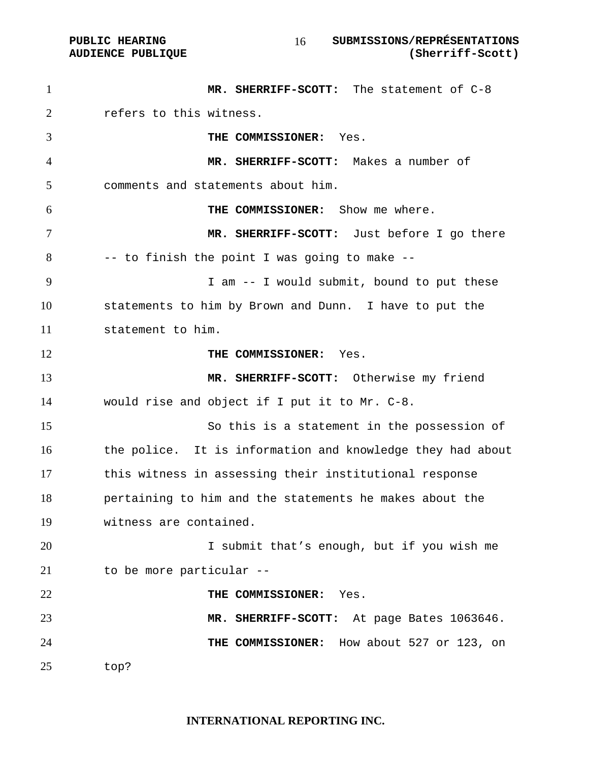**PUBLIC HEARING SUBMISSIONS/REPRÉSENTATIONS AUDIENCE PUBLIQUE (Sherriff-Scott)**  

**MR. SHERRIFF-SCOTT:** The statement of C-8 refers to this witness. **THE COMMISSIONER:** Yes. **MR. SHERRIFF-SCOTT:** Makes a number of comments and statements about him. **THE COMMISSIONER:** Show me where. **MR. SHERRIFF-SCOTT:** Just before I go there -- to finish the point I was going to make -- I am -- I would submit, bound to put these statements to him by Brown and Dunn. I have to put the statement to him. **THE COMMISSIONER:** Yes. **MR. SHERRIFF-SCOTT:** Otherwise my friend would rise and object if I put it to Mr. C-8. So this is a statement in the possession of the police. It is information and knowledge they had about this witness in assessing their institutional response pertaining to him and the statements he makes about the witness are contained. I submit that's enough, but if you wish me to be more particular -- **THE COMMISSIONER:** Yes. **MR. SHERRIFF-SCOTT:** At page Bates 1063646. **THE COMMISSIONER:** How about 527 or 123, on top?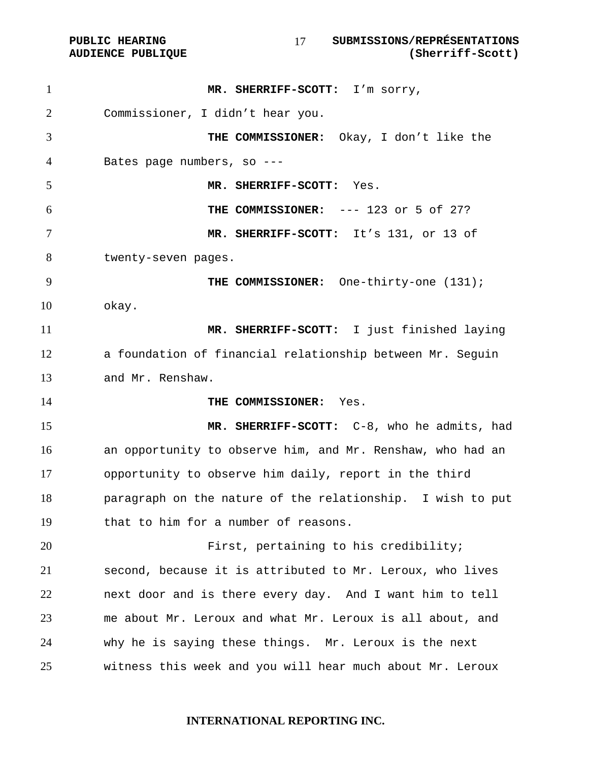PUBLIC HEARING **SUBMISSIONS/REPRÉSENTATIONS**<br>AUDIENCE PUBLIQUE (Sherriff-Scott) 

| $\mathbf{1}$   | MR. SHERRIFF-SCOTT: I'm sorry,                             |
|----------------|------------------------------------------------------------|
| $\overline{2}$ | Commissioner, I didn't hear you.                           |
| 3              | THE COMMISSIONER: Okay, I don't like the                   |
| 4              | Bates page numbers, so ---                                 |
| 5              | MR. SHERRIFF-SCOTT: Yes.                                   |
| 6              | THE COMMISSIONER: --- 123 or 5 of 27?                      |
| 7              | MR. SHERRIFF-SCOTT: It's 131, or 13 of                     |
| 8              | twenty-seven pages.                                        |
| 9              | THE COMMISSIONER: One-thirty-one (131);                    |
| 10             | okay.                                                      |
| 11             | MR. SHERRIFF-SCOTT: I just finished laying                 |
| 12             | a foundation of financial relationship between Mr. Seguin  |
| 13             | and Mr. Renshaw.                                           |
| 14             | THE COMMISSIONER: Yes.                                     |
| 15             | MR. SHERRIFF-SCOTT: C-8, who he admits, had                |
| 16             | an opportunity to observe him, and Mr. Renshaw, who had an |
| 17             | opportunity to observe him daily, report in the third      |
| 18             | paragraph on the nature of the relationship. I wish to put |
| 19             | that to him for a number of reasons.                       |
| 20             | First, pertaining to his credibility;                      |
| 21             | second, because it is attributed to Mr. Leroux, who lives  |
| 22             | next door and is there every day. And I want him to tell   |
| 23             | me about Mr. Leroux and what Mr. Leroux is all about, and  |
| 24             | why he is saying these things. Mr. Leroux is the next      |
| 25             | witness this week and you will hear much about Mr. Leroux  |
|                |                                                            |

**AUDIENCE PUBLIQUE**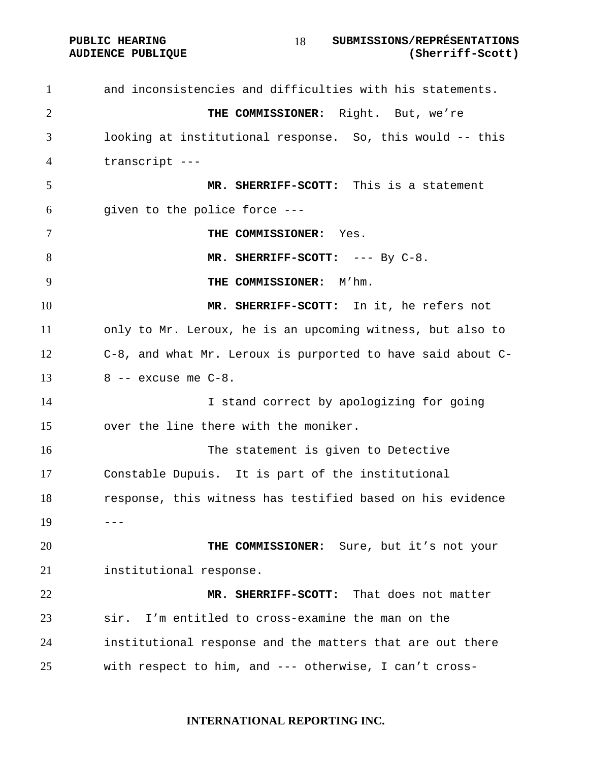**PUBLIC HEARING SUBMISSIONS/REPRÉSENTATIONS AUDIENCE PUBLIQUE (Sherriff-Scott)**  

and inconsistencies and difficulties with his statements. **THE COMMISSIONER:** Right. But, we're looking at institutional response. So, this would -- this transcript --- **MR. SHERRIFF-SCOTT:** This is a statement given to the police force --- **THE COMMISSIONER:** Yes. **MR. SHERRIFF-SCOTT:** --- By C-8. **THE COMMISSIONER:** M'hm. **MR. SHERRIFF-SCOTT:** In it, he refers not only to Mr. Leroux, he is an upcoming witness, but also to C-8, and what Mr. Leroux is purported to have said about C- $13 \qquad 8$  -- excuse me  $C-8$ . 14 I stand correct by apologizing for going over the line there with the moniker. The statement is given to Detective Constable Dupuis. It is part of the institutional response, this witness has testified based on his evidence ---**THE COMMISSIONER:** Sure, but it's not your institutional response. **MR. SHERRIFF-SCOTT:** That does not matter sir. I'm entitled to cross-examine the man on the institutional response and the matters that are out there with respect to him, and --- otherwise, I can't cross-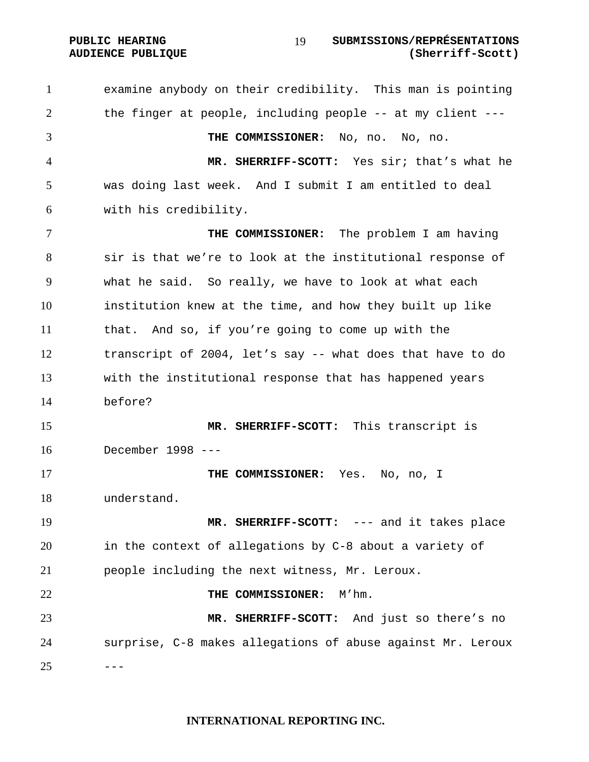#### **PUBLIC HEARING SUBMISSIONS/REPRÉSENTATIONS AUDIENCE PUBLIQUE (Sherriff-Scott)**

examine anybody on their credibility. This man is pointing the finger at people, including people -- at my client --- **THE COMMISSIONER:** No, no. No, no. **MR. SHERRIFF-SCOTT:** Yes sir; that's what he was doing last week. And I submit I am entitled to deal with his credibility. **THE COMMISSIONER:** The problem I am having sir is that we're to look at the institutional response of what he said. So really, we have to look at what each institution knew at the time, and how they built up like that. And so, if you're going to come up with the transcript of 2004, let's say -- what does that have to do with the institutional response that has happened years before? **MR. SHERRIFF-SCOTT:** This transcript is December 1998 --- **THE COMMISSIONER:** Yes. No, no, I understand. **MR. SHERRIFF-SCOTT:** --- and it takes place in the context of allegations by C-8 about a variety of people including the next witness, Mr. Leroux. **THE COMMISSIONER:** M'hm. **MR. SHERRIFF-SCOTT:** And just so there's no surprise, C-8 makes allegations of abuse against Mr. Leroux ---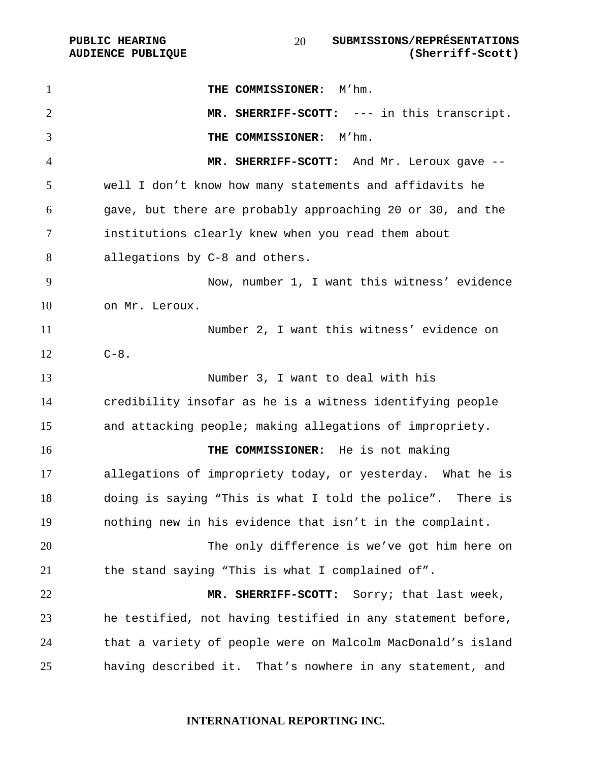| $\mathbf{1}$   | THE COMMISSIONER: M'hm.                                     |
|----------------|-------------------------------------------------------------|
| $\overline{2}$ | MR. SHERRIFF-SCOTT: --- in this transcript.                 |
| 3              | THE COMMISSIONER: M'hm.                                     |
| 4              | MR. SHERRIFF-SCOTT: And Mr. Leroux gave --                  |
| 5              | well I don't know how many statements and affidavits he     |
| 6              | gave, but there are probably approaching 20 or 30, and the  |
| 7              | institutions clearly knew when you read them about          |
| 8              | allegations by C-8 and others.                              |
| 9              | Now, number 1, I want this witness' evidence                |
| 10             | on Mr. Leroux.                                              |
| 11             | Number 2, I want this witness' evidence on                  |
| 12             | $C - 8$ .                                                   |
| 13             | Number 3, I want to deal with his                           |
| 14             | credibility insofar as he is a witness identifying people   |
| 15             | and attacking people; making allegations of impropriety.    |
| 16             | THE COMMISSIONER: He is not making                          |
| 17             | allegations of impropriety today, or yesterday. What he is  |
| 18             | doing is saying "This is what I told the police". There is  |
| 19             | nothing new in his evidence that isn't in the complaint.    |
| 20             | The only difference is we've got him here on                |
| 21             | the stand saying "This is what I complained of".            |
| 22             | MR. SHERRIFF-SCOTT: Sorry; that last week,                  |
| 23             | he testified, not having testified in any statement before, |
| 24             | that a variety of people were on Malcolm MacDonald's island |
| 25             | having described it. That's nowhere in any statement, and   |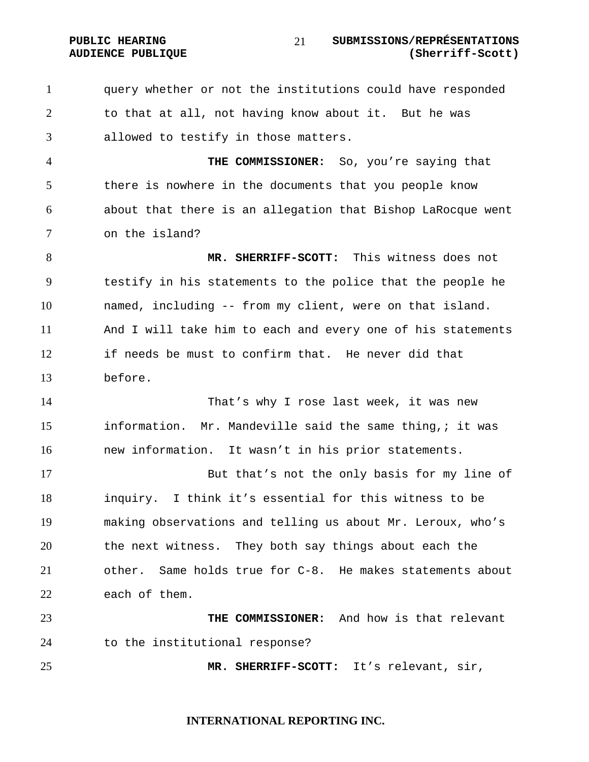PUBLIC HEARING SUBMISSIONS/REPRÉSENTATIONS **AUDIENCE PUBLIQUE (Sherriff-Scott)**  

query whether or not the institutions could have responded to that at all, not having know about it. But he was allowed to testify in those matters.

**THE COMMISSIONER:** So, you're saying that there is nowhere in the documents that you people know about that there is an allegation that Bishop LaRocque went on the island?

**MR. SHERRIFF-SCOTT:** This witness does not testify in his statements to the police that the people he named, including -- from my client, were on that island. And I will take him to each and every one of his statements if needs be must to confirm that. He never did that before.

That's why I rose last week, it was new information. Mr. Mandeville said the same thing,; it was new information. It wasn't in his prior statements.

But that's not the only basis for my line of inquiry. I think it's essential for this witness to be making observations and telling us about Mr. Leroux, who's the next witness. They both say things about each the other. Same holds true for C-8. He makes statements about each of them.

**THE COMMISSIONER:** And how is that relevant to the institutional response?

**MR. SHERRIFF-SCOTT:** It's relevant, sir,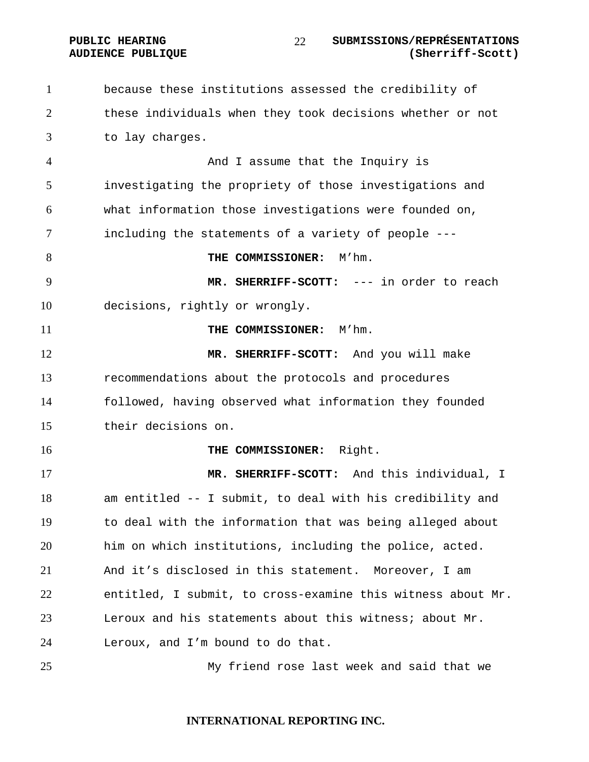PUBLIC HEARING SUBMISSIONS/REPRÉSENTATIONS **AUDIENCE PUBLIQUE (Sherriff-Scott)**  

because these institutions assessed the credibility of these individuals when they took decisions whether or not to lay charges. And I assume that the Inquiry is investigating the propriety of those investigations and what information those investigations were founded on, including the statements of a variety of people --- **THE COMMISSIONER:**  $M'$ hm. **MR. SHERRIFF-SCOTT:** --- in order to reach decisions, rightly or wrongly. **THE COMMISSIONER:** M'hm. **MR. SHERRIFF-SCOTT:** And you will make recommendations about the protocols and procedures followed, having observed what information they founded their decisions on. **THE COMMISSIONER:** Right. **MR. SHERRIFF-SCOTT:** And this individual, I am entitled -- I submit, to deal with his credibility and to deal with the information that was being alleged about him on which institutions, including the police, acted. And it's disclosed in this statement. Moreover, I am entitled, I submit, to cross-examine this witness about Mr. Leroux and his statements about this witness; about Mr. Leroux, and I'm bound to do that. My friend rose last week and said that we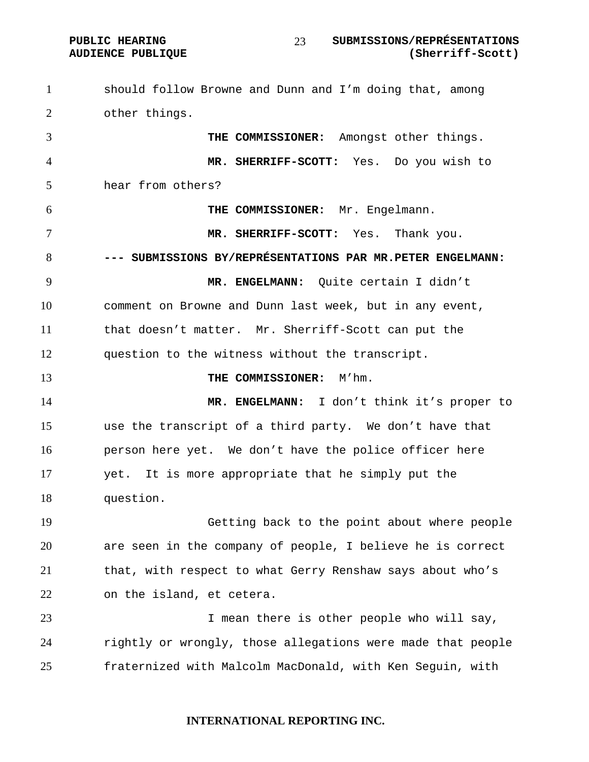#### PUBLIC HEARING SUBMISSIONS/REPRÉSENTATIONS **AUDIENCE PUBLIQUE (Sherriff-Scott)**

should follow Browne and Dunn and I'm doing that, among other things. **THE COMMISSIONER:** Amongst other things. **MR. SHERRIFF-SCOTT:** Yes. Do you wish to hear from others? **THE COMMISSIONER:** Mr. Engelmann. **MR. SHERRIFF-SCOTT:** Yes. Thank you. **--- SUBMISSIONS BY/REPRÉSENTATIONS PAR MR.PETER ENGELMANN: MR. ENGELMANN:** Quite certain I didn't comment on Browne and Dunn last week, but in any event, that doesn't matter. Mr. Sherriff-Scott can put the question to the witness without the transcript. **THE COMMISSIONER:** M'hm. **MR. ENGELMANN:** I don't think it's proper to use the transcript of a third party. We don't have that person here yet. We don't have the police officer here yet. It is more appropriate that he simply put the question. Getting back to the point about where people are seen in the company of people, I believe he is correct that, with respect to what Gerry Renshaw says about who's on the island, et cetera. 23 1 mean there is other people who will say, rightly or wrongly, those allegations were made that people fraternized with Malcolm MacDonald, with Ken Seguin, with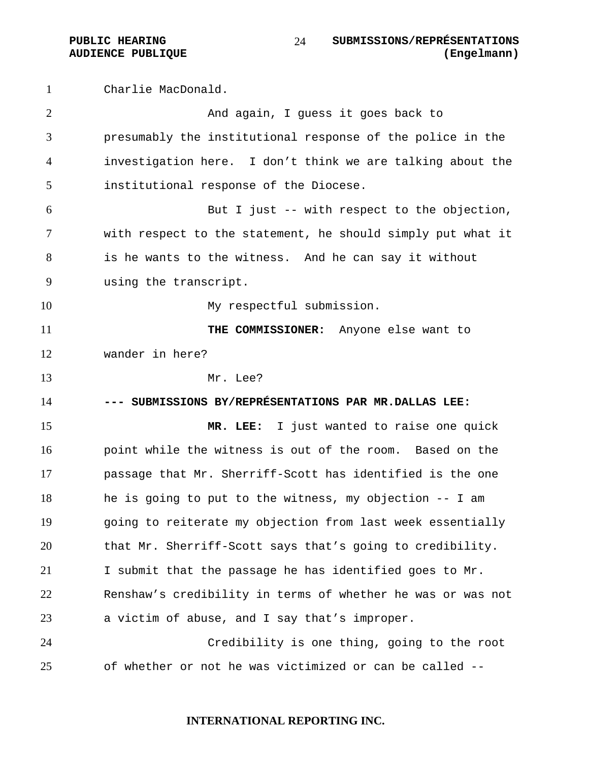Charlie MacDonald. And again, I guess it goes back to presumably the institutional response of the police in the investigation here. I don't think we are talking about the institutional response of the Diocese. But I just -- with respect to the objection, with respect to the statement, he should simply put what it is he wants to the witness. And he can say it without using the transcript. 10 My respectful submission. **THE COMMISSIONER:** Anyone else want to wander in here? Mr. Lee? **--- SUBMISSIONS BY/REPRÉSENTATIONS PAR MR.DALLAS LEE: MR. LEE:** I just wanted to raise one quick point while the witness is out of the room. Based on the passage that Mr. Sherriff-Scott has identified is the one he is going to put to the witness, my objection -- I am going to reiterate my objection from last week essentially that Mr. Sherriff-Scott says that's going to credibility. I submit that the passage he has identified goes to Mr. Renshaw's credibility in terms of whether he was or was not a victim of abuse, and I say that's improper. Credibility is one thing, going to the root of whether or not he was victimized or can be called --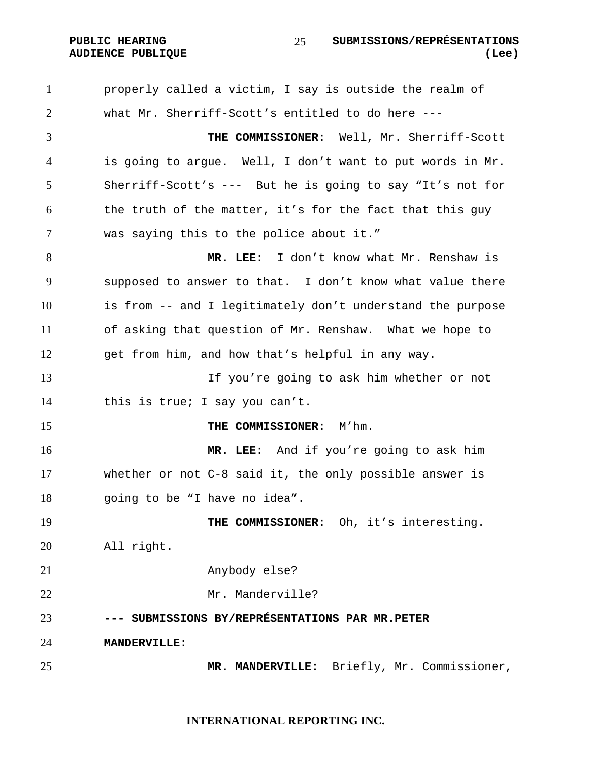properly called a victim, I say is outside the realm of what Mr. Sherriff-Scott's entitled to do here --- **THE COMMISSIONER:** Well, Mr. Sherriff-Scott is going to argue. Well, I don't want to put words in Mr. Sherriff-Scott's --- But he is going to say "It's not for the truth of the matter, it's for the fact that this guy was saying this to the police about it." **MR. LEE:** I don't know what Mr. Renshaw is supposed to answer to that. I don't know what value there is from -- and I legitimately don't understand the purpose of asking that question of Mr. Renshaw. What we hope to get from him, and how that's helpful in any way. If you're going to ask him whether or not this is true; I say you can't. **THE COMMISSIONER:** M'hm. **MR. LEE:** And if you're going to ask him whether or not C-8 said it, the only possible answer is

going to be "I have no idea".

19 THE COMMISSIONER: Oh, it's interesting. All right.

Anybody else?

Mr. Manderville?

**--- SUBMISSIONS BY/REPRÉSENTATIONS PAR MR.PETER** 

**MANDERVILLE:** 

**MR. MANDERVILLE:** Briefly, Mr. Commissioner,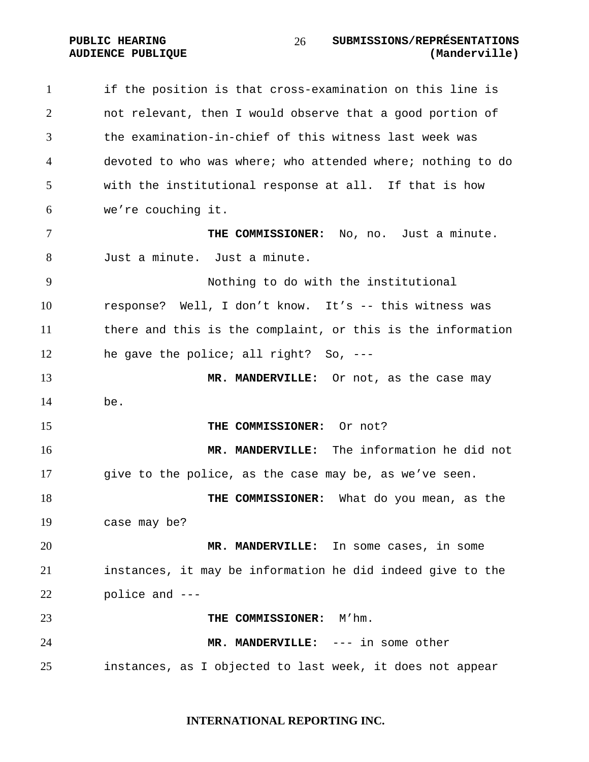**PUBLIC HEARING SUBMISSIONS/REPRÉSENTATIONS AUDIENCE PUBLIQUE (Manderville)**  

# if the position is that cross-examination on this line is not relevant, then I would observe that a good portion of the examination-in-chief of this witness last week was devoted to who was where; who attended where; nothing to do with the institutional response at all. If that is how we're couching it. **THE COMMISSIONER:** No, no. Just a minute. Just a minute. Just a minute. Nothing to do with the institutional response? Well, I don't know. It's -- this witness was there and this is the complaint, or this is the information he gave the police; all right? So, --- **MR. MANDERVILLE:** Or not, as the case may be. **THE COMMISSIONER:** Or not? **MR. MANDERVILLE:** The information he did not give to the police, as the case may be, as we've seen. **THE COMMISSIONER:** What do you mean, as the case may be? **MR. MANDERVILLE:** In some cases, in some instances, it may be information he did indeed give to the police and --- **THE COMMISSIONER:** M'hm. **MR. MANDERVILLE:** --- in some other instances, as I objected to last week, it does not appear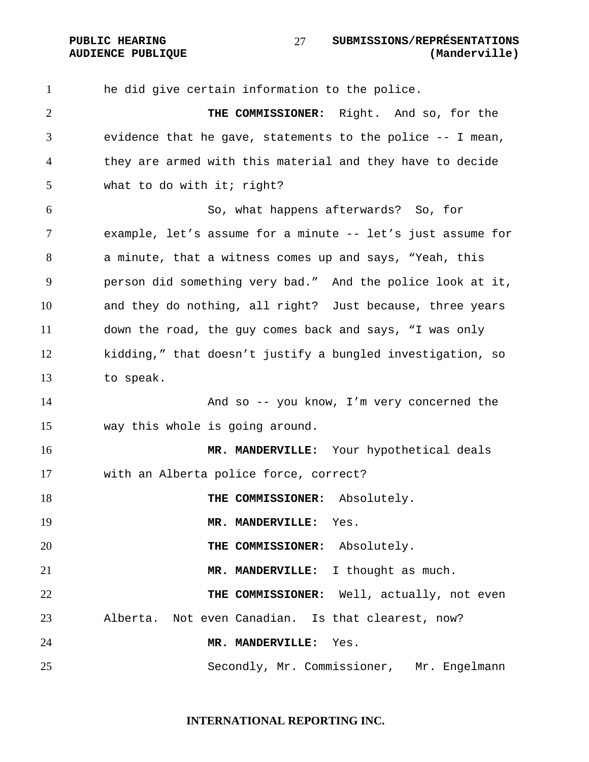he did give certain information to the police. **THE COMMISSIONER:** Right. And so, for the evidence that he gave, statements to the police -- I mean, they are armed with this material and they have to decide what to do with it; right? So, what happens afterwards? So, for example, let's assume for a minute -- let's just assume for a minute, that a witness comes up and says, "Yeah, this person did something very bad." And the police look at it, and they do nothing, all right? Just because, three years down the road, the guy comes back and says, "I was only kidding," that doesn't justify a bungled investigation, so to speak. And so -- you know, I'm very concerned the way this whole is going around. **MR. MANDERVILLE:** Your hypothetical deals with an Alberta police force, correct? **THE COMMISSIONER:** Absolutely. **MR. MANDERVILLE:** Yes. **THE COMMISSIONER:** Absolutely. **MR. MANDERVILLE:** I thought as much. **THE COMMISSIONER:** Well, actually, not even Alberta. Not even Canadian. Is that clearest, now? **MR. MANDERVILLE:** Yes. Secondly, Mr. Commissioner, Mr. Engelmann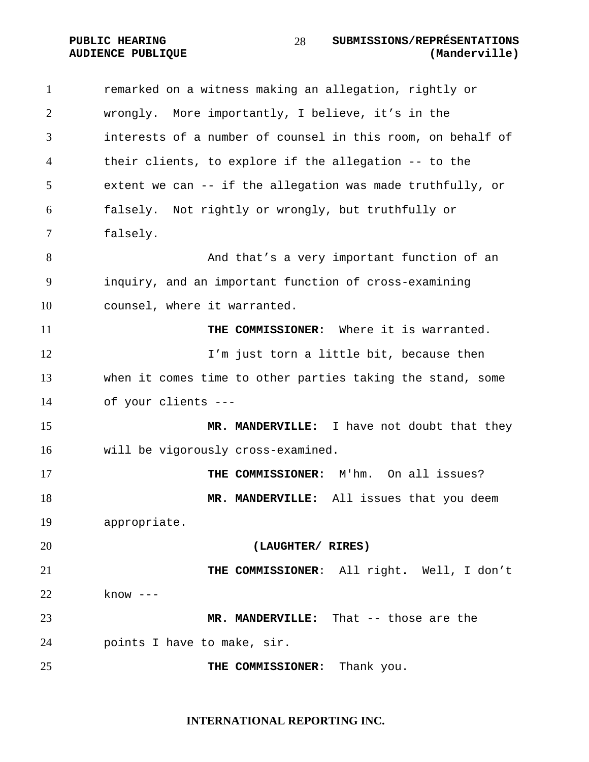PUBLIC HEARING SUBMISSIONS/REPRÉSENTATIONS<br>AUDIENCE PUBLIQUE (Manderville) 

# **AUDIENCE PUBLIQUE**

| $\mathbf{1}$ | remarked on a witness making an allegation, rightly or      |
|--------------|-------------------------------------------------------------|
| 2            | wrongly. More importantly, I believe, it's in the           |
| 3            | interests of a number of counsel in this room, on behalf of |
| 4            | their clients, to explore if the allegation -- to the       |
| 5            | extent we can -- if the allegation was made truthfully, or  |
| 6            | falsely. Not rightly or wrongly, but truthfully or          |
| 7            | falsely.                                                    |
| 8            | And that's a very important function of an                  |
| 9            | inquiry, and an important function of cross-examining       |
| 10           | counsel, where it warranted.                                |
| 11           | THE COMMISSIONER: Where it is warranted.                    |
| 12           | I'm just torn a little bit, because then                    |
| 13           | when it comes time to other parties taking the stand, some  |
| 14           | of your clients ---                                         |
| 15           | MR. MANDERVILLE: I have not doubt that they                 |
| 16           | will be vigorously cross-examined.                          |
| 17           | THE COMMISSIONER: M'hm. On all issues?                      |
| 18           | MR. MANDERVILLE: All issues that you deem                   |
| 19           | appropriate.                                                |
| 20           | (LAUGHTER/ RIRES)                                           |
| 21           | THE COMMISSIONER: All right. Well, I don't                  |
| 22           | $know ---$                                                  |
| 23           | MR. MANDERVILLE: That -- those are the                      |
| 24           | points I have to make, sir.                                 |
| 25           | THE COMMISSIONER:<br>Thank you.                             |
|              |                                                             |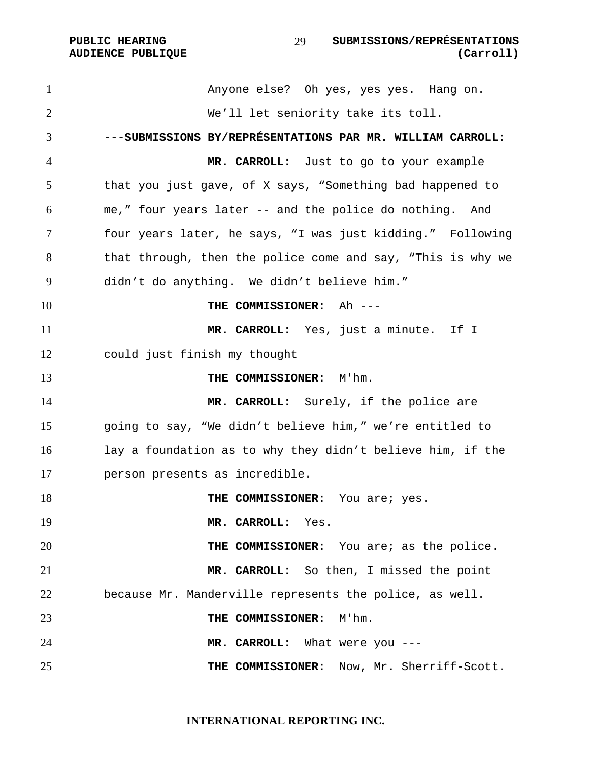Anyone else? Oh yes, yes yes. Hang on. We'll let seniority take its toll. ---**SUBMISSIONS BY/REPRÉSENTATIONS PAR MR. WILLIAM CARROLL: MR. CARROLL:** Just to go to your example that you just gave, of X says, "Something bad happened to me," four years later -- and the police do nothing. And four years later, he says, "I was just kidding." Following that through, then the police come and say, "This is why we didn't do anything. We didn't believe him." **THE COMMISSIONER:** Ah --- **MR. CARROLL:** Yes, just a minute. If I could just finish my thought **THE COMMISSIONER:** M'hm. **MR. CARROLL:** Surely, if the police are going to say, "We didn't believe him," we're entitled to lay a foundation as to why they didn't believe him, if the person presents as incredible. **THE COMMISSIONER:** You are: yes. **MR. CARROLL:** Yes. **THE COMMISSIONER:** You are; as the police. **MR. CARROLL:** So then, I missed the point because Mr. Manderville represents the police, as well. **THE COMMISSIONER:** M'hm. **MR. CARROLL:** What were you --- **THE COMMISSIONER:** Now, Mr. Sherriff-Scott.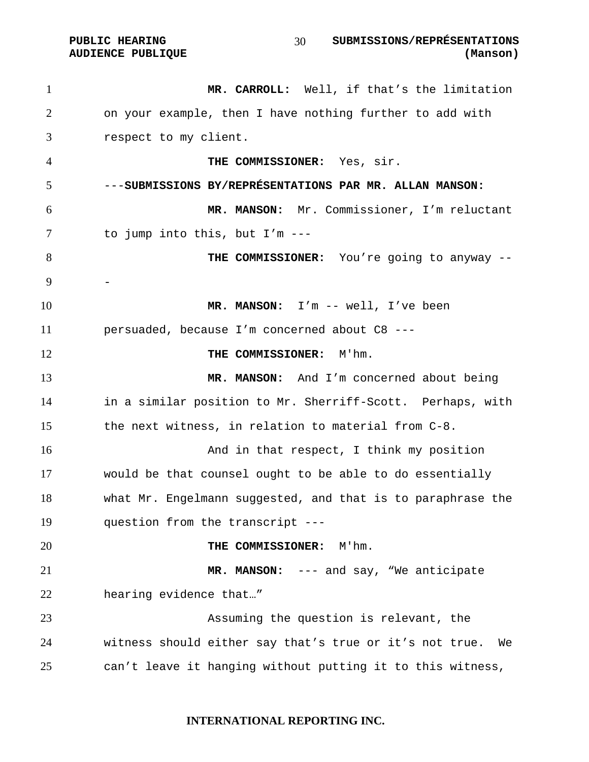#### **PUBLIC HEARING SUBMISSIONS/REPRÉSENTATIONS AUDIENCE PUBLIQUE (Manson)**

**MR. CARROLL:** Well, if that's the limitation on your example, then I have nothing further to add with respect to my client. **THE COMMISSIONER:** Yes, sir. ---**SUBMISSIONS BY/REPRÉSENTATIONS PAR MR. ALLAN MANSON: MR. MANSON:** Mr. Commissioner, I'm reluctant to jump into this, but I'm --- **THE COMMISSIONER:** You're going to anyway -- - **MR. MANSON:** I'm -- well, I've been persuaded, because I'm concerned about C8 --- **THE COMMISSIONER:** M'hm. **MR. MANSON:** And I'm concerned about being in a similar position to Mr. Sherriff-Scott. Perhaps, with the next witness, in relation to material from C-8. **And in that respect, I think my position** would be that counsel ought to be able to do essentially what Mr. Engelmann suggested, and that is to paraphrase the question from the transcript --- **THE COMMISSIONER:** M'hm. **MR. MANSON:** --- and say, "We anticipate hearing evidence that…" Assuming the question is relevant, the witness should either say that's true or it's not true. We can't leave it hanging without putting it to this witness,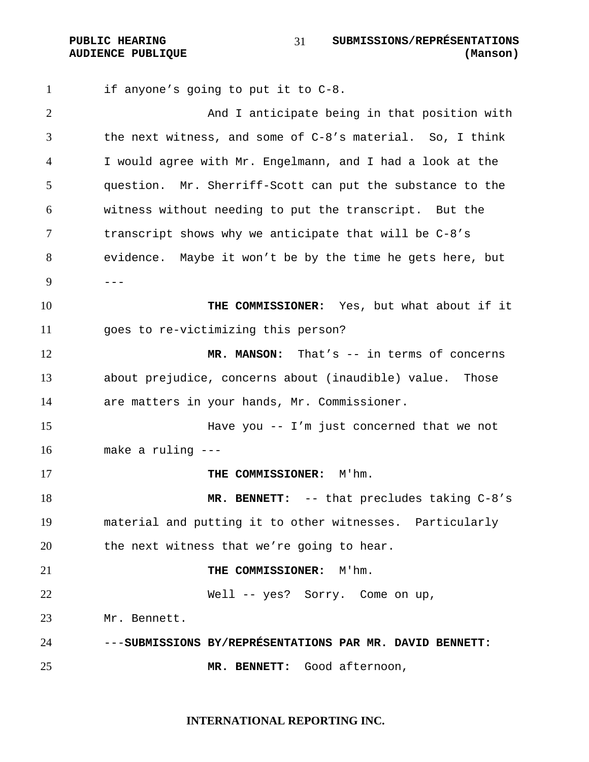**PUBLIC HEARING SUBMISSIONS/REPRÉSENTATIONS AUDIENCE PUBLIQUE (Manson)**  

if anyone's going to put it to C-8. And I anticipate being in that position with the next witness, and some of C-8's material. So, I think I would agree with Mr. Engelmann, and I had a look at the question. Mr. Sherriff-Scott can put the substance to the witness without needing to put the transcript. But the transcript shows why we anticipate that will be C-8's evidence. Maybe it won't be by the time he gets here, but  $9 - - -$ **THE COMMISSIONER:** Yes, but what about if it goes to re-victimizing this person? **MR. MANSON:** That's -- in terms of concerns about prejudice, concerns about (inaudible) value. Those are matters in your hands, Mr. Commissioner. Have you -- I'm just concerned that we not make a ruling --- **THE COMMISSIONER:** M'hm. **MR. BENNETT:** -- that precludes taking C-8's material and putting it to other witnesses. Particularly the next witness that we're going to hear. **THE COMMISSIONER:** M'hm. Well -- yes? Sorry. Come on up, Mr. Bennett. ---**SUBMISSIONS BY/REPRÉSENTATIONS PAR MR. DAVID BENNETT: MR. BENNETT:** Good afternoon,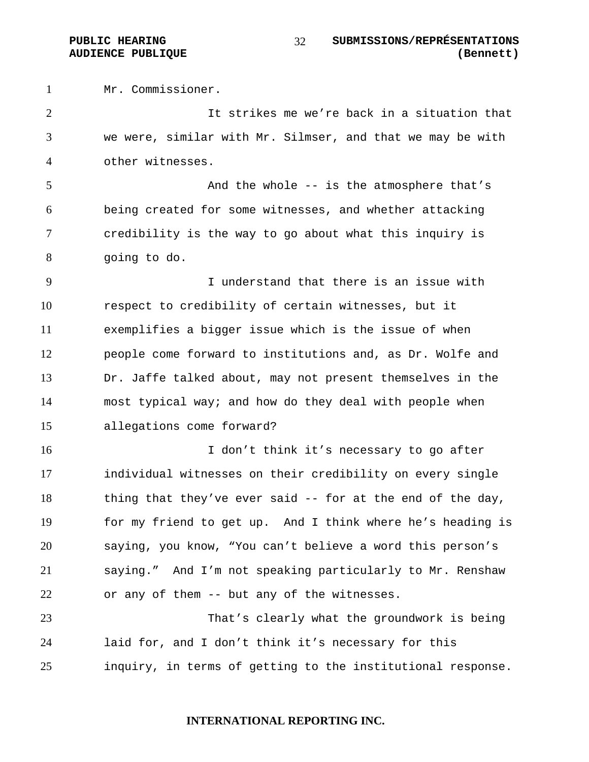Mr. Commissioner.

It strikes me we're back in a situation that we were, similar with Mr. Silmser, and that we may be with other witnesses.

5 And the whole -- is the atmosphere that's being created for some witnesses, and whether attacking credibility is the way to go about what this inquiry is going to do.

I understand that there is an issue with respect to credibility of certain witnesses, but it exemplifies a bigger issue which is the issue of when people come forward to institutions and, as Dr. Wolfe and Dr. Jaffe talked about, may not present themselves in the most typical way; and how do they deal with people when allegations come forward?

I don't think it's necessary to go after individual witnesses on their credibility on every single 18 thing that they've ever said -- for at the end of the day, for my friend to get up. And I think where he's heading is saying, you know, "You can't believe a word this person's saying." And I'm not speaking particularly to Mr. Renshaw or any of them -- but any of the witnesses.

That's clearly what the groundwork is being laid for, and I don't think it's necessary for this inquiry, in terms of getting to the institutional response.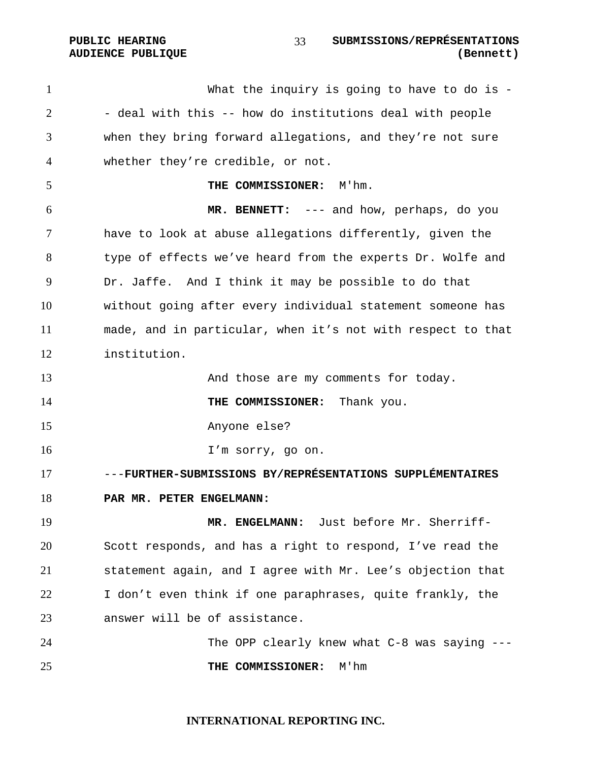**PUBLIC HEARING SUBMISSIONS/REPRÉSENTATIONS AUDIENCE PUBLIQUE (Bennett)**  

What the inquiry is going to have to do is - - deal with this -- how do institutions deal with people when they bring forward allegations, and they're not sure whether they're credible, or not. **THE COMMISSIONER:** M'hm. **MR. BENNETT:** --- and how, perhaps, do you have to look at abuse allegations differently, given the type of effects we've heard from the experts Dr. Wolfe and Dr. Jaffe. And I think it may be possible to do that without going after every individual statement someone has made, and in particular, when it's not with respect to that institution. 13 And those are my comments for today. **THE COMMISSIONER:** Thank you. Anyone else? I'm sorry, go on. ---**FURTHER-SUBMISSIONS BY/REPRÉSENTATIONS SUPPLÉMENTAIRES PAR MR. PETER ENGELMANN: MR. ENGELMANN:** Just before Mr. Sherriff-Scott responds, and has a right to respond, I've read the statement again, and I agree with Mr. Lee's objection that I don't even think if one paraphrases, quite frankly, the answer will be of assistance. The OPP clearly knew what C-8 was saying --- **THE COMMISSIONER:** M'hm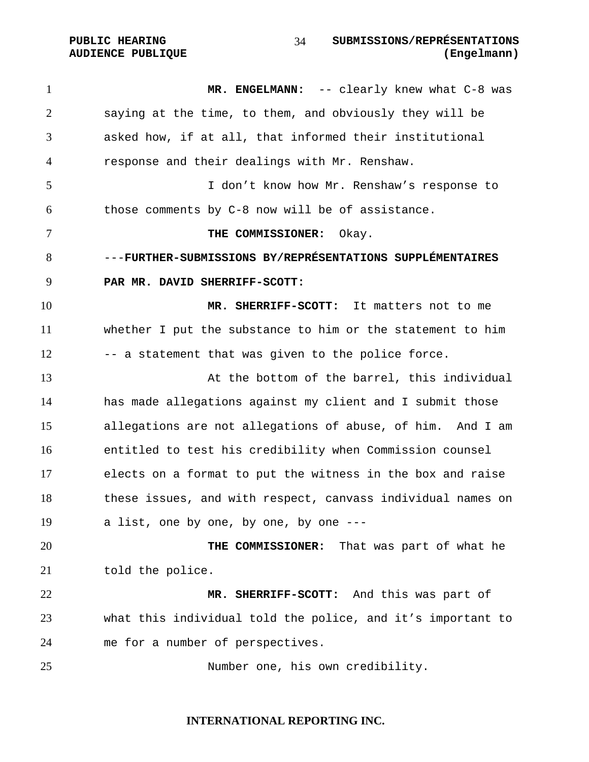PUBLIC HEARING SUBMISSIONS/REPRÉSENTATIONS **AUDIENCE PUBLIQUE (Engelmann)**  

1 MR. ENGELMANN: -- clearly knew what C-8 was saying at the time, to them, and obviously they will be asked how, if at all, that informed their institutional response and their dealings with Mr. Renshaw. I don't know how Mr. Renshaw's response to those comments by C-8 now will be of assistance. **THE COMMISSIONER:** Okay. ---**FURTHER-SUBMISSIONS BY/REPRÉSENTATIONS SUPPLÉMENTAIRES PAR MR. DAVID SHERRIFF-SCOTT: MR. SHERRIFF-SCOTT:** It matters not to me whether I put the substance to him or the statement to him 12 -- a statement that was given to the police force. 13 At the bottom of the barrel, this individual has made allegations against my client and I submit those allegations are not allegations of abuse, of him. And I am entitled to test his credibility when Commission counsel elects on a format to put the witness in the box and raise these issues, and with respect, canvass individual names on a list, one by one, by one, by one --- **THE COMMISSIONER:** That was part of what he 21 told the police. **MR. SHERRIFF-SCOTT:** And this was part of what this individual told the police, and it's important to me for a number of perspectives. Number one, his own credibility.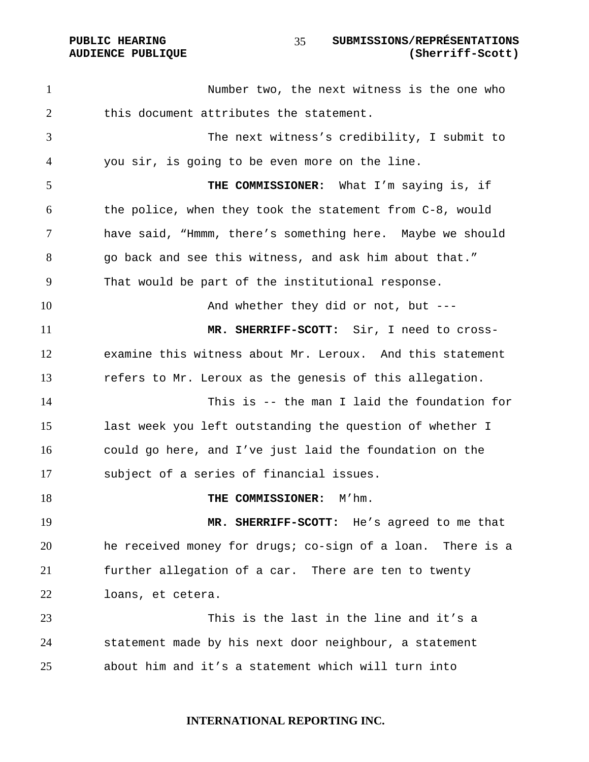PUBLIC HEARING **SUBMISSIONS/REPRÉSENTATIONS AUDIENCE PUBLIQUE (Sherriff-Scott)**  

Number two, the next witness is the one who this document attributes the statement. The next witness's credibility, I submit to you sir, is going to be even more on the line. **THE COMMISSIONER:** What I'm saying is, if the police, when they took the statement from C-8, would have said, "Hmmm, there's something here. Maybe we should go back and see this witness, and ask him about that." That would be part of the institutional response. And whether they did or not, but --- **MR. SHERRIFF-SCOTT:** Sir, I need to cross-examine this witness about Mr. Leroux. And this statement refers to Mr. Leroux as the genesis of this allegation. This is -- the man I laid the foundation for last week you left outstanding the question of whether I could go here, and I've just laid the foundation on the subject of a series of financial issues. **THE COMMISSIONER:** M'hm. **MR. SHERRIFF-SCOTT:** He's agreed to me that he received money for drugs; co-sign of a loan. There is a further allegation of a car. There are ten to twenty loans, et cetera. This is the last in the line and it's a statement made by his next door neighbour, a statement about him and it's a statement which will turn into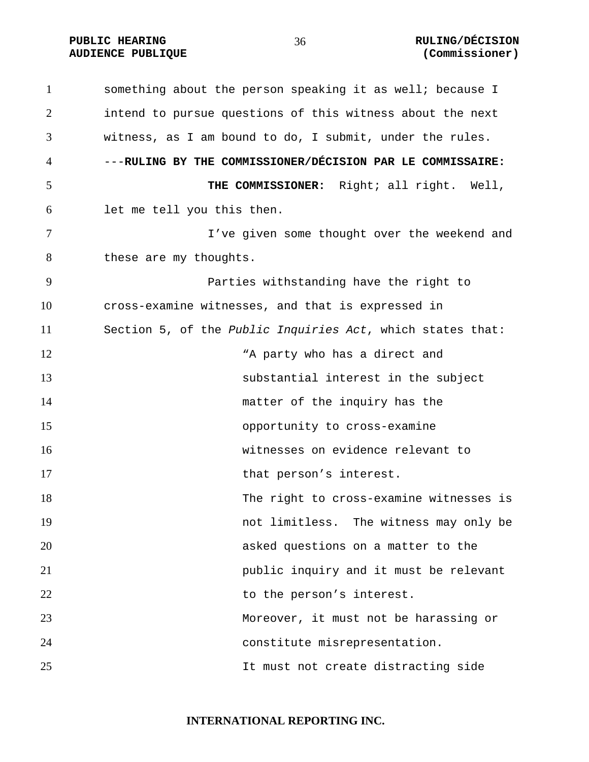# PUBLIC HEARING  $\frac{36}{100}$  and  $\frac{36}{100}$   $\frac{1}{200}$   $\frac{1}{200}$   $\frac{1}{200}$   $\frac{1}{200}$   $\frac{1}{200}$   $\frac{1}{200}$   $\frac{1}{200}$   $\frac{1}{200}$   $\frac{1}{200}$   $\frac{1}{200}$   $\frac{1}{200}$   $\frac{1}{200}$   $\frac{1}{200}$   $\frac{1}{200}$   $\frac{1}{200$ **AUDIENCE PUBLIQUE (Commissioner)**

something about the person speaking it as well; because I intend to pursue questions of this witness about the next witness, as I am bound to do, I submit, under the rules. ---**RULING BY THE COMMISSIONER/DÉCISION PAR LE COMMISSAIRE: THE COMMISSIONER:** Right; all right. Well, let me tell you this then. I've given some thought over the weekend and 8 these are my thoughts. Parties withstanding have the right to cross-examine witnesses, and that is expressed in Section 5, of the *Public Inquiries Act*, which states that: 12 The Manusdale Manusdale Manusdale Manusdale Manusdale and Manusdale Manusdale Manusdale Manusdale Manusdale substantial interest in the subject 14 matter of the inquiry has the opportunity to cross-examine witnesses on evidence relevant to 17 that person's interest. The right to cross-examine witnesses is not limitless. The witness may only be asked questions on a matter to the public inquiry and it must be relevant 22 to the person's interest. Moreover, it must not be harassing or constitute misrepresentation. It must not create distracting side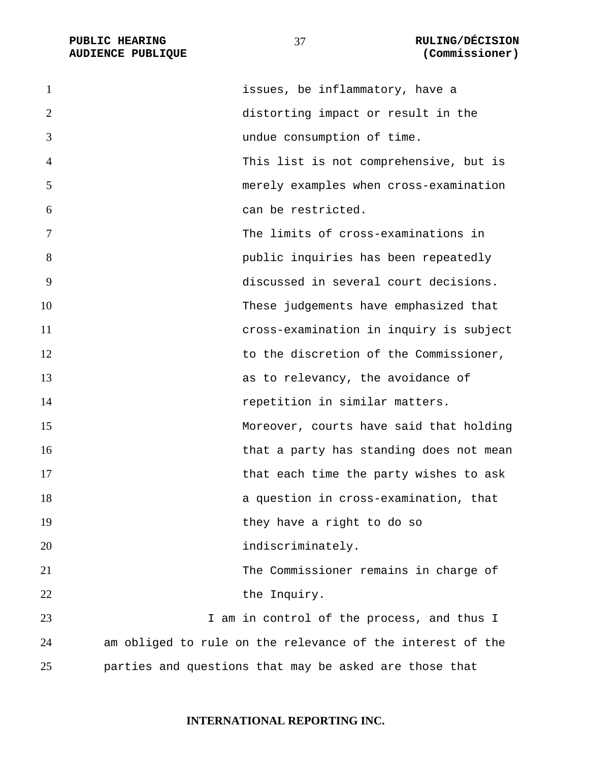**AUDIENCE PUBLIQUE** 

**PUBLIC HEARING RULING/DÉCISION** 

| $\mathbf{1}$   | issues, be inflammatory, have a                            |
|----------------|------------------------------------------------------------|
| $\overline{2}$ | distorting impact or result in the                         |
| 3              | undue consumption of time.                                 |
| 4              | This list is not comprehensive, but is                     |
| 5              | merely examples when cross-examination                     |
| 6              | can be restricted.                                         |
| 7              | The limits of cross-examinations in                        |
| 8              | public inquiries has been repeatedly                       |
| 9              | discussed in several court decisions.                      |
| 10             | These judgements have emphasized that                      |
| 11             | cross-examination in inquiry is subject                    |
| 12             | to the discretion of the Commissioner,                     |
| 13             | as to relevancy, the avoidance of                          |
| 14             | repetition in similar matters.                             |
| 15             | Moreover, courts have said that holding                    |
| 16             | that a party has standing does not mean                    |
| 17             | that each time the party wishes to ask                     |
| 18             | a question in cross-examination, that                      |
| 19             | they have a right to do so                                 |
| 20             | indiscriminately.                                          |
| 21             | The Commissioner remains in charge of                      |
| 22             | the Inquiry.                                               |
| 23             | I am in control of the process, and thus I                 |
| 24             | am obliged to rule on the relevance of the interest of the |
| 25             | parties and questions that may be asked are those that     |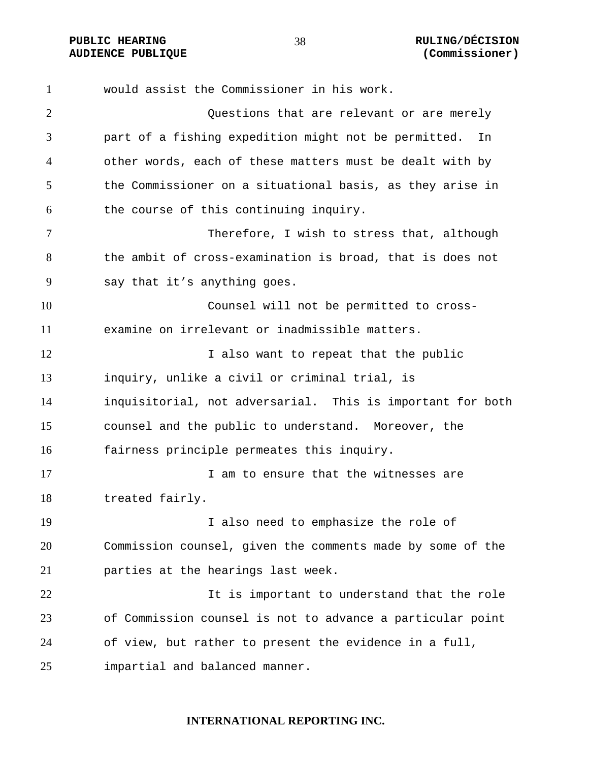would assist the Commissioner in his work. Questions that are relevant or are merely part of a fishing expedition might not be permitted. In other words, each of these matters must be dealt with by the Commissioner on a situational basis, as they arise in the course of this continuing inquiry. Therefore, I wish to stress that, although the ambit of cross-examination is broad, that is does not say that it's anything goes. Counsel will not be permitted to cross-examine on irrelevant or inadmissible matters. 12 I also want to repeat that the public inquiry, unlike a civil or criminal trial, is inquisitorial, not adversarial. This is important for both counsel and the public to understand. Moreover, the fairness principle permeates this inquiry. 17 17 I am to ensure that the witnesses are treated fairly. I also need to emphasize the role of Commission counsel, given the comments made by some of the parties at the hearings last week. It is important to understand that the role of Commission counsel is not to advance a particular point of view, but rather to present the evidence in a full, impartial and balanced manner.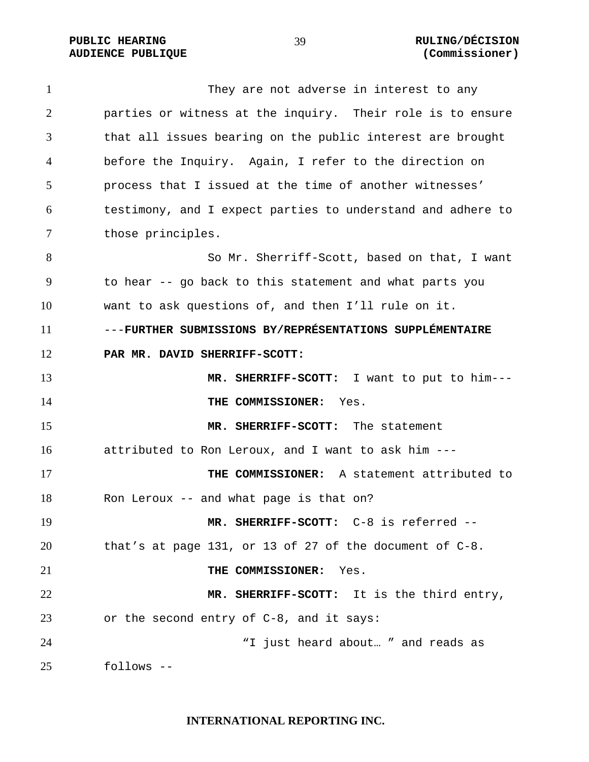PUBLIC HEARING  $\frac{39}{2}$  and  $\frac{1}{2}$  and  $\frac{1}{2}$  and  $\frac{1}{2}$  and  $\frac{1}{2}$  and  $\frac{1}{2}$  and  $\frac{1}{2}$  and  $\frac{1}{2}$  and  $\frac{1}{2}$  and  $\frac{1}{2}$  and  $\frac{1}{2}$  and  $\frac{1}{2}$  and  $\frac{1}{2}$  and  $\frac{1}{2}$  and  $\frac{1}{2}$ 

# **AUDIENCE PUBLIQUE (Commissioner)**

They are not adverse in interest to any parties or witness at the inquiry. Their role is to ensure that all issues bearing on the public interest are brought before the Inquiry. Again, I refer to the direction on process that I issued at the time of another witnesses' testimony, and I expect parties to understand and adhere to those principles. So Mr. Sherriff-Scott, based on that, I want to hear -- go back to this statement and what parts you want to ask questions of, and then I'll rule on it. ---**FURTHER SUBMISSIONS BY/REPRÉSENTATIONS SUPPLÉMENTAIRE PAR MR. DAVID SHERRIFF-SCOTT: MR. SHERRIFF-SCOTT:** I want to put to him--- **THE COMMISSIONER:** Yes. **MR. SHERRIFF-SCOTT:** The statement attributed to Ron Leroux, and I want to ask him --- **THE COMMISSIONER:** A statement attributed to Ron Leroux -- and what page is that on? **MR. SHERRIFF-SCOTT:** C-8 is referred -- that's at page 131, or 13 of 27 of the document of C-8. **THE COMMISSIONER:** Yes. **MR. SHERRIFF-SCOTT:** It is the third entry, or the second entry of C-8, and it says: 24 T just heard about... " and reads as follows --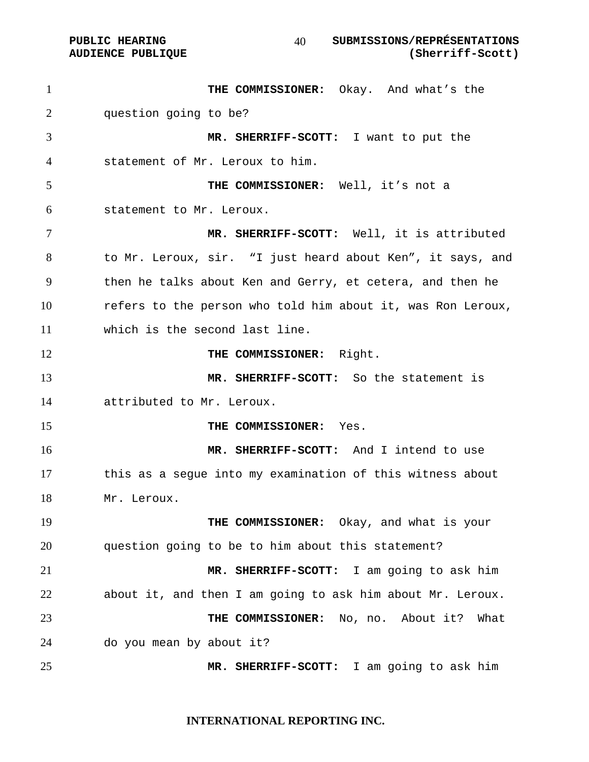# **PUBLIC HEARING SUBMISSIONS/REPRÉSENTATIONS AUDIENCE PUBLIQUE (Sherriff-Scott)**

**THE COMMISSIONER:** Okay. And what's the question going to be? **MR. SHERRIFF-SCOTT:** I want to put the statement of Mr. Leroux to him. **THE COMMISSIONER:** Well, it's not a statement to Mr. Leroux. **MR. SHERRIFF-SCOTT:** Well, it is attributed to Mr. Leroux, sir. "I just heard about Ken", it says, and then he talks about Ken and Gerry, et cetera, and then he refers to the person who told him about it, was Ron Leroux, which is the second last line. **THE COMMISSIONER:** Right. **MR. SHERRIFF-SCOTT:** So the statement is attributed to Mr. Leroux. **THE COMMISSIONER:** Yes. **MR. SHERRIFF-SCOTT:** And I intend to use this as a segue into my examination of this witness about Mr. Leroux. **THE COMMISSIONER:** Okay, and what is your question going to be to him about this statement? **MR. SHERRIFF-SCOTT:** I am going to ask him about it, and then I am going to ask him about Mr. Leroux. **THE COMMISSIONER:** No, no. About it? What do you mean by about it? **MR. SHERRIFF-SCOTT:** I am going to ask him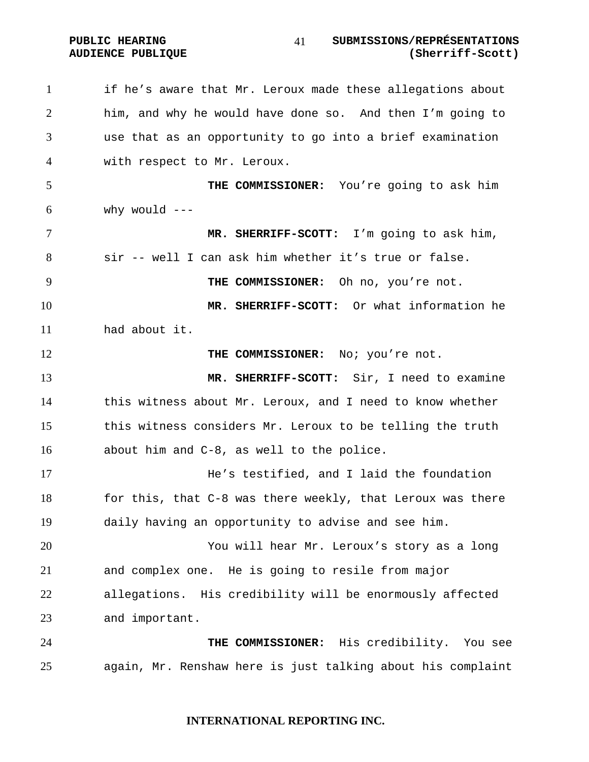PUBLIC HEARING  $\frac{1}{1}$  submissions/représentations **AUDIENCE PUBLIQUE (Sherriff-Scott)**  

if he's aware that Mr. Leroux made these allegations about him, and why he would have done so. And then I'm going to use that as an opportunity to go into a brief examination with respect to Mr. Leroux. **THE COMMISSIONER:** You're going to ask him why would  $---$ **MR. SHERRIFF-SCOTT:** I'm going to ask him, sir -- well I can ask him whether it's true or false. **THE COMMISSIONER:** Oh no, you're not. **MR. SHERRIFF-SCOTT:** Or what information he had about it. **THE COMMISSIONER:** No: you're not. **MR. SHERRIFF-SCOTT:** Sir, I need to examine this witness about Mr. Leroux, and I need to know whether this witness considers Mr. Leroux to be telling the truth about him and C-8, as well to the police. He's testified, and I laid the foundation 18 for this, that C-8 was there weekly, that Leroux was there daily having an opportunity to advise and see him. You will hear Mr. Leroux's story as a long and complex one. He is going to resile from major allegations. His credibility will be enormously affected and important. **THE COMMISSIONER:** His credibility. You see again, Mr. Renshaw here is just talking about his complaint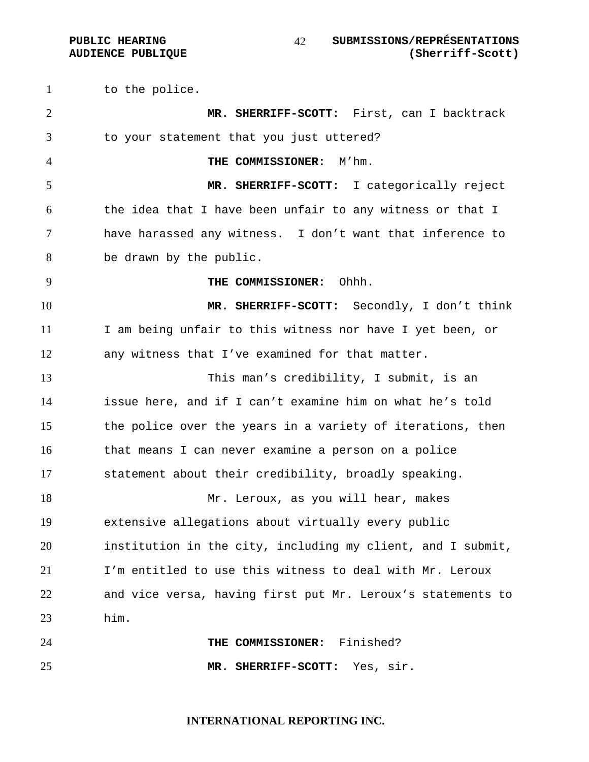to the police. **MR. SHERRIFF-SCOTT:** First, can I backtrack to your statement that you just uttered? **THE COMMISSIONER:** M'hm. **MR. SHERRIFF-SCOTT:** I categorically reject the idea that I have been unfair to any witness or that I have harassed any witness. I don't want that inference to be drawn by the public. **THE COMMISSIONER:** Ohhh. **MR. SHERRIFF-SCOTT:** Secondly, I don't think I am being unfair to this witness nor have I yet been, or any witness that I've examined for that matter. This man's credibility, I submit, is an issue here, and if I can't examine him on what he's told the police over the years in a variety of iterations, then that means I can never examine a person on a police statement about their credibility, broadly speaking. Mr. Leroux, as you will hear, makes extensive allegations about virtually every public institution in the city, including my client, and I submit, I'm entitled to use this witness to deal with Mr. Leroux and vice versa, having first put Mr. Leroux's statements to him. **THE COMMISSIONER:** Finished? **MR. SHERRIFF-SCOTT:** Yes, sir.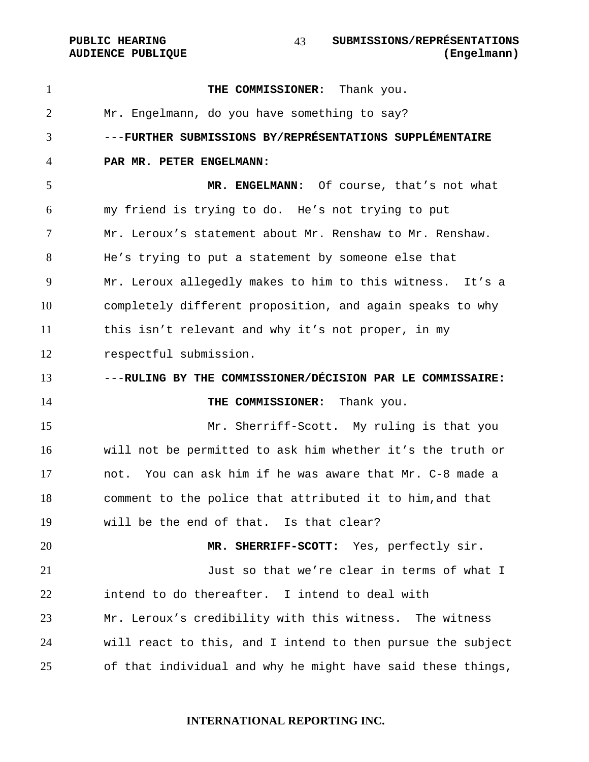**AUDIENCE PUBLIQUE** 

| $\mathbf{1}$   | THE COMMISSIONER: Thank you.                                |
|----------------|-------------------------------------------------------------|
| $\overline{2}$ | Mr. Engelmann, do you have something to say?                |
| 3              | ---FURTHER SUBMISSIONS BY/REPRÉSENTATIONS SUPPLÉMENTAIRE    |
| 4              | PAR MR. PETER ENGELMANN:                                    |
| 5              | MR. ENGELMANN: Of course, that's not what                   |
| 6              | my friend is trying to do. He's not trying to put           |
| 7              | Mr. Leroux's statement about Mr. Renshaw to Mr. Renshaw.    |
| 8              | He's trying to put a statement by someone else that         |
| 9              | Mr. Leroux allegedly makes to him to this witness. It's a   |
| 10             | completely different proposition, and again speaks to why   |
| 11             | this isn't relevant and why it's not proper, in my          |
| 12             | respectful submission.                                      |
| 13             | ---RULING BY THE COMMISSIONER/DÉCISION PAR LE COMMISSAIRE:  |
| 14             | THE COMMISSIONER: Thank you.                                |
| 15             | Mr. Sherriff-Scott. My ruling is that you                   |
| 16             | will not be permitted to ask him whether it's the truth or  |
| 17             | not. You can ask him if he was aware that Mr. C-8 made a    |
| 18             | comment to the police that attributed it to him, and that   |
| 19             | will be the end of that. Is that clear?                     |
| 20             | MR. SHERRIFF-SCOTT: Yes, perfectly sir.                     |
| 21             | Just so that we're clear in terms of what I                 |
| 22             | intend to do thereafter. I intend to deal with              |
| 23             |                                                             |
|                | Mr. Leroux's credibility with this witness. The witness     |
| 24             | will react to this, and I intend to then pursue the subject |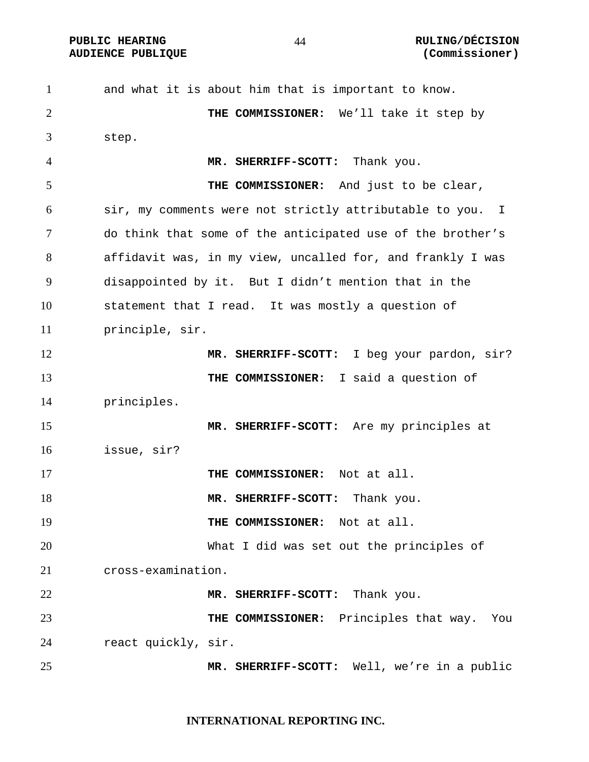and what it is about him that is important to know. **THE COMMISSIONER:** We'll take it step by step. **MR. SHERRIFF-SCOTT:** Thank you. **THE COMMISSIONER:** And just to be clear, sir, my comments were not strictly attributable to you. I do think that some of the anticipated use of the brother's affidavit was, in my view, uncalled for, and frankly I was disappointed by it. But I didn't mention that in the statement that I read. It was mostly a question of principle, sir. **MR. SHERRIFF-SCOTT:** I beg your pardon, sir? **THE COMMISSIONER:** I said a question of principles. **MR. SHERRIFF-SCOTT:** Are my principles at issue, sir? **THE COMMISSIONER:** Not at all. **MR. SHERRIFF-SCOTT:** Thank you. **THE COMMISSIONER:** Not at all. What I did was set out the principles of cross-examination. **MR. SHERRIFF-SCOTT:** Thank you. **THE COMMISSIONER:** Principles that way. You react quickly, sir. **MR. SHERRIFF-SCOTT:** Well, we're in a public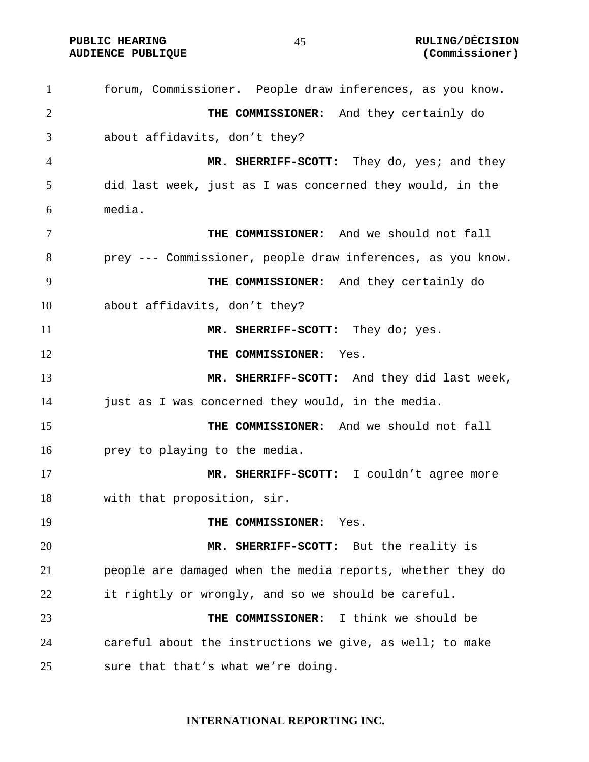forum, Commissioner. People draw inferences, as you know. **THE COMMISSIONER:** And they certainly do about affidavits, don't they? **MR. SHERRIFF-SCOTT:** They do, yes; and they did last week, just as I was concerned they would, in the media. **THE COMMISSIONER:** And we should not fall prey --- Commissioner, people draw inferences, as you know. **THE COMMISSIONER:** And they certainly do about affidavits, don't they? **MR. SHERRIFF-SCOTT:** They do; yes. **THE COMMISSIONER:** Yes. **MR. SHERRIFF-SCOTT:** And they did last week, just as I was concerned they would, in the media. **THE COMMISSIONER:** And we should not fall prey to playing to the media. **MR. SHERRIFF-SCOTT:** I couldn't agree more with that proposition, sir. **THE COMMISSIONER:** Yes. **MR. SHERRIFF-SCOTT:** But the reality is people are damaged when the media reports, whether they do it rightly or wrongly, and so we should be careful. **THE COMMISSIONER:** I think we should be careful about the instructions we give, as well; to make sure that that's what we're doing.

## **INTERNATIONAL REPORTING INC.**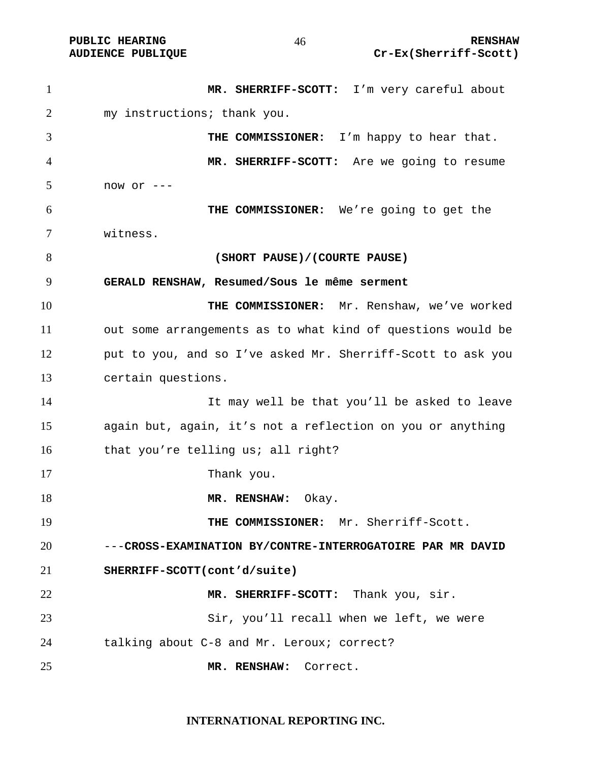**MR. SHERRIFF-SCOTT:** I'm very careful about my instructions; thank you. **THE COMMISSIONER:** I'm happy to hear that. **MR. SHERRIFF-SCOTT:** Are we going to resume now or ---**THE COMMISSIONER:** We're going to get the witness. **(SHORT PAUSE)/(COURTE PAUSE) GERALD RENSHAW, Resumed/Sous le même serment THE COMMISSIONER:** Mr. Renshaw, we've worked out some arrangements as to what kind of questions would be put to you, and so I've asked Mr. Sherriff-Scott to ask you certain questions. It may well be that you'll be asked to leave again but, again, it's not a reflection on you or anything 16 that you're telling us; all right? 17 Thank you. 18 MR. RENSHAW: Okay. **THE COMMISSIONER:** Mr. Sherriff-Scott. ---**CROSS-EXAMINATION BY/CONTRE-INTERROGATOIRE PAR MR DAVID SHERRIFF-SCOTT(cont'd/suite) MR. SHERRIFF-SCOTT:** Thank you, sir. Sir, you'll recall when we left, we were talking about C-8 and Mr. Leroux; correct? **MR. RENSHAW:** Correct.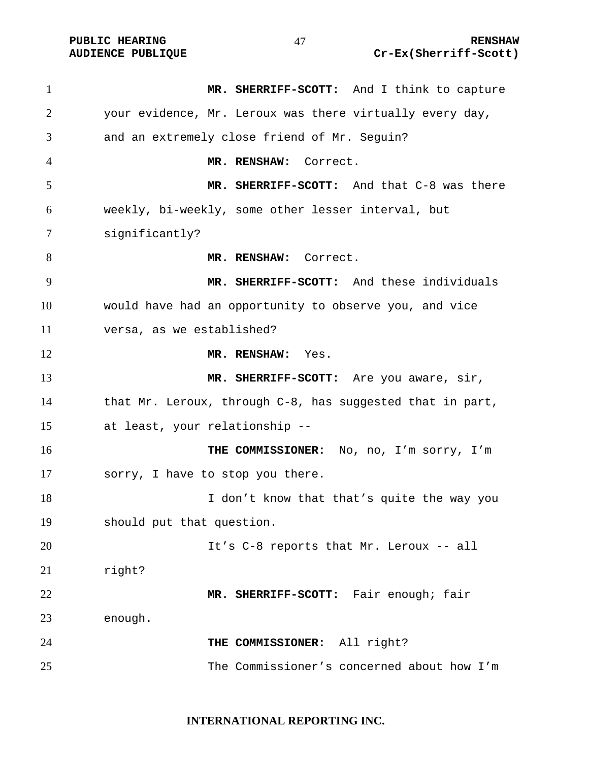| $\mathbf{1}$ | MR. SHERRIFF-SCOTT: And I think to capture                |
|--------------|-----------------------------------------------------------|
| 2            | your evidence, Mr. Leroux was there virtually every day,  |
| 3            | and an extremely close friend of Mr. Seguin?              |
| 4            | MR. RENSHAW: Correct.                                     |
| 5            | MR. SHERRIFF-SCOTT: And that C-8 was there                |
| 6            | weekly, bi-weekly, some other lesser interval, but        |
| 7            | significantly?                                            |
| 8            | MR. RENSHAW: Correct.                                     |
| 9            | MR. SHERRIFF-SCOTT: And these individuals                 |
| 10           | would have had an opportunity to observe you, and vice    |
| 11           | versa, as we established?                                 |
| 12           | MR. RENSHAW: Yes.                                         |
| 13           | MR. SHERRIFF-SCOTT: Are you aware, sir,                   |
| 14           | that Mr. Leroux, through C-8, has suggested that in part, |
| 15           | at least, your relationship --                            |
| 16           | THE COMMISSIONER: No, no, I'm sorry, I'm                  |
| 17           | sorry, I have to stop you there.                          |
| 18           | I don't know that that's quite the way you                |
| 19           | should put that question.                                 |
| 20           | It's C-8 reports that Mr. Leroux -- all                   |
| 21           | right?                                                    |
| 22           | MR. SHERRIFF-SCOTT: Fair enough; fair                     |
| 23           | enough.                                                   |
| 24           | THE COMMISSIONER: All right?                              |
| 25           | The Commissioner's concerned about how I'm                |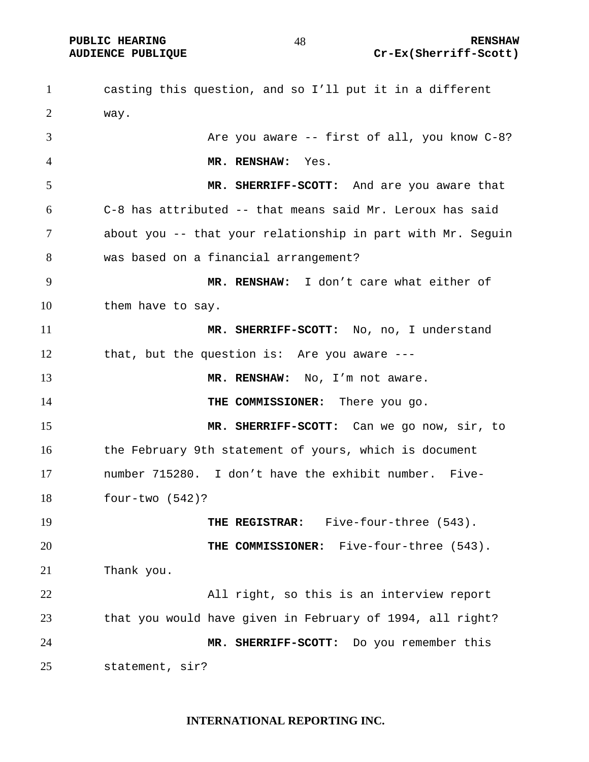**PUBLIC HEARING**  $\begin{array}{ccc} 48 & 48 \end{array}$  **RENSHAW AUDIENCE PUBLIQUE Cr-Ex(Sherriff-Scott)** 

casting this question, and so I'll put it in a different way. Are you aware -- first of all, you know C-8? **MR. RENSHAW:** Yes. **MR. SHERRIFF-SCOTT:** And are you aware that C-8 has attributed -- that means said Mr. Leroux has said about you -- that your relationship in part with Mr. Seguin was based on a financial arrangement? **MR. RENSHAW:** I don't care what either of them have to say. **MR. SHERRIFF-SCOTT:** No, no, I understand that, but the question is: Are you aware --- **MR. RENSHAW:** No, I'm not aware. **THE COMMISSIONER:** There you go. **MR. SHERRIFF-SCOTT:** Can we go now, sir, to the February 9th statement of yours, which is document number 715280. I don't have the exhibit number. Five-four-two (542)? **THE REGISTRAR:** Five-four-three (543). **THE COMMISSIONER:** Five-four-three (543). Thank you. All right, so this is an interview report that you would have given in February of 1994, all right? **MR. SHERRIFF-SCOTT:** Do you remember this statement, sir?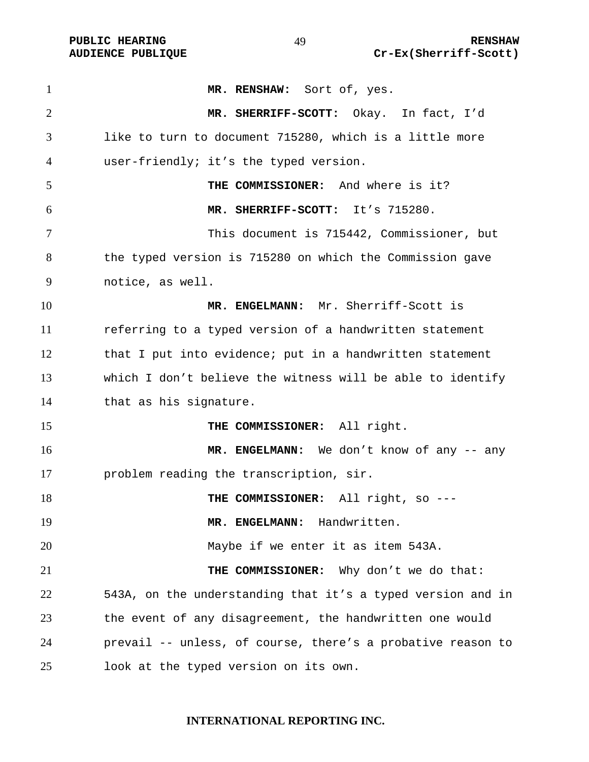| $\mathbf{1}$   | MR. RENSHAW: Sort of, yes.                                  |
|----------------|-------------------------------------------------------------|
| $\overline{2}$ | MR. SHERRIFF-SCOTT: Okay. In fact, I'd                      |
| 3              | like to turn to document 715280, which is a little more     |
| 4              | user-friendly; it's the typed version.                      |
| 5              | THE COMMISSIONER: And where is it?                          |
| 6              | MR. SHERRIFF-SCOTT: It's 715280.                            |
| 7              | This document is 715442, Commissioner, but                  |
| 8              | the typed version is 715280 on which the Commission gave    |
| 9              | notice, as well.                                            |
| 10             | MR. ENGELMANN: Mr. Sherriff-Scott is                        |
| 11             | referring to a typed version of a handwritten statement     |
| 12             | that I put into evidence; put in a handwritten statement    |
| 13             | which I don't believe the witness will be able to identify  |
| 14             | that as his signature.                                      |
| 15             | THE COMMISSIONER: All right.                                |
| 16             | MR. ENGELMANN: We don't know of any -- any                  |
| 17             | problem reading the transcription, sir.                     |
| 18             | THE COMMISSIONER: All right, so ---                         |
| 19             | MR. ENGELMANN: Handwritten.                                 |
| 20             | Maybe if we enter it as item 543A.                          |
| 21             | Why don't we do that:<br>THE COMMISSIONER:                  |
| 22             | 543A, on the understanding that it's a typed version and in |
| 23             | the event of any disagreement, the handwritten one would    |
| 24             | prevail -- unless, of course, there's a probative reason to |
| 25             | look at the typed version on its own.                       |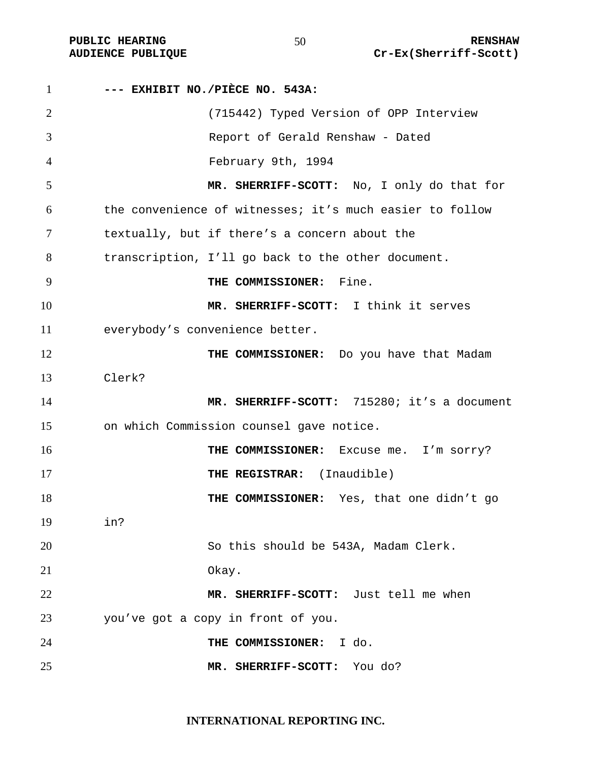| $\mathbf{1}$   | --- EXHIBIT NO./PIÈCE NO. 543A:                          |
|----------------|----------------------------------------------------------|
| $\overline{2}$ | (715442) Typed Version of OPP Interview                  |
| 3              | Report of Gerald Renshaw - Dated                         |
| $\overline{4}$ | February 9th, 1994                                       |
| 5              | MR. SHERRIFF-SCOTT: No, I only do that for               |
| 6              | the convenience of witnesses; it's much easier to follow |
| 7              | textually, but if there's a concern about the            |
| 8              | transcription, I'll go back to the other document.       |
| 9              | Fine.<br>THE COMMISSIONER:                               |
| 10             | MR. SHERRIFF-SCOTT: I think it serves                    |
| 11             | everybody's convenience better.                          |
| 12             | THE COMMISSIONER: Do you have that Madam                 |
| 13             | Clerk?                                                   |
| 14             | MR. SHERRIFF-SCOTT: 715280; it's a document              |
| 15             | on which Commission counsel gave notice.                 |
| 16             | THE COMMISSIONER: Excuse me. I'm sorry?                  |
| 17             | THE REGISTRAR: (Inaudible)                               |
| 18             | THE COMMISSIONER: Yes, that one didn't go                |
| 19             | in?                                                      |
| 20             | So this should be 543A, Madam Clerk.                     |
| 21             | Okay.                                                    |
| 22             | MR. SHERRIFF-SCOTT: Just tell me when                    |
| 23             | you've got a copy in front of you.                       |
| 24             | THE COMMISSIONER: I do.                                  |
| 25             | MR. SHERRIFF-SCOTT:<br>You do?                           |

**INTERNATIONAL REPORTING INC.**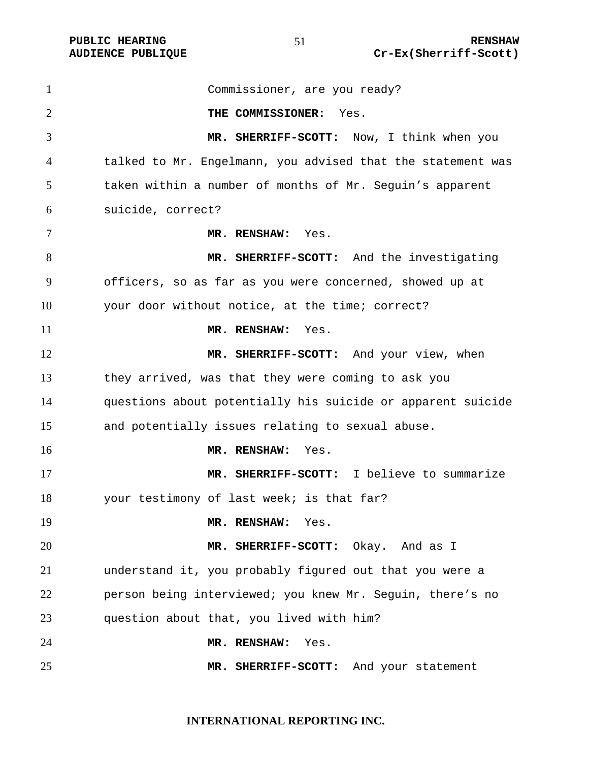Commissioner, are you ready? **THE COMMISSIONER:** Yes. **MR. SHERRIFF-SCOTT:** Now, I think when you talked to Mr. Engelmann, you advised that the statement was taken within a number of months of Mr. Seguin's apparent suicide, correct? **MR. RENSHAW:** Yes. **MR. SHERRIFF-SCOTT:** And the investigating officers, so as far as you were concerned, showed up at your door without notice, at the time; correct? **MR. RENSHAW:** Yes. 12 MR. SHERRIFF-SCOTT: And your view, when they arrived, was that they were coming to ask you questions about potentially his suicide or apparent suicide and potentially issues relating to sexual abuse. **MR. RENSHAW:** Yes. **MR. SHERRIFF-SCOTT:** I believe to summarize your testimony of last week; is that far? **MR. RENSHAW:** Yes. **MR. SHERRIFF-SCOTT:** Okay. And as I understand it, you probably figured out that you were a person being interviewed; you knew Mr. Seguin, there's no question about that, you lived with him? **MR. RENSHAW:** Yes. **MR. SHERRIFF-SCOTT:** And your statement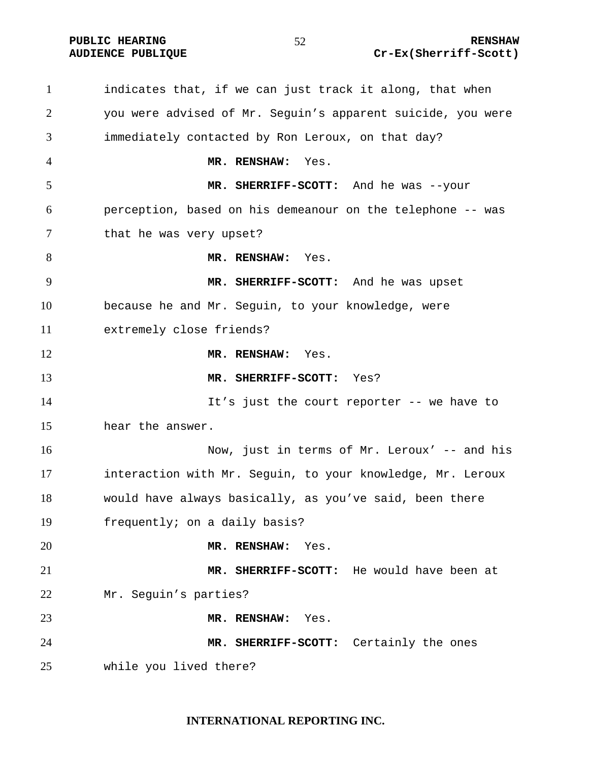indicates that, if we can just track it along, that when you were advised of Mr. Seguin's apparent suicide, you were immediately contacted by Ron Leroux, on that day? **MR. RENSHAW:** Yes. **MR. SHERRIFF-SCOTT:** And he was --your perception, based on his demeanour on the telephone -- was 7 that he was very upset? **MR. RENSHAW:** Yes. **MR. SHERRIFF-SCOTT:** And he was upset because he and Mr. Seguin, to your knowledge, were extremely close friends? **MR. RENSHAW:** Yes. **MR. SHERRIFF-SCOTT:** Yes? It's just the court reporter -- we have to hear the answer. Now, just in terms of Mr. Leroux' -- and his interaction with Mr. Seguin, to your knowledge, Mr. Leroux would have always basically, as you've said, been there frequently; on a daily basis? **MR. RENSHAW:** Yes. **MR. SHERRIFF-SCOTT:** He would have been at Mr. Seguin's parties? **MR. RENSHAW:** Yes. **MR. SHERRIFF-SCOTT:** Certainly the ones while you lived there?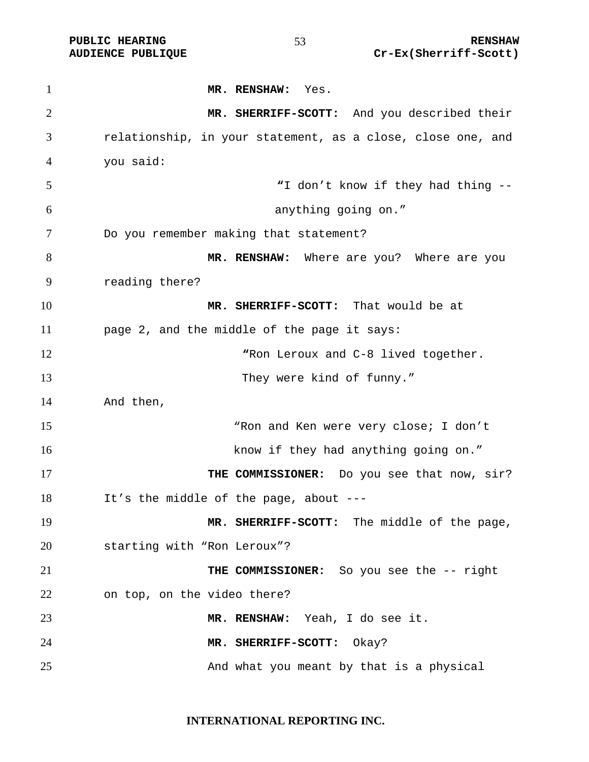**MR. RENSHAW:** Yes. **MR. SHERRIFF-SCOTT:** And you described their relationship, in your statement, as a close, close one, and you said: **"**I don't know if they had thing -- anything going on." Do you remember making that statement? **MR. RENSHAW:** Where are you? Where are you reading there? **MR. SHERRIFF-SCOTT:** That would be at page 2, and the middle of the page it says: **"**Ron Leroux and C-8 lived together. 13 They were kind of funny." And then, "Ron and Ken were very close; I don't 16 know if they had anything going on." **THE COMMISSIONER:** Do you see that now, sir? It's the middle of the page, about --- **MR. SHERRIFF-SCOTT:** The middle of the page, starting with "Ron Leroux"? **THE COMMISSIONER:** So you see the -- right on top, on the video there? **MR. RENSHAW:** Yeah, I do see it. **MR. SHERRIFF-SCOTT:** Okay? 25 And what you meant by that is a physical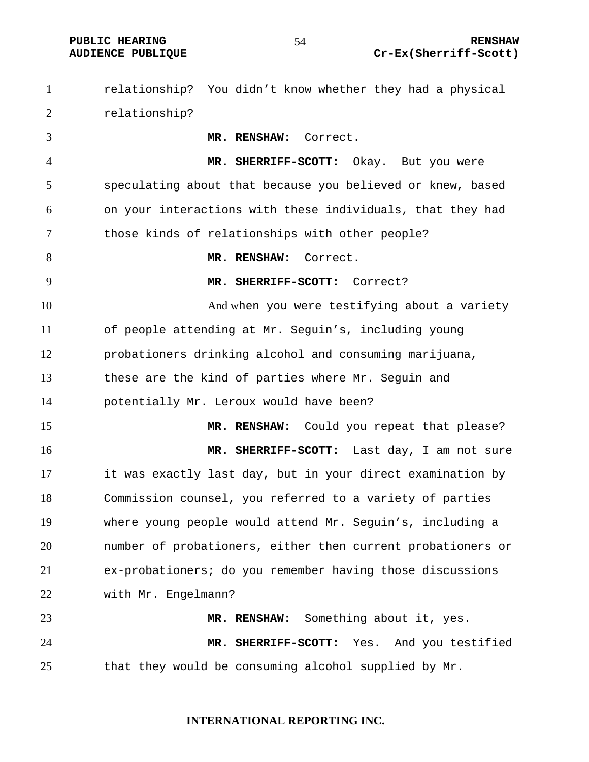**PUBLIC HEARING RENSHAW AUDIENCE PUBLIQUE Cr-Ex(Sherriff-Scott)** 

relationship? You didn't know whether they had a physical relationship? **MR. RENSHAW:** Correct. **MR. SHERRIFF-SCOTT:** Okay. But you were speculating about that because you believed or knew, based on your interactions with these individuals, that they had those kinds of relationships with other people? **MR. RENSHAW:** Correct. **MR. SHERRIFF-SCOTT:** Correct? 10 And when you were testifying about a variety of people attending at Mr. Seguin's, including young probationers drinking alcohol and consuming marijuana, these are the kind of parties where Mr. Seguin and potentially Mr. Leroux would have been? **MR. RENSHAW:** Could you repeat that please? **MR. SHERRIFF-SCOTT:** Last day, I am not sure it was exactly last day, but in your direct examination by Commission counsel, you referred to a variety of parties where young people would attend Mr. Seguin's, including a number of probationers, either then current probationers or ex-probationers; do you remember having those discussions with Mr. Engelmann? **MR. RENSHAW:** Something about it, yes. **MR. SHERRIFF-SCOTT:** Yes. And you testified that they would be consuming alcohol supplied by Mr.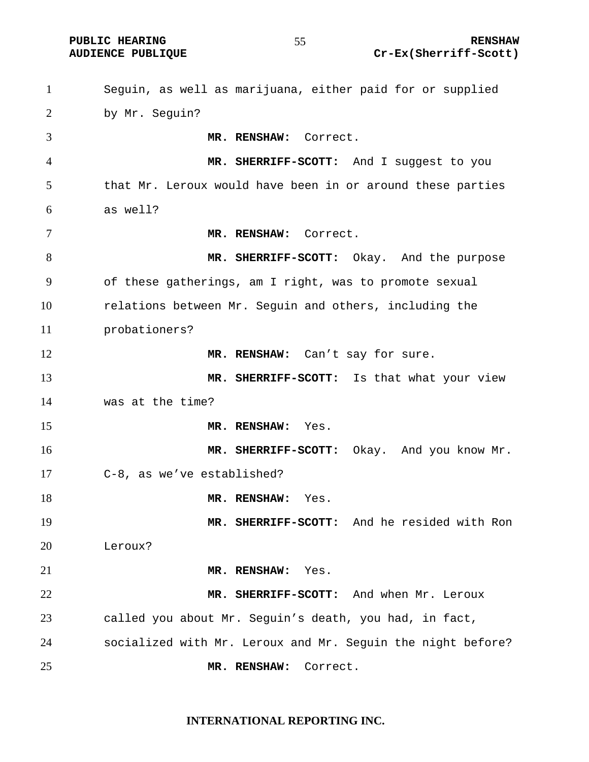**PUBLIC HEARING 65 CONTROLLER STATES AND RENSHAW RENSHAW AUDIENCE PUBLIQUE Cr-Ex(Sherriff-Scott)** 

Seguin, as well as marijuana, either paid for or supplied by Mr. Seguin? **MR. RENSHAW:** Correct. **MR. SHERRIFF-SCOTT:** And I suggest to you that Mr. Leroux would have been in or around these parties as well? **MR. RENSHAW:** Correct. **MR. SHERRIFF-SCOTT:** Okay. And the purpose of these gatherings, am I right, was to promote sexual relations between Mr. Seguin and others, including the probationers? 12 MR. RENSHAW: Can't say for sure. **MR. SHERRIFF-SCOTT:** Is that what your view was at the time? **MR. RENSHAW:** Yes. **MR. SHERRIFF-SCOTT:** Okay. And you know Mr. C-8, as we've established? **MR. RENSHAW:** Yes. **MR. SHERRIFF-SCOTT:** And he resided with Ron Leroux? **MR. RENSHAW:** Yes. **MR. SHERRIFF-SCOTT:** And when Mr. Leroux called you about Mr. Seguin's death, you had, in fact, socialized with Mr. Leroux and Mr. Seguin the night before? **MR. RENSHAW:** Correct.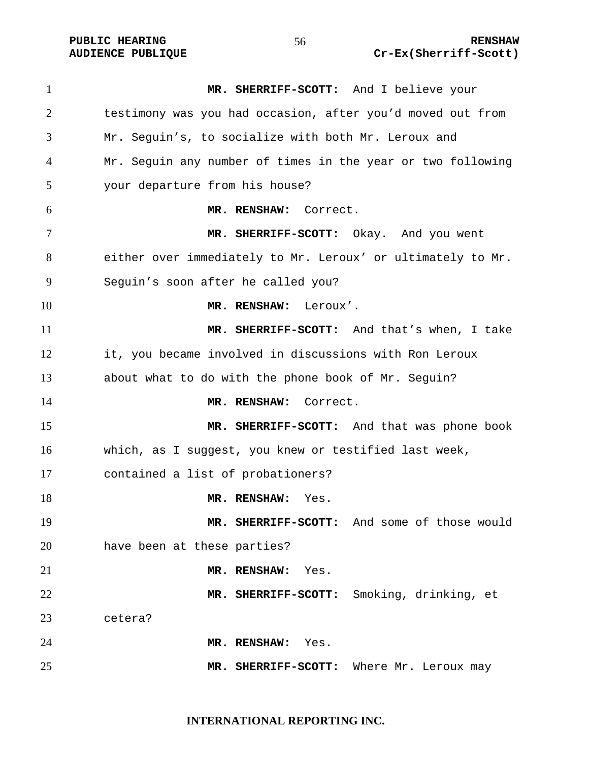**MR. SHERRIFF-SCOTT:** And I believe your testimony was you had occasion, after you'd moved out from Mr. Seguin's, to socialize with both Mr. Leroux and Mr. Seguin any number of times in the year or two following your departure from his house? **MR. RENSHAW:** Correct. **MR. SHERRIFF-SCOTT:** Okay. And you went either over immediately to Mr. Leroux' or ultimately to Mr. Seguin's soon after he called you? **MR. RENSHAW:** Leroux'. **MR. SHERRIFF-SCOTT:** And that's when, I take it, you became involved in discussions with Ron Leroux about what to do with the phone book of Mr. Seguin? **MR. RENSHAW:** Correct. **MR. SHERRIFF-SCOTT:** And that was phone book which, as I suggest, you knew or testified last week, contained a list of probationers? **MR. RENSHAW:** Yes. **MR. SHERRIFF-SCOTT:** And some of those would have been at these parties? **MR. RENSHAW:** Yes. **MR. SHERRIFF-SCOTT:** Smoking, drinking, et cetera? **MR. RENSHAW:** Yes. **MR. SHERRIFF-SCOTT:** Where Mr. Leroux may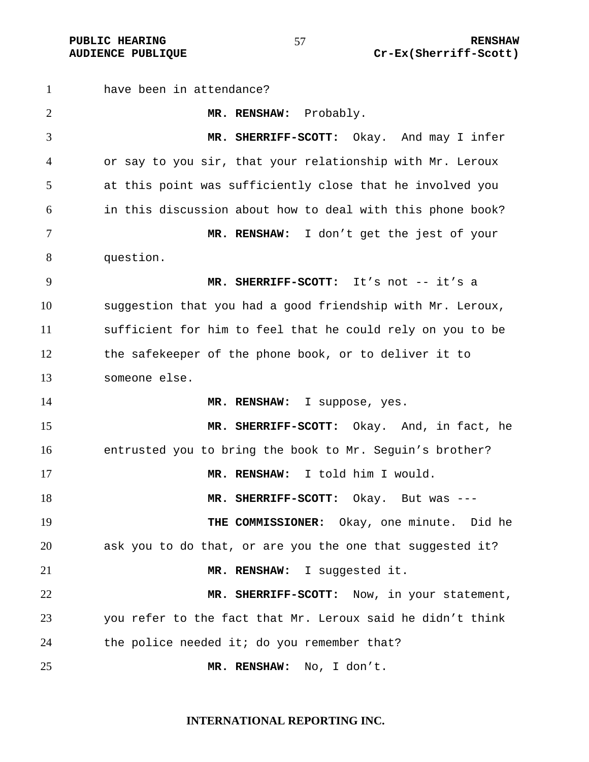have been in attendance? **MR. RENSHAW:** Probably. **MR. SHERRIFF-SCOTT:** Okay. And may I infer or say to you sir, that your relationship with Mr. Leroux at this point was sufficiently close that he involved you in this discussion about how to deal with this phone book? **MR. RENSHAW:** I don't get the jest of your question. **MR. SHERRIFF-SCOTT:** It's not -- it's a suggestion that you had a good friendship with Mr. Leroux, sufficient for him to feel that he could rely on you to be the safekeeper of the phone book, or to deliver it to someone else. **MR. RENSHAW:** I suppose, yes. **MR. SHERRIFF-SCOTT:** Okay. And, in fact, he entrusted you to bring the book to Mr. Seguin's brother? **MR. RENSHAW:** I told him I would. **MR. SHERRIFF-SCOTT:** Okay. But was --- **THE COMMISSIONER:** Okay, one minute. Did he ask you to do that, or are you the one that suggested it? **MR. RENSHAW:** I suggested it. **MR. SHERRIFF-SCOTT:** Now, in your statement, you refer to the fact that Mr. Leroux said he didn't think the police needed it; do you remember that? **MR. RENSHAW:** No, I don't.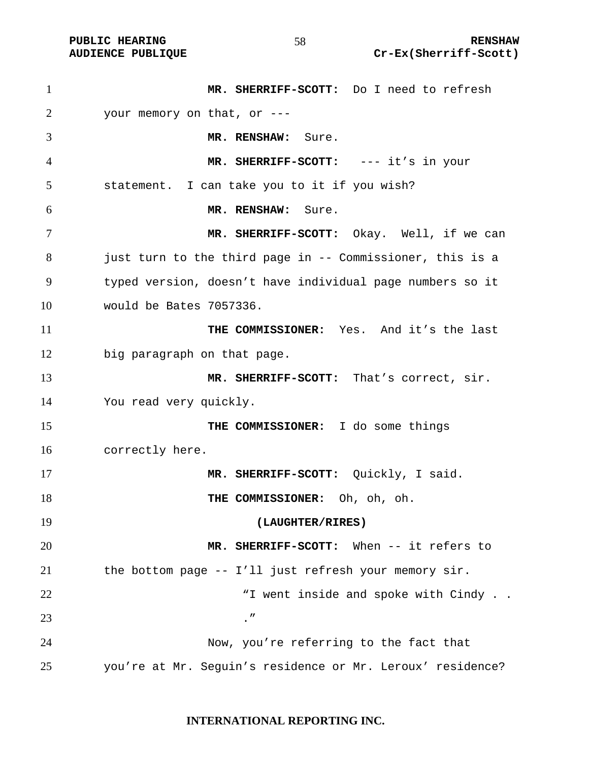| $\mathbf{1}$ | MR. SHERRIFF-SCOTT: Do I need to refresh                   |
|--------------|------------------------------------------------------------|
| 2            | your memory on that, or ---                                |
| 3            | MR. RENSHAW: Sure.                                         |
| 4            | MR. SHERRIFF-SCOTT: --- it's in your                       |
| 5            | statement. I can take you to it if you wish?               |
| 6            | MR. RENSHAW:<br>Sure.                                      |
| 7            | MR. SHERRIFF-SCOTT: Okay. Well, if we can                  |
| 8            | just turn to the third page in -- Commissioner, this is a  |
| 9            | typed version, doesn't have individual page numbers so it  |
| 10           | would be Bates 7057336.                                    |
| 11           | THE COMMISSIONER: Yes. And it's the last                   |
| 12           | big paragraph on that page.                                |
| 13           | MR. SHERRIFF-SCOTT: That's correct, sir.                   |
| 14           | You read very quickly.                                     |
| 15           | THE COMMISSIONER: I do some things                         |
| 16           | correctly here.                                            |
| 17           | MR. SHERRIFF-SCOTT: Quickly, I said.                       |
| 18           | THE COMMISSIONER: Oh, oh, oh.                              |
| 19           | (LAUGHTER/RIRES)                                           |
| 20           | MR. SHERRIFF-SCOTT: When -- it refers to                   |
| 21           | the bottom page -- I'll just refresh your memory sir.      |
| 22           | "I went inside and spoke with Cindy                        |
| 23           | $\cdot$ "                                                  |
| 24           | Now, you're referring to the fact that                     |
| 25           | you're at Mr. Seguin's residence or Mr. Leroux' residence? |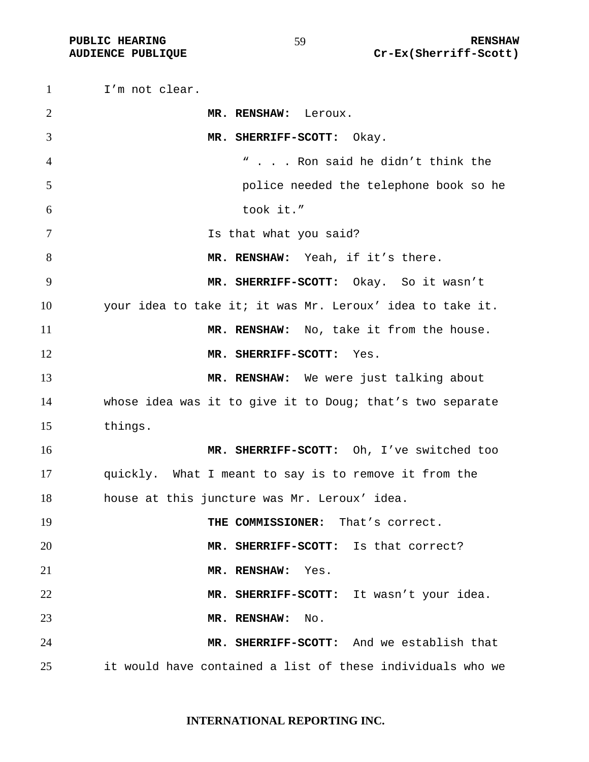I'm not clear. **MR. RENSHAW:** Leroux. **MR. SHERRIFF-SCOTT:** Okay. " . . . Ron said he didn't think the police needed the telephone book so he took it." Is that what you said? 8 MR. RENSHAW: Yeah, if it's there. **MR. SHERRIFF-SCOTT:** Okay. So it wasn't your idea to take it; it was Mr. Leroux' idea to take it. **MR. RENSHAW:** No, take it from the house. **MR. SHERRIFF-SCOTT:** Yes. **MR. RENSHAW:** We were just talking about whose idea was it to give it to Doug; that's two separate things. **MR. SHERRIFF-SCOTT:** Oh, I've switched too quickly. What I meant to say is to remove it from the house at this juncture was Mr. Leroux' idea. **THE COMMISSIONER:** That's correct. **MR. SHERRIFF-SCOTT:** Is that correct? **MR. RENSHAW:** Yes. **MR. SHERRIFF-SCOTT:** It wasn't your idea. **MR. RENSHAW:** No. **MR. SHERRIFF-SCOTT:** And we establish that it would have contained a list of these individuals who we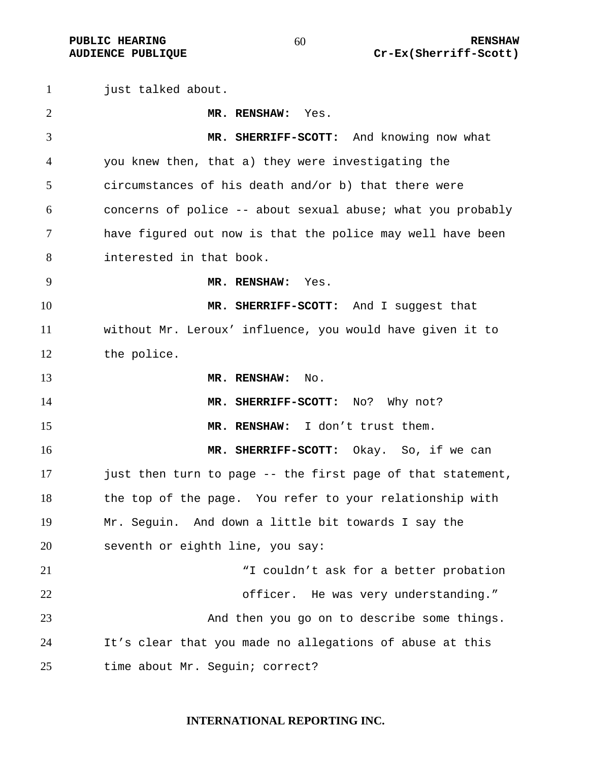just talked about. **MR. RENSHAW:** Yes. **MR. SHERRIFF-SCOTT:** And knowing now what you knew then, that a) they were investigating the circumstances of his death and/or b) that there were concerns of police -- about sexual abuse; what you probably have figured out now is that the police may well have been interested in that book. **MR. RENSHAW:** Yes. **MR. SHERRIFF-SCOTT:** And I suggest that without Mr. Leroux' influence, you would have given it to the police. **MR. RENSHAW:** No. **MR. SHERRIFF-SCOTT:** No? Why not? **MR. RENSHAW:** I don't trust them. **MR. SHERRIFF-SCOTT:** Okay. So, if we can just then turn to page -- the first page of that statement, the top of the page. You refer to your relationship with Mr. Seguin. And down a little bit towards I say the seventh or eighth line, you say: "I couldn't ask for a better probation officer. He was very understanding." And then you go on to describe some things. It's clear that you made no allegations of abuse at this time about Mr. Seguin; correct?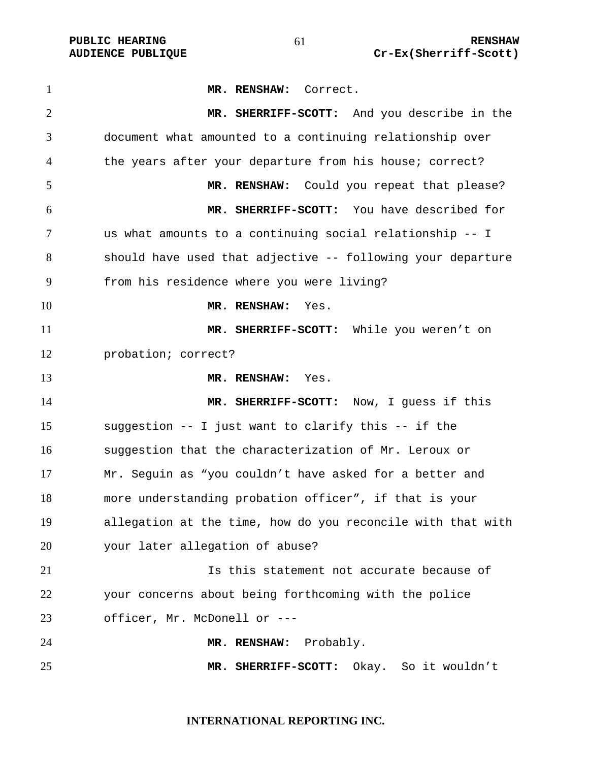**MR. RENSHAW:** Correct. **MR. SHERRIFF-SCOTT:** And you describe in the document what amounted to a continuing relationship over the years after your departure from his house; correct? **MR. RENSHAW:** Could you repeat that please? **MR. SHERRIFF-SCOTT:** You have described for us what amounts to a continuing social relationship -- I should have used that adjective -- following your departure from his residence where you were living? **MR. RENSHAW:** Yes. **MR. SHERRIFF-SCOTT:** While you weren't on probation; correct? **MR. RENSHAW:** Yes. **MR. SHERRIFF-SCOTT:** Now, I guess if this suggestion -- I just want to clarify this -- if the suggestion that the characterization of Mr. Leroux or Mr. Seguin as "you couldn't have asked for a better and more understanding probation officer", if that is your allegation at the time, how do you reconcile with that with your later allegation of abuse? Is this statement not accurate because of your concerns about being forthcoming with the police officer, Mr. McDonell or --- **MR. RENSHAW:** Probably. **MR. SHERRIFF-SCOTT:** Okay. So it wouldn't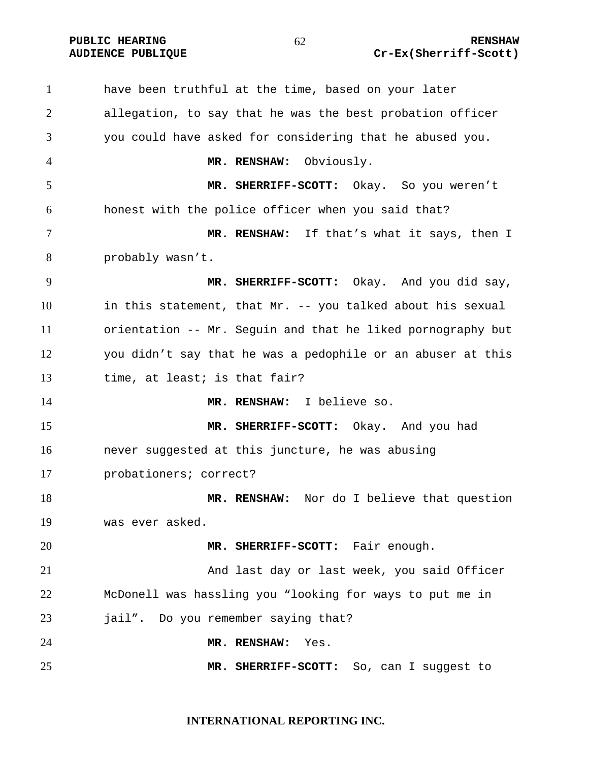**PUBLIC HEARING**  $\overline{62}$   $\overline{62}$   $\overline{84}$  RENSHAW

# **AUDIENCE PUBLIQUE Cr-Ex(Sherriff-Scott)**

have been truthful at the time, based on your later allegation, to say that he was the best probation officer you could have asked for considering that he abused you. **MR. RENSHAW:** Obviously. **MR. SHERRIFF-SCOTT:** Okay. So you weren't honest with the police officer when you said that? **MR. RENSHAW:** If that's what it says, then I probably wasn't. **MR. SHERRIFF-SCOTT:** Okay. And you did say, in this statement, that Mr. -- you talked about his sexual orientation -- Mr. Seguin and that he liked pornography but you didn't say that he was a pedophile or an abuser at this time, at least; is that fair? **MR. RENSHAW:** I believe so. **MR. SHERRIFF-SCOTT:** Okay. And you had never suggested at this juncture, he was abusing probationers; correct? **MR. RENSHAW:** Nor do I believe that question was ever asked. **MR. SHERRIFF-SCOTT:** Fair enough. And last day or last week, you said Officer McDonell was hassling you "looking for ways to put me in jail". Do you remember saying that? **MR. RENSHAW:** Yes. **MR. SHERRIFF-SCOTT:** So, can I suggest to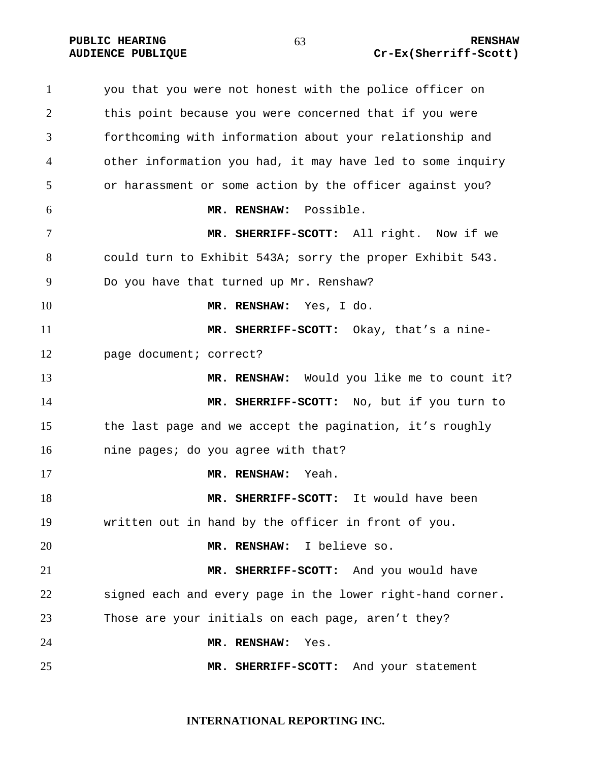you that you were not honest with the police officer on this point because you were concerned that if you were forthcoming with information about your relationship and other information you had, it may have led to some inquiry or harassment or some action by the officer against you? **MR. RENSHAW:** Possible. **MR. SHERRIFF-SCOTT:** All right. Now if we could turn to Exhibit 543A; sorry the proper Exhibit 543. Do you have that turned up Mr. Renshaw? **MR. RENSHAW:** Yes, I do. **MR. SHERRIFF-SCOTT:** Okay, that's a nine-page document; correct? **MR. RENSHAW:** Would you like me to count it? **MR. SHERRIFF-SCOTT:** No, but if you turn to the last page and we accept the pagination, it's roughly nine pages; do you agree with that? **MR. RENSHAW:** Yeah. **MR. SHERRIFF-SCOTT:** It would have been written out in hand by the officer in front of you. **MR. RENSHAW:** I believe so. **MR. SHERRIFF-SCOTT:** And you would have signed each and every page in the lower right-hand corner. Those are your initials on each page, aren't they? **MR. RENSHAW:** Yes. **MR. SHERRIFF-SCOTT:** And your statement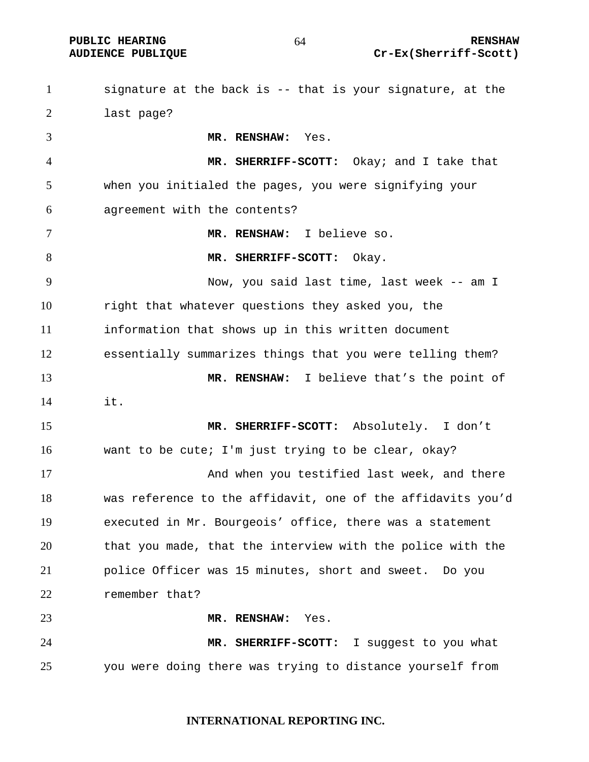PUBLIC HEARING  $64$  RENSHAW **AUDIENCE PUBLIQUE Cr-Ex(Sherriff-Scott)** 

signature at the back is -- that is your signature, at the last page? **MR. RENSHAW:** Yes. **MR. SHERRIFF-SCOTT:** Okay; and I take that when you initialed the pages, you were signifying your agreement with the contents? **MR. RENSHAW:** I believe so. **MR. SHERRIFF-SCOTT:** Okay. Now, you said last time, last week -- am I right that whatever questions they asked you, the information that shows up in this written document essentially summarizes things that you were telling them? **MR. RENSHAW:** I believe that's the point of it. **MR. SHERRIFF-SCOTT:** Absolutely. I don't want to be cute; I'm just trying to be clear, okay? And when you testified last week, and there was reference to the affidavit, one of the affidavits you'd executed in Mr. Bourgeois' office, there was a statement that you made, that the interview with the police with the police Officer was 15 minutes, short and sweet. Do you remember that? **MR. RENSHAW:** Yes. **MR. SHERRIFF-SCOTT:** I suggest to you what you were doing there was trying to distance yourself from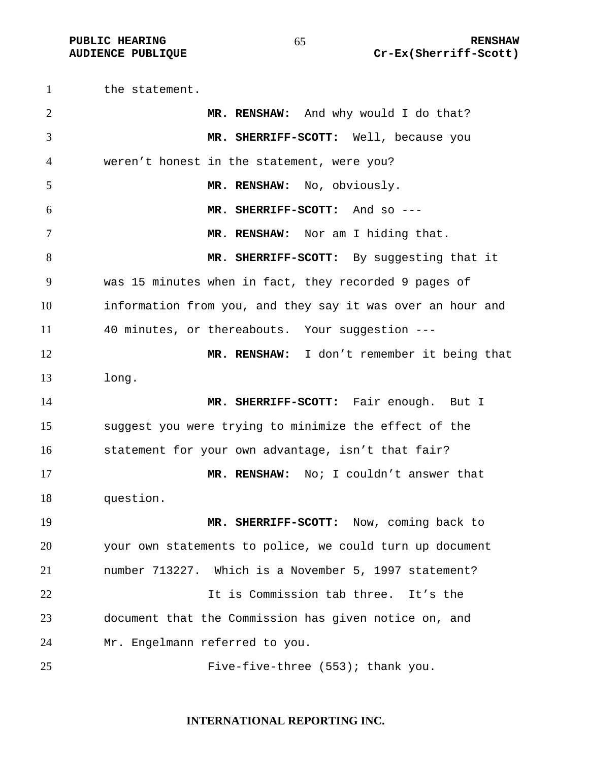the statement. **MR. RENSHAW:** And why would I do that? **MR. SHERRIFF-SCOTT:** Well, because you weren't honest in the statement, were you? **MR. RENSHAW:** No, obviously. **MR. SHERRIFF-SCOTT:** And so --- **MR. RENSHAW:** Nor am I hiding that. **MR. SHERRIFF-SCOTT:** By suggesting that it was 15 minutes when in fact, they recorded 9 pages of information from you, and they say it was over an hour and 40 minutes, or thereabouts. Your suggestion --- **MR. RENSHAW:** I don't remember it being that long. **MR. SHERRIFF-SCOTT:** Fair enough. But I suggest you were trying to minimize the effect of the statement for your own advantage, isn't that fair? **MR. RENSHAW:** No; I couldn't answer that question. **MR. SHERRIFF-SCOTT:** Now, coming back to your own statements to police, we could turn up document number 713227. Which is a November 5, 1997 statement? It is Commission tab three. It's the document that the Commission has given notice on, and Mr. Engelmann referred to you. 25 Five-five-three (553); thank you.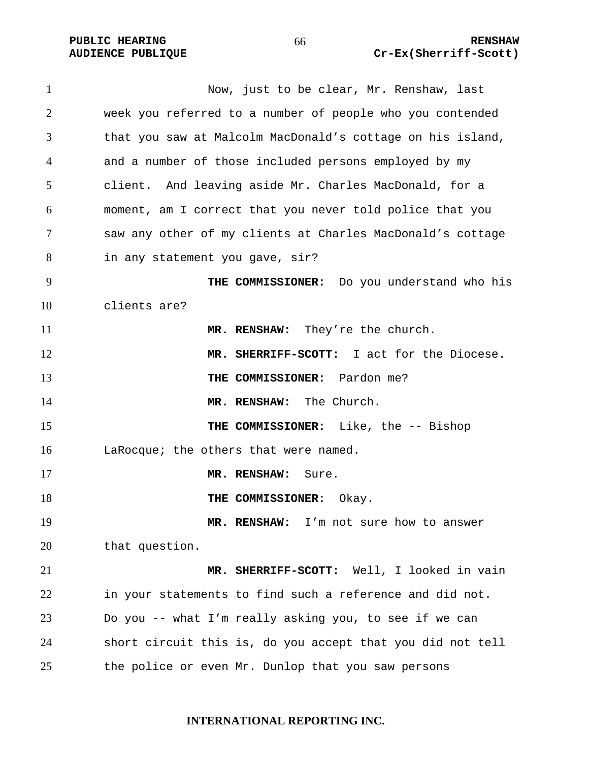Now, just to be clear, Mr. Renshaw, last week you referred to a number of people who you contended that you saw at Malcolm MacDonald's cottage on his island, and a number of those included persons employed by my client. And leaving aside Mr. Charles MacDonald, for a moment, am I correct that you never told police that you saw any other of my clients at Charles MacDonald's cottage in any statement you gave, sir? **THE COMMISSIONER:** Do you understand who his clients are? **MR. RENSHAW:** They're the church. **MR. SHERRIFF-SCOTT:** I act for the Diocese. **THE COMMISSIONER:** Pardon me? **MR. RENSHAW:** The Church. **THE COMMISSIONER:** Like, the -- Bishop 16 LaRocque; the others that were named. **MR. RENSHAW:** Sure. **THE COMMISSIONER:** Okay. **MR. RENSHAW:** I'm not sure how to answer that question. **MR. SHERRIFF-SCOTT:** Well, I looked in vain in your statements to find such a reference and did not. Do you -- what I'm really asking you, to see if we can short circuit this is, do you accept that you did not tell the police or even Mr. Dunlop that you saw persons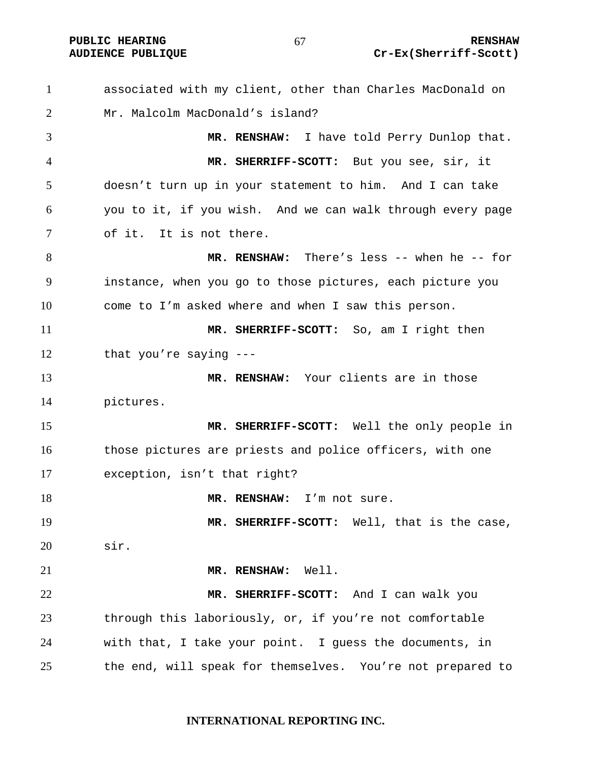**PUBLIC HEARING**  $67$  **RENSHAW** 

# **AUDIENCE PUBLIQUE Cr-Ex(Sherriff-Scott)**

associated with my client, other than Charles MacDonald on Mr. Malcolm MacDonald's island? **MR. RENSHAW:** I have told Perry Dunlop that. **MR. SHERRIFF-SCOTT:** But you see, sir, it doesn't turn up in your statement to him. And I can take you to it, if you wish. And we can walk through every page of it. It is not there. **MR. RENSHAW:** There's less -- when he -- for instance, when you go to those pictures, each picture you come to I'm asked where and when I saw this person. **MR. SHERRIFF-SCOTT:** So, am I right then that you're saying --- **MR. RENSHAW:** Your clients are in those pictures. **MR. SHERRIFF-SCOTT:** Well the only people in 16 those pictures are priests and police officers, with one exception, isn't that right? **MR. RENSHAW:** I'm not sure. **MR. SHERRIFF-SCOTT:** Well, that is the case, sir. **MR. RENSHAW:** Well. **MR. SHERRIFF-SCOTT:** And I can walk you through this laboriously, or, if you're not comfortable with that, I take your point. I guess the documents, in the end, will speak for themselves. You're not prepared to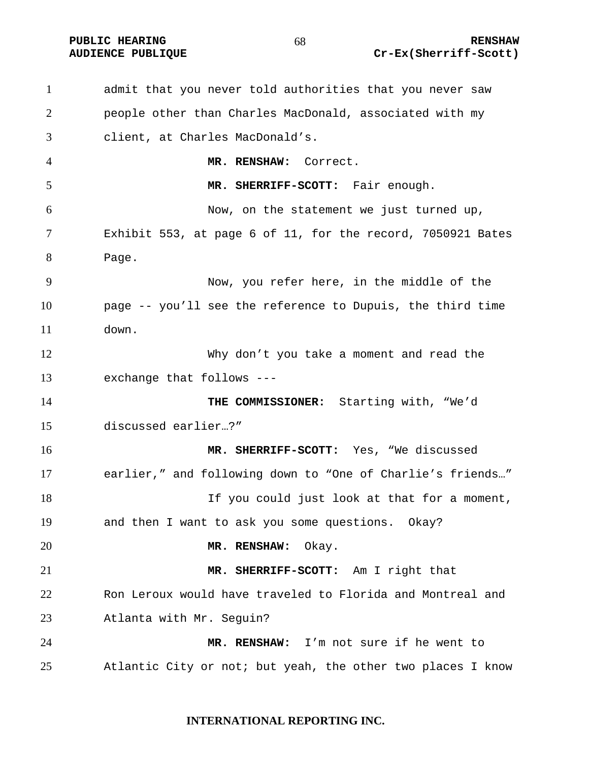**PUBLIC HEARING 68** 68 RENSHAW

# **AUDIENCE PUBLIQUE Cr-Ex(Sherriff-Scott)**

admit that you never told authorities that you never saw people other than Charles MacDonald, associated with my client, at Charles MacDonald's. **MR. RENSHAW:** Correct. **MR. SHERRIFF-SCOTT:** Fair enough. Now, on the statement we just turned up, Exhibit 553, at page 6 of 11, for the record, 7050921 Bates Page. Now, you refer here, in the middle of the page -- you'll see the reference to Dupuis, the third time down. Why don't you take a moment and read the exchange that follows --- **THE COMMISSIONER:** Starting with, "We'd discussed earlier…?" **MR. SHERRIFF-SCOTT:** Yes, "We discussed earlier," and following down to "One of Charlie's friends…" If you could just look at that for a moment, and then I want to ask you some questions. Okay? **MR. RENSHAW:** Okay. **MR. SHERRIFF-SCOTT:** Am I right that Ron Leroux would have traveled to Florida and Montreal and Atlanta with Mr. Seguin? **MR. RENSHAW:** I'm not sure if he went to Atlantic City or not; but yeah, the other two places I know

### **INTERNATIONAL REPORTING INC.**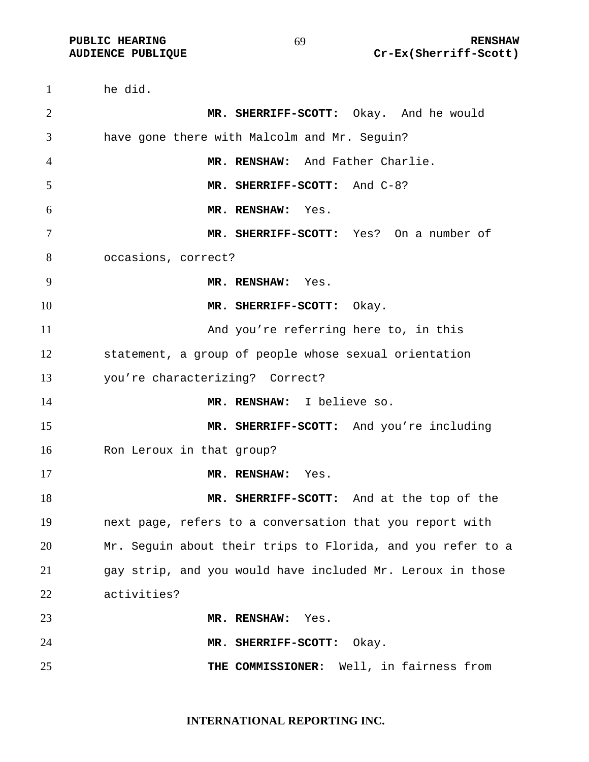he did. **MR. SHERRIFF-SCOTT:** Okay. And he would have gone there with Malcolm and Mr. Seguin? **MR. RENSHAW:** And Father Charlie. **MR. SHERRIFF-SCOTT:** And C-8? **MR. RENSHAW:** Yes. **MR. SHERRIFF-SCOTT:** Yes? On a number of occasions, correct? **MR. RENSHAW:** Yes. **MR. SHERRIFF-SCOTT:** Okay. And you're referring here to, in this statement, a group of people whose sexual orientation you're characterizing? Correct? **MR. RENSHAW:** I believe so. **MR. SHERRIFF-SCOTT:** And you're including Ron Leroux in that group? **MR. RENSHAW:** Yes. **MR. SHERRIFF-SCOTT:** And at the top of the next page, refers to a conversation that you report with Mr. Seguin about their trips to Florida, and you refer to a gay strip, and you would have included Mr. Leroux in those activities? **MR. RENSHAW:** Yes. **MR. SHERRIFF-SCOTT:** Okay. **THE COMMISSIONER:** Well, in fairness from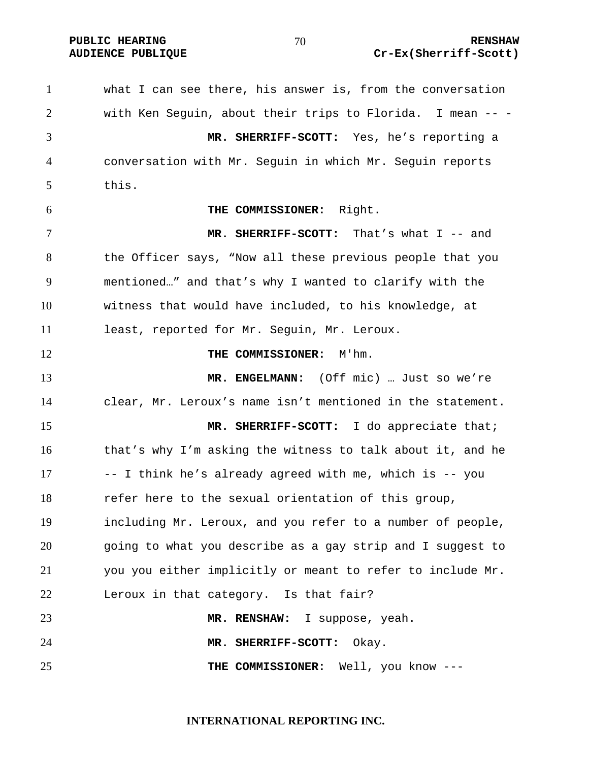#### **PUBLIC HEARING**  $\begin{array}{ccc} 70 & 70 \end{array}$  **RENSHAW AUDIENCE PUBLIQUE Cr-Ex(Sherriff-Scott)**

what I can see there, his answer is, from the conversation with Ken Seguin, about their trips to Florida. I mean -- - **MR. SHERRIFF-SCOTT:** Yes, he's reporting a conversation with Mr. Seguin in which Mr. Seguin reports this. **THE COMMISSIONER:** Right. **MR. SHERRIFF-SCOTT:** That's what I -- and the Officer says, "Now all these previous people that you mentioned…" and that's why I wanted to clarify with the witness that would have included, to his knowledge, at least, reported for Mr. Seguin, Mr. Leroux. **THE COMMISSIONER:** M'hm. **MR. ENGELMANN:** (Off mic) … Just so we're clear, Mr. Leroux's name isn't mentioned in the statement. **MR. SHERRIFF-SCOTT:** I do appreciate that; that's why I'm asking the witness to talk about it, and he -- I think he's already agreed with me, which is -- you refer here to the sexual orientation of this group, including Mr. Leroux, and you refer to a number of people, going to what you describe as a gay strip and I suggest to you you either implicitly or meant to refer to include Mr. Leroux in that category. Is that fair? **MR. RENSHAW:** I suppose, yeah. **MR. SHERRIFF-SCOTT:** Okay. **THE COMMISSIONER:** Well, you know ---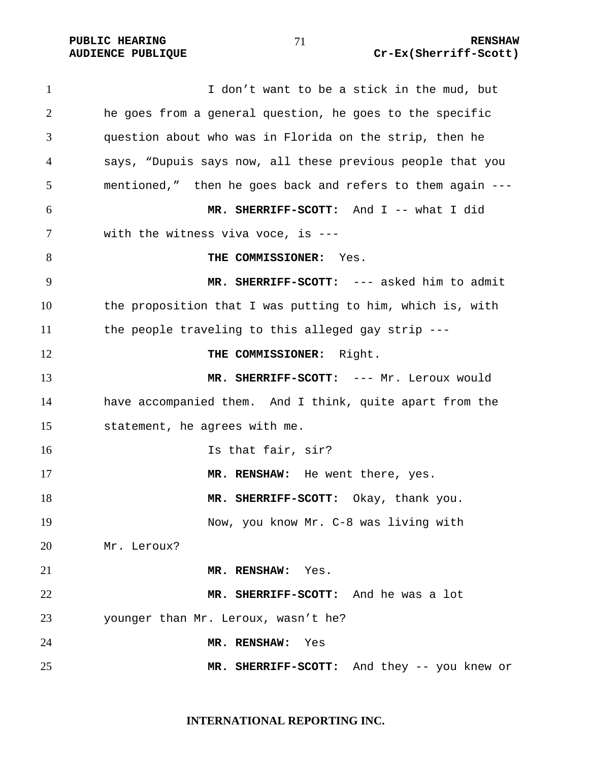1 I don't want to be a stick in the mud, but he goes from a general question, he goes to the specific question about who was in Florida on the strip, then he says, "Dupuis says now, all these previous people that you mentioned," then he goes back and refers to them again --- **MR. SHERRIFF-SCOTT:** And I -- what I did with the witness viva voce, is --- **THE COMMISSIONER:** Yes. **MR. SHERRIFF-SCOTT:** --- asked him to admit the proposition that I was putting to him, which is, with the people traveling to this alleged gay strip --- **THE COMMISSIONER:** Right. **MR. SHERRIFF-SCOTT:** --- Mr. Leroux would have accompanied them. And I think, quite apart from the statement, he agrees with me. 16 Is that fair, sir? **MR. RENSHAW:** He went there, yes. **MR. SHERRIFF-SCOTT:** Okay, thank you. Now, you know Mr. C-8 was living with Mr. Leroux? **MR. RENSHAW:** Yes. **MR. SHERRIFF-SCOTT:** And he was a lot younger than Mr. Leroux, wasn't he? **MR. RENSHAW:** Yes **MR. SHERRIFF-SCOTT:** And they -- you knew or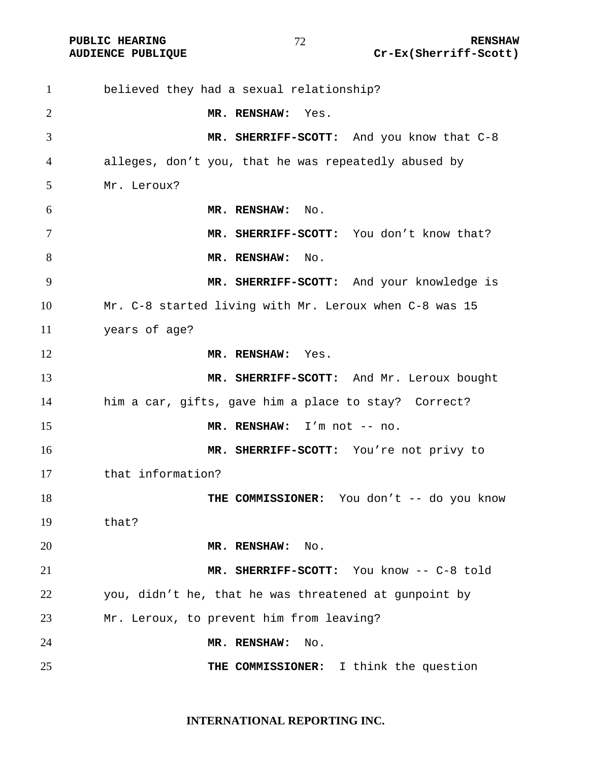believed they had a sexual relationship? **MR. RENSHAW:** Yes. **MR. SHERRIFF-SCOTT:** And you know that C-8 alleges, don't you, that he was repeatedly abused by Mr. Leroux? **MR. RENSHAW:** No. 7 MR. SHERRIFF-SCOTT: You don't know that? 8 MR. RENSHAW: No. **MR. SHERRIFF-SCOTT:** And your knowledge is Mr. C-8 started living with Mr. Leroux when C-8 was 15 years of age? **MR. RENSHAW:** Yes. **MR. SHERRIFF-SCOTT:** And Mr. Leroux bought him a car, gifts, gave him a place to stay? Correct? **MR. RENSHAW:** I'm not -- no. **MR. SHERRIFF-SCOTT:** You're not privy to that information? **THE COMMISSIONER:** You don't -- do you know that? **MR. RENSHAW:** No. **MR. SHERRIFF-SCOTT:** You know -- C-8 told you, didn't he, that he was threatened at gunpoint by Mr. Leroux, to prevent him from leaving? **MR. RENSHAW:** No. **THE COMMISSIONER:** I think the question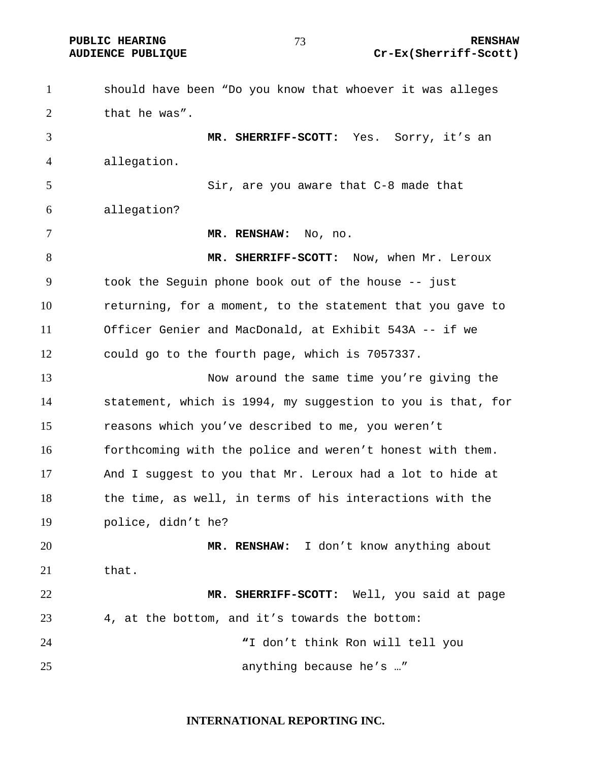PUBLIC HEARING **RENSHAW** 73 RENSHAW **RENSHAW RENSHAW AUDIENCE PUBLIQUE** Cr-Ex(Sherriff-Scott)

| $\mathbf{1}$ | should have been "Do you know that whoever it was alleges   |
|--------------|-------------------------------------------------------------|
| 2            | that he was".                                               |
| 3            | MR. SHERRIFF-SCOTT: Yes. Sorry, it's an                     |
| 4            | allegation.                                                 |
| 5            | Sir, are you aware that C-8 made that                       |
| 6            | allegation?                                                 |
| 7            | MR. RENSHAW: No, no.                                        |
| 8            | MR. SHERRIFF-SCOTT: Now, when Mr. Leroux                    |
| 9            | took the Seguin phone book out of the house -- just         |
| 10           | returning, for a moment, to the statement that you gave to  |
| 11           | Officer Genier and MacDonald, at Exhibit 543A -- if we      |
| 12           | could go to the fourth page, which is 7057337.              |
| 13           | Now around the same time you're giving the                  |
| 14           | statement, which is 1994, my suggestion to you is that, for |
| 15           | reasons which you've described to me, you weren't           |
| 16           | forthcoming with the police and weren't honest with them.   |
| 17           | And I suggest to you that Mr. Leroux had a lot to hide at   |
| 18           | the time, as well, in terms of his interactions with the    |
| 19           | police, didn't he?                                          |
| 20           | MR. RENSHAW: I don't know anything about                    |
| 21           | that.                                                       |
| 22           | MR. SHERRIFF-SCOTT: Well, you said at page                  |
| 23           | 4, at the bottom, and it's towards the bottom:              |
| 24           | "I don't think Ron will tell you                            |
| 25           | anything because he's "                                     |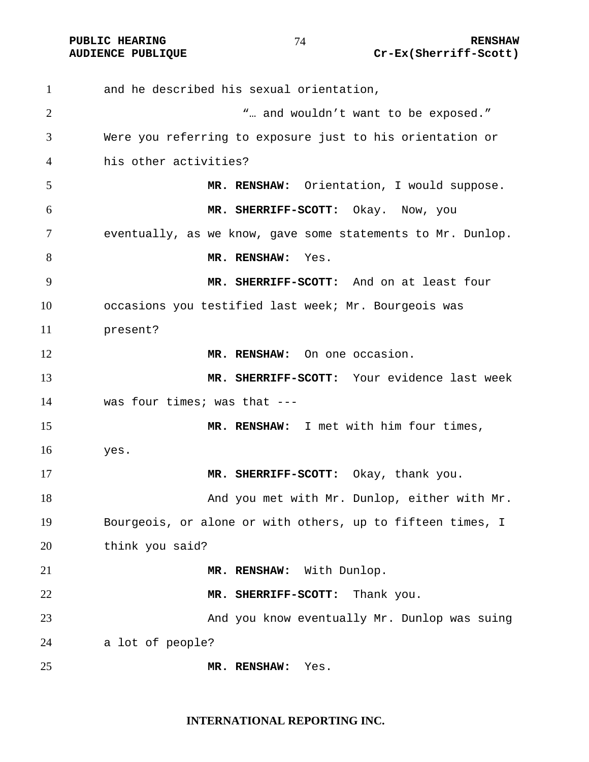and he described his sexual orientation, 2 The set of the set of the set of the set of the set of the set of the set of the set of the set of the set of the set of the set of the set of the set of the set of the set of the set of the set of the set of the set of Were you referring to exposure just to his orientation or his other activities? **MR. RENSHAW:** Orientation, I would suppose. **MR. SHERRIFF-SCOTT:** Okay. Now, you eventually, as we know, gave some statements to Mr. Dunlop. **MR. RENSHAW:** Yes. **MR. SHERRIFF-SCOTT:** And on at least four occasions you testified last week; Mr. Bourgeois was present? **MR. RENSHAW:** On one occasion. **MR. SHERRIFF-SCOTT:** Your evidence last week was four times; was that --- **MR. RENSHAW:** I met with him four times, yes. **MR. SHERRIFF-SCOTT:** Okay, thank you. And you met with Mr. Dunlop, either with Mr. Bourgeois, or alone or with others, up to fifteen times, I think you said? **MR. RENSHAW:** With Dunlop. **MR. SHERRIFF-SCOTT:** Thank you. And you know eventually Mr. Dunlop was suing a lot of people? **MR. RENSHAW:** Yes.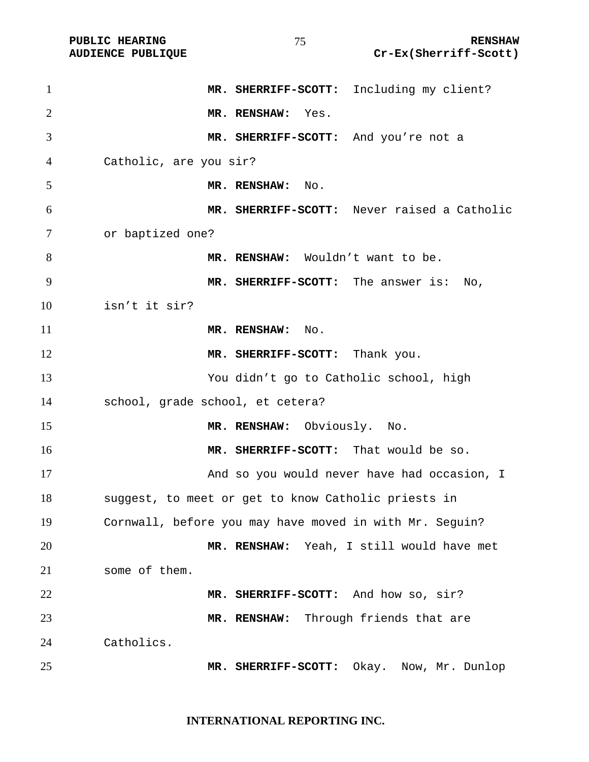PUBLIC HEARING **RENSHAW**<br>AUDIENCE PUBLIQUE **RENSHAW** Cr-Ex(Sherriff-Scott) Cr-Ex(Sherriff-Scott)

| $\mathbf{1}$   | MR. SHERRIFF-SCOTT: Including my client?                |
|----------------|---------------------------------------------------------|
| $\overline{2}$ | MR. RENSHAW: Yes.                                       |
| 3              | MR. SHERRIFF-SCOTT: And you're not a                    |
| 4              | Catholic, are you sir?                                  |
| 5              | MR. RENSHAW: No.                                        |
| 6              | MR. SHERRIFF-SCOTT: Never raised a Catholic             |
| 7              | or baptized one?                                        |
| 8              | MR. RENSHAW: Wouldn't want to be.                       |
| 9              | MR. SHERRIFF-SCOTT: The answer is: No,                  |
| 10             | isn't it sir?                                           |
| 11             | MR. RENSHAW: No.                                        |
| 12             | MR. SHERRIFF-SCOTT: Thank you.                          |
| 13             | You didn't go to Catholic school, high                  |
| 14             | school, grade school, et cetera?                        |
| 15             | MR. RENSHAW: Obviously. No.                             |
| 16             | MR. SHERRIFF-SCOTT: That would be so.                   |
| 17             | And so you would never have had occasion, I             |
| 18             | suggest, to meet or get to know Catholic priests in     |
| 19             | Cornwall, before you may have moved in with Mr. Seguin? |
| 20             | MR. RENSHAW: Yeah, I still would have met               |
| 21             | some of them.                                           |
| 22             | MR. SHERRIFF-SCOTT: And how so, sir?                    |
| 23             | MR. RENSHAW: Through friends that are                   |
| 24             | Catholics.                                              |
| 25             | MR. SHERRIFF-SCOTT: Okay. Now, Mr. Dunlop               |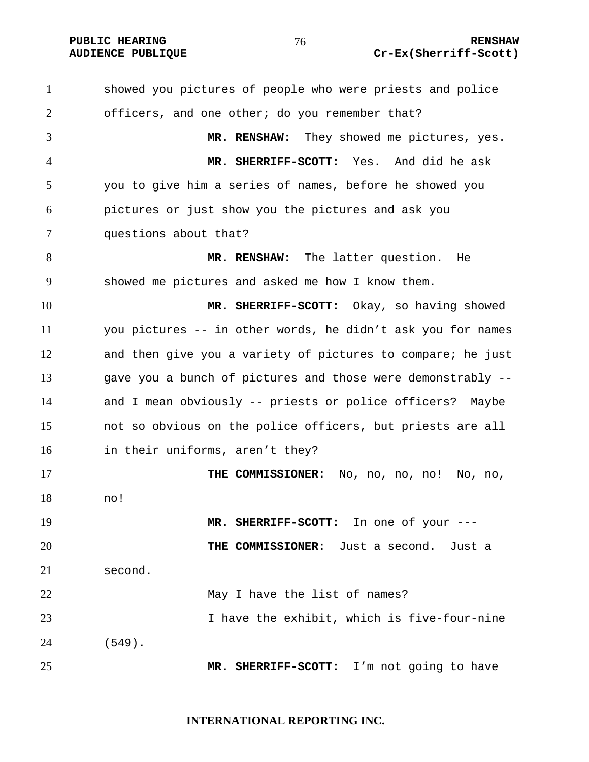showed you pictures of people who were priests and police officers, and one other; do you remember that? **MR. RENSHAW:** They showed me pictures, yes. **MR. SHERRIFF-SCOTT:** Yes. And did he ask you to give him a series of names, before he showed you pictures or just show you the pictures and ask you questions about that? **MR. RENSHAW:** The latter question. He showed me pictures and asked me how I know them. **MR. SHERRIFF-SCOTT:** Okay, so having showed you pictures -- in other words, he didn't ask you for names and then give you a variety of pictures to compare; he just gave you a bunch of pictures and those were demonstrably -- and I mean obviously -- priests or police officers? Maybe not so obvious on the police officers, but priests are all in their uniforms, aren't they? **THE COMMISSIONER:** No, no, no, no! No, no, no! **MR. SHERRIFF-SCOTT:** In one of your --- **THE COMMISSIONER:** Just a second. Just a second. May I have the list of names? I have the exhibit, which is five-four-nine (549). **MR. SHERRIFF-SCOTT:** I'm not going to have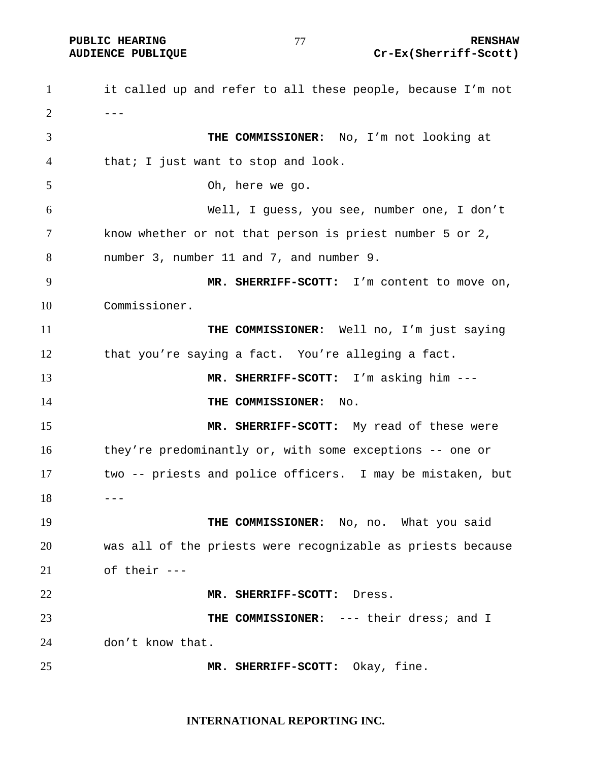**PUBLIC HEARING**  $\frac{1}{10}$  **27**  $\frac{1}{10}$  RENSHAW **AUDIENCE PUBLIQUE Cr-Ex(Sherriff-Scott)** 

it called up and refer to all these people, because I'm not  $2 - - -$ **THE COMMISSIONER:** No, I'm not looking at that; I just want to stop and look. Oh, here we go. Well, I guess, you see, number one, I don't know whether or not that person is priest number 5 or 2, number 3, number 11 and 7, and number 9. **MR. SHERRIFF-SCOTT:** I'm content to move on, Commissioner. **THE COMMISSIONER:** Well no, I'm just saying that you're saying a fact. You're alleging a fact. **MR. SHERRIFF-SCOTT:** I'm asking him --- **THE COMMISSIONER:** No. **MR. SHERRIFF-SCOTT:** My read of these were they're predominantly or, with some exceptions -- one or two -- priests and police officers. I may be mistaken, but ---19 THE COMMISSIONER: No, no. What you said was all of the priests were recognizable as priests because of their --- **MR. SHERRIFF-SCOTT:** Dress. **THE COMMISSIONER:** --- their dress; and I don't know that. **MR. SHERRIFF-SCOTT:** Okay, fine.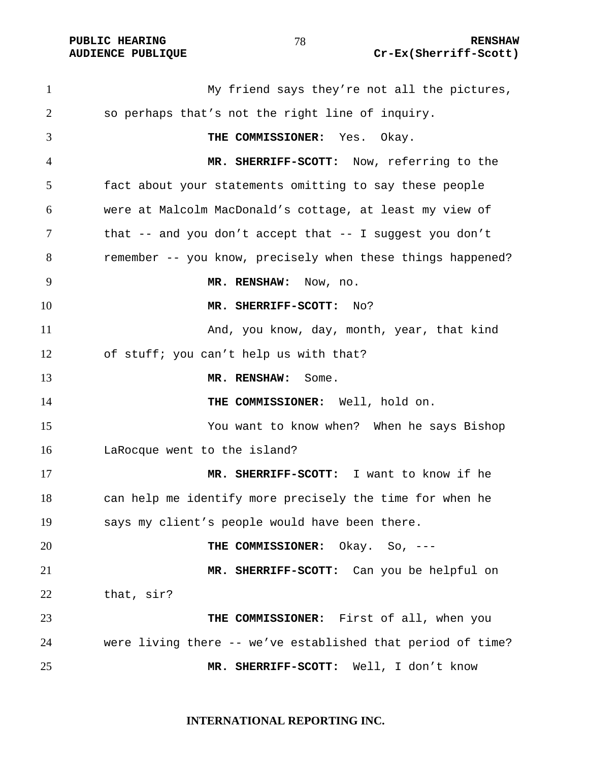My friend says they're not all the pictures, so perhaps that's not the right line of inquiry. **THE COMMISSIONER:** Yes. Okay. **MR. SHERRIFF-SCOTT:** Now, referring to the fact about your statements omitting to say these people were at Malcolm MacDonald's cottage, at least my view of that -- and you don't accept that -- I suggest you don't remember -- you know, precisely when these things happened? **MR. RENSHAW:** Now, no. **MR. SHERRIFF-SCOTT:** No? And, you know, day, month, year, that kind of stuff; you can't help us with that? **MR. RENSHAW:** Some. **THE COMMISSIONER:** Well, hold on. You want to know when? When he says Bishop LaRocque went to the island? **MR. SHERRIFF-SCOTT:** I want to know if he can help me identify more precisely the time for when he says my client's people would have been there. **THE COMMISSIONER:** Okay. So, --- **MR. SHERRIFF-SCOTT:** Can you be helpful on that, sir? **THE COMMISSIONER:** First of all, when you were living there -- we've established that period of time? **MR. SHERRIFF-SCOTT:** Well, I don't know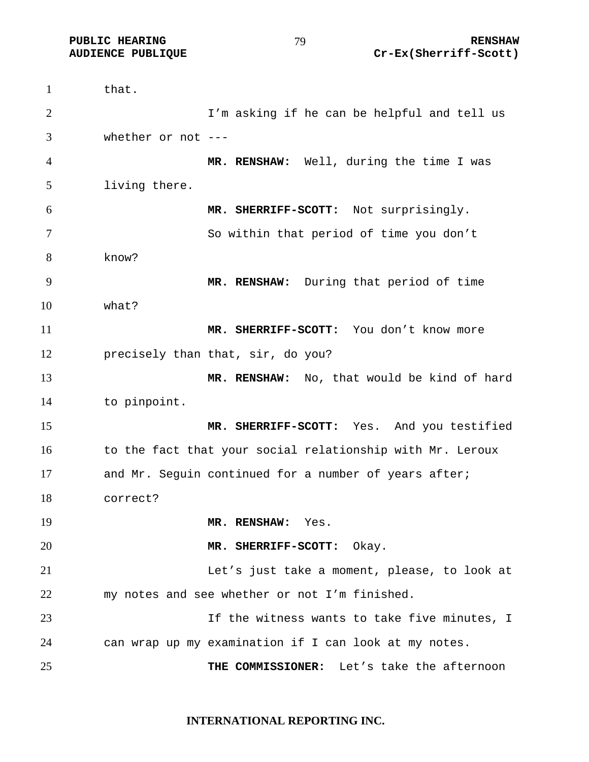1 that. I'm asking if he can be helpful and tell us whether or not --- **MR. RENSHAW:** Well, during the time I was living there. **MR. SHERRIFF-SCOTT:** Not surprisingly. So within that period of time you don't know? **MR. RENSHAW:** During that period of time what? **MR. SHERRIFF-SCOTT:** You don't know more precisely than that, sir, do you? **MR. RENSHAW:** No, that would be kind of hard to pinpoint. **MR. SHERRIFF-SCOTT:** Yes. And you testified 16 to the fact that your social relationship with Mr. Leroux 17 and Mr. Seguin continued for a number of years after; correct? **MR. RENSHAW:** Yes. **MR. SHERRIFF-SCOTT:** Okay. Let's just take a moment, please, to look at my notes and see whether or not I'm finished. If the witness wants to take five minutes, I can wrap up my examination if I can look at my notes. **THE COMMISSIONER:** Let's take the afternoon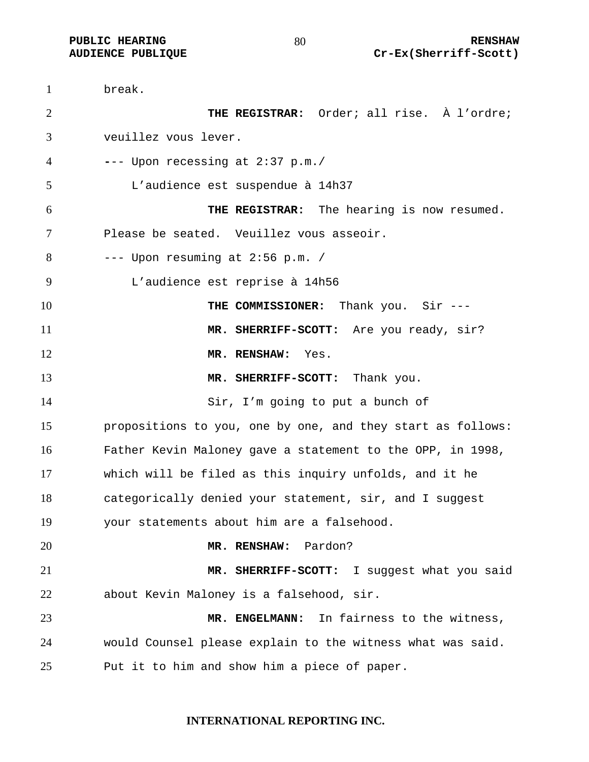break. **THE REGISTRAR:** Order; all rise. À l'ordre; veuillez vous lever. **-**-- Upon recessing at 2:37 p.m./ L'audience est suspendue à 14h37 **THE REGISTRAR:** The hearing is now resumed. Please be seated. Veuillez vous asseoir. --- Upon resuming at 2:56 p.m. / L'audience est reprise à 14h56 **THE COMMISSIONER:** Thank you. Sir --- **MR. SHERRIFF-SCOTT:** Are you ready, sir? **MR. RENSHAW:** Yes. **MR. SHERRIFF-SCOTT:** Thank you. Sir, I'm going to put a bunch of propositions to you, one by one, and they start as follows: Father Kevin Maloney gave a statement to the OPP, in 1998, which will be filed as this inquiry unfolds, and it he categorically denied your statement, sir, and I suggest your statements about him are a falsehood. **MR. RENSHAW:** Pardon? **MR. SHERRIFF-SCOTT:** I suggest what you said about Kevin Maloney is a falsehood, sir. **MR. ENGELMANN:** In fairness to the witness, would Counsel please explain to the witness what was said. Put it to him and show him a piece of paper.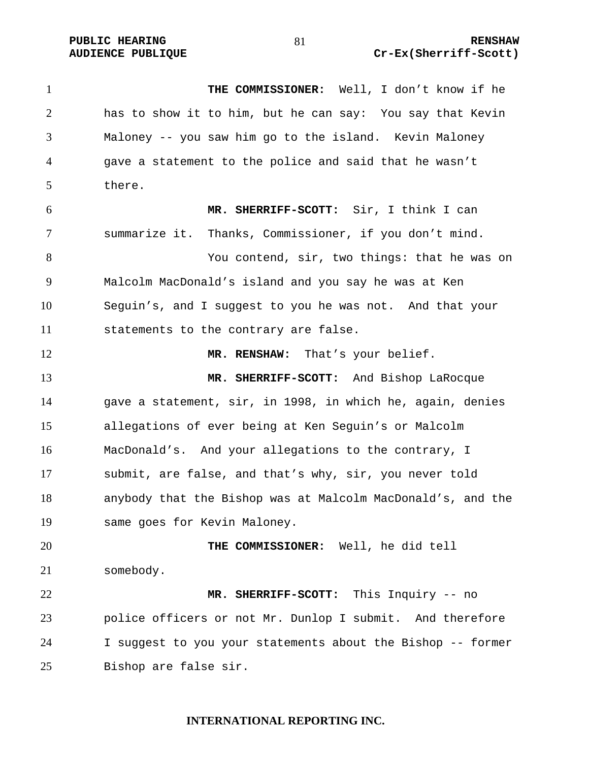**THE COMMISSIONER:** Well, I don't know if he has to show it to him, but he can say: You say that Kevin Maloney -- you saw him go to the island. Kevin Maloney gave a statement to the police and said that he wasn't there. **MR. SHERRIFF-SCOTT:** Sir, I think I can summarize it. Thanks, Commissioner, if you don't mind. You contend, sir, two things: that he was on Malcolm MacDonald's island and you say he was at Ken Seguin's, and I suggest to you he was not. And that your statements to the contrary are false. 12 MR. RENSHAW: That's your belief. **MR. SHERRIFF-SCOTT:** And Bishop LaRocque gave a statement, sir, in 1998, in which he, again, denies allegations of ever being at Ken Seguin's or Malcolm MacDonald's. And your allegations to the contrary, I submit, are false, and that's why, sir, you never told anybody that the Bishop was at Malcolm MacDonald's, and the same goes for Kevin Maloney. **THE COMMISSIONER:** Well, he did tell somebody. **MR. SHERRIFF-SCOTT:** This Inquiry -- no police officers or not Mr. Dunlop I submit. And therefore I suggest to you your statements about the Bishop -- former Bishop are false sir.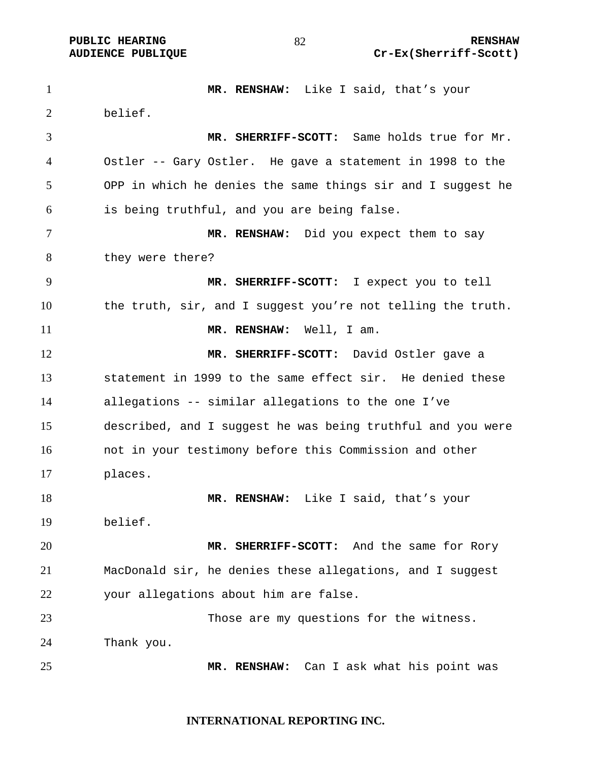**MR. RENSHAW:** Like I said, that's your belief. **MR. SHERRIFF-SCOTT:** Same holds true for Mr. Ostler -- Gary Ostler. He gave a statement in 1998 to the OPP in which he denies the same things sir and I suggest he is being truthful, and you are being false. **MR. RENSHAW:** Did you expect them to say they were there? **MR. SHERRIFF-SCOTT:** I expect you to tell the truth, sir, and I suggest you're not telling the truth. 11 MR. RENSHAW: Well, I am. **MR. SHERRIFF-SCOTT:** David Ostler gave a statement in 1999 to the same effect sir. He denied these allegations -- similar allegations to the one I've described, and I suggest he was being truthful and you were not in your testimony before this Commission and other places. **MR. RENSHAW:** Like I said, that's your belief. **MR. SHERRIFF-SCOTT:** And the same for Rory MacDonald sir, he denies these allegations, and I suggest your allegations about him are false. Those are my questions for the witness. Thank you. **MR. RENSHAW:** Can I ask what his point was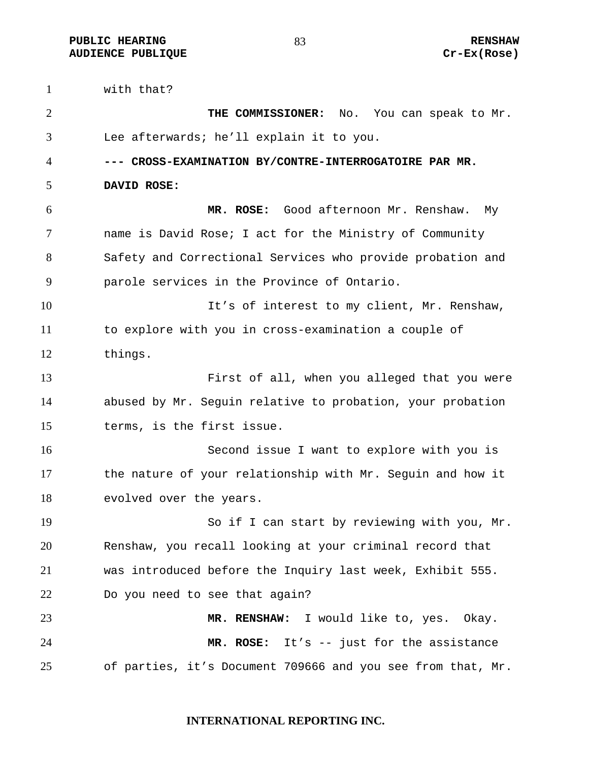**PUBLIC HEARING 83** 83 RENSHAW **AUDIENCE PUBLIQUE Cr-Ex(Rose)** 

with that?

**THE COMMISSIONER:** No. You can speak to Mr. Lee afterwards; he'll explain it to you. **--- CROSS-EXAMINATION BY/CONTRE-INTERROGATOIRE PAR MR. DAVID ROSE: MR. ROSE:** Good afternoon Mr. Renshaw. My name is David Rose; I act for the Ministry of Community Safety and Correctional Services who provide probation and parole services in the Province of Ontario. It's of interest to my client, Mr. Renshaw, to explore with you in cross-examination a couple of things. First of all, when you alleged that you were abused by Mr. Seguin relative to probation, your probation terms, is the first issue. Second issue I want to explore with you is the nature of your relationship with Mr. Seguin and how it evolved over the years. So if I can start by reviewing with you, Mr. Renshaw, you recall looking at your criminal record that was introduced before the Inquiry last week, Exhibit 555. Do you need to see that again? **MR. RENSHAW:** I would like to, yes. Okay. **MR. ROSE:** It's -- just for the assistance of parties, it's Document 709666 and you see from that, Mr.

### **INTERNATIONAL REPORTING INC.**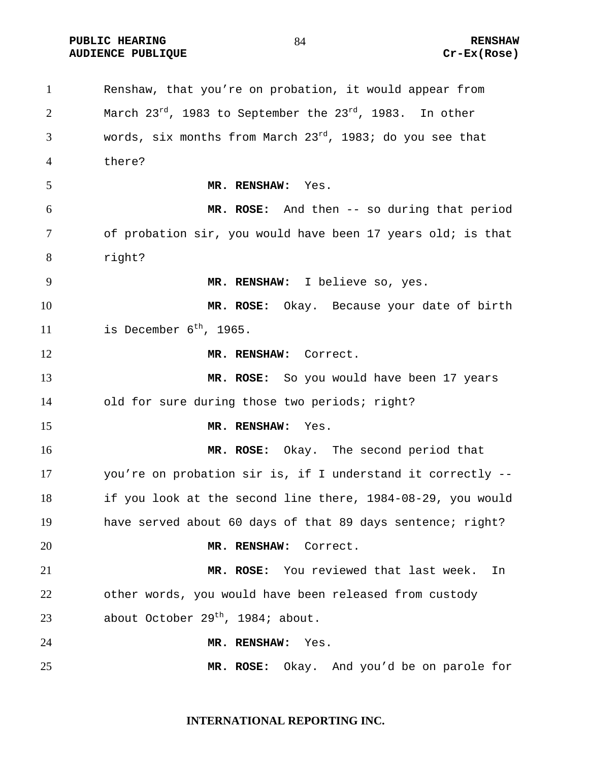**PUBLIC HEARING 84** 84 RENSHAW **AUDIENCE PUBLIQUE Cr-Ex(Rose)** 

Renshaw, that you're on probation, it would appear from 2 March  $23^{rd}$ , 1983 to September the  $23^{rd}$ , 1983. In other 3 words, six months from March  $23^{rd}$ , 1983; do you see that there? **MR. RENSHAW:** Yes. **MR. ROSE:** And then -- so during that period of probation sir, you would have been 17 years old; is that right? **MR. RENSHAW:** I believe so, yes. **MR. ROSE:** Okay. Because your date of birth 11 is December  $6^{th}$ , 1965. **MR. RENSHAW:** Correct. **MR. ROSE:** So you would have been 17 years old for sure during those two periods; right? **MR. RENSHAW:** Yes. **MR. ROSE:** Okay. The second period that you're on probation sir is, if I understand it correctly -- if you look at the second line there, 1984-08-29, you would have served about 60 days of that 89 days sentence; right? **MR. RENSHAW:** Correct. **MR. ROSE:** You reviewed that last week. In other words, you would have been released from custody 23 about October 29<sup>th</sup>, 1984; about. **MR. RENSHAW:** Yes. **MR. ROSE:** Okay. And you'd be on parole for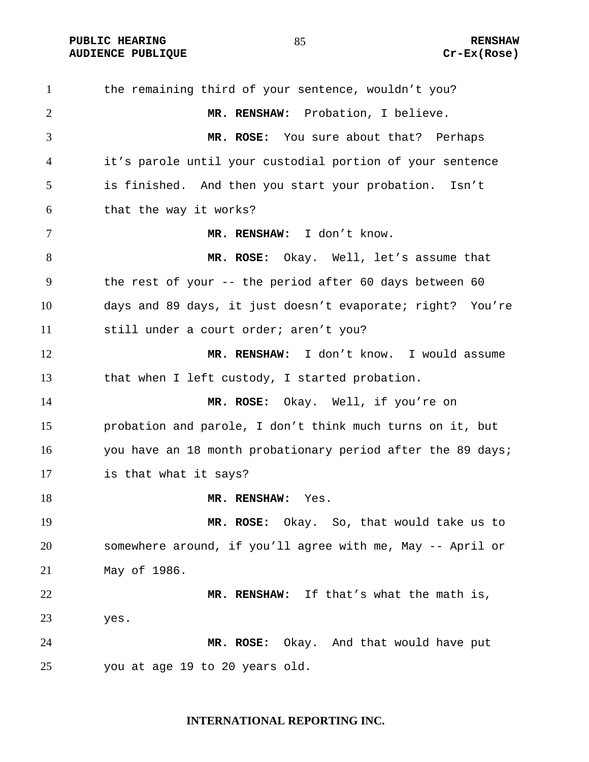**PUBLIC HEARING 85** 85 RENSHAW **AUDIENCE PUBLIQUE Cr-Ex(Rose)** 

the remaining third of your sentence, wouldn't you? **MR. RENSHAW:** Probation, I believe. **MR. ROSE:** You sure about that? Perhaps it's parole until your custodial portion of your sentence is finished. And then you start your probation. Isn't that the way it works? **MR. RENSHAW:** I don't know. **MR. ROSE:** Okay. Well, let's assume that the rest of your -- the period after 60 days between 60 days and 89 days, it just doesn't evaporate; right? You're still under a court order; aren't you? **MR. RENSHAW:** I don't know. I would assume that when I left custody, I started probation. **MR. ROSE:** Okay. Well, if you're on probation and parole, I don't think much turns on it, but you have an 18 month probationary period after the 89 days; is that what it says? **MR. RENSHAW:** Yes. **MR. ROSE:** Okay. So, that would take us to somewhere around, if you'll agree with me, May -- April or May of 1986. **MR. RENSHAW:** If that's what the math is, yes. **MR. ROSE:** Okay. And that would have put you at age 19 to 20 years old.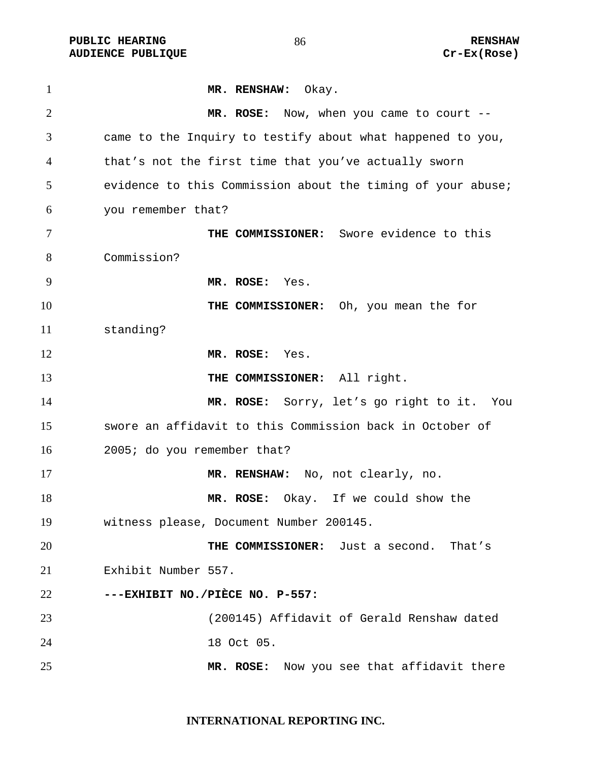PUBLIC HEARING **RENSHAW RENSHAW RENSHAW RENSHAW** RENSHAW RENSHAW RENSHAW RENSHAW RENSHAW RENSHAW RENSHAW RENSHAW **AUDIENCE PUBLIQUE** 

| $\mathbf{1}$   | MR. RENSHAW: Okay.                                          |
|----------------|-------------------------------------------------------------|
| $\overline{2}$ | MR. ROSE: Now, when you came to court --                    |
| 3              | came to the Inquiry to testify about what happened to you,  |
| 4              | that's not the first time that you've actually sworn        |
| 5              | evidence to this Commission about the timing of your abuse; |
| 6              | you remember that?                                          |
| $\tau$         | THE COMMISSIONER: Swore evidence to this                    |
| 8              | Commission?                                                 |
| 9              | MR. ROSE: Yes.                                              |
| 10             | THE COMMISSIONER: Oh, you mean the for                      |
| 11             | standing?                                                   |
| 12             | MR. ROSE: Yes.                                              |
| 13             | THE COMMISSIONER: All right.                                |
| 14             | MR. ROSE: Sorry, let's go right to it. You                  |
| 15             | swore an affidavit to this Commission back in October of    |
| 16             | 2005; do you remember that?                                 |
| 17             | MR. RENSHAW: No, not clearly, no.                           |
| 18             | MR. ROSE: Okay. If we could show the                        |
| 19             | witness please, Document Number 200145.                     |
| 20             | THE COMMISSIONER: Just a second.<br>That's                  |
| 21             | Exhibit Number 557.                                         |
| 22             | ---EXHIBIT NO./PIÈCE NO. P-557:                             |
| 23             | (200145) Affidavit of Gerald Renshaw dated                  |
| 24             | 18 Oct 05.                                                  |
| 25             | Now you see that affidavit there<br>MR. ROSE:               |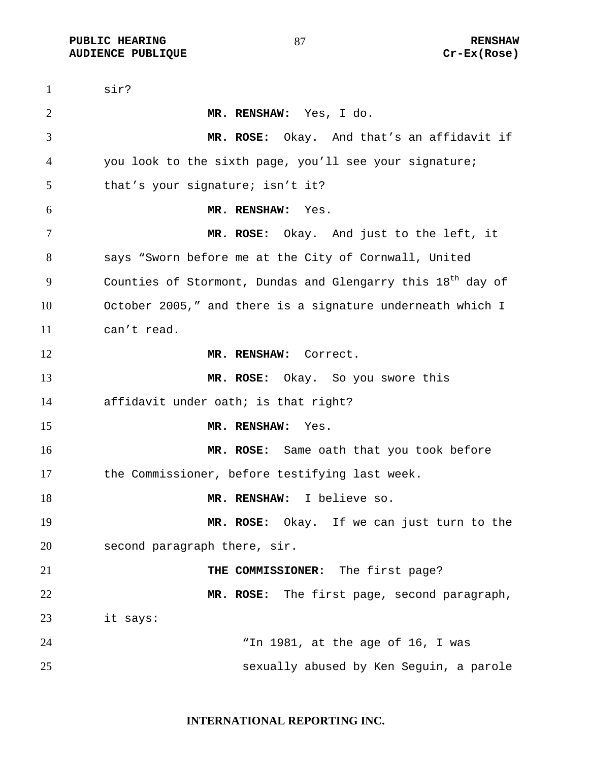**PUBLIC HEARING 87** 87 **RENSHAW AUDIENCE PUBLIQUE Cr-Ex(Rose)** 

sir? **MR. RENSHAW:** Yes, I do. **MR. ROSE:** Okay. And that's an affidavit if you look to the sixth page, you'll see your signature; that's your signature; isn't it? **MR. RENSHAW:** Yes. **MR. ROSE:** Okay. And just to the left, it says "Sworn before me at the City of Cornwall, United 9 Counties of Stormont, Dundas and Glengarry this  $18<sup>th</sup>$  day of October 2005," and there is a signature underneath which I can't read. **MR. RENSHAW:** Correct. **MR. ROSE:** Okay. So you swore this affidavit under oath; is that right? **MR. RENSHAW:** Yes. **MR. ROSE:** Same oath that you took before the Commissioner, before testifying last week. **MR. RENSHAW:** I believe so. **MR. ROSE:** Okay. If we can just turn to the second paragraph there, sir. **THE COMMISSIONER:** The first page? **MR. ROSE:** The first page, second paragraph, it says: "In 1981, at the age of 16, I was sexually abused by Ken Seguin, a parole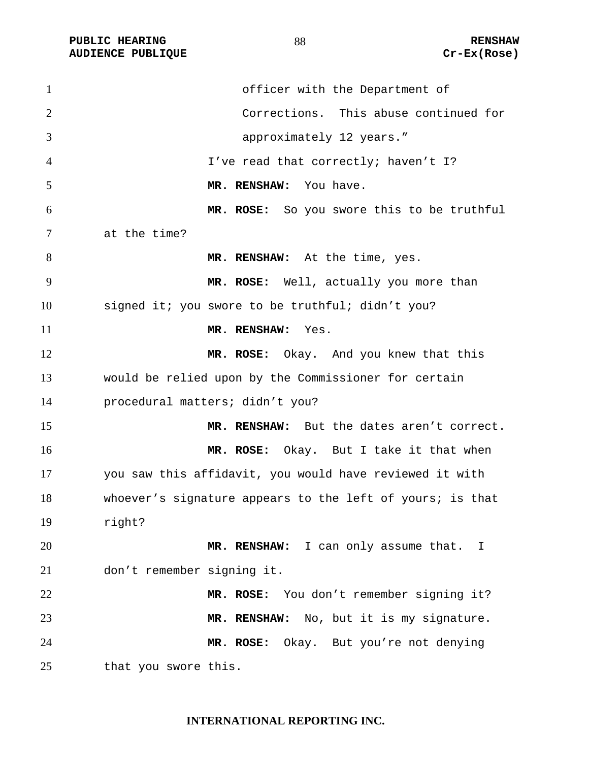**AUDIENCE PUBLIQUE** 

| $\mathbf{1}$   | officer with the Department of                            |
|----------------|-----------------------------------------------------------|
| $\overline{2}$ | Corrections. This abuse continued for                     |
| 3              | approximately 12 years."                                  |
| $\overline{4}$ | I've read that correctly; haven't I?                      |
| 5              | MR. RENSHAW: You have.                                    |
| 6              | MR. ROSE: So you swore this to be truthful                |
| 7              | at the time?                                              |
| 8              | MR. RENSHAW: At the time, yes.                            |
| 9              | MR. ROSE: Well, actually you more than                    |
| 10             | signed it; you swore to be truthful; didn't you?          |
| 11             | MR. RENSHAW: Yes.                                         |
| 12             | MR. ROSE: Okay. And you knew that this                    |
| 13             | would be relied upon by the Commissioner for certain      |
| 14             | procedural matters; didn't you?                           |
| 15             | MR. RENSHAW: But the dates aren't correct.                |
| 16             | MR. ROSE: Okay. But I take it that when                   |
| 17             | you saw this affidavit, you would have reviewed it with   |
| 18             | whoever's signature appears to the left of yours; is that |
| 19             | right?                                                    |
| 20             | MR. RENSHAW: I can only assume that. I                    |
| 21             | don't remember signing it.                                |
| 22             | MR. ROSE: You don't remember signing it?                  |
| 23             | MR. RENSHAW: No, but it is my signature.                  |
| 24             | MR. ROSE: Okay. But you're not denying                    |
| 25             | that you swore this.                                      |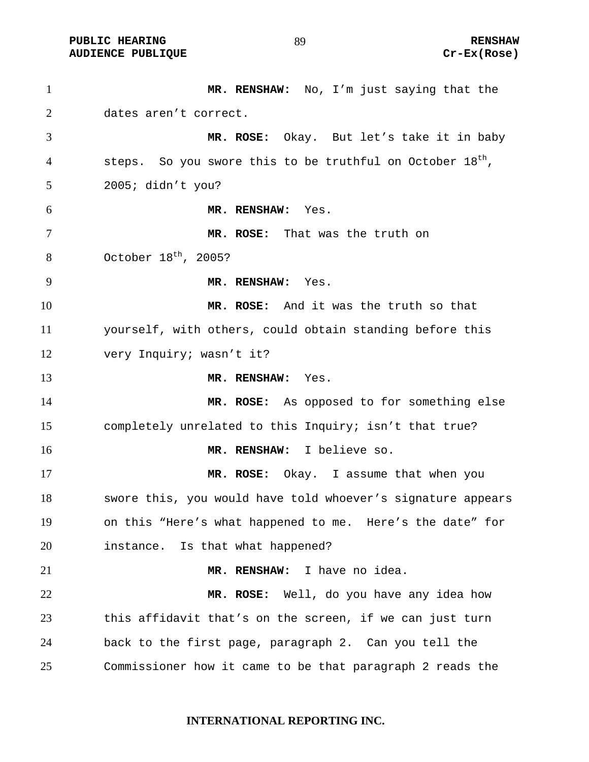**PUBLIC HEARING 89** 89 RENSHAW

**AUDIENCE PUBLIQUE Cr-Ex(Rose)** 

**MR. RENSHAW:** No, I'm just saying that the dates aren't correct. **MR. ROSE:** Okay. But let's take it in baby 4 steps. So you swore this to be truthful on October  $18<sup>th</sup>$ , 2005; didn't you? **MR. RENSHAW:** Yes. **MR. ROSE:** That was the truth on October 18<sup>th</sup>, 2005? **MR. RENSHAW:** Yes. **MR. ROSE:** And it was the truth so that yourself, with others, could obtain standing before this very Inquiry; wasn't it? **MR. RENSHAW:** Yes. **MR. ROSE:** As opposed to for something else completely unrelated to this Inquiry; isn't that true? **MR. RENSHAW:** I believe so. **MR. ROSE:** Okay. I assume that when you swore this, you would have told whoever's signature appears on this "Here's what happened to me. Here's the date" for instance. Is that what happened? **MR. RENSHAW:** I have no idea. **MR. ROSE:** Well, do you have any idea how this affidavit that's on the screen, if we can just turn back to the first page, paragraph 2. Can you tell the Commissioner how it came to be that paragraph 2 reads the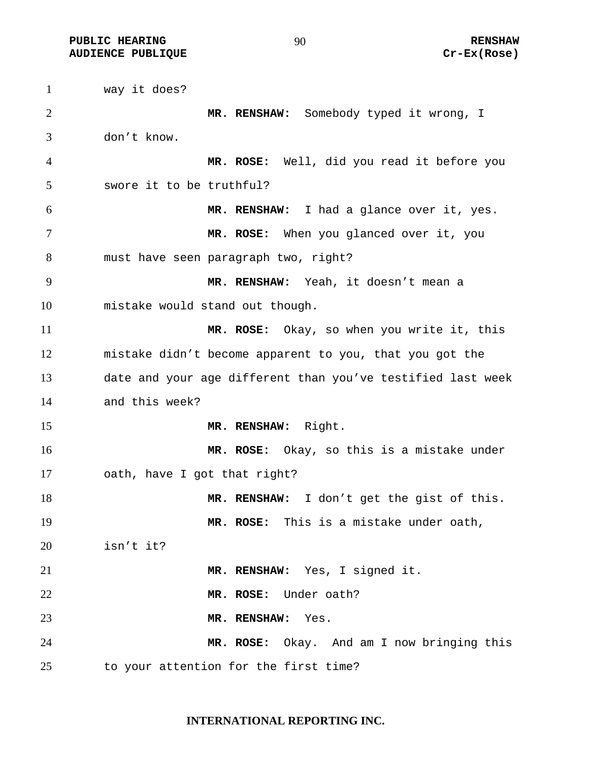**PUBLIC HEARING 60 CONTROL** 200 CONTROLLER RENSHAW **AUDIENCE PUBLIQUE Cr-Ex(Rose)** 

way it does? **MR. RENSHAW:** Somebody typed it wrong, I don't know. **MR. ROSE:** Well, did you read it before you swore it to be truthful? **MR. RENSHAW:** I had a glance over it, yes. **MR. ROSE:** When you glanced over it, you must have seen paragraph two, right? **MR. RENSHAW:** Yeah, it doesn't mean a mistake would stand out though. **MR. ROSE:** Okay, so when you write it, this mistake didn't become apparent to you, that you got the date and your age different than you've testified last week and this week? **MR. RENSHAW:** Right. **MR. ROSE:** Okay, so this is a mistake under oath, have I got that right? **MR. RENSHAW:** I don't get the gist of this. **MR. ROSE:** This is a mistake under oath, isn't it? **MR. RENSHAW:** Yes, I signed it. **MR. ROSE:** Under oath? **MR. RENSHAW:** Yes. **MR. ROSE:** Okay. And am I now bringing this to your attention for the first time?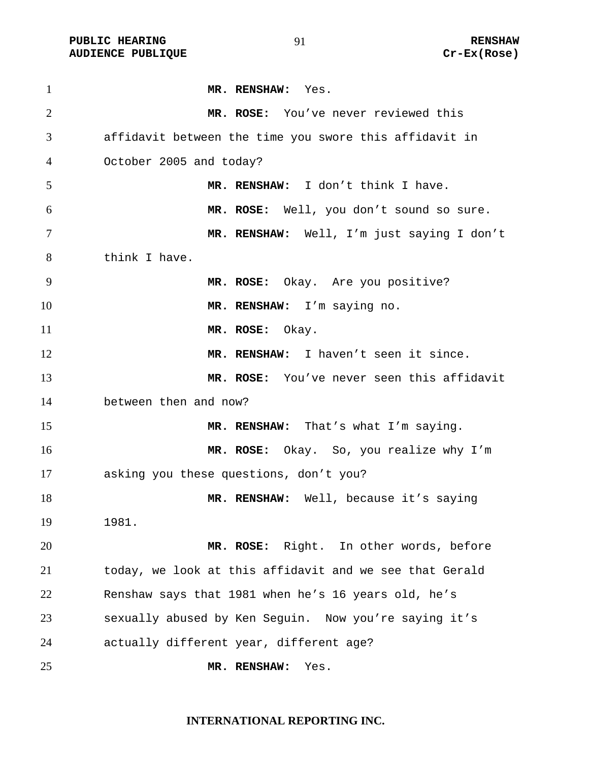PUBLIC HEARING **RENSHAW** 91 **RENSHAW** RENSHAW<br>AUDIENCE PUBLIQUE **RENSHAW** Cr-Ex(Rose) **AUDIENCE PUBLIQUE** 

| $\mathbf{1}$   | MR. RENSHAW: Yes.                                       |
|----------------|---------------------------------------------------------|
| $\overline{2}$ | MR. ROSE: You've never reviewed this                    |
| 3              | affidavit between the time you swore this affidavit in  |
| 4              | October 2005 and today?                                 |
| 5              | MR. RENSHAW: I don't think I have.                      |
| 6              | MR. ROSE: Well, you don't sound so sure.                |
| 7              | MR. RENSHAW: Well, I'm just saying I don't              |
| 8              | think I have.                                           |
| 9              | MR. ROSE: Okay. Are you positive?                       |
| 10             | MR. RENSHAW: I'm saying no.                             |
| 11             | MR. ROSE: Okay.                                         |
| 12             | MR. RENSHAW: I haven't seen it since.                   |
| 13             | MR. ROSE: You've never seen this affidavit              |
| 14             | between then and now?                                   |
| 15             | MR. RENSHAW: That's what I'm saying.                    |
| 16             | MR. ROSE: Okay. So, you realize why I'm                 |
| 17             | asking you these questions, don't you?                  |
| 18             | MR. RENSHAW: Well, because it's saying                  |
| 19             | 1981.                                                   |
| 20             | MR. ROSE: Right. In other words, before                 |
| 21             | today, we look at this affidavit and we see that Gerald |
| 22             | Renshaw says that 1981 when he's 16 years old, he's     |
| 23             | sexually abused by Ken Seguin. Now you're saying it's   |
| 24             | actually different year, different age?                 |
| 25             | MR. RENSHAW:<br>Yes.                                    |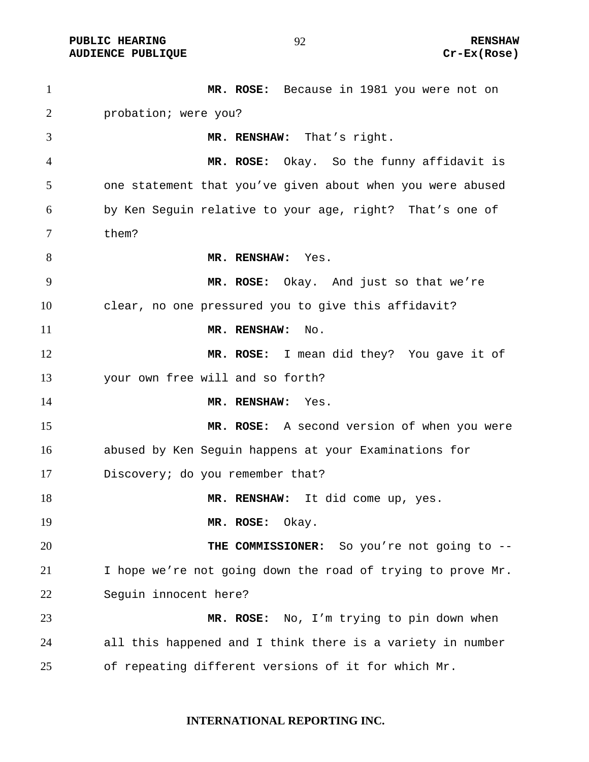PUBLIC HEARING **RENSHAW** 92 RENSHAW RENSHAW RENSHAW RENSHAW **AUDIENCE PUBLIQUE** 

| $\mathbf{1}$   | MR. ROSE: Because in 1981 you were not on                   |
|----------------|-------------------------------------------------------------|
| $\overline{2}$ | probation; were you?                                        |
| 3              | MR. RENSHAW: That's right.                                  |
| $\overline{4}$ | MR. ROSE: Okay. So the funny affidavit is                   |
| 5              | one statement that you've given about when you were abused  |
| 6              | by Ken Seguin relative to your age, right? That's one of    |
| 7              | them?                                                       |
| 8              | MR. RENSHAW: Yes.                                           |
| 9              | MR. ROSE: Okay. And just so that we're                      |
| 10             | clear, no one pressured you to give this affidavit?         |
| 11             | MR. RENSHAW:<br>No.                                         |
| 12             | MR. ROSE: I mean did they? You gave it of                   |
| 13             | your own free will and so forth?                            |
| 14             | MR. RENSHAW:<br>Yes.                                        |
| 15             | MR. ROSE: A second version of when you were                 |
| 16             | abused by Ken Seguin happens at your Examinations for       |
| 17             | Discovery; do you remember that?                            |
| 18             | MR. RENSHAW: It did come up, yes.                           |
| 19             | MR. ROSE:<br>Okay.                                          |
| 20             | THE COMMISSIONER: So you're not going to --                 |
| 21             | I hope we're not going down the road of trying to prove Mr. |
| 22             | Seguin innocent here?                                       |
| 23             | MR. ROSE: No, I'm trying to pin down when                   |
| 24             | all this happened and I think there is a variety in number  |
| 25             | of repeating different versions of it for which Mr.         |

**INTERNATIONAL REPORTING INC.**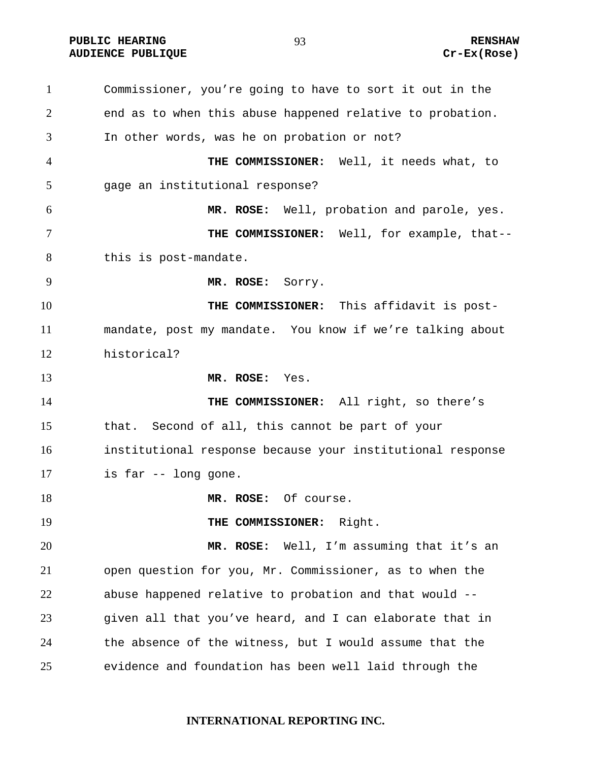**PUBLIC HEARING 693** 93 RENSHAW **AUDIENCE PUBLIQUE Cr-Ex(Rose)** 

Commissioner, you're going to have to sort it out in the end as to when this abuse happened relative to probation. In other words, was he on probation or not? **THE COMMISSIONER:** Well, it needs what, to gage an institutional response? **MR. ROSE:** Well, probation and parole, yes. **THE COMMISSIONER:** Well, for example, that-- this is post-mandate. **MR. ROSE:** Sorry. **THE COMMISSIONER:** This affidavit is post-mandate, post my mandate. You know if we're talking about historical? **MR. ROSE:** Yes. **THE COMMISSIONER:** All right, so there's that. Second of all, this cannot be part of your institutional response because your institutional response is far -- long gone. **MR. ROSE:** Of course. **THE COMMISSIONER:** Right. **MR. ROSE:** Well, I'm assuming that it's an open question for you, Mr. Commissioner, as to when the abuse happened relative to probation and that would -- given all that you've heard, and I can elaborate that in the absence of the witness, but I would assume that the evidence and foundation has been well laid through the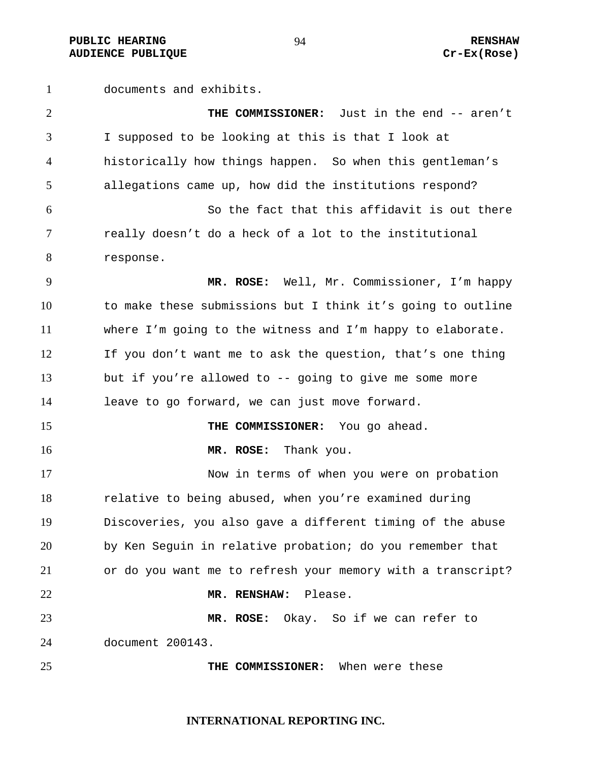PUBLIC HEARING **RENSHAW** PUBLIC HEARING **RENSHAW RENSHAW RENSHAW RENSHAW RENSHAW Cr-Ex(Rose) AUDIENCE PUBLIQUE** 

documents and exhibits.

| $\overline{2}$ | THE COMMISSIONER: Just in the end -- aren't                 |
|----------------|-------------------------------------------------------------|
| 3              | I supposed to be looking at this is that I look at          |
| 4              | historically how things happen. So when this gentleman's    |
| 5              | allegations came up, how did the institutions respond?      |
| 6              | So the fact that this affidavit is out there                |
| 7              | really doesn't do a heck of a lot to the institutional      |
| 8              | response.                                                   |
| 9              | MR. ROSE: Well, Mr. Commissioner, I'm happy                 |
| 10             | to make these submissions but I think it's going to outline |
| 11             | where I'm going to the witness and I'm happy to elaborate.  |
| 12             | If you don't want me to ask the question, that's one thing  |
| 13             | but if you're allowed to -- going to give me some more      |
| 14             | leave to go forward, we can just move forward.              |
| 15             | THE COMMISSIONER: You go ahead.                             |
| 16             | MR. ROSE: Thank you.                                        |
| 17             | Now in terms of when you were on probation                  |
| 18             | relative to being abused, when you're examined during       |
| 19             | Discoveries, you also gave a different timing of the abuse  |
| 20             | by Ken Seguin in relative probation; do you remember that   |
| 21             | or do you want me to refresh your memory with a transcript? |
| 22             | Please.<br>MR. RENSHAW:                                     |
| 23             | Okay. So if we can refer to<br>MR. ROSE:                    |
| 24             | document 200143.                                            |
| 25             | THE COMMISSIONER: When were these                           |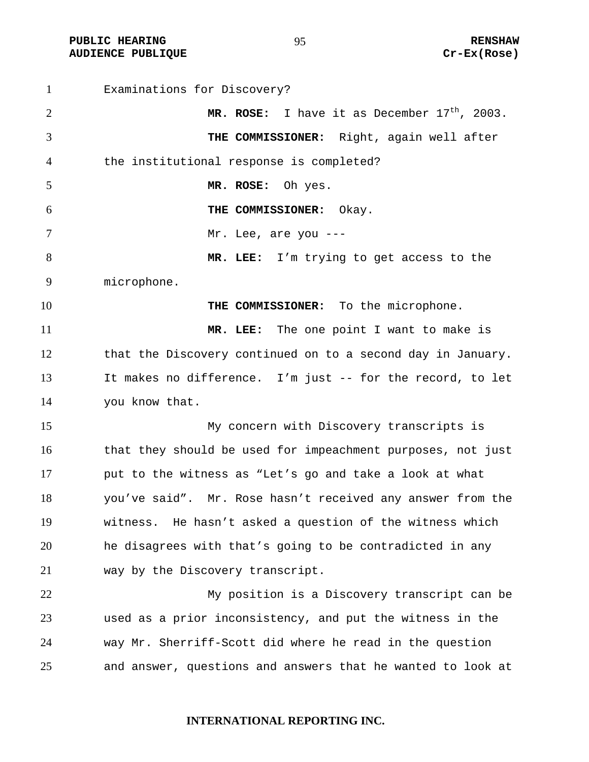**PUBLIC HEARING RENSHAW AUDIENCE PUBLIQUE Cr-Ex(Rose)** 

Examinations for Discovery? **MR. ROSE:** I have it as December  $17<sup>th</sup>$ , 2003. **THE COMMISSIONER:** Right, again well after the institutional response is completed? **MR. ROSE:** Oh yes. **THE COMMISSIONER:** Okay. 7 Mr. Lee, are you ---**MR. LEE:** I'm trying to get access to the microphone. **THE COMMISSIONER:** To the microphone. **MR. LEE:** The one point I want to make is that the Discovery continued on to a second day in January. It makes no difference. I'm just -- for the record, to let you know that. My concern with Discovery transcripts is that they should be used for impeachment purposes, not just put to the witness as "Let's go and take a look at what you've said". Mr. Rose hasn't received any answer from the witness. He hasn't asked a question of the witness which he disagrees with that's going to be contradicted in any way by the Discovery transcript. My position is a Discovery transcript can be used as a prior inconsistency, and put the witness in the way Mr. Sherriff-Scott did where he read in the question and answer, questions and answers that he wanted to look at

**INTERNATIONAL REPORTING INC.**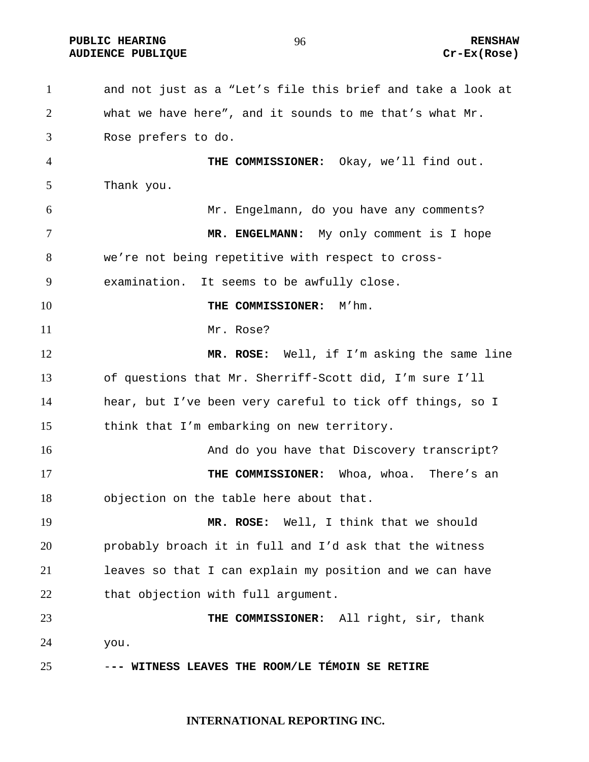**PUBLIC HEARING 60 CONTROL** 2006 CONTROLLER RENSHAW **AUDIENCE PUBLIQUE Cr-Ex(Rose)** 

and not just as a "Let's file this brief and take a look at what we have here", and it sounds to me that's what Mr. Rose prefers to do. **THE COMMISSIONER:** Okay, we'll find out. Thank you. Mr. Engelmann, do you have any comments? **MR. ENGELMANN:** My only comment is I hope we're not being repetitive with respect to cross-examination. It seems to be awfully close. **THE COMMISSIONER:** M'hm. 11 Mr. Rose? **MR. ROSE:** Well, if I'm asking the same line of questions that Mr. Sherriff-Scott did, I'm sure I'll hear, but I've been very careful to tick off things, so I think that I'm embarking on new territory. 16 And do you have that Discovery transcript? **THE COMMISSIONER:** Whoa, whoa. There's an objection on the table here about that. **MR. ROSE:** Well, I think that we should probably broach it in full and I'd ask that the witness leaves so that I can explain my position and we can have 22 that objection with full argument. **THE COMMISSIONER:** All right, sir, thank you. -**-- WITNESS LEAVES THE ROOM/LE TÉMOIN SE RETIRE**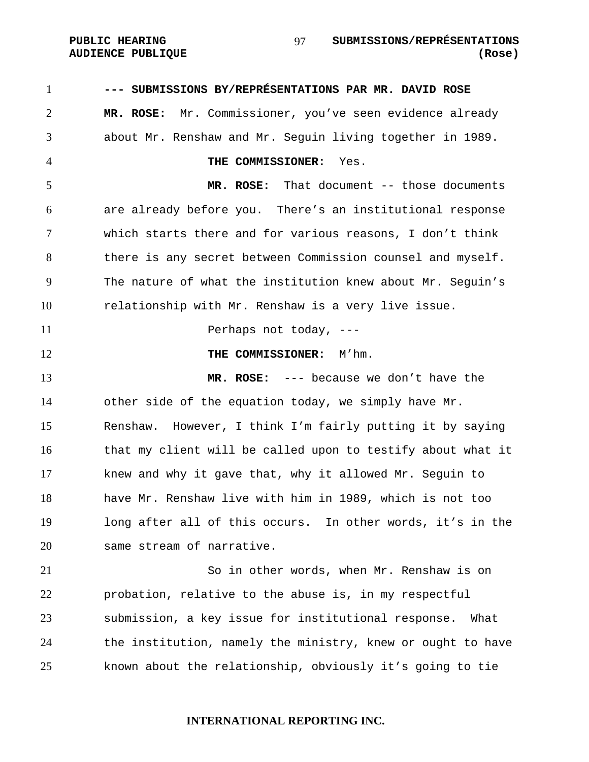**--- SUBMISSIONS BY/REPRÉSENTATIONS PAR MR. DAVID ROSE MR. ROSE:** Mr. Commissioner, you've seen evidence already about Mr. Renshaw and Mr. Seguin living together in 1989. **THE COMMISSIONER:** Yes. **MR. ROSE:** That document -- those documents are already before you. There's an institutional response which starts there and for various reasons, I don't think there is any secret between Commission counsel and myself. The nature of what the institution knew about Mr. Seguin's relationship with Mr. Renshaw is a very live issue. 11 Perhaps not today, ---**THE COMMISSIONER:** M'hm. **MR. ROSE:** --- because we don't have the other side of the equation today, we simply have Mr. Renshaw. However, I think I'm fairly putting it by saying that my client will be called upon to testify about what it knew and why it gave that, why it allowed Mr. Seguin to have Mr. Renshaw live with him in 1989, which is not too long after all of this occurs. In other words, it's in the same stream of narrative. So in other words, when Mr. Renshaw is on probation, relative to the abuse is, in my respectful submission, a key issue for institutional response. What 24 the institution, namely the ministry, knew or ought to have known about the relationship, obviously it's going to tie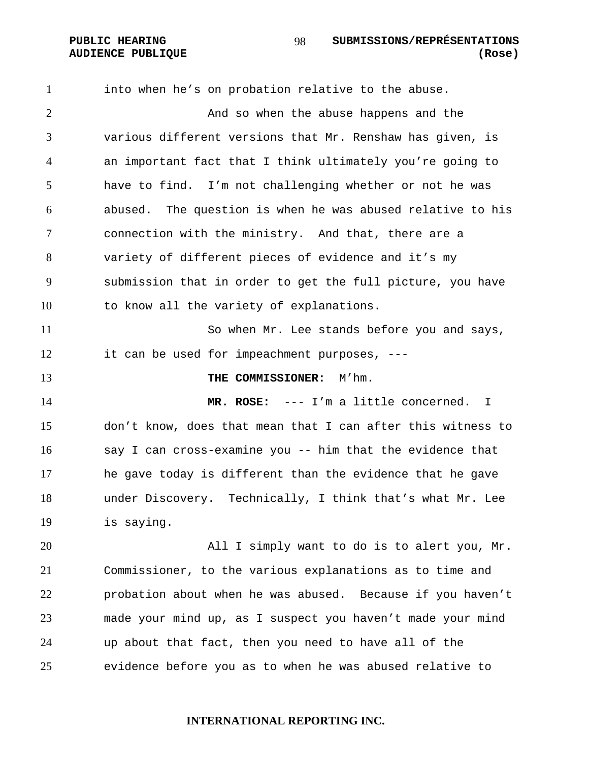into when he's on probation relative to the abuse. And so when the abuse happens and the various different versions that Mr. Renshaw has given, is an important fact that I think ultimately you're going to have to find. I'm not challenging whether or not he was abused. The question is when he was abused relative to his connection with the ministry. And that, there are a variety of different pieces of evidence and it's my submission that in order to get the full picture, you have to know all the variety of explanations. So when Mr. Lee stands before you and says, it can be used for impeachment purposes, --- **THE COMMISSIONER:** M'hm. **MR. ROSE:** --- I'm a little concerned. I don't know, does that mean that I can after this witness to say I can cross-examine you -- him that the evidence that he gave today is different than the evidence that he gave under Discovery. Technically, I think that's what Mr. Lee is saying. All I simply want to do is to alert you, Mr. Commissioner, to the various explanations as to time and probation about when he was abused. Because if you haven't made your mind up, as I suspect you haven't made your mind up about that fact, then you need to have all of the evidence before you as to when he was abused relative to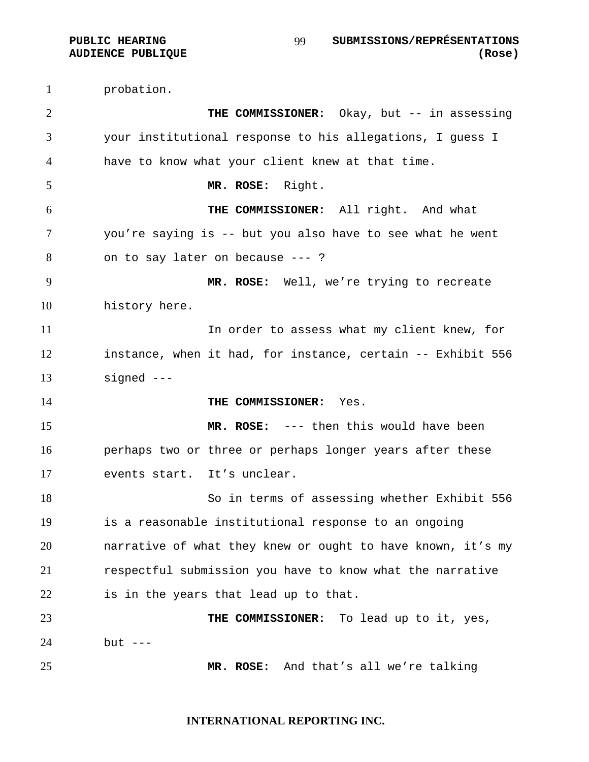probation. **THE COMMISSIONER:** Okay, but -- in assessing your institutional response to his allegations, I guess I have to know what your client knew at that time. **MR. ROSE:** Right. **THE COMMISSIONER:** All right. And what you're saying is -- but you also have to see what he went on to say later on because --- ? **MR. ROSE:** Well, we're trying to recreate history here. In order to assess what my client knew, for instance, when it had, for instance, certain -- Exhibit 556 signed --- **THE COMMISSIONER:** Yes. **MR. ROSE:** --- then this would have been perhaps two or three or perhaps longer years after these events start. It's unclear. So in terms of assessing whether Exhibit 556 is a reasonable institutional response to an ongoing narrative of what they knew or ought to have known, it's my respectful submission you have to know what the narrative is in the years that lead up to that. **THE COMMISSIONER:** To lead up to it, yes, but --- **MR. ROSE:** And that's all we're talking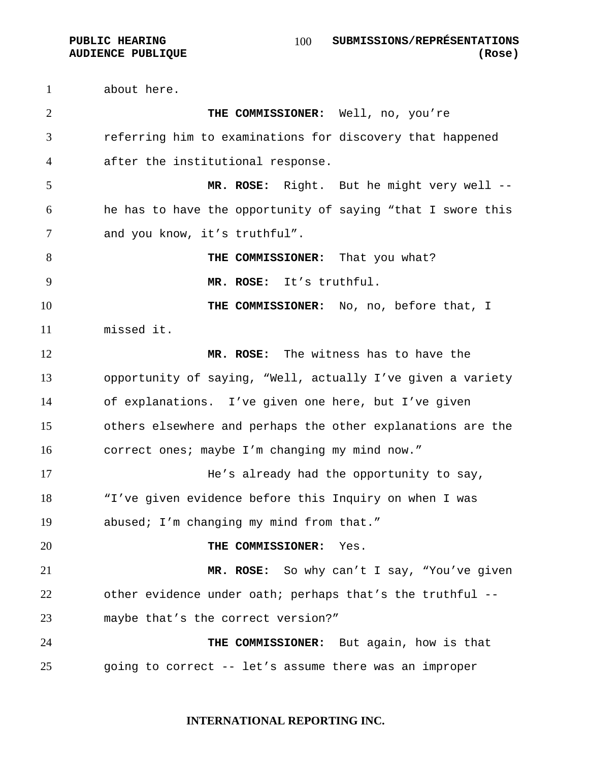**AUDIENCE PUBLIQUE (Rose)**  about here. **THE COMMISSIONER:** Well, no, you're referring him to examinations for discovery that happened after the institutional response. **MR. ROSE:** Right. But he might very well -- he has to have the opportunity of saying "that I swore this and you know, it's truthful". **THE COMMISSIONER:** That you what? **MR. ROSE:** It's truthful. **THE COMMISSIONER:** No, no, before that, I missed it. **MR. ROSE:** The witness has to have the opportunity of saying, "Well, actually I've given a variety of explanations. I've given one here, but I've given others elsewhere and perhaps the other explanations are the correct ones; maybe I'm changing my mind now." 17 He's already had the opportunity to say, "I've given evidence before this Inquiry on when I was abused; I'm changing my mind from that." **THE COMMISSIONER:** Yes. **MR. ROSE:** So why can't I say, "You've given other evidence under oath; perhaps that's the truthful -- maybe that's the correct version?" **THE COMMISSIONER:** But again, how is that

going to correct -- let's assume there was an improper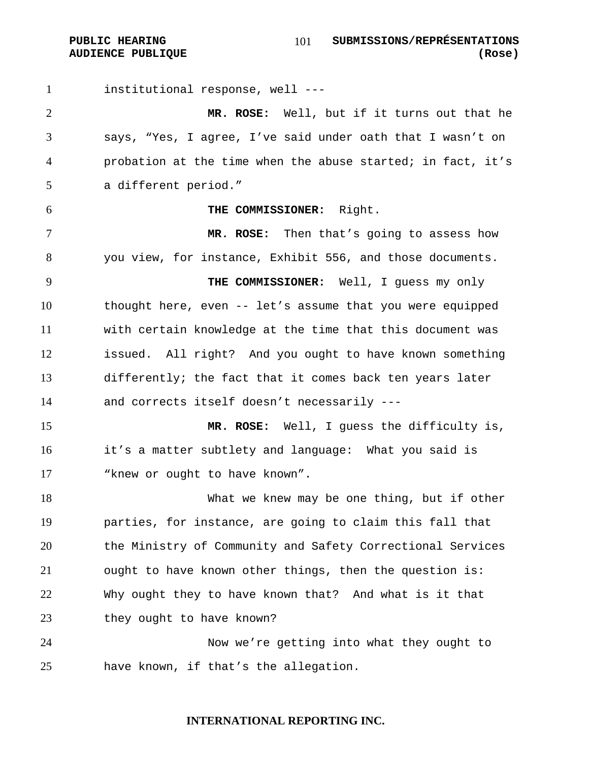institutional response, well ---

**MR. ROSE:** Well, but if it turns out that he says, "Yes, I agree, I've said under oath that I wasn't on probation at the time when the abuse started; in fact, it's a different period."

#### **THE COMMISSIONER:** Right.

**MR. ROSE:** Then that's going to assess how you view, for instance, Exhibit 556, and those documents.

**THE COMMISSIONER:** Well, I guess my only thought here, even -- let's assume that you were equipped with certain knowledge at the time that this document was issued. All right? And you ought to have known something differently; the fact that it comes back ten years later and corrects itself doesn't necessarily ---

**MR. ROSE:** Well, I guess the difficulty is, it's a matter subtlety and language: What you said is "knew or ought to have known".

What we knew may be one thing, but if other parties, for instance, are going to claim this fall that the Ministry of Community and Safety Correctional Services ought to have known other things, then the question is: Why ought they to have known that? And what is it that 23 they ought to have known?

Now we're getting into what they ought to have known, if that's the allegation.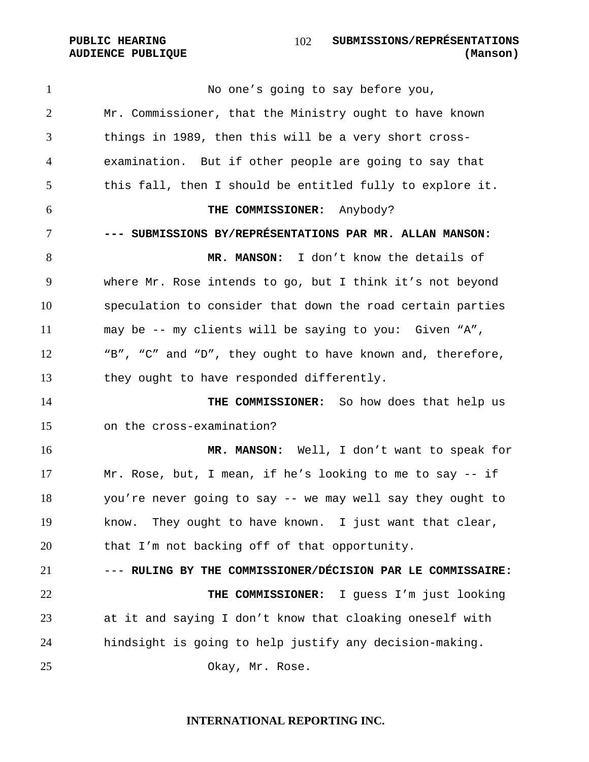No one's going to say before you, Mr. Commissioner, that the Ministry ought to have known things in 1989, then this will be a very short cross-examination. But if other people are going to say that this fall, then I should be entitled fully to explore it. **THE COMMISSIONER:** Anybody? **--- SUBMISSIONS BY/REPRÉSENTATIONS PAR MR. ALLAN MANSON: MR. MANSON:** I don't know the details of where Mr. Rose intends to go, but I think it's not beyond speculation to consider that down the road certain parties may be -- my clients will be saying to you: Given "A", "B", "C" and "D", they ought to have known and, therefore, they ought to have responded differently. **THE COMMISSIONER:** So how does that help us on the cross-examination? **MR. MANSON:** Well, I don't want to speak for Mr. Rose, but, I mean, if he's looking to me to say -- if you're never going to say -- we may well say they ought to know. They ought to have known. I just want that clear, that I'm not backing off of that opportunity. --- **RULING BY THE COMMISSIONER/DÉCISION PAR LE COMMISSAIRE: THE COMMISSIONER:** I guess I'm just looking at it and saying I don't know that cloaking oneself with hindsight is going to help justify any decision-making. Okay, Mr. Rose.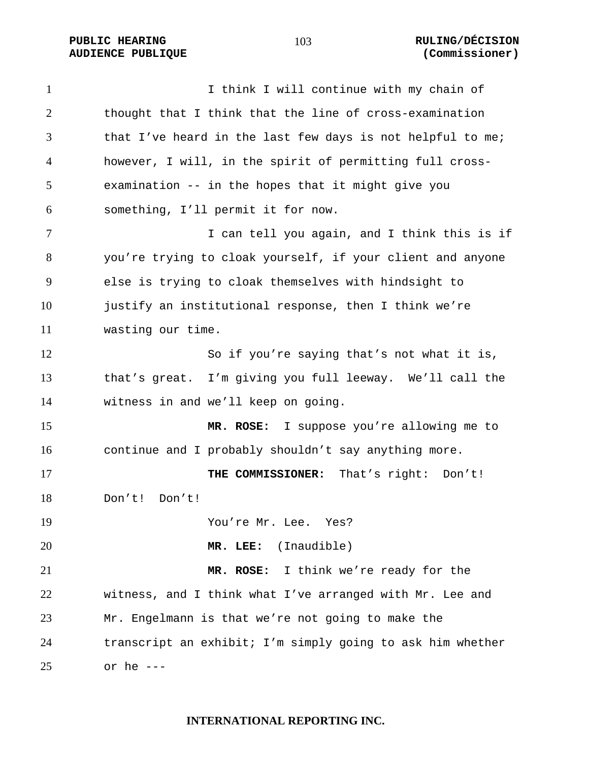## **PUBLIC HEARING 103** 103 RULING/DÉCISION **AUDIENCE PUBLIQUE (Commissioner)**

1 I think I will continue with my chain of thought that I think that the line of cross-examination 3 that I've heard in the last few days is not helpful to me; however, I will, in the spirit of permitting full cross-examination -- in the hopes that it might give you something, I'll permit it for now. 7 I can tell you again, and I think this is if you're trying to cloak yourself, if your client and anyone else is trying to cloak themselves with hindsight to justify an institutional response, then I think we're wasting our time. So if you're saying that's not what it is, that's great. I'm giving you full leeway. We'll call the witness in and we'll keep on going. **MR. ROSE:** I suppose you're allowing me to continue and I probably shouldn't say anything more. **THE COMMISSIONER:** That's right: Don't! Don't! Don't! You're Mr. Lee. Yes? **MR. LEE:** (Inaudible) **MR. ROSE:** I think we're ready for the witness, and I think what I've arranged with Mr. Lee and Mr. Engelmann is that we're not going to make the transcript an exhibit; I'm simply going to ask him whether or he ---

## **INTERNATIONAL REPORTING INC.**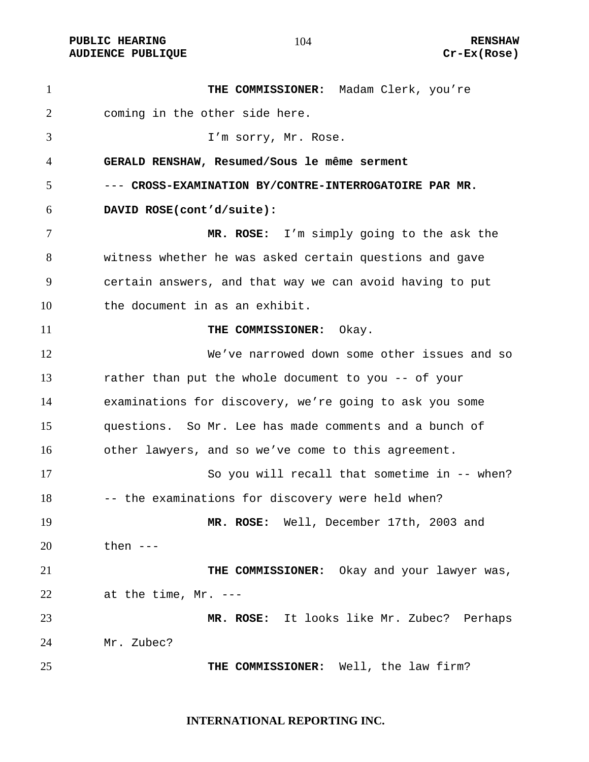**PUBLIC HEARING 104** 104 RENSHAW **AUDIENCE PUBLIQUE Cr-Ex(Rose)** 

**THE COMMISSIONER:** Madam Clerk, you're coming in the other side here. I'm sorry, Mr. Rose. **GERALD RENSHAW, Resumed/Sous le même serment**  --- **CROSS-EXAMINATION BY/CONTRE-INTERROGATOIRE PAR MR. DAVID ROSE(cont'd/suite): MR. ROSE:** I'm simply going to the ask the witness whether he was asked certain questions and gave certain answers, and that way we can avoid having to put the document in as an exhibit. **THE COMMISSIONER:** Okay. We've narrowed down some other issues and so rather than put the whole document to you -- of your examinations for discovery, we're going to ask you some questions. So Mr. Lee has made comments and a bunch of other lawyers, and so we've come to this agreement. So you will recall that sometime in -- when? 18 -- the examinations for discovery were held when? **MR. ROSE:** Well, December 17th, 2003 and then --- **THE COMMISSIONER:** Okay and your lawyer was, at the time, Mr. --- **MR. ROSE:** It looks like Mr. Zubec? Perhaps Mr. Zubec? **THE COMMISSIONER:** Well, the law firm?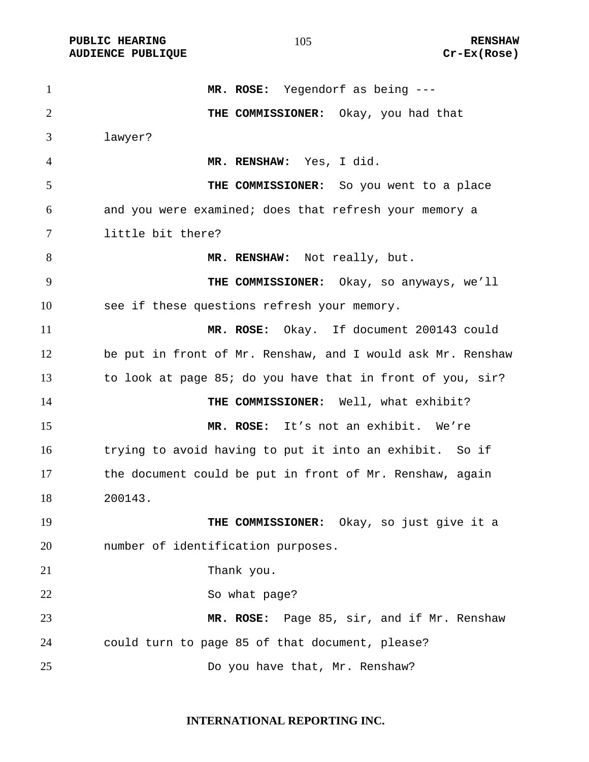**PUBLIC HEARING 105** 105 RENSHAW **AUDIENCE PUBLIQUE Cr-Ex(Rose)** 

**MR. ROSE:** Yegendorf as being --- **THE COMMISSIONER:** Okay, you had that lawyer? **MR. RENSHAW:** Yes, I did. **THE COMMISSIONER:** So you went to a place and you were examined; does that refresh your memory a little bit there? 8 MR. RENSHAW: Not really, but. **THE COMMISSIONER:** Okay, so anyways, we'll see if these questions refresh your memory. **MR. ROSE:** Okay. If document 200143 could be put in front of Mr. Renshaw, and I would ask Mr. Renshaw to look at page 85; do you have that in front of you, sir? **THE COMMISSIONER:** Well, what exhibit? **MR. ROSE:** It's not an exhibit. We're trying to avoid having to put it into an exhibit. So if the document could be put in front of Mr. Renshaw, again 200143. **THE COMMISSIONER:** Okay, so just give it a number of identification purposes. 21 Thank you. 22 So what page? **MR. ROSE:** Page 85, sir, and if Mr. Renshaw could turn to page 85 of that document, please? Do you have that, Mr. Renshaw?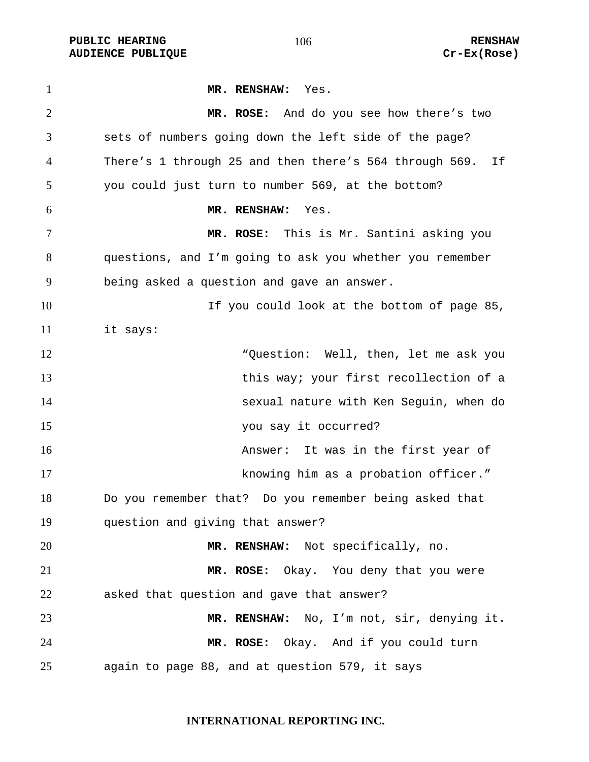PUBLIC HEARING **RENSHAW** 106 RENSHAW RENSHAW RENSHAW RENSHAW **AUDIENCE PUBLIQUE** 

| $\mathbf{1}$   | MR. RENSHAW: Yes.                                            |
|----------------|--------------------------------------------------------------|
| $\overline{2}$ | MR. ROSE: And do you see how there's two                     |
| 3              | sets of numbers going down the left side of the page?        |
| 4              | There's 1 through 25 and then there's 564 through 569.<br>If |
| 5              | you could just turn to number 569, at the bottom?            |
| 6              | MR. RENSHAW:<br>Yes.                                         |
| $\tau$         | MR. ROSE: This is Mr. Santini asking you                     |
| 8              | questions, and I'm going to ask you whether you remember     |
| 9              | being asked a question and gave an answer.                   |
| 10             | If you could look at the bottom of page 85,                  |
| 11             | it says:                                                     |
| 12             | "Question: Well, then, let me ask you                        |
| 13             | this way; your first recollection of a                       |
| 14             | sexual nature with Ken Seguin, when do                       |
| 15             | you say it occurred?                                         |
| 16             | Answer: It was in the first year of                          |
| 17             | knowing him as a probation officer."                         |
| 18             | Do you remember that? Do you remember being asked that       |
| 19             | question and giving that answer?                             |
| 20             | MR. RENSHAW: Not specifically, no.                           |
| 21             | MR. ROSE: Okay. You deny that you were                       |
| 22             | asked that question and gave that answer?                    |
| 23             | MR. RENSHAW: No, I'm not, sir, denying it.                   |
| 24             | MR. ROSE: Okay. And if you could turn                        |
| 25             | again to page 88, and at question 579, it says               |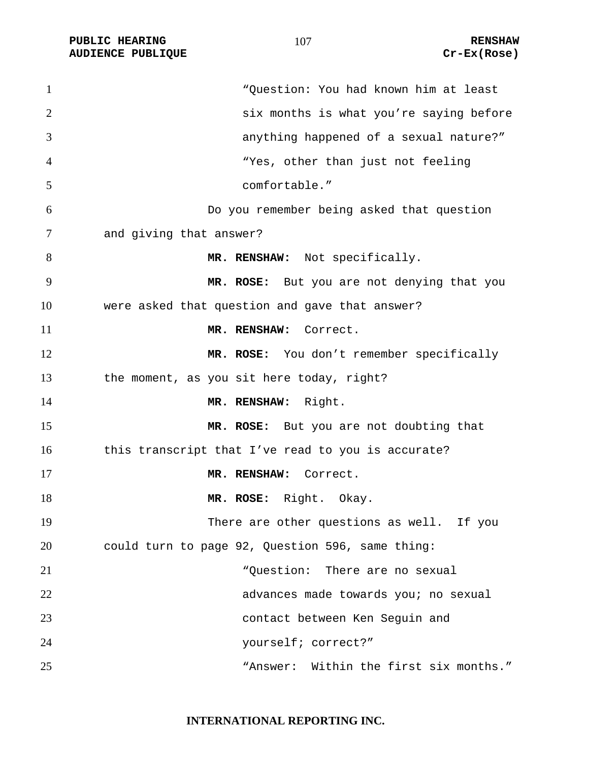PUBLIC HEARING **RENSHAW** 107 **RENSHAW** RENSHAW **RENSHAW RENSHAW RENSHAW RENSHAW RENSHAW AUDIENCE PUBLIQUE** 

| $\mathbf{1}$   | "Question: You had known him at least              |
|----------------|----------------------------------------------------|
| $\overline{2}$ | six months is what you're saying before            |
| 3              | anything happened of a sexual nature?"             |
| $\overline{4}$ | "Yes, other than just not feeling                  |
| 5              | comfortable."                                      |
| 6              | Do you remember being asked that question          |
| 7              | and giving that answer?                            |
| 8              | MR. RENSHAW: Not specifically.                     |
| 9              | MR. ROSE: But you are not denying that you         |
| 10             | were asked that question and gave that answer?     |
| 11             | MR. RENSHAW: Correct.                              |
| 12             | MR. ROSE: You don't remember specifically          |
| 13             | the moment, as you sit here today, right?          |
| 14             | MR. RENSHAW: Right.                                |
| 15             | MR. ROSE: But you are not doubting that            |
| 16             | this transcript that I've read to you is accurate? |
| 17             | MR. RENSHAW: Correct.                              |
| 18             | MR. ROSE: Right. Okay.                             |
| 19             | There are other questions as well. If you          |
| 20             | could turn to page 92, Question 596, same thing:   |
| 21             | "Question: There are no sexual                     |
| 22             | advances made towards you; no sexual               |
| 23             | contact between Ken Seguin and                     |
| 24             | yourself; correct?"                                |
| 25             | "Answer: Within the first six months."             |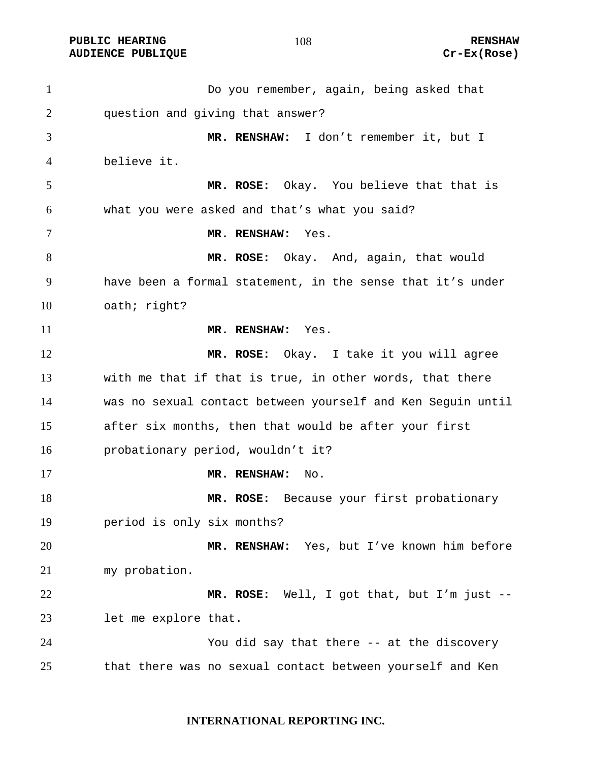**PUBLIC HEARING 108** 108 RENSHAW **AUDIENCE PUBLIQUE Cr-Ex(Rose)** 

Do you remember, again, being asked that question and giving that answer? **MR. RENSHAW:** I don't remember it, but I believe it. **MR. ROSE:** Okay. You believe that that is what you were asked and that's what you said? **MR. RENSHAW:** Yes. **MR. ROSE:** Okay. And, again, that would have been a formal statement, in the sense that it's under oath; right? **MR. RENSHAW:** Yes. **MR. ROSE:** Okay. I take it you will agree with me that if that is true, in other words, that there was no sexual contact between yourself and Ken Seguin until after six months, then that would be after your first probationary period, wouldn't it? **MR. RENSHAW:** No. **MR. ROSE:** Because your first probationary period is only six months? **MR. RENSHAW:** Yes, but I've known him before my probation. **MR. ROSE:** Well, I got that, but I'm just -- let me explore that. You did say that there -- at the discovery that there was no sexual contact between yourself and Ken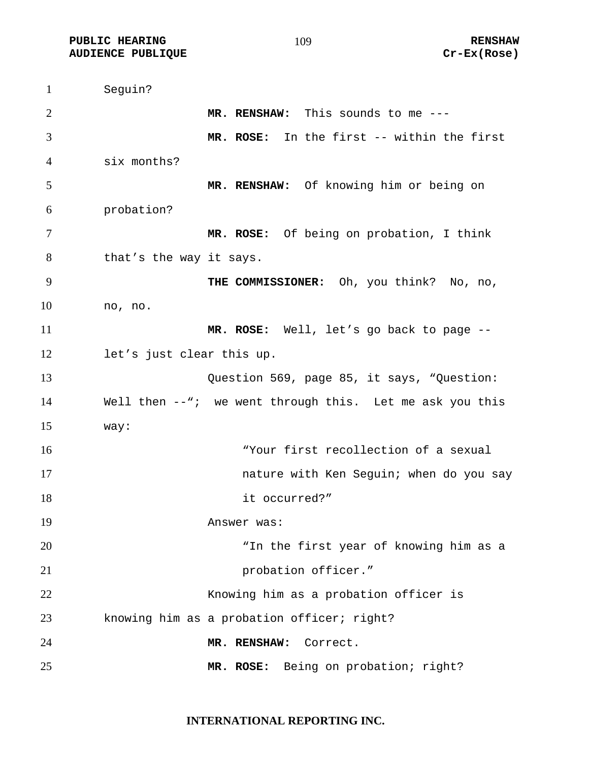**PUBLIC HEARING 109 109 RENSHAW AUDIENCE PUBLIQUE Cr-Ex(Rose)** 

Seguin? **MR. RENSHAW:** This sounds to me --- **MR. ROSE:** In the first -- within the first six months? **MR. RENSHAW:** Of knowing him or being on probation? **MR. ROSE:** Of being on probation, I think 8 that's the way it says. **THE COMMISSIONER:** Oh, you think? No, no, no, no. **MR. ROSE:** Well, let's go back to page -- let's just clear this up. Question 569, page 85, it says, "Question: Well then --"; we went through this. Let me ask you this way: "Your first recollection of a sexual **17 nature with Ken Seguin; when do you say** 18 it occurred?" Answer was: "In the first year of knowing him as a **probation officer.**" Knowing him as a probation officer is knowing him as a probation officer; right? **MR. RENSHAW:** Correct. **MR. ROSE:** Being on probation; right?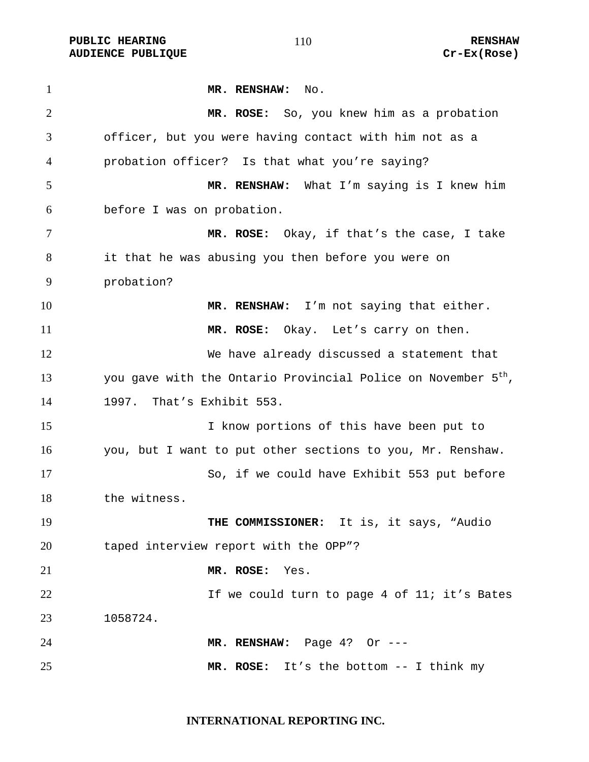PUBLIC HEARING **RENSHAW** 110 **RENSHAW** RENSHAW<br>AUDIENCE PUBLIQUE **RENSHAW** 2001 Cr-Ex(Rose) **AUDIENCE PUBLIQUE** 

| $\mathbf{1}$   | MR. RENSHAW:<br>No.                                                       |
|----------------|---------------------------------------------------------------------------|
| $\overline{2}$ | MR. ROSE: So, you knew him as a probation                                 |
| 3              | officer, but you were having contact with him not as a                    |
| 4              | probation officer? Is that what you're saying?                            |
| 5              | MR. RENSHAW: What I'm saying is I knew him                                |
| 6              | before I was on probation.                                                |
| 7              | MR. ROSE: Okay, if that's the case, I take                                |
| 8              | it that he was abusing you then before you were on                        |
| 9              | probation?                                                                |
| 10             | MR. RENSHAW: I'm not saying that either.                                  |
| 11             | MR. ROSE: Okay. Let's carry on then.                                      |
| 12             | We have already discussed a statement that                                |
| 13             | you gave with the Ontario Provincial Police on November 5 <sup>th</sup> , |
| 14             | That's Exhibit 553.<br>1997.                                              |
| 15             | I know portions of this have been put to                                  |
| 16             | you, but I want to put other sections to you, Mr. Renshaw.                |
| 17             | So, if we could have Exhibit 553 put before                               |
| 18             | the witness.                                                              |
| 19             | THE COMMISSIONER: It is, it says, "Audio                                  |
| 20             | taped interview report with the OPP"?                                     |
| 21             | MR. ROSE: Yes.                                                            |
| 22             | If we could turn to page 4 of 11; it's Bates                              |
| 23             | 1058724.                                                                  |
| 24             | MR. RENSHAW: Page 4? Or ---                                               |
| 25             | MR. ROSE: It's the bottom -- I think my                                   |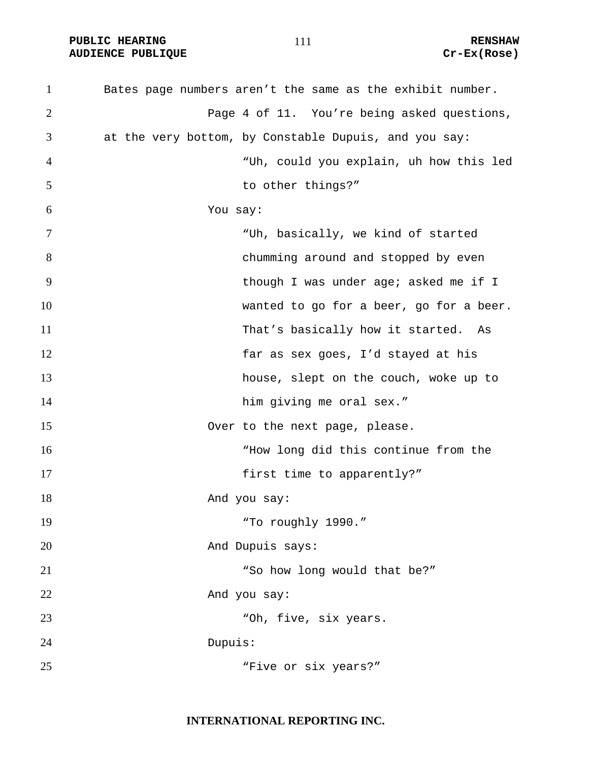PUBLIC HEARING **RENSHAW** 111 RENSHAW RENSHAW RENSHAW RENSHAW **AUDIENCE PUBLIQUE** 

| $\mathbf{1}$   | Bates page numbers aren't the same as the exhibit number. |
|----------------|-----------------------------------------------------------|
| $\overline{2}$ | Page 4 of 11. You're being asked questions,               |
| 3              | at the very bottom, by Constable Dupuis, and you say:     |
| $\overline{4}$ | "Uh, could you explain, uh how this led                   |
| 5              | to other things?"                                         |
| 6              | You say:                                                  |
| 7              | "Uh, basically, we kind of started                        |
| 8              | chumming around and stopped by even                       |
| 9              | though I was under age; asked me if I                     |
| 10             | wanted to go for a beer, go for a beer.                   |
| 11             | That's basically how it started. As                       |
| 12             | far as sex goes, I'd stayed at his                        |
| 13             | house, slept on the couch, woke up to                     |
| 14             | him giving me oral sex."                                  |
| 15             | Over to the next page, please.                            |
| 16             | "How long did this continue from the                      |
| 17             | first time to apparently?"                                |
| 18             | And you say:                                              |
| 19             | "To roughly 1990."                                        |
| 20             | And Dupuis says:                                          |
| 21             | "So how long would that be?"                              |
| 22             | And you say:                                              |
| 23             | "Oh, five, six years.                                     |
| 24             | Dupuis:                                                   |
| 25             | "Five or six years?"                                      |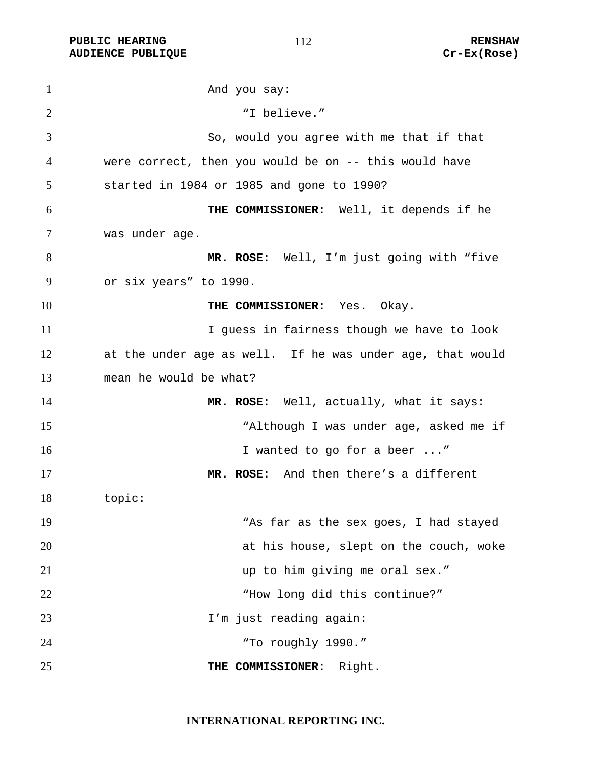PUBLIC HEARING **RENSHAW** 112 RENSHAW RENSHAW RENSHAW RENSHAW **AUDIENCE PUBLIQUE** 

| $\mathbf{1}$   | And you say:                                              |
|----------------|-----------------------------------------------------------|
| $\overline{2}$ | "I believe."                                              |
| 3              | So, would you agree with me that if that                  |
| 4              | were correct, then you would be on -- this would have     |
| 5              | started in 1984 or 1985 and gone to 1990?                 |
| 6              | THE COMMISSIONER: Well, it depends if he                  |
| 7              | was under age.                                            |
| 8              | MR. ROSE: Well, I'm just going with "five                 |
| 9              | or six years" to 1990.                                    |
| 10             | THE COMMISSIONER: Yes. Okay.                              |
| 11             | I guess in fairness though we have to look                |
| 12             | at the under age as well. If he was under age, that would |
| 13             | mean he would be what?                                    |
| 14             | MR. ROSE: Well, actually, what it says:                   |
| 15             | "Although I was under age, asked me if                    |
| 16             | I wanted to go for a beer "                               |
| 17             | MR. ROSE: And then there's a different                    |
| 18             | topic:                                                    |
| 19             | "As far as the sex goes, I had stayed                     |
| 20             | at his house, slept on the couch, woke                    |
| 21             | up to him giving me oral sex."                            |
| 22             | "How long did this continue?"                             |
| 23             | I'm just reading again:                                   |
| 24             | "To roughly 1990."                                        |
| 25             | Right.<br>THE COMMISSIONER:                               |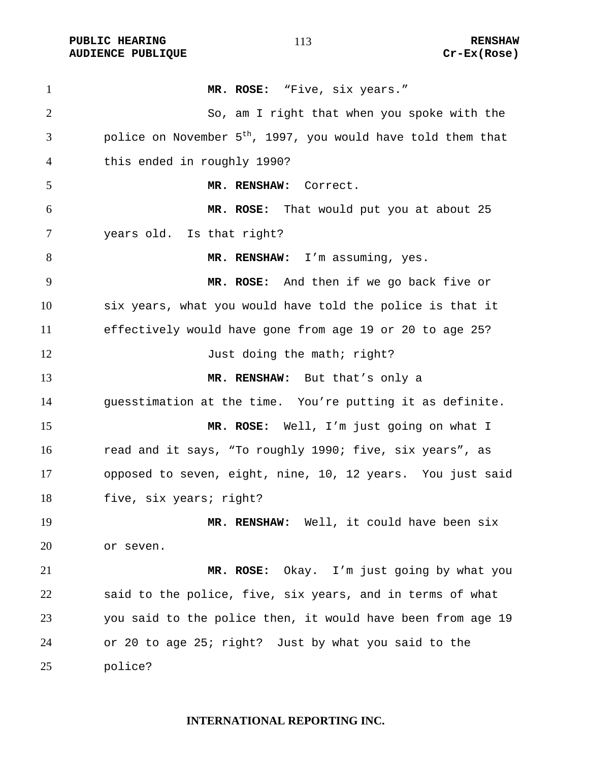PUBLIC HEARING **RENSHAW** 113 RENSHAW RENSHAW RENSHAW RENSHAW **AUDIENCE PUBLIQUE** 

| $\mathbf{1}$   | MR. ROSE: "Five, six years."                                             |
|----------------|--------------------------------------------------------------------------|
| $\overline{2}$ | So, am I right that when you spoke with the                              |
| 3              | police on November 5 <sup>th</sup> , 1997, you would have told them that |
| 4              | this ended in roughly 1990?                                              |
| 5              | MR. RENSHAW:<br>Correct.                                                 |
| 6              | MR. ROSE: That would put you at about 25                                 |
| 7              | years old. Is that right?                                                |
| 8              | MR. RENSHAW: I'm assuming, yes.                                          |
| 9              | MR. ROSE: And then if we go back five or                                 |
| 10             | six years, what you would have told the police is that it                |
| 11             | effectively would have gone from age 19 or 20 to age 25?                 |
| 12             | Just doing the math; right?                                              |
| 13             | MR. RENSHAW: But that's only a                                           |
| 14             | guesstimation at the time. You're putting it as definite.                |
| 15             | MR. ROSE: Well, I'm just going on what I                                 |
| 16             | read and it says, "To roughly 1990; five, six years", as                 |
| 17             | opposed to seven, eight, nine, 10, 12 years. You just said               |
| 18             | five, six years; right?                                                  |
| 19             | MR. RENSHAW: Well, it could have been six                                |
| 20             | or seven.                                                                |
| 21             | Okay. I'm just going by what you<br>MR. ROSE:                            |
| 22             | said to the police, five, six years, and in terms of what                |
| 23             | you said to the police then, it would have been from age 19              |
| 24             | or 20 to age 25; right? Just by what you said to the                     |
| 25             | police?                                                                  |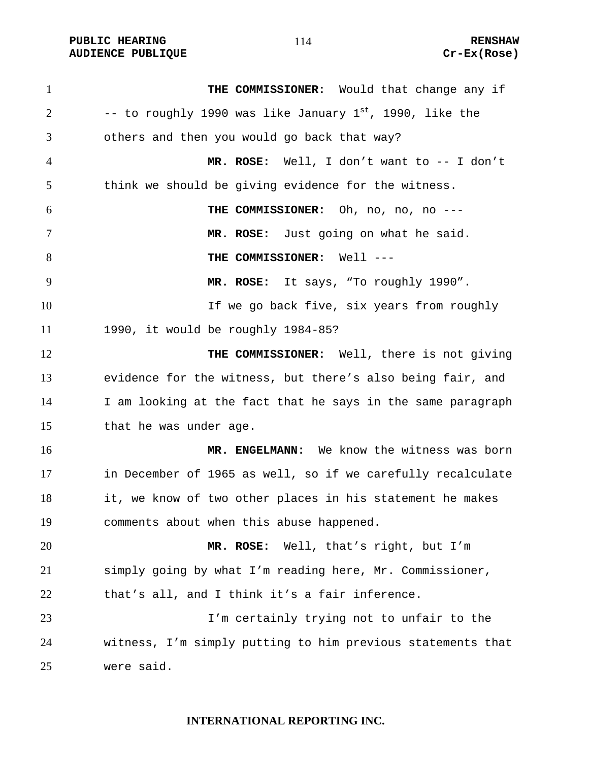PUBLIC HEARING **RENSHAW** 114 RENSHAW RENSHAW RENSHAW RENSHAW **AUDIENCE PUBLIQUE** 

| $\mathbf{1}$   | THE COMMISSIONER: Would that change any if                    |
|----------------|---------------------------------------------------------------|
| $\overline{2}$ | -- to roughly 1990 was like January $1^{st}$ , 1990, like the |
| 3              | others and then you would go back that way?                   |
| $\overline{4}$ | MR. ROSE: Well, I don't want to -- I don't                    |
| 5              | think we should be giving evidence for the witness.           |
| 6              | THE COMMISSIONER: Oh, no, no, no ---                          |
| 7              | MR. ROSE: Just going on what he said.                         |
| 8              | THE COMMISSIONER: Well ---                                    |
| 9              | MR. ROSE: It says, "To roughly 1990".                         |
| 10             | If we go back five, six years from roughly                    |
| 11             | 1990, it would be roughly 1984-85?                            |
| 12             | THE COMMISSIONER: Well, there is not giving                   |
| 13             | evidence for the witness, but there's also being fair, and    |
| 14             | I am looking at the fact that he says in the same paragraph   |
| 15             | that he was under age.                                        |
| 16             | MR. ENGELMANN: We know the witness was born                   |
| 17             | in December of 1965 as well, so if we carefully recalculate   |
| 18             | it, we know of two other places in his statement he makes     |
| 19             | comments about when this abuse happened.                      |
| 20             | MR. ROSE: Well, that's right, but I'm                         |
| 21             | simply going by what I'm reading here, Mr. Commissioner,      |
| 22             | that's all, and I think it's a fair inference.                |
| 23             | I'm certainly trying not to unfair to the                     |
| 24             | witness, I'm simply putting to him previous statements that   |
| 25             | were said.                                                    |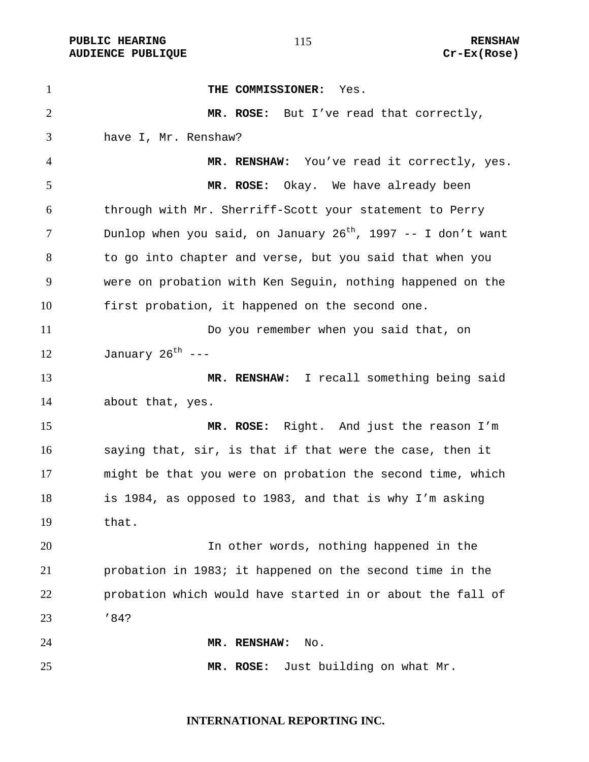PUBLIC HEARING **RENSHAW** 115 **RENSHAW** RENSHAW **RENSHAW RENSHAW RENSHAW RENSHAW RENSHAW AUDIENCE PUBLIQUE** 

| $\mathbf{1}$   | THE COMMISSIONER:<br>Yes.                                         |
|----------------|-------------------------------------------------------------------|
| $\overline{2}$ | MR. ROSE: But I've read that correctly,                           |
| 3              | have I, Mr. Renshaw?                                              |
| 4              | MR. RENSHAW: You've read it correctly, yes.                       |
| 5              | MR. ROSE: Okay. We have already been                              |
| 6              | through with Mr. Sherriff-Scott your statement to Perry           |
| 7              | Dunlop when you said, on January $26^{th}$ , 1997 -- I don't want |
| 8              | to go into chapter and verse, but you said that when you          |
| 9              | were on probation with Ken Sequin, nothing happened on the        |
| 10             | first probation, it happened on the second one.                   |
| 11             | Do you remember when you said that, on                            |
| 12             | January 26 <sup>th</sup> ---                                      |
| 13             | MR. RENSHAW: I recall something being said                        |
| 14             | about that, yes.                                                  |
| 15             | MR. ROSE: Right. And just the reason I'm                          |
| 16             | saying that, sir, is that if that were the case, then it          |
| 17             | might be that you were on probation the second time, which        |
| 18             | is 1984, as opposed to 1983, and that is why I'm asking           |
| 19             | that.                                                             |
| 20             | In other words, nothing happened in the                           |
| 21             | probation in 1983; it happened on the second time in the          |
| 22             | probation which would have started in or about the fall of        |
| 23             | '84?                                                              |
| 24             | MR. RENSHAW:<br>No.                                               |
| 25             | Just building on what Mr.<br>MR. ROSE:                            |

# **INTERNATIONAL REPORTING INC.**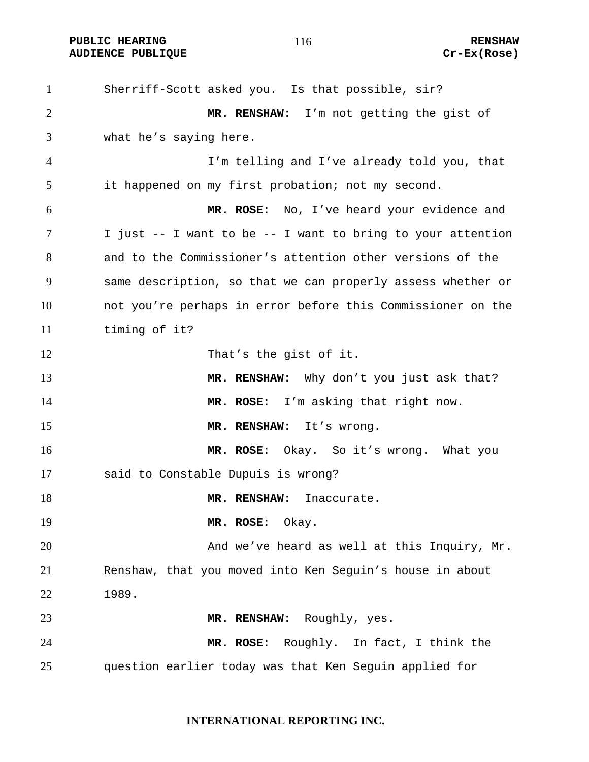Sherriff-Scott asked you. Is that possible, sir? **MR. RENSHAW:** I'm not getting the gist of what he's saying here. I'm telling and I've already told you, that it happened on my first probation; not my second. **MR. ROSE:** No, I've heard your evidence and I just -- I want to be -- I want to bring to your attention and to the Commissioner's attention other versions of the same description, so that we can properly assess whether or not you're perhaps in error before this Commissioner on the timing of it? That's the gist of it. **MR. RENSHAW:** Why don't you just ask that? **MR. ROSE:** I'm asking that right now. **MR. RENSHAW:** It's wrong. **MR. ROSE:** Okay. So it's wrong. What you said to Constable Dupuis is wrong? **MR. RENSHAW:** Inaccurate. **MR. ROSE:** Okay. And we've heard as well at this Inquiry, Mr. Renshaw, that you moved into Ken Seguin's house in about 1989. **MR. RENSHAW:** Roughly, yes. **MR. ROSE:** Roughly. In fact, I think the question earlier today was that Ken Seguin applied for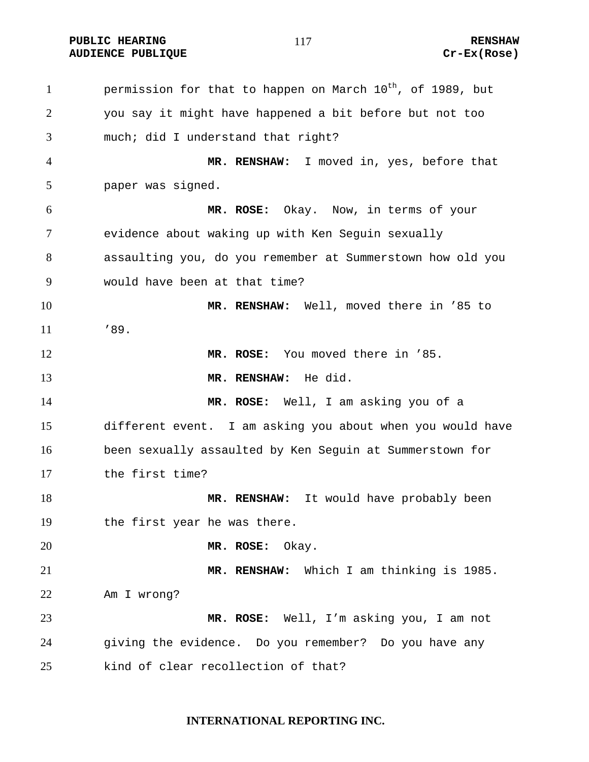**PUBLIC HEARING 117** 117 RENSHAW

1 permission for that to happen on March  $10^{th}$ , of 1989, but you say it might have happened a bit before but not too much; did I understand that right? **MR. RENSHAW:** I moved in, yes, before that paper was signed. **MR. ROSE:** Okay. Now, in terms of your evidence about waking up with Ken Seguin sexually assaulting you, do you remember at Summerstown how old you would have been at that time? **MR. RENSHAW:** Well, moved there in '85 to '89. **MR. ROSE:** You moved there in '85. **MR. RENSHAW:** He did. **MR. ROSE:** Well, I am asking you of a different event. I am asking you about when you would have been sexually assaulted by Ken Seguin at Summerstown for the first time? 18 MR. RENSHAW: It would have probably been the first year he was there. **MR. ROSE:** Okay. **MR. RENSHAW:** Which I am thinking is 1985. Am I wrong? **MR. ROSE:** Well, I'm asking you, I am not giving the evidence. Do you remember? Do you have any kind of clear recollection of that?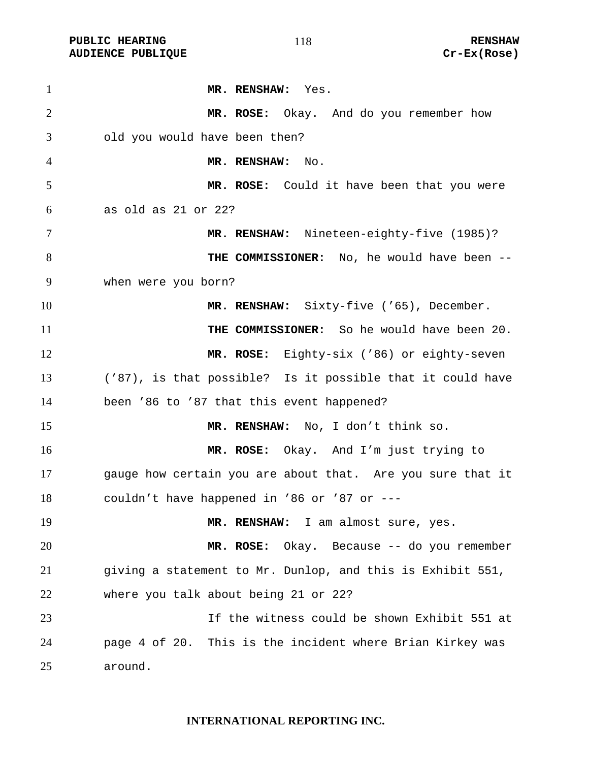PUBLIC HEARING **RENSHAW** 118 **RENSHAW** RENSHAW<br>AUDIENCE PUBLIQUE **RENSHAW** 2001 2014 **AUDIENCE PUBLIQUE** 

| $\mathbf{1}$   | MR. RENSHAW: Yes.                                          |
|----------------|------------------------------------------------------------|
| $\overline{2}$ | MR. ROSE: Okay. And do you remember how                    |
| 3              | old you would have been then?                              |
| 4              | MR. RENSHAW:<br>No.                                        |
| 5              | MR. ROSE: Could it have been that you were                 |
| 6              | as old as 21 or 22?                                        |
| 7              | MR. RENSHAW: Nineteen-eighty-five (1985)?                  |
| 8              | THE COMMISSIONER: No, he would have been --                |
| 9              | when were you born?                                        |
| 10             | MR. RENSHAW: Sixty-five ('65), December.                   |
| 11             | THE COMMISSIONER: So he would have been 20.                |
| 12             | MR. ROSE: Eighty-six ('86) or eighty-seven                 |
| 13             | ('87), is that possible? Is it possible that it could have |
| 14             | been '86 to '87 that this event happened?                  |
| 15             | MR. RENSHAW: No, I don't think so.                         |
| 16             | MR. ROSE: Okay. And I'm just trying to                     |
| 17             | gauge how certain you are about that. Are you sure that it |
| 18             | couldn't have happened in '86 or '87 or ---                |
| 19             | MR. RENSHAW: I am almost sure, yes.                        |
| 20             | MR. ROSE: Okay. Because -- do you remember                 |
| 21             | giving a statement to Mr. Dunlop, and this is Exhibit 551, |
| 22             | where you talk about being 21 or 22?                       |
| 23             | If the witness could be shown Exhibit 551 at               |
| 24             | page 4 of 20. This is the incident where Brian Kirkey was  |
| 25             | around.                                                    |

### **INTERNATIONAL REPORTING INC.**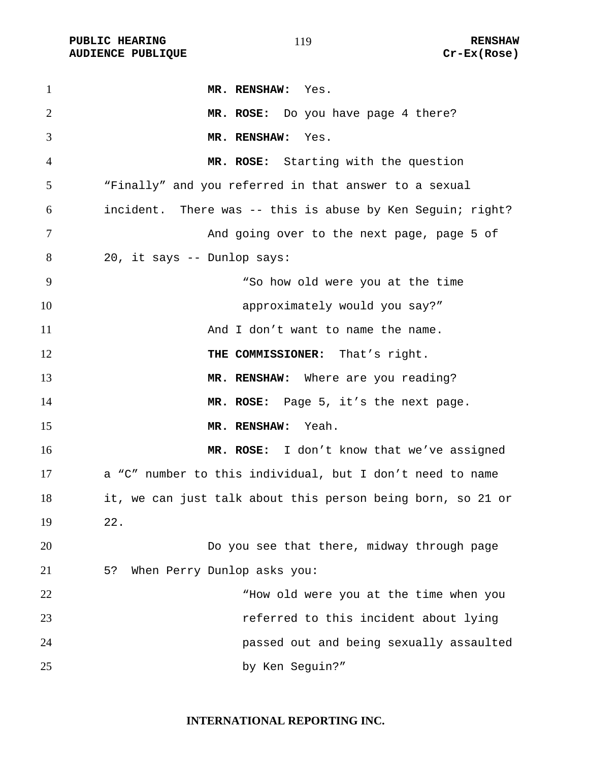PUBLIC HEARING **RENSHAW** 119 **RENSHAW** RENSHAW **RENSHAW RENSHAW RENSHAW RENSHAW RENSHAW AUDIENCE PUBLIQUE** 

| $\mathbf{1}$   | MR. RENSHAW: Yes.                                           |
|----------------|-------------------------------------------------------------|
| $\overline{2}$ | MR. ROSE: Do you have page 4 there?                         |
| 3              | MR. RENSHAW: Yes.                                           |
| 4              | MR. ROSE: Starting with the question                        |
| 5              | "Finally" and you referred in that answer to a sexual       |
| 6              | incident. There was -- this is abuse by Ken Seguin; right?  |
| 7              | And going over to the next page, page 5 of                  |
| 8              | 20, it says -- Dunlop says:                                 |
| 9              | "So how old were you at the time                            |
| 10             | approximately would you say?"                               |
| 11             | And I don't want to name the name.                          |
| 12             | THE COMMISSIONER: That's right.                             |
| 13             | MR. RENSHAW: Where are you reading?                         |
| 14             | MR. ROSE: Page 5, it's the next page.                       |
| 15             | MR. RENSHAW: Yeah.                                          |
| 16             | MR. ROSE: I don't know that we've assigned                  |
| 17             | a "C" number to this individual, but I don't need to name   |
| 18             | it, we can just talk about this person being born, so 21 or |
| 19             | 22.                                                         |
| 20             | Do you see that there, midway through page                  |
| 21             | 5?<br>When Perry Dunlop asks you:                           |
| 22             | "How old were you at the time when you                      |
| 23             | referred to this incident about lying                       |
| 24             | passed out and being sexually assaulted                     |
| 25             | by Ken Seguin?"                                             |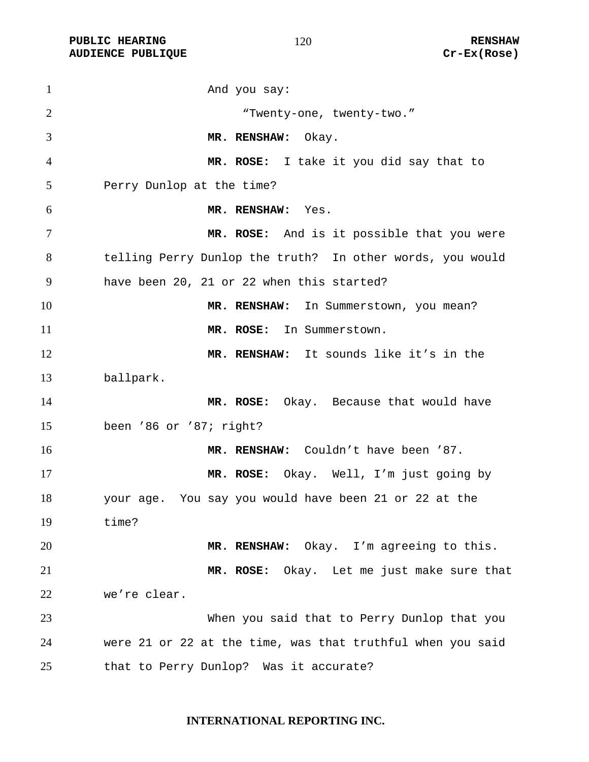**PUBLIC HEARING RENSHAW** 

1 And you say: "Twenty-one, twenty-two." **MR. RENSHAW:** Okay. **MR. ROSE:** I take it you did say that to Perry Dunlop at the time? **MR. RENSHAW:** Yes. **MR. ROSE:** And is it possible that you were telling Perry Dunlop the truth? In other words, you would have been 20, 21 or 22 when this started? 10 MR. RENSHAW: In Summerstown, you mean? **MR. ROSE:** In Summerstown. **MR. RENSHAW:** It sounds like it's in the ballpark. **MR. ROSE:** Okay. Because that would have been '86 or '87; right? **MR. RENSHAW:** Couldn't have been '87. **MR. ROSE:** Okay. Well, I'm just going by your age. You say you would have been 21 or 22 at the time? **MR. RENSHAW:** Okay. I'm agreeing to this. **MR. ROSE:** Okay. Let me just make sure that we're clear. When you said that to Perry Dunlop that you were 21 or 22 at the time, was that truthful when you said that to Perry Dunlop? Was it accurate?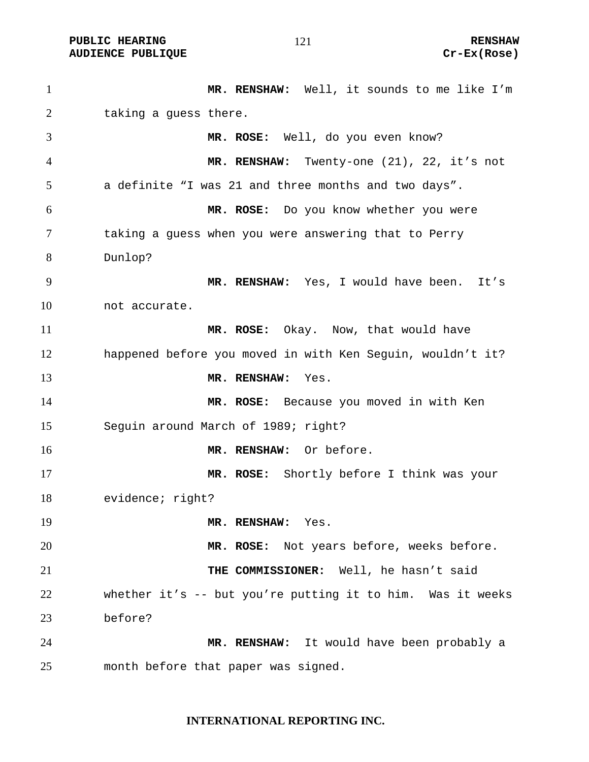PUBLIC HEARING **RENSHAW** 121 **RENSHAW** RENSHAW **RENSHAW RENSHAW RENSHAW RENSHAW Cr-Ex(Rose) AUDIENCE PUBLIQUE** 

| $\mathbf{1}$   | MR. RENSHAW: Well, it sounds to me like I'm                |
|----------------|------------------------------------------------------------|
| $\overline{2}$ | taking a guess there.                                      |
| 3              | MR. ROSE: Well, do you even know?                          |
| 4              | MR. RENSHAW: Twenty-one (21), 22, it's not                 |
| 5              | a definite "I was 21 and three months and two days".       |
| 6              | MR. ROSE: Do you know whether you were                     |
| $\tau$         | taking a guess when you were answering that to Perry       |
| 8              | Dunlop?                                                    |
| 9              | MR. RENSHAW: Yes, I would have been. It's                  |
| 10             | not accurate.                                              |
| 11             | MR. ROSE: Okay. Now, that would have                       |
| 12             | happened before you moved in with Ken Seguin, wouldn't it? |
| 13             | MR. RENSHAW:<br>Yes.                                       |
| 14             | MR. ROSE: Because you moved in with Ken                    |
| 15             | Seguin around March of 1989; right?                        |
| 16             | MR. RENSHAW: Or before.                                    |
| 17             | MR. ROSE: Shortly before I think was your                  |
| 18             | evidence; right?                                           |
| 19             | MR. RENSHAW:<br>Yes.                                       |
| 20             | MR. ROSE: Not years before, weeks before.                  |
| 21             | THE COMMISSIONER: Well, he hasn't said                     |
| 22             | whether it's -- but you're putting it to him. Was it weeks |
| 23             | before?                                                    |
| 24             | MR. RENSHAW: It would have been probably a                 |
| 25             | month before that paper was signed.                        |

# **INTERNATIONAL REPORTING INC.**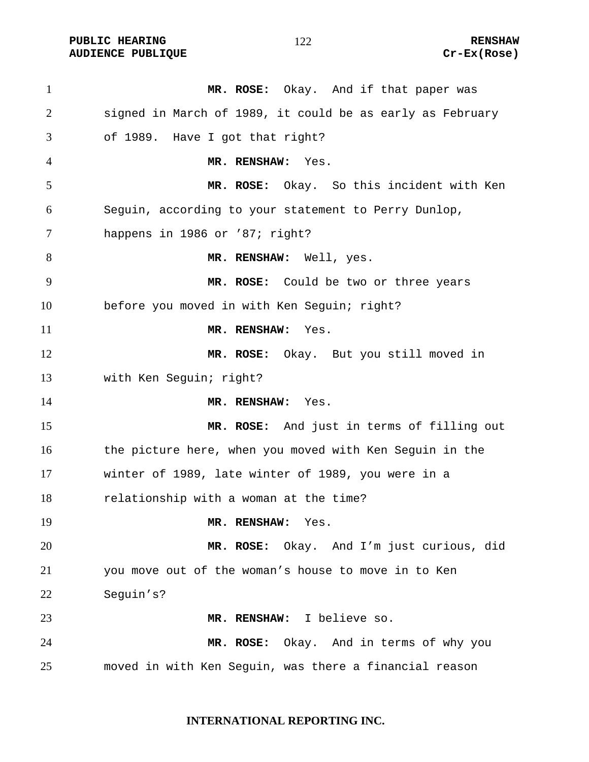**PUBLIC HEARING RENSHAW AUDIENCE PUBLIQUE Cr-Ex(Rose)** 

**MR. ROSE:** Okay. And if that paper was signed in March of 1989, it could be as early as February of 1989. Have I got that right? **MR. RENSHAW:** Yes. **MR. ROSE:** Okay. So this incident with Ken Seguin, according to your statement to Perry Dunlop, happens in 1986 or '87; right? **MR. RENSHAW:** Well, yes. **MR. ROSE:** Could be two or three years before you moved in with Ken Seguin; right? **MR. RENSHAW:** Yes. **MR. ROSE:** Okay. But you still moved in with Ken Seguin; right? **MR. RENSHAW:** Yes. **MR. ROSE:** And just in terms of filling out 16 the picture here, when you moved with Ken Sequin in the winter of 1989, late winter of 1989, you were in a relationship with a woman at the time? **MR. RENSHAW:** Yes. **MR. ROSE:** Okay. And I'm just curious, did you move out of the woman's house to move in to Ken Seguin's? **MR. RENSHAW:** I believe so. **MR. ROSE:** Okay. And in terms of why you moved in with Ken Seguin, was there a financial reason

**INTERNATIONAL REPORTING INC.**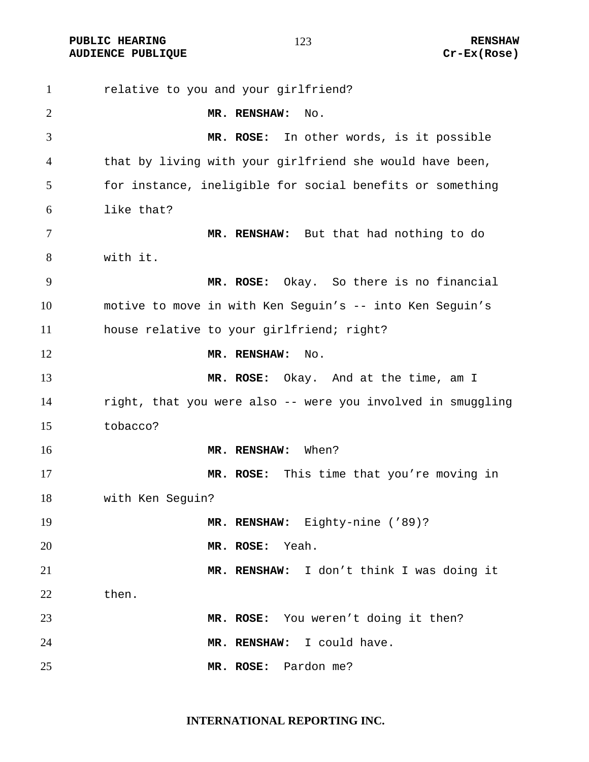**PUBLIC HEARING 123** 123 **AUDIENCE PUBLIQUE Cr-Ex(Rose)** 

relative to you and your girlfriend? **MR. RENSHAW:** No. **MR. ROSE:** In other words, is it possible that by living with your girlfriend she would have been, for instance, ineligible for social benefits or something like that? **MR. RENSHAW:** But that had nothing to do with it. **MR. ROSE:** Okay. So there is no financial motive to move in with Ken Seguin's -- into Ken Seguin's house relative to your girlfriend; right? **MR. RENSHAW:** No. **MR. ROSE:** Okay. And at the time, am I right, that you were also -- were you involved in smuggling tobacco? **MR. RENSHAW:** When? **MR. ROSE:** This time that you're moving in with Ken Seguin? **MR. RENSHAW:** Eighty-nine ('89)? **MR. ROSE:** Yeah. **MR. RENSHAW:** I don't think I was doing it then. **MR. ROSE:** You weren't doing it then? **MR. RENSHAW:** I could have. **MR. ROSE:** Pardon me?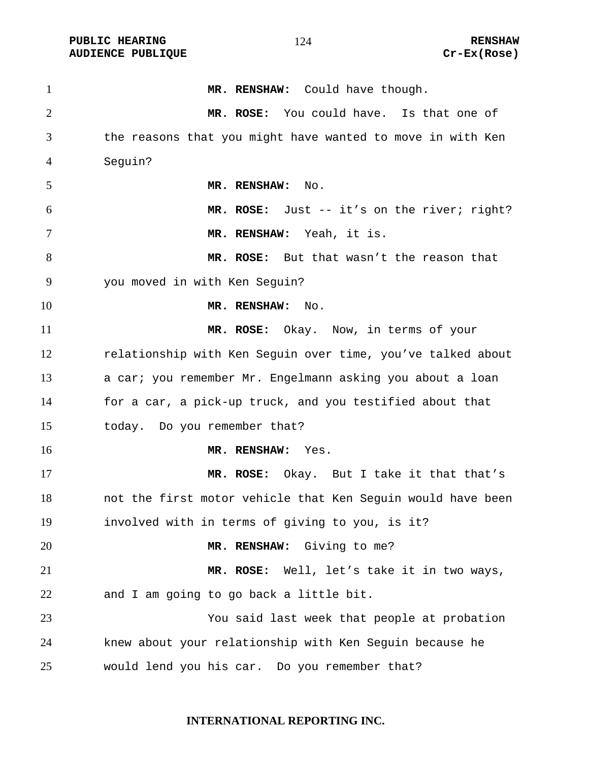PUBLIC HEARING **RENSHAW** 124 **RENSHAW** RENSHAW RENSHAW **AUDIENCE PUBLIQUE** 

| $\mathbf{1}$   | MR. RENSHAW: Could have though.                             |
|----------------|-------------------------------------------------------------|
| $\overline{2}$ | MR. ROSE: You could have. Is that one of                    |
| 3              | the reasons that you might have wanted to move in with Ken  |
| 4              | Seguin?                                                     |
| 5              | MR. RENSHAW:<br>No.                                         |
| 6              | MR. ROSE: Just -- it's on the river; right?                 |
| 7              | MR. RENSHAW: Yeah, it is.                                   |
| 8              | MR. ROSE: But that wasn't the reason that                   |
| 9              | you moved in with Ken Seguin?                               |
| 10             | MR. RENSHAW:<br>No.                                         |
| 11             | MR. ROSE: Okay. Now, in terms of your                       |
| 12             | relationship with Ken Seguin over time, you've talked about |
| 13             | a car; you remember Mr. Engelmann asking you about a loan   |
| 14             | for a car, a pick-up truck, and you testified about that    |
| 15             | today. Do you remember that?                                |
| 16             | MR. RENSHAW: Yes.                                           |
| 17             | MR. ROSE: Okay. But I take it that that's                   |
| 18             | not the first motor vehicle that Ken Seguin would have been |
| 19             | involved with in terms of giving to you, is it?             |
| 20             | MR. RENSHAW: Giving to me?                                  |
| 21             | MR. ROSE:<br>Well, let's take it in two ways,               |
| 22             | and I am going to go back a little bit.                     |
| 23             | You said last week that people at probation                 |
| 24             | knew about your relationship with Ken Seguin because he     |
| 25             | would lend you his car. Do you remember that?               |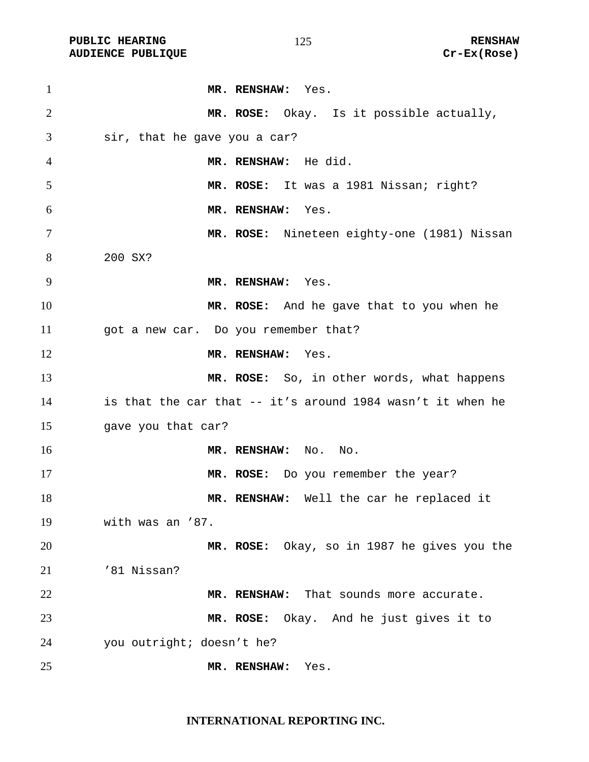PUBLIC HEARING **RENSHAW** 125 **RENSHAW** RENSHAW **RENSHAW RENSHAW RENSHAW RENSHAW Cr-Ex(Rose) AUDIENCE PUBLIQUE** 

| $\mathbf{1}$   | MR. RENSHAW: Yes.                                          |
|----------------|------------------------------------------------------------|
| $\overline{2}$ | MR. ROSE: Okay. Is it possible actually,                   |
| 3              | sir, that he gave you a car?                               |
| 4              | MR. RENSHAW: He did.                                       |
| 5              | MR. ROSE: It was a 1981 Nissan; right?                     |
| 6              | MR. RENSHAW: Yes.                                          |
| $\overline{7}$ | MR. ROSE: Nineteen eighty-one (1981) Nissan                |
| 8              | 200 SX?                                                    |
| 9              | MR. RENSHAW: Yes.                                          |
| 10             | MR. ROSE: And he gave that to you when he                  |
| 11             | got a new car. Do you remember that?                       |
| 12             | MR. RENSHAW: Yes.                                          |
| 13             | MR. ROSE: So, in other words, what happens                 |
| 14             | is that the car that -- it's around 1984 wasn't it when he |
| 15             | gave you that car?                                         |
| 16             | MR. RENSHAW: No. No.                                       |
| 17             | MR. ROSE: Do you remember the year?                        |
| 18             | MR. RENSHAW: Well the car he replaced it                   |
| 19             | with was an '87.                                           |
| 20             | MR. ROSE: Okay, so in 1987 he gives you the                |
| 21             | '81 Nissan?                                                |
| 22             | MR. RENSHAW: That sounds more accurate.                    |
| 23             | MR. ROSE: Okay. And he just gives it to                    |
| 24             | you outright; doesn't he?                                  |
| 25             | MR. RENSHAW:<br>Yes.                                       |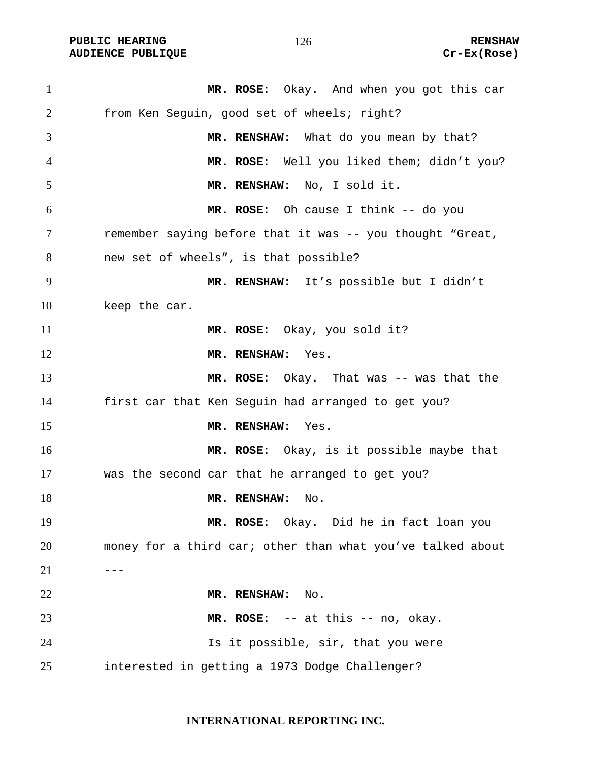**PUBLIC HEARING 126** 126 **RENSHAW AUDIENCE PUBLIQUE Cr-Ex(Rose)** 

**MR. ROSE:** Okay. And when you got this car from Ken Seguin, good set of wheels; right? **MR. RENSHAW:** What do you mean by that? **MR. ROSE:** Well you liked them; didn't you? **MR. RENSHAW:** No, I sold it. **MR. ROSE:** Oh cause I think -- do you remember saying before that it was -- you thought "Great, new set of wheels", is that possible? **MR. RENSHAW:** It's possible but I didn't keep the car. **MR. ROSE:** Okay, you sold it? **MR. RENSHAW:** Yes. **MR. ROSE:** Okay. That was -- was that the first car that Ken Seguin had arranged to get you? **MR. RENSHAW:** Yes. **MR. ROSE:** Okay, is it possible maybe that was the second car that he arranged to get you? 18 MR. RENSHAW: No. **MR. ROSE:** Okay. Did he in fact loan you money for a third car; other than what you've talked about  $---$ **MR. RENSHAW:** No. **MR. ROSE:** -- at this -- no, okay. Is it possible, sir, that you were interested in getting a 1973 Dodge Challenger?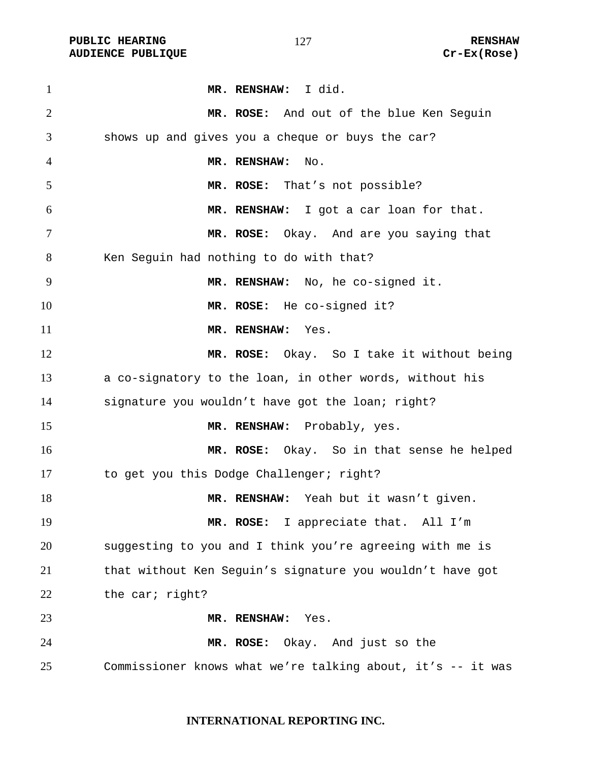PUBLIC HEARING **RENSHAW** 127 **RENSHAW** RENSHAW **RENSHAW RENSHAW RENSHAW RENSHAW RENSHAW AUDIENCE PUBLIQUE** 

| $\mathbf{1}$ | MR. RENSHAW: I did.                                         |
|--------------|-------------------------------------------------------------|
| 2            | MR. ROSE: And out of the blue Ken Seguin                    |
| 3            | shows up and gives you a cheque or buys the car?            |
| 4            | MR. RENSHAW:<br>No.                                         |
| 5            | MR. ROSE: That's not possible?                              |
| 6            | MR. RENSHAW: I got a car loan for that.                     |
| 7            | MR. ROSE: Okay. And are you saying that                     |
| 8            | Ken Seguin had nothing to do with that?                     |
| 9            | MR. RENSHAW: No, he co-signed it.                           |
| 10           | MR. ROSE: He co-signed it?                                  |
| 11           | MR. RENSHAW: Yes.                                           |
| 12           | MR. ROSE: Okay. So I take it without being                  |
| 13           | a co-signatory to the loan, in other words, without his     |
| 14           | signature you wouldn't have got the loan; right?            |
| 15           | MR. RENSHAW: Probably, yes.                                 |
| 16           | MR. ROSE: Okay. So in that sense he helped                  |
| 17           | to get you this Dodge Challenger; right?                    |
| 18           | MR. RENSHAW: Yeah but it wasn't given.                      |
| 19           | MR. ROSE: I appreciate that. All I'm                        |
| 20           | suggesting to you and I think you're agreeing with me is    |
| 21           | that without Ken Seguin's signature you wouldn't have got   |
| 22           | the car; right?                                             |
| 23           | MR. RENSHAW: Yes.                                           |
| 24           | MR. ROSE: Okay. And just so the                             |
| 25           | Commissioner knows what we're talking about, it's -- it was |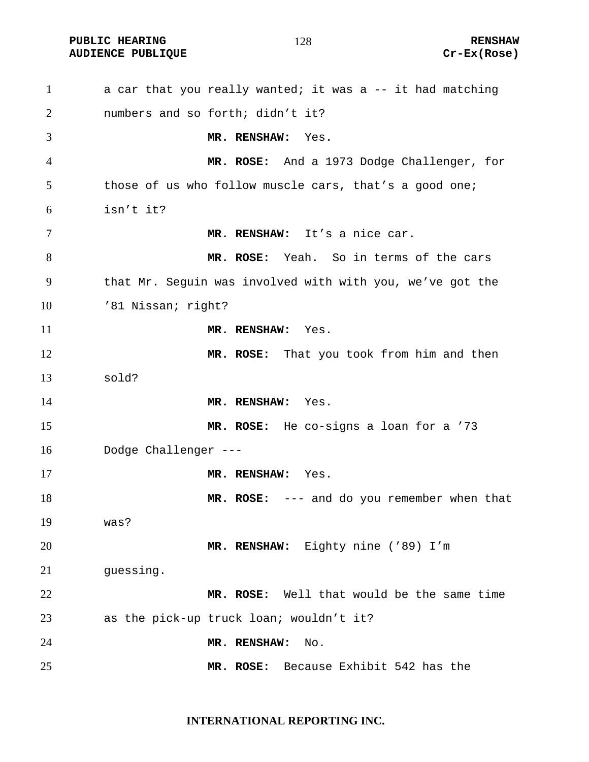PUBLIC HEARING **RENSHAW** 128 **RENSHAW** RENSHAW **RENSHAW RENSHAW RENSHAW RENSHAW RENSHAW AUDIENCE PUBLIQUE** 

| $\mathbf{1}$   | a car that you really wanted; it was a -- it had matching |
|----------------|-----------------------------------------------------------|
| $\overline{2}$ | numbers and so forth; didn't it?                          |
| 3              | MR. RENSHAW:<br>Yes.                                      |
| 4              | MR. ROSE: And a 1973 Dodge Challenger, for                |
| 5              | those of us who follow muscle cars, that's a good one;    |
| 6              | isn't it?                                                 |
| 7              | MR. RENSHAW: It's a nice car.                             |
| 8              | MR. ROSE: Yeah. So in terms of the cars                   |
| 9              | that Mr. Seguin was involved with with you, we've got the |
| 10             | '81 Nissan; right?                                        |
| 11             | MR. RENSHAW:<br>Yes.                                      |
| 12             | MR. ROSE: That you took from him and then                 |
| 13             | sold?                                                     |
| 14             | MR. RENSHAW:<br>Yes.                                      |
| 15             | MR. ROSE: He co-signs a loan for a '73                    |
| 16             | Dodge Challenger ---                                      |
| 17             | MR. RENSHAW:<br>Yes.                                      |
| 18             | MR. ROSE: --- and do you remember when that               |
| 19             | was?                                                      |
| 20             | MR. RENSHAW: Eighty nine ('89) I'm                        |
| 21             | guessing.                                                 |
| 22             | MR. ROSE: Well that would be the same time                |
| 23             | as the pick-up truck loan; wouldn't it?                   |
| 24             | MR. RENSHAW:<br>No.                                       |
| 25             | MR. ROSE: Because Exhibit 542 has the                     |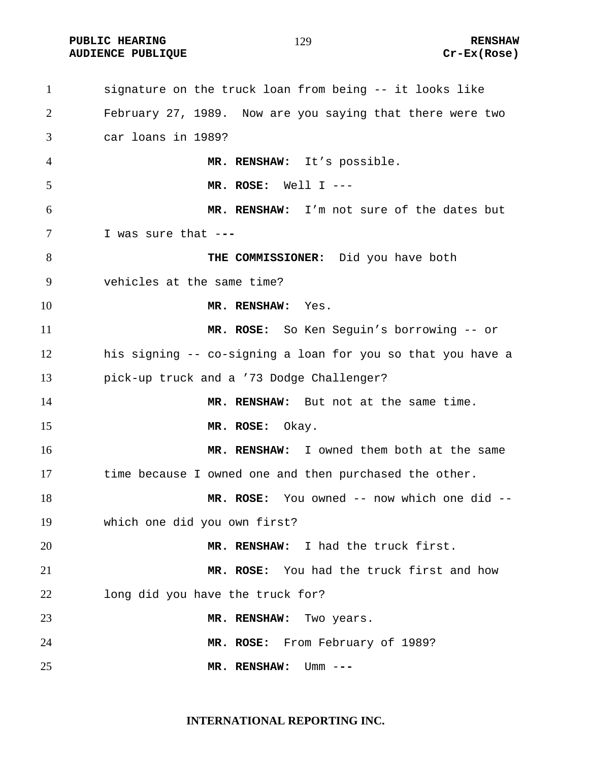PUBLIC HEARING **RENSHAW** 129 **RENSHAW** RENSHAW **RENSHAW RENSHAW RENSHAW RENSHAW Cr-Ex(Rose) AUDIENCE PUBLIQUE** 

| $\mathbf{1}$   | signature on the truck loan from being -- it looks like     |
|----------------|-------------------------------------------------------------|
| $\overline{2}$ | February 27, 1989. Now are you saying that there were two   |
| 3              | car loans in 1989?                                          |
| $\overline{4}$ | MR. RENSHAW: It's possible.                                 |
| 5              | MR. ROSE: Well $I$ ---                                      |
| 6              | MR. RENSHAW: I'm not sure of the dates but                  |
| 7              | I was sure that ---                                         |
| 8              | THE COMMISSIONER: Did you have both                         |
| 9              | vehicles at the same time?                                  |
| 10             | MR. RENSHAW: Yes.                                           |
| 11             | MR. ROSE: So Ken Seguin's borrowing -- or                   |
| 12             | his signing -- co-signing a loan for you so that you have a |
| 13             | pick-up truck and a '73 Dodge Challenger?                   |
| 14             | MR. RENSHAW: But not at the same time.                      |
| 15             | MR. ROSE: Okay.                                             |
| 16             | MR. RENSHAW: I owned them both at the same                  |
| 17             | time because I owned one and then purchased the other.      |
| 18             | MR. ROSE: You owned -- now which one did --                 |
| 19             | which one did you own first?                                |
| 20             | MR. RENSHAW: I had the truck first.                         |
| 21             | MR. ROSE: You had the truck first and how                   |
| 22             | long did you have the truck for?                            |
| 23             | MR. RENSHAW:<br>Two years.                                  |
| 24             | MR. ROSE: From February of 1989?                            |
| 25             | MR. RENSHAW:<br>Umm $---$                                   |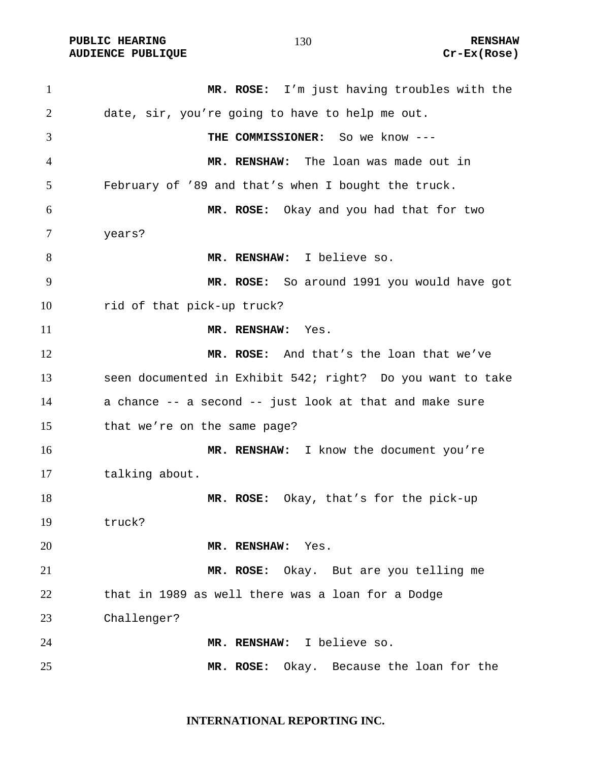PUBLIC HEARING **RENSHAW** 130 **RENSHAW** RENSHAW **RENSHAW RENSHAW RENSHAW RENSHAW RENSHAW AUDIENCE PUBLIQUE** 

| $\mathbf{1}$ | MR. ROSE: I'm just having troubles with the                |
|--------------|------------------------------------------------------------|
| 2            | date, sir, you're going to have to help me out.            |
| 3            | THE COMMISSIONER: So we know ---                           |
| 4            | MR. RENSHAW: The loan was made out in                      |
| 5            | February of '89 and that's when I bought the truck.        |
| 6            | MR. ROSE: Okay and you had that for two                    |
| 7            | years?                                                     |
| 8            | MR. RENSHAW: I believe so.                                 |
| 9            | MR. ROSE: So around 1991 you would have got                |
| 10           | rid of that pick-up truck?                                 |
| 11           | MR. RENSHAW: Yes.                                          |
| 12           | MR. ROSE: And that's the loan that we've                   |
| 13           | seen documented in Exhibit 542; right? Do you want to take |
| 14           | a chance -- a second -- just look at that and make sure    |
| 15           | that we're on the same page?                               |
| 16           | MR. RENSHAW: I know the document you're                    |
| 17           | talking about.                                             |
| 18           | MR. ROSE: Okay, that's for the pick-up                     |
| 19           | truck?                                                     |
| 20           | MR. RENSHAW: Yes.                                          |
| 21           | MR. ROSE: Okay. But are you telling me                     |
| 22           | that in 1989 as well there was a loan for a Dodge          |
| 23           | Challenger?                                                |
| 24           | MR. RENSHAW: I believe so.                                 |
| 25           | MR. ROSE: Okay. Because the loan for the                   |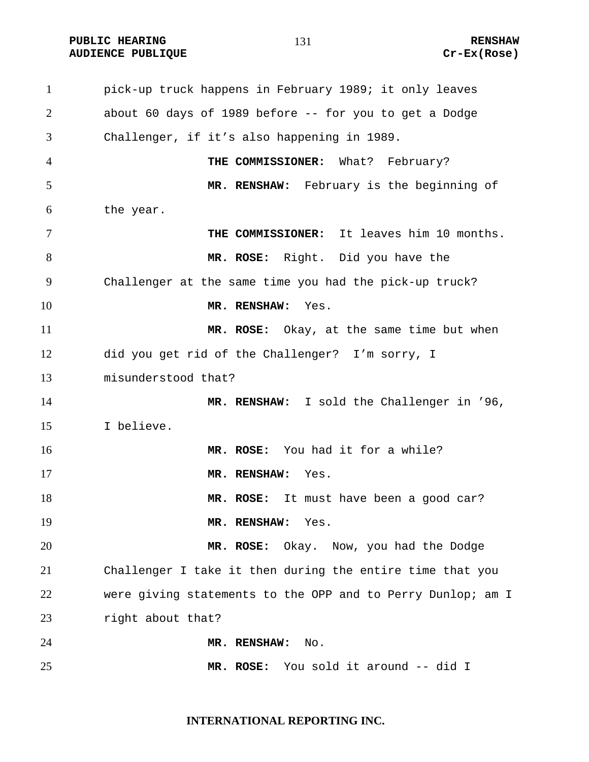**PUBLIC HEARING 131** 131 **RENSHAW AUDIENCE PUBLIQUE Cr-Ex(Rose)** 

pick-up truck happens in February 1989; it only leaves about 60 days of 1989 before -- for you to get a Dodge Challenger, if it's also happening in 1989. **THE COMMISSIONER:** What? February? **MR. RENSHAW:** February is the beginning of the year. **THE COMMISSIONER:** It leaves him 10 months. **MR. ROSE:** Right.Did you have the Challenger at the same time you had the pick-up truck? **MR. RENSHAW:** Yes. **MR. ROSE:** Okay, at the same time but when did you get rid of the Challenger? I'm sorry, I misunderstood that? **MR. RENSHAW:** I sold the Challenger in '96, I believe. **MR. ROSE:** You had it for a while? **MR. RENSHAW:** Yes. **MR. ROSE:** It must have been a good car? **MR. RENSHAW:** Yes. **MR. ROSE:** Okay. Now, you had the Dodge Challenger I take it then during the entire time that you were giving statements to the OPP and to Perry Dunlop; am I right about that? **MR. RENSHAW:** No. **MR. ROSE:** You sold it around -- did I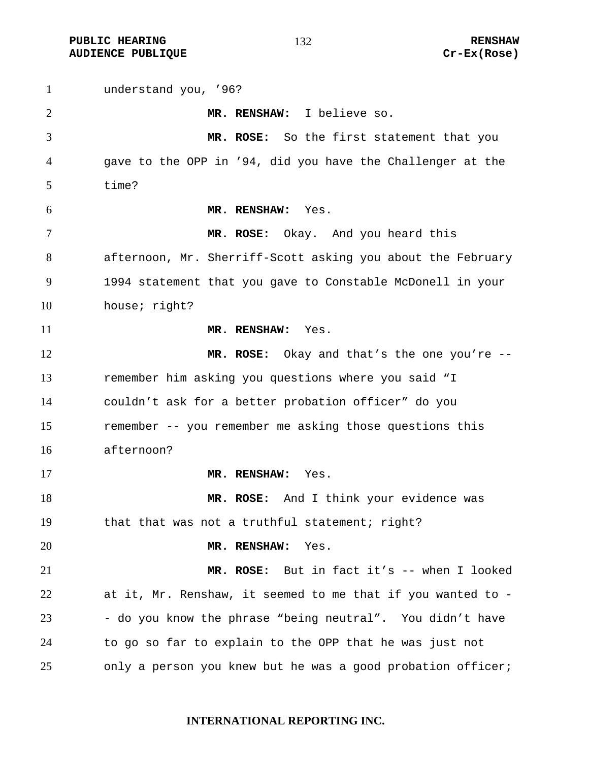**PUBLIC HEARING 132** 132 **AUDIENCE PUBLIQUE Cr-Ex(Rose)** 

understand you, '96? **MR. RENSHAW:** I believe so. **MR. ROSE:** So the first statement that you gave to the OPP in '94, did you have the Challenger at the time? **MR. RENSHAW:** Yes. **MR. ROSE:** Okay. And you heard this afternoon, Mr. Sherriff-Scott asking you about the February 1994 statement that you gave to Constable McDonell in your house; right? **MR. RENSHAW:** Yes. **MR. ROSE:** Okay and that's the one you're -- remember him asking you questions where you said "I couldn't ask for a better probation officer" do you remember -- you remember me asking those questions this afternoon? **MR. RENSHAW:** Yes. **MR. ROSE:** And I think your evidence was that that was not a truthful statement; right? **MR. RENSHAW:** Yes. **MR. ROSE:** But in fact it's -- when I looked at it, Mr. Renshaw, it seemed to me that if you wanted to - 23 - do you know the phrase "being neutral". You didn't have to go so far to explain to the OPP that he was just not only a person you knew but he was a good probation officer;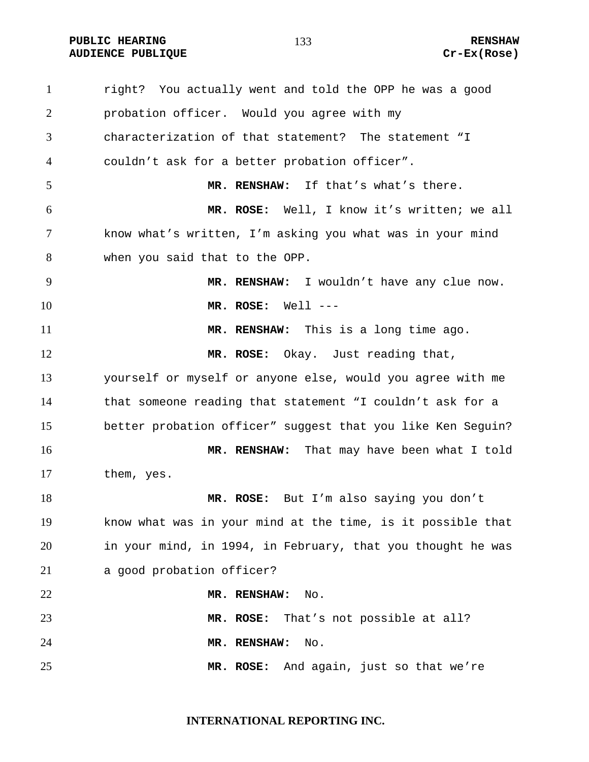**PUBLIC HEARING 133** 133 **AUDIENCE PUBLIQUE Cr-Ex(Rose)** 

right? You actually went and told the OPP he was a good probation officer. Would you agree with my characterization of that statement? The statement "I couldn't ask for a better probation officer". **MR. RENSHAW:** If that's what's there. **MR. ROSE:** Well, I know it's written; we all know what's written, I'm asking you what was in your mind when you said that to the OPP. **MR. RENSHAW:** I wouldn't have any clue now. **MR. ROSE:** Well --- **MR. RENSHAW:** This is a long time ago. **MR. ROSE:** Okay. Just reading that, yourself or myself or anyone else, would you agree with me that someone reading that statement "I couldn't ask for a better probation officer" suggest that you like Ken Seguin? **MR. RENSHAW:** That may have been what I told 17 them, yes. **MR. ROSE:** But I'm also saying you don't know what was in your mind at the time, is it possible that in your mind, in 1994, in February, that you thought he was a good probation officer? **MR. RENSHAW:** No. **MR. ROSE:** That's not possible at all? **MR. RENSHAW:** No. **MR. ROSE:** And again, just so that we're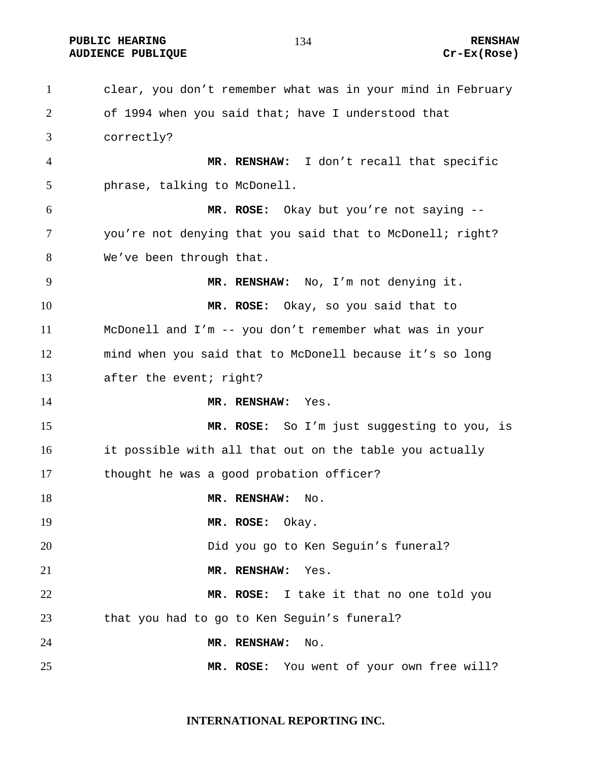**PUBLIC HEARING 134 RENSHAW** 

clear, you don't remember what was in your mind in February of 1994 when you said that; have I understood that correctly? **MR. RENSHAW:** I don't recall that specific phrase, talking to McDonell. **MR. ROSE:** Okay but you're not saying -- you're not denying that you said that to McDonell; right? We've been through that. **MR. RENSHAW:** No, I'm not denying it. **MR. ROSE:** Okay, so you said that to McDonell and I'm -- you don't remember what was in your mind when you said that to McDonell because it's so long after the event; right? **MR. RENSHAW:** Yes. **MR. ROSE:** So I'm just suggesting to you, is it possible with all that out on the table you actually thought he was a good probation officer? 18 MR. RENSHAW: No. **MR. ROSE:** Okay. Did you go to Ken Seguin's funeral? **MR. RENSHAW:** Yes. **MR. ROSE:** I take it that no one told you that you had to go to Ken Seguin's funeral? **MR. RENSHAW:** No. **MR. ROSE:** You went of your own free will?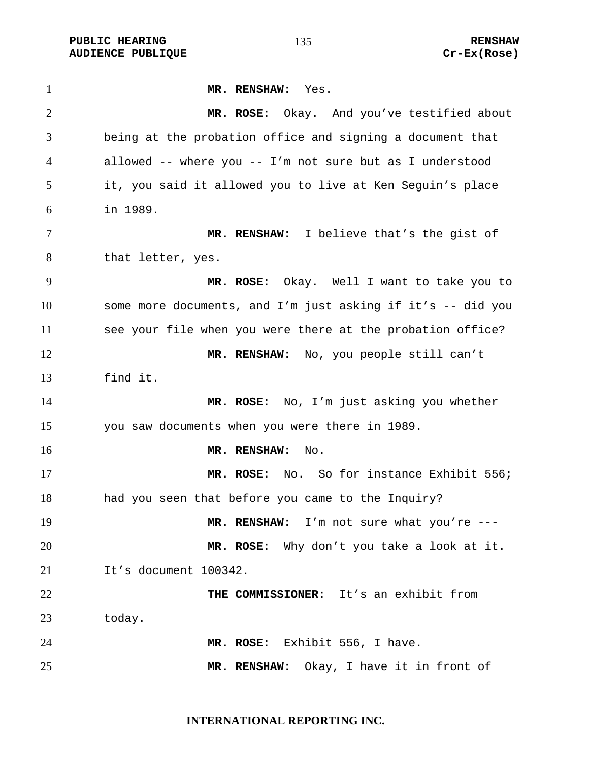PUBLIC HEARING **RENSHAW** 135 **RENSHAW** RENSHAW **RENSHAW RENSHAW RENSHAW RENSHAW RENSHAW AUDIENCE PUBLIQUE** 

| 1              | MR. RENSHAW:<br>Yes.                                        |
|----------------|-------------------------------------------------------------|
| $\overline{2}$ | MR. ROSE: Okay. And you've testified about                  |
| 3              | being at the probation office and signing a document that   |
| 4              | allowed -- where you -- I'm not sure but as I understood    |
| 5              | it, you said it allowed you to live at Ken Seguin's place   |
| 6              | in 1989.                                                    |
| 7              | MR. RENSHAW: I believe that's the gist of                   |
| 8              | that letter, yes.                                           |
| 9              | MR. ROSE: Okay. Well I want to take you to                  |
| 10             | some more documents, and I'm just asking if it's -- did you |
| 11             | see your file when you were there at the probation office?  |
| 12             | MR. RENSHAW: No, you people still can't                     |
| 13             | find it.                                                    |
| 14             | MR. ROSE: No, I'm just asking you whether                   |
| 15             | you saw documents when you were there in 1989.              |
| 16             | MR. RENSHAW:<br>No.                                         |
| 17             | No. So for instance Exhibit 556;<br>MR. ROSE:               |
| 18             | had you seen that before you came to the Inquiry?           |
| 19             | MR. RENSHAW: I'm not sure what you're ---                   |
| 20             | MR. ROSE: Why don't you take a look at it.                  |
| 21             | It's document 100342.                                       |
| 22             | THE COMMISSIONER: It's an exhibit from                      |
| 23             | today.                                                      |
| 24             | MR. ROSE: Exhibit 556, I have.                              |
| 25             | MR. RENSHAW: Okay, I have it in front of                    |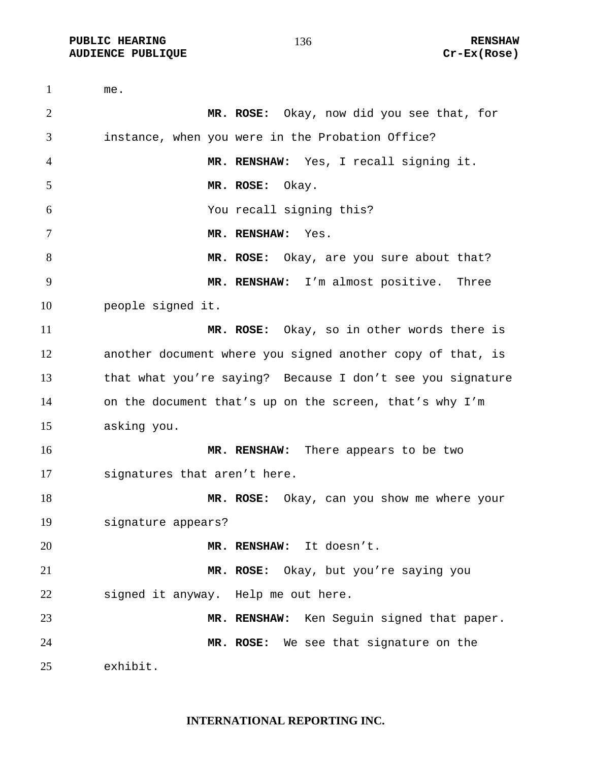**PUBLIC HEARING 136** 136 **RENSHAW AUDIENCE PUBLIQUE Cr-Ex(Rose)** 

me. **MR. ROSE:** Okay, now did you see that, for instance, when you were in the Probation Office? **MR. RENSHAW:** Yes, I recall signing it. **MR. ROSE:** Okay. You recall signing this? **MR. RENSHAW:** Yes. **MR. ROSE:** Okay, are you sure about that? **MR. RENSHAW:** I'm almost positive. Three people signed it. **MR. ROSE:** Okay, so in other words there is another document where you signed another copy of that, is that what you're saying? Because I don't see you signature on the document that's up on the screen, that's why I'm asking you. **MR. RENSHAW:** There appears to be two signatures that aren't here. **MR. ROSE:** Okay, can you show me where your signature appears? **MR. RENSHAW:** It doesn't. **MR. ROSE:** Okay, but you're saying you signed it anyway. Help me out here. **MR. RENSHAW:** Ken Seguin signed that paper. **MR. ROSE:** We see that signature on the exhibit.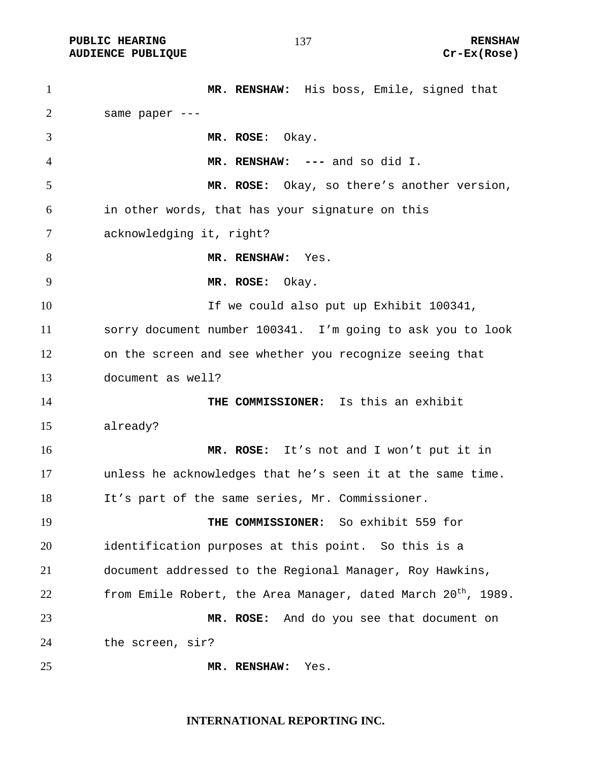**PUBLIC HEARING 137** 137 **RENSHAW** 

**MR. RENSHAW:** His boss, Emile, signed that same paper --- **MR. ROSE**: Okay. **MR. RENSHAW: ---** and so did I. **MR. ROSE:** Okay, so there's another version, in other words, that has your signature on this acknowledging it, right? 8 MR. RENSHAW: Yes. **MR. ROSE:** Okay. If we could also put up Exhibit 100341, sorry document number 100341. I'm going to ask you to look on the screen and see whether you recognize seeing that document as well? **THE COMMISSIONER:** Is this an exhibit already? **MR. ROSE:** It's not and I won't put it in unless he acknowledges that he's seen it at the same time. It's part of the same series, Mr. Commissioner. **THE COMMISSIONER:** So exhibit 559 for identification purposes at this point. So this is a document addressed to the Regional Manager, Roy Hawkins, 22 from Emile Robert, the Area Manager, dated March  $20<sup>th</sup>$ , 1989. **MR. ROSE:** And do you see that document on the screen, sir? **MR. RENSHAW:** Yes.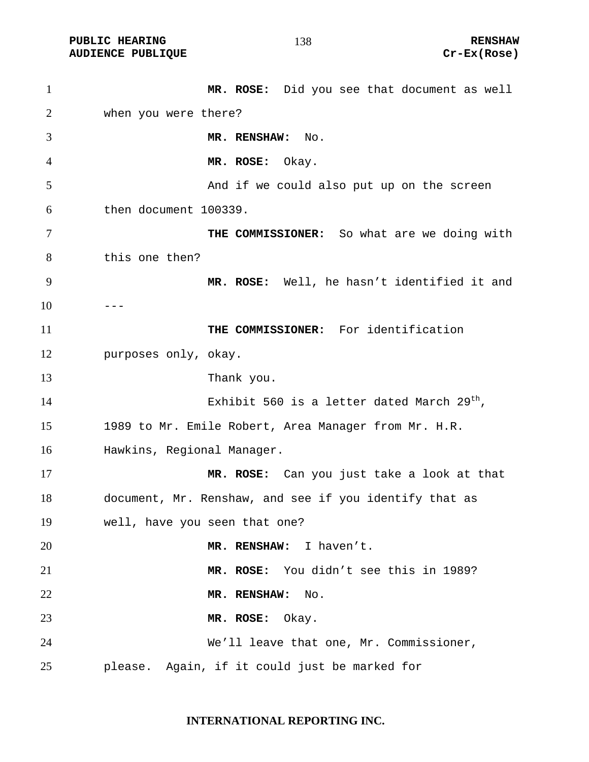PUBLIC HEARING **RENSHAW** 138 RENSHAW RENSHAW RENSHAW **RENSHAW** 2011 **AUDIENCE PUBLIQUE** 

| $\mathbf{1}$ | MR. ROSE: Did you see that document as well            |
|--------------|--------------------------------------------------------|
| 2            | when you were there?                                   |
| 3            | MR. RENSHAW: No.                                       |
| 4            | MR. ROSE: Okay.                                        |
| 5            | And if we could also put up on the screen              |
| 6            | then document 100339.                                  |
| 7            | THE COMMISSIONER: So what are we doing with            |
| 8            | this one then?                                         |
| 9            | MR. ROSE: Well, he hasn't identified it and            |
| 10           |                                                        |
| 11           | THE COMMISSIONER: For identification                   |
| 12           | purposes only, okay.                                   |
| 13           | Thank you.                                             |
| 14           | Exhibit 560 is a letter dated March 29 <sup>th</sup> , |
| 15           | 1989 to Mr. Emile Robert, Area Manager from Mr. H.R.   |
| 16           | Hawkins, Regional Manager.                             |
| 17           | MR. ROSE: Can you just take a look at that             |
| 18           | document, Mr. Renshaw, and see if you identify that as |
| 19           | well, have you seen that one?                          |
| 20           | MR. RENSHAW: I haven't.                                |
| 21           | MR. ROSE: You didn't see this in 1989?                 |
| 22           | MR. RENSHAW:<br>No.                                    |
| 23           | MR. ROSE:<br>Okay.                                     |
| 24           | We'll leave that one, Mr. Commissioner,                |
| 25           | please. Again, if it could just be marked for          |

**INTERNATIONAL REPORTING INC.**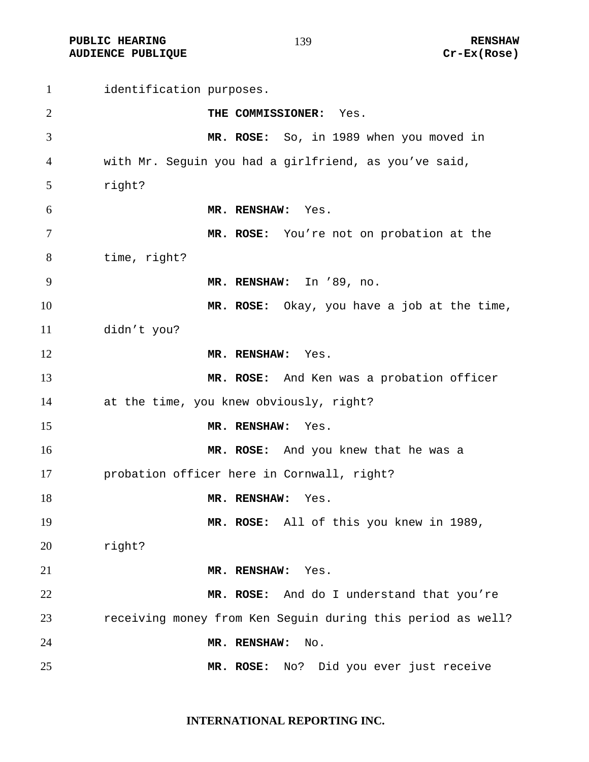**PUBLIC HEARING 139** 139 **RENSHAW AUDIENCE PUBLIQUE Cr-Ex(Rose)** 

identification purposes. **THE COMMISSIONER:** Yes. **MR. ROSE:** So, in 1989 when you moved in with Mr. Seguin you had a girlfriend, as you've said, right? **MR. RENSHAW:** Yes. **MR. ROSE:** You're not on probation at the time, right? **MR. RENSHAW:** In '89, no. **MR. ROSE:** Okay, you have a job at the time, didn't you? **MR. RENSHAW:** Yes. **MR. ROSE:** And Ken was a probation officer at the time, you knew obviously, right? **MR. RENSHAW:** Yes. **MR. ROSE:** And you knew that he was a probation officer here in Cornwall, right? 18 MR. RENSHAW: Yes. **MR. ROSE:** All of this you knew in 1989, right? **MR. RENSHAW:** Yes. **MR. ROSE:** And do I understand that you're receiving money from Ken Seguin during this period as well? **MR. RENSHAW:** No. **MR. ROSE:** No? Did you ever just receive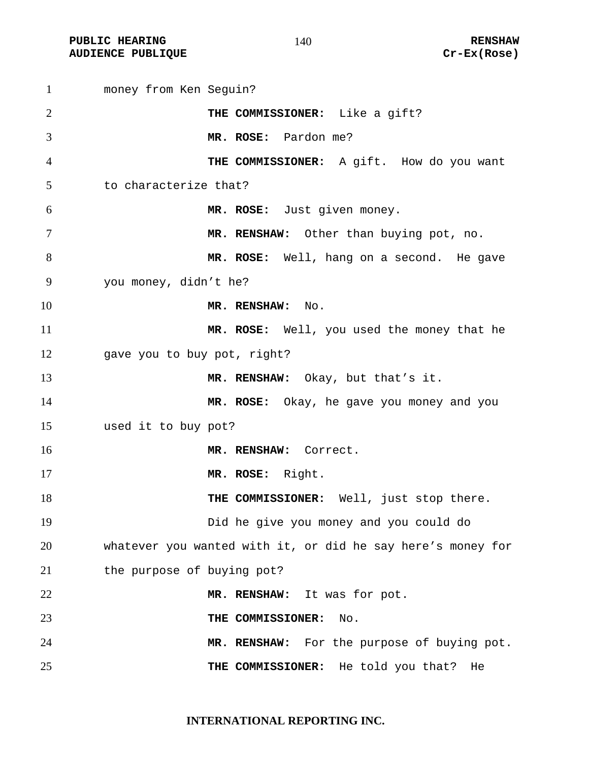**PUBLIC HEARING 140** 140 **RENSHAW AUDIENCE PUBLIQUE Cr-Ex(Rose)** 

money from Ken Seguin? **THE COMMISSIONER:** Like a gift? **MR. ROSE:** Pardon me? **THE COMMISSIONER:** A gift. How do you want to characterize that? **MR. ROSE:** Just given money. **MR. RENSHAW:** Other than buying pot, no. **MR. ROSE:** Well, hang on a second. He gave you money, didn't he? **MR. RENSHAW:** No. **MR. ROSE:** Well, you used the money that he gave you to buy pot, right? **MR. RENSHAW:** Okay, but that's it. **MR. ROSE:** Okay, he gave you money and you used it to buy pot? **MR. RENSHAW:** Correct. **MR. ROSE:** Right. **THE COMMISSIONER:** Well, just stop there. Did he give you money and you could do whatever you wanted with it, or did he say here's money for the purpose of buying pot? **MR. RENSHAW:** It was for pot. **THE COMMISSIONER:** No. **MR. RENSHAW:** For the purpose of buying pot. **THE COMMISSIONER:** He told you that? He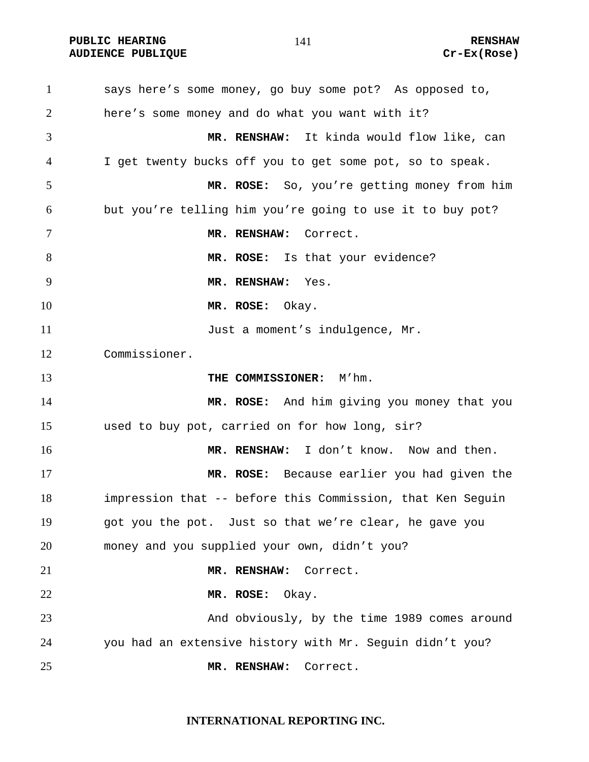**PUBLIC HEARING 141 RENSHAW AUDIENCE PUBLIQUE Cr-Ex(Rose)** 

says here's some money, go buy some pot? As opposed to, here's some money and do what you want with it? **MR. RENSHAW:** It kinda would flow like, can I get twenty bucks off you to get some pot, so to speak. **MR. ROSE:** So, you're getting money from him but you're telling him you're going to use it to buy pot? **MR. RENSHAW:** Correct. **MR. ROSE:** Is that your evidence? **MR. RENSHAW:** Yes. **MR. ROSE:** Okay. **Iust a moment's indulgence, Mr.** Commissioner. **THE COMMISSIONER:** M'hm. **MR. ROSE:** And him giving you money that you used to buy pot, carried on for how long, sir? **MR. RENSHAW:** I don't know. Now and then. **MR. ROSE:** Because earlier you had given the impression that -- before this Commission, that Ken Seguin got you the pot. Just so that we're clear, he gave you money and you supplied your own, didn't you? **MR. RENSHAW:** Correct. **MR. ROSE:** Okay. And obviously, by the time 1989 comes around you had an extensive history with Mr. Seguin didn't you? **MR. RENSHAW:** Correct.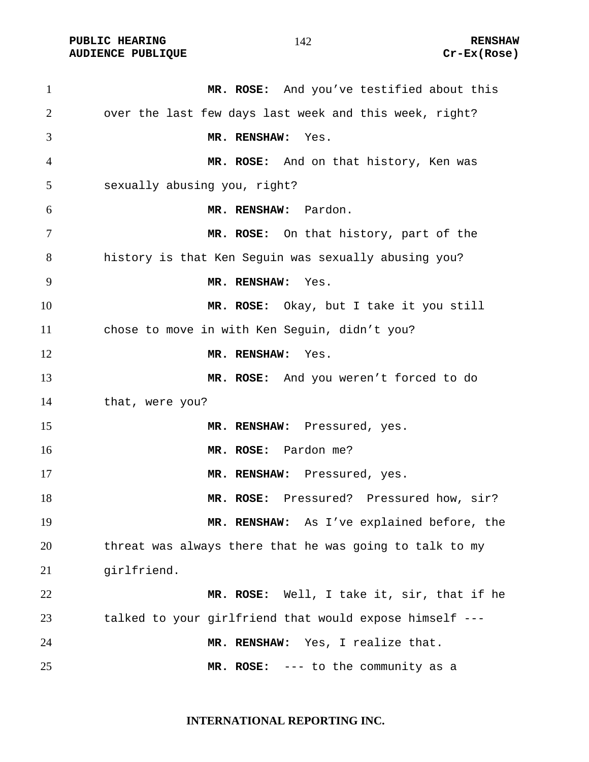PUBLIC HEARING **RENSHAW** 142 **RENSHAW** RENSHAW RENSHAW **AUDIENCE PUBLIQUE** 

| $\mathbf{1}$   | MR. ROSE: And you've testified about this               |
|----------------|---------------------------------------------------------|
| $\overline{2}$ | over the last few days last week and this week, right?  |
| 3              | MR. RENSHAW:<br>Yes.                                    |
| $\overline{4}$ | MR. ROSE: And on that history, Ken was                  |
| 5              | sexually abusing you, right?                            |
| 6              | MR. RENSHAW: Pardon.                                    |
| 7              | MR. ROSE: On that history, part of the                  |
| 8              | history is that Ken Seguin was sexually abusing you?    |
| 9              | MR. RENSHAW:<br>Yes.                                    |
| 10             | MR. ROSE: Okay, but I take it you still                 |
| 11             | chose to move in with Ken Seguin, didn't you?           |
| 12             | MR. RENSHAW:<br>Yes.                                    |
| 13             | MR. ROSE: And you weren't forced to do                  |
| 14             | that, were you?                                         |
| 15             | MR. RENSHAW: Pressured, yes.                            |
| 16             | MR. ROSE: Pardon me?                                    |
| 17             | MR. RENSHAW: Pressured, yes.                            |
| 18             | MR. ROSE: Pressured? Pressured how, sir?                |
| 19             | MR. RENSHAW: As I've explained before, the              |
| 20             | threat was always there that he was going to talk to my |
| 21             | girlfriend.                                             |
| 22             | MR. ROSE: Well, I take it, sir, that if he              |
| 23             | talked to your girlfriend that would expose himself --- |
| 24             | MR. RENSHAW: Yes, I realize that.                       |
| 25             | MR. ROSE: --- to the community as a                     |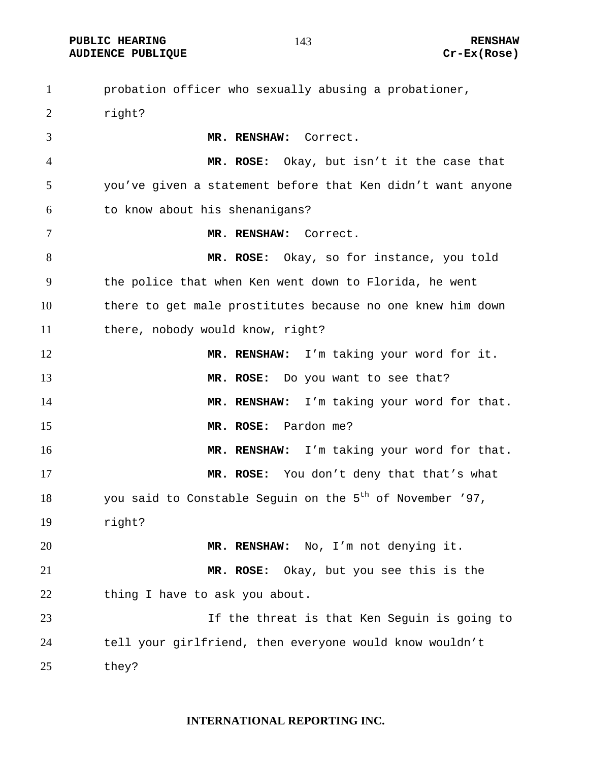PUBLIC HEARING **RENSHAW** 143 **RENSHAW** RENSHAW RENSHAW **AUDIENCE PUBLIQUE** 

| $\mathbf{1}$   | probation officer who sexually abusing a probationer,                |
|----------------|----------------------------------------------------------------------|
| 2              | right?                                                               |
| 3              | MR. RENSHAW: Correct.                                                |
| $\overline{4}$ | MR. ROSE: Okay, but isn't it the case that                           |
| 5              | you've given a statement before that Ken didn't want anyone          |
| 6              | to know about his shenanigans?                                       |
| $\tau$         | MR. RENSHAW: Correct.                                                |
| 8              | MR. ROSE: Okay, so for instance, you told                            |
| 9              | the police that when Ken went down to Florida, he went               |
| 10             | there to get male prostitutes because no one knew him down           |
| 11             | there, nobody would know, right?                                     |
| 12             | MR. RENSHAW: I'm taking your word for it.                            |
| 13             | MR. ROSE: Do you want to see that?                                   |
| 14             | MR. RENSHAW: I'm taking your word for that.                          |
| 15             | MR. ROSE: Pardon me?                                                 |
| 16             | MR. RENSHAW: I'm taking your word for that.                          |
| 17             | MR. ROSE: You don't deny that that's what                            |
| 18             | you said to Constable Seguin on the 5 <sup>th</sup> of November '97, |
| 19             | right?                                                               |
| 20             | MR. RENSHAW: No, I'm not denying it.                                 |
| 21             | MR. ROSE: Okay, but you see this is the                              |
| 22             | thing I have to ask you about.                                       |
| 23             | If the threat is that Ken Seguin is going to                         |
| 24             | tell your girlfriend, then everyone would know wouldn't              |
| 25             | they?                                                                |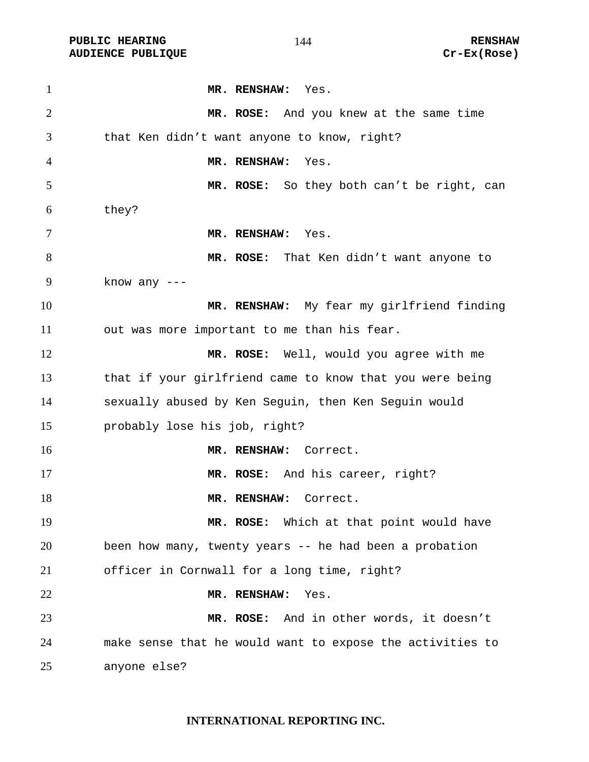PUBLIC HEARING **RENSHAW** 144 **RENSHAW** RENSHAW<br>AUDIENCE PUBLIQUE **RENSHAW** Cr-Ex(Rose) **AUDIENCE PUBLIQUE** 

| $\mathbf{1}$   | MR. RENSHAW: Yes.                                         |
|----------------|-----------------------------------------------------------|
| $\overline{2}$ | MR. ROSE: And you knew at the same time                   |
| 3              | that Ken didn't want anyone to know, right?               |
| 4              | MR. RENSHAW:<br>Yes.                                      |
| 5              | MR. ROSE: So they both can't be right, can                |
| 6              | they?                                                     |
| 7              | MR. RENSHAW: Yes.                                         |
| 8              | MR. ROSE: That Ken didn't want anyone to                  |
| 9              | know any $---$                                            |
| 10             | MR. RENSHAW: My fear my girlfriend finding                |
| 11             | out was more important to me than his fear.               |
| 12             | MR. ROSE: Well, would you agree with me                   |
| 13             | that if your girlfriend came to know that you were being  |
| 14             | sexually abused by Ken Seguin, then Ken Seguin would      |
| 15             | probably lose his job, right?                             |
| 16             | MR. RENSHAW: Correct.                                     |
| 17             | MR. ROSE: And his career, right?                          |
| 18             | MR. RENSHAW: Correct.                                     |
| 19             | MR. ROSE: Which at that point would have                  |
| 20             | been how many, twenty years -- he had been a probation    |
| 21             | officer in Cornwall for a long time, right?               |
| 22             | MR. RENSHAW:<br>Yes.                                      |
| 23             | MR. ROSE: And in other words, it doesn't                  |
| 24             | make sense that he would want to expose the activities to |
| 25             | anyone else?                                              |

#### **INTERNATIONAL REPORTING INC.**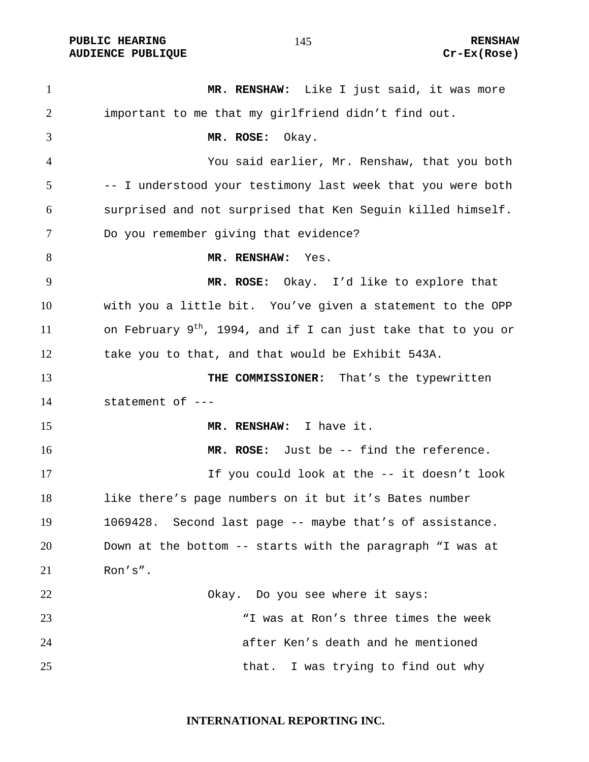PUBLIC HEARING **RENSHAW** 145 **RENSHAW** RENSHAW **RENSHAW RENSHAW RENSHAW RENSHAW RENSHAW AUDIENCE PUBLIQUE** 

| $\mathbf{1}$ | MR. RENSHAW: Like I just said, it was more                                |
|--------------|---------------------------------------------------------------------------|
| 2            | important to me that my girlfriend didn't find out.                       |
| 3            | MR. ROSE:<br>Okay.                                                        |
| 4            | You said earlier, Mr. Renshaw, that you both                              |
| 5            | -- I understood your testimony last week that you were both               |
| 6            | surprised and not surprised that Ken Seguin killed himself.               |
| 7            | Do you remember giving that evidence?                                     |
| 8            | MR. RENSHAW:<br>Yes.                                                      |
| 9            | MR. ROSE: Okay. I'd like to explore that                                  |
| 10           | with you a little bit. You've given a statement to the OPP                |
| 11           | on February 9 <sup>th</sup> , 1994, and if I can just take that to you or |
| 12           | take you to that, and that would be Exhibit 543A.                         |
| 13           | THE COMMISSIONER: That's the typewritten                                  |
| 14           | statement of ---                                                          |
| 15           | MR. RENSHAW: I have it.                                                   |
| 16           | MR. ROSE: Just be -- find the reference.                                  |
| 17           | If you could look at the -- it doesn't look                               |
| 18           | like there's page numbers on it but it's Bates number                     |
| 19           | 1069428. Second last page -- maybe that's of assistance.                  |
| 20           | Down at the bottom -- starts with the paragraph "I was at                 |
| 21           | Ron's".                                                                   |
| 22           | Okay. Do you see where it says:                                           |
| 23           | "I was at Ron's three times the week                                      |
| 24           | after Ken's death and he mentioned                                        |
| 25           | that. I was trying to find out why                                        |

**INTERNATIONAL REPORTING INC.**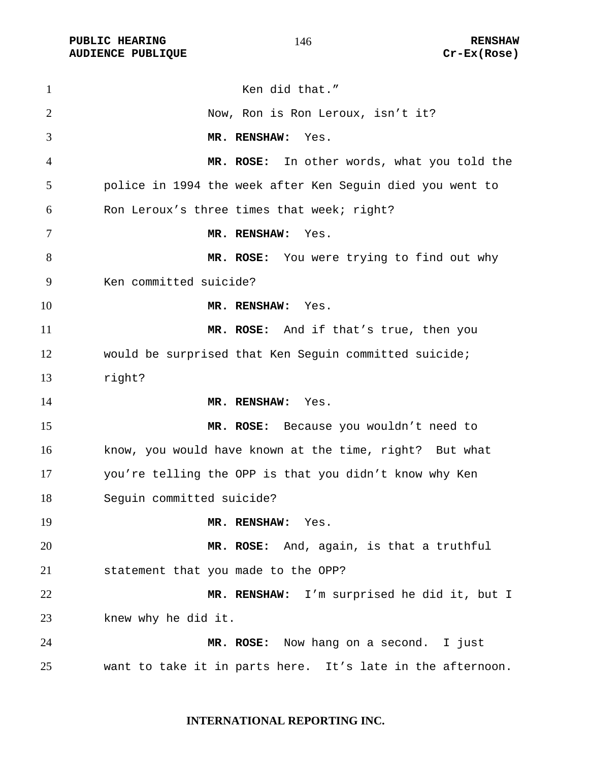PUBLIC HEARING **RENSHAW** 146 **RENSHAW** RENSHAW **RENSHAW RENSHAW RENSHAW RENSHAW RENSHAW AUDIENCE PUBLIQUE** 

| $\mathbf{1}$ | Ken did that."                                             |
|--------------|------------------------------------------------------------|
| 2            | Now, Ron is Ron Leroux, isn't it?                          |
| 3            | MR. RENSHAW:<br>Yes.                                       |
| 4            | MR. ROSE: In other words, what you told the                |
| 5            | police in 1994 the week after Ken Sequin died you went to  |
| 6            | Ron Leroux's three times that week; right?                 |
| 7            | MR. RENSHAW:<br>Yes.                                       |
| 8            | MR. ROSE: You were trying to find out why                  |
| 9            | Ken committed suicide?                                     |
| 10           | MR. RENSHAW: Yes.                                          |
| 11           | MR. ROSE: And if that's true, then you                     |
| 12           | would be surprised that Ken Seguin committed suicide;      |
| 13           | right?                                                     |
| 14           | MR. RENSHAW:<br>Yes.                                       |
| 15           | MR. ROSE: Because you wouldn't need to                     |
| 16           | know, you would have known at the time, right? But what    |
| 17           | you're telling the OPP is that you didn't know why Ken     |
| 18           | Seguin committed suicide?                                  |
| 19           | MR. RENSHAW: Yes.                                          |
| 20           | MR. ROSE: And, again, is that a truthful                   |
| 21           | statement that you made to the OPP?                        |
| 22           | MR. RENSHAW: I'm surprised he did it, but I                |
| 23           | knew why he did it.                                        |
| 24           | MR. ROSE: Now hang on a second. I just                     |
| 25           | want to take it in parts here. It's late in the afternoon. |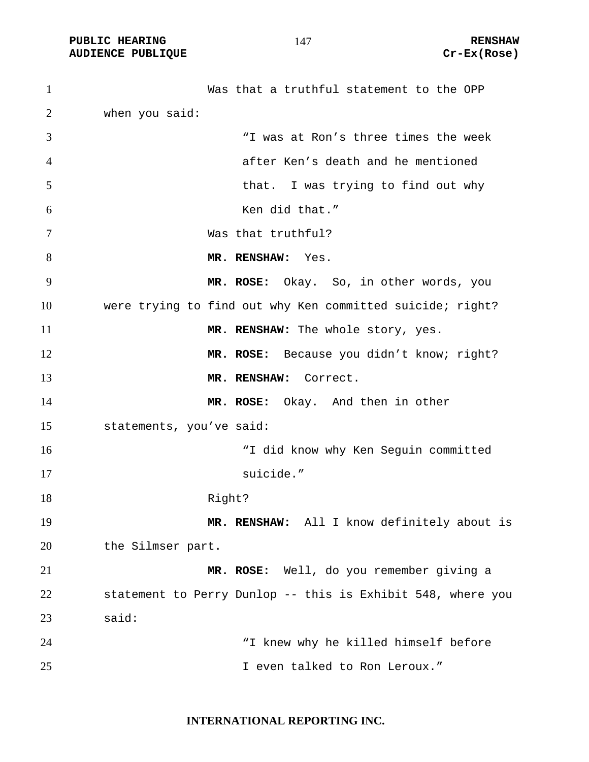PUBLIC HEARING **RENSHAW** 147 **RENSHAW** RENSHAW **RENSHAW RENSHAW RENSHAW RENSHAW RENSHAW AUDIENCE PUBLIQUE** 

| $\mathbf{1}$   | Was that a truthful statement to the OPP                    |
|----------------|-------------------------------------------------------------|
| $\overline{2}$ | when you said:                                              |
| 3              | "I was at Ron's three times the week                        |
| 4              | after Ken's death and he mentioned                          |
| 5              | that. I was trying to find out why                          |
| 6              | Ken did that."                                              |
| 7              | Was that truthful?                                          |
| 8              | MR. RENSHAW: Yes.                                           |
| 9              | MR. ROSE: Okay. So, in other words, you                     |
| 10             | were trying to find out why Ken committed suicide; right?   |
| 11             | MR. RENSHAW: The whole story, yes.                          |
| 12             | MR. ROSE: Because you didn't know; right?                   |
| 13             | MR. RENSHAW: Correct.                                       |
| 14             | MR. ROSE: Okay. And then in other                           |
| 15             | statements, you've said:                                    |
| 16             | "I did know why Ken Seguin committed                        |
| 17             | suicide."                                                   |
| 18             | Right?                                                      |
| 19             | MR. RENSHAW: All I know definitely about is                 |
| 20             | the Silmser part.                                           |
| 21             | MR. ROSE: Well, do you remember giving a                    |
| 22             | statement to Perry Dunlop -- this is Exhibit 548, where you |
| 23             | said:                                                       |
| 24             | "I knew why he killed himself before                        |
| 25             | I even talked to Ron Leroux."                               |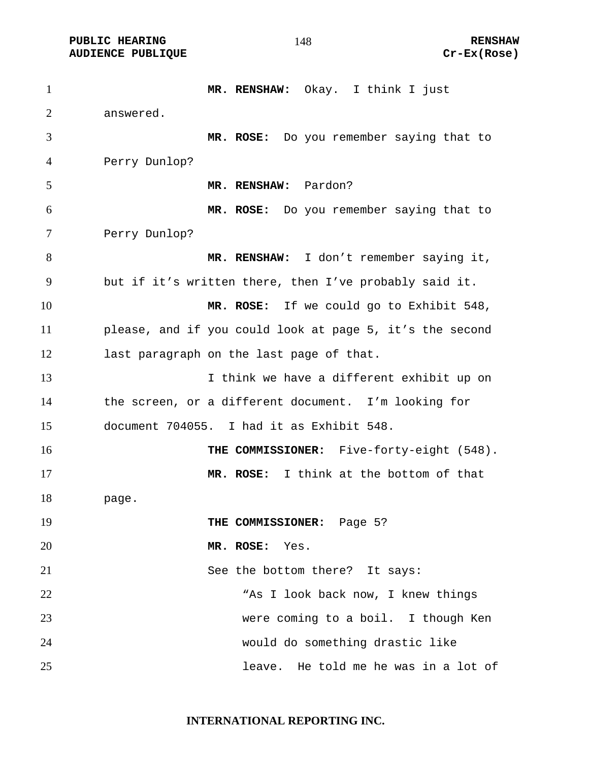**PUBLIC HEARING 148** 148 **RENSHAW** 

**MR. RENSHAW:** Okay. I think I just answered. **MR. ROSE:** Do you remember saying that to Perry Dunlop? **MR. RENSHAW:** Pardon? **MR. ROSE:** Do you remember saying that to Perry Dunlop? **MR. RENSHAW:** I don't remember saying it, but if it's written there, then I've probably said it. **MR. ROSE:** If we could go to Exhibit 548, please, and if you could look at page 5, it's the second last paragraph on the last page of that. I think we have a different exhibit up on the screen, or a different document. I'm looking for document 704055. I had it as Exhibit 548. **THE COMMISSIONER:** Five-forty-eight (548). **MR. ROSE:** I think at the bottom of that page. **THE COMMISSIONER:** Page 5? **MR. ROSE:** Yes. 21 See the bottom there? It says: "As I look back now, I knew things were coming to a boil. I though Ken would do something drastic like leave. He told me he was in a lot of

**INTERNATIONAL REPORTING INC.**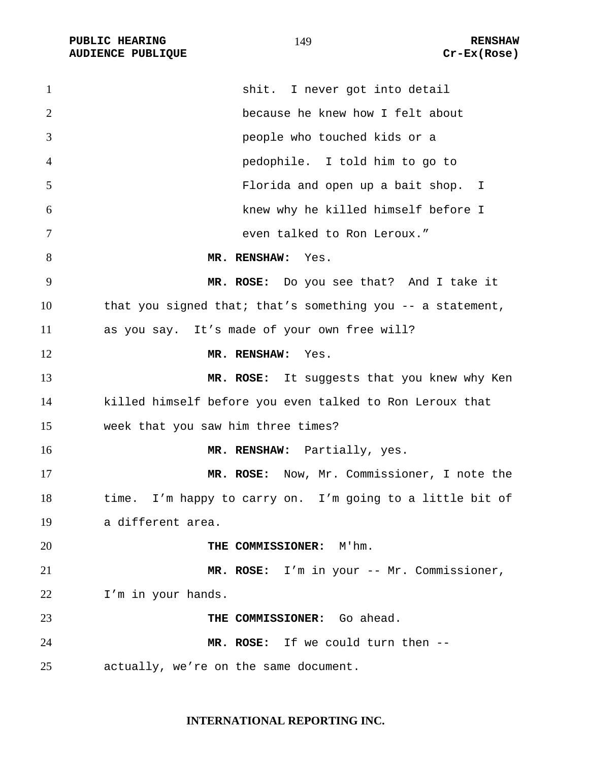PUBLIC HEARING **RENSHAW** 149 **RENSHAW** RENSHAW **RENSHAW RENSHAW RENSHAW RENSHAW RENSHAW RENSHAW RENSHAW AUDIENCE PUBLIQUE** 

| $\mathbf{1}$   | shit. I never got into detail                              |
|----------------|------------------------------------------------------------|
| $\overline{2}$ | because he knew how I felt about                           |
| 3              | people who touched kids or a                               |
| 4              | pedophile. I told him to go to                             |
| 5              | Florida and open up a bait shop. I                         |
| 6              | knew why he killed himself before I                        |
| 7              | even talked to Ron Leroux."                                |
| 8              | MR. RENSHAW: Yes.                                          |
| 9              | MR. ROSE: Do you see that? And I take it                   |
| 10             | that you signed that; that's something you -- a statement, |
| 11             | as you say. It's made of your own free will?               |
| 12             | MR. RENSHAW: Yes.                                          |
| 13             | MR. ROSE: It suggests that you knew why Ken                |
| 14             | killed himself before you even talked to Ron Leroux that   |
| 15             | week that you saw him three times?                         |
| 16             | MR. RENSHAW: Partially, yes.                               |
| 17             | MR. ROSE: Now, Mr. Commissioner, I note the                |
| 18             | time. I'm happy to carry on. I'm going to a little bit of  |
| 19             | a different area.                                          |
| 20             | THE COMMISSIONER: M'hm.                                    |
| 21             | MR. ROSE: I'm in your -- Mr. Commissioner,                 |
| 22             | I'm in your hands.                                         |
| 23             | THE COMMISSIONER: Go ahead.                                |
| 24             | MR. ROSE: If we could turn then --                         |
| 25             | actually, we're on the same document.                      |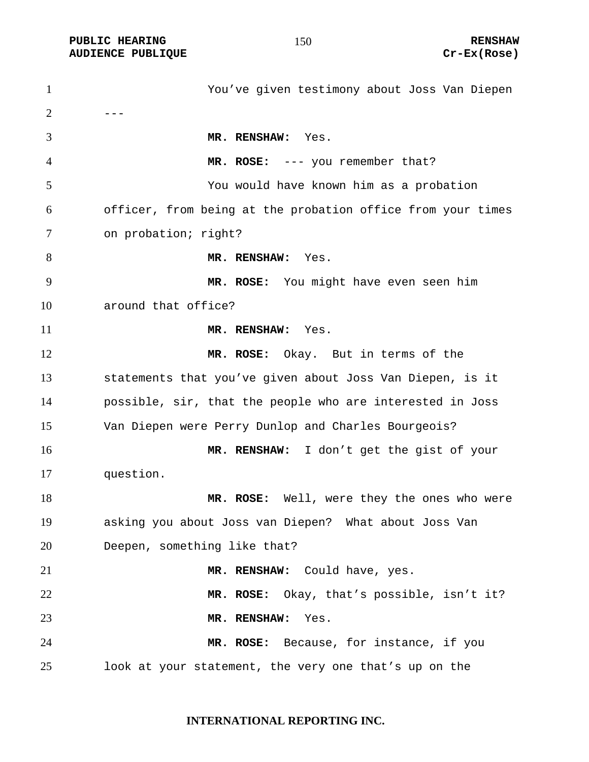PUBLIC HEARING **RENSHAW** 150 **RENSHAW** RENSHAW **RENSHAW RENSHAW RENSHAW RENSHAW RENSHAW AUDIENCE PUBLIQUE** 

| $\mathbf{1}$   | You've given testimony about Joss Van Diepen                |
|----------------|-------------------------------------------------------------|
| $\overline{2}$ |                                                             |
| 3              | MR. RENSHAW: Yes.                                           |
| $\overline{4}$ | MR. ROSE: --- you remember that?                            |
| 5              | You would have known him as a probation                     |
| 6              | officer, from being at the probation office from your times |
| 7              | on probation; right?                                        |
| 8              | MR. RENSHAW: Yes.                                           |
| 9              | MR. ROSE: You might have even seen him                      |
| 10             | around that office?                                         |
| 11             | MR. RENSHAW: Yes.                                           |
| 12             | MR. ROSE: Okay. But in terms of the                         |
| 13             | statements that you've given about Joss Van Diepen, is it   |
| 14             | possible, sir, that the people who are interested in Joss   |
| 15             | Van Diepen were Perry Dunlop and Charles Bourgeois?         |
| 16             | MR. RENSHAW: I don't get the gist of your                   |
| 17             | question.                                                   |
| 18             | MR. ROSE: Well, were they the ones who were                 |
| 19             | asking you about Joss van Diepen? What about Joss Van       |
| 20             | Deepen, something like that?                                |
| 21             | MR. RENSHAW: Could have, yes.                               |
| 22             | MR. ROSE: Okay, that's possible, isn't it?                  |
| 23             | Yes.<br>MR. RENSHAW:                                        |
| 24             | MR. ROSE: Because, for instance, if you                     |
| 25             | look at your statement, the very one that's up on the       |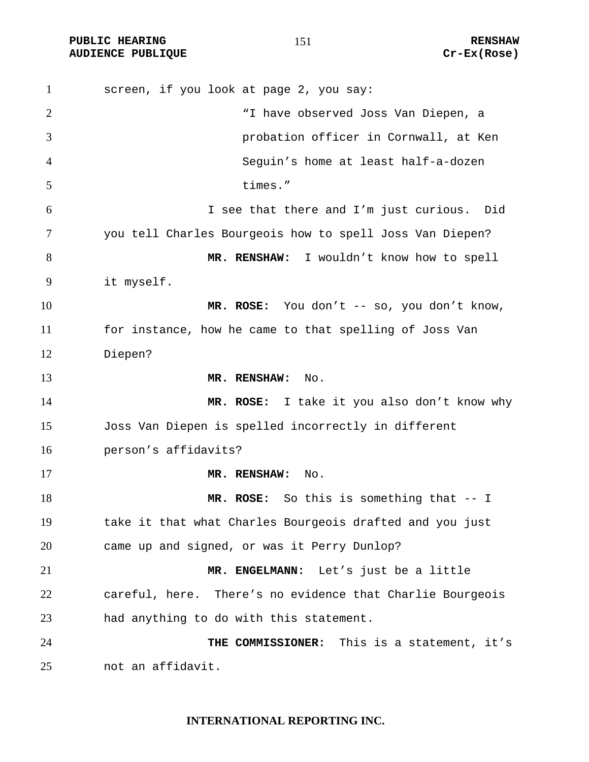PUBLIC HEARING **RENSHAW** 151 **RENSHAW** RENSHAW **RENSHAW RENSHAW RENSHAW RENSHAW RENSHAW AUDIENCE PUBLIQUE** 

| $\mathbf{1}$ | screen, if you look at page 2, you say:                   |
|--------------|-----------------------------------------------------------|
| 2            | "I have observed Joss Van Diepen, a                       |
| 3            | probation officer in Cornwall, at Ken                     |
| 4            | Seguin's home at least half-a-dozen                       |
| 5            | times."                                                   |
| 6            | I see that there and I'm just curious. Did                |
| 7            | you tell Charles Bourgeois how to spell Joss Van Diepen?  |
| 8            | MR. RENSHAW: I wouldn't know how to spell                 |
| 9            | it myself.                                                |
| 10           | MR. ROSE: You don't -- so, you don't know,                |
| 11           | for instance, how he came to that spelling of Joss Van    |
| 12           | Diepen?                                                   |
| 13           | MR. RENSHAW: No.                                          |
| 14           | MR. ROSE: I take it you also don't know why               |
| 15           | Joss Van Diepen is spelled incorrectly in different       |
| 16           | person's affidavits?                                      |
| 17           | MR. RENSHAW:<br>No.                                       |
| 18           | MR. ROSE: So this is something that -- I                  |
| 19           | take it that what Charles Bourgeois drafted and you just  |
| 20           | came up and signed, or was it Perry Dunlop?               |
| 21           | MR. ENGELMANN: Let's just be a little                     |
| 22           | careful, here. There's no evidence that Charlie Bourgeois |
| 23           | had anything to do with this statement.                   |
| 24           | THE COMMISSIONER: This is a statement, it's               |
| 25           | not an affidavit.                                         |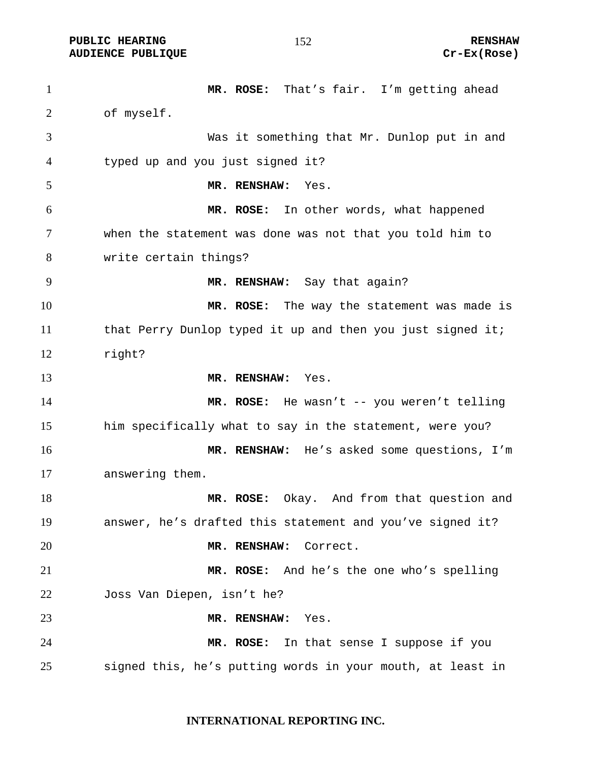**PUBLIC HEARING 152** 152 RENSHAW

**AUDIENCE PUBLIQUE Cr-Ex(Rose)** 

**MR. ROSE:** That's fair. I'm getting ahead of myself. Was it something that Mr. Dunlop put in and typed up and you just signed it? **MR. RENSHAW:** Yes. **MR. ROSE:** In other words, what happened when the statement was done was not that you told him to write certain things? **MR. RENSHAW:** Say that again? **MR. ROSE:** The way the statement was made is that Perry Dunlop typed it up and then you just signed it; right? **MR. RENSHAW:** Yes. **MR. ROSE:** He wasn't -- you weren't telling him specifically what to say in the statement, were you? **MR. RENSHAW:** He's asked some questions, I'm answering them. **MR. ROSE:** Okay. And from that question and answer, he's drafted this statement and you've signed it? **MR. RENSHAW:** Correct. **MR. ROSE:** And he's the one who's spelling Joss Van Diepen, isn't he? **MR. RENSHAW:** Yes. **MR. ROSE:** In that sense I suppose if you signed this, he's putting words in your mouth, at least in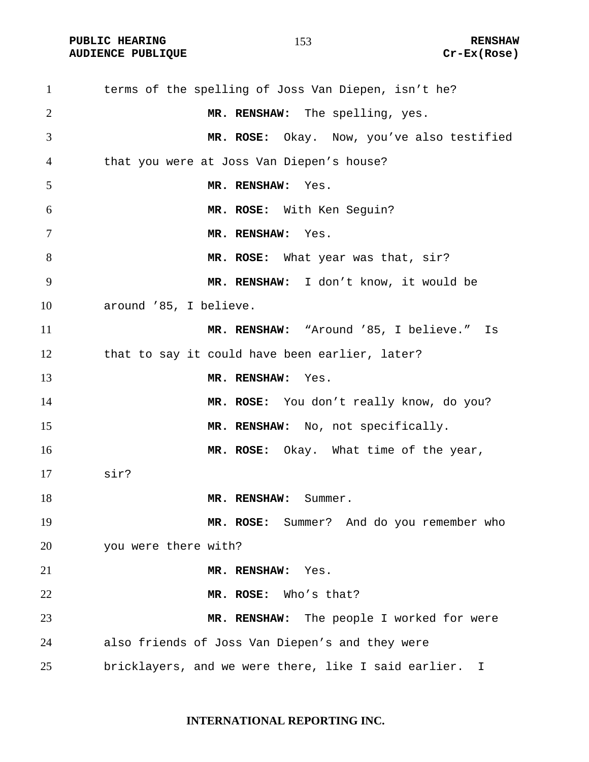PUBLIC HEARING **RENSHAW** 153 RENSHAW RENSHAW RENSHAW **RENSHAW** RENSHAW **AUDIENCE PUBLIQUE** 

| $\mathbf{1}$   | terms of the spelling of Joss Van Diepen, isn't he?    |
|----------------|--------------------------------------------------------|
| $\overline{2}$ | MR. RENSHAW: The spelling, yes.                        |
| 3              | MR. ROSE: Okay. Now, you've also testified             |
| 4              | that you were at Joss Van Diepen's house?              |
| 5              | MR. RENSHAW: Yes.                                      |
| 6              | MR. ROSE: With Ken Seguin?                             |
| $\tau$         | MR. RENSHAW:<br>Yes.                                   |
| 8              | MR. ROSE: What year was that, sir?                     |
| 9              | MR. RENSHAW: I don't know, it would be                 |
| 10             | around '85, I believe.                                 |
| 11             | MR. RENSHAW: "Around '85, I believe." Is               |
| 12             | that to say it could have been earlier, later?         |
| 13             | MR. RENSHAW:<br>Yes.                                   |
| 14             | MR. ROSE: You don't really know, do you?               |
| 15             | MR. RENSHAW: No, not specifically.                     |
| 16             | MR. ROSE: Okay. What time of the year,                 |
| 17             | sir?                                                   |
| 18             | MR. RENSHAW:<br>Summer.                                |
| 19             | MR. ROSE: Summer? And do you remember who              |
| 20             | you were there with?                                   |
| 21             | MR. RENSHAW:<br>Yes.                                   |
| 22             | MR. ROSE: Who's that?                                  |
| 23             | MR. RENSHAW: The people I worked for were              |
| 24             | also friends of Joss Van Diepen's and they were        |
| 25             | bricklayers, and we were there, like I said earlier. I |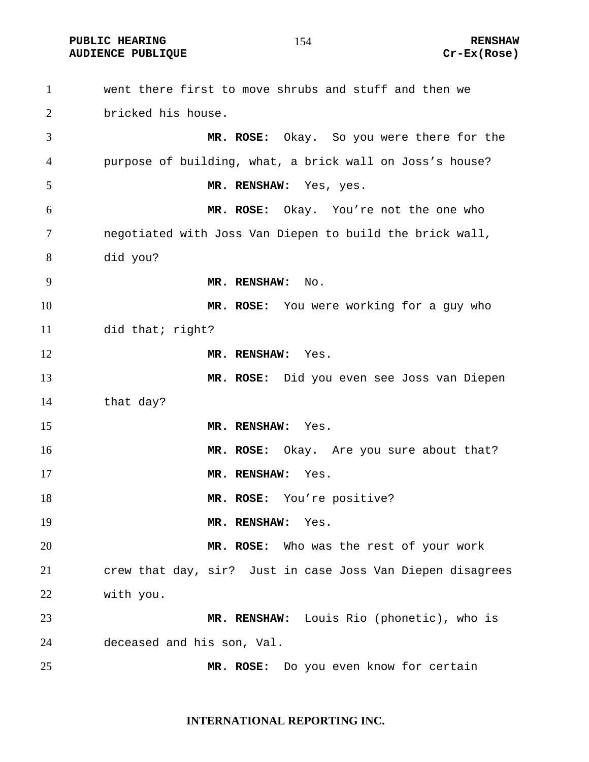**PUBLIC HEARING RENSHAW** 

went there first to move shrubs and stuff and then we bricked his house. **MR. ROSE:** Okay. So you were there for the purpose of building, what, a brick wall on Joss's house? **MR. RENSHAW:** Yes, yes. **MR. ROSE:** Okay. You're not the one who negotiated with Joss Van Diepen to build the brick wall, did you? **MR. RENSHAW:** No. **MR. ROSE:** You were working for a guy who did that; right? **MR. RENSHAW:** Yes. **MR. ROSE:** Did you even see Joss van Diepen that day? **MR. RENSHAW:** Yes. **MR. ROSE:** Okay. Are you sure about that? **MR. RENSHAW:** Yes. 18 MR. ROSE: You're positive? **MR. RENSHAW:** Yes. **MR. ROSE:** Who was the rest of your work crew that day, sir?Just in case Joss Van Diepen disagrees with you. **MR. RENSHAW:** Louis Rio (phonetic), who is deceased and his son, Val. **MR. ROSE:** Do you even know for certain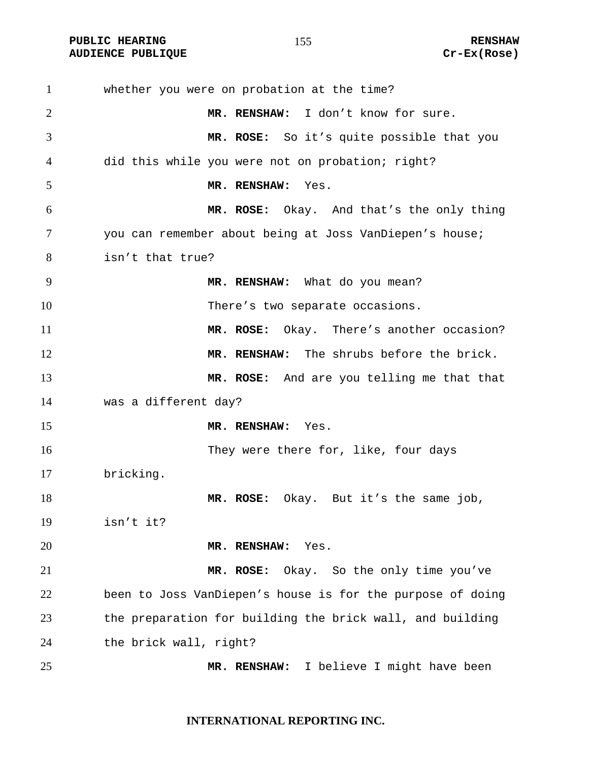PUBLIC HEARING **RENSHAW RENSHAW RENSHAW RENSHAW**<br>AUDIENCE PUBLIQUE **RENSHAW** RUDIENCE RENSHAW **AUDIENCE PUBLIQUE** 

| $\mathbf{1}$ | whether you were on probation at the time?                 |
|--------------|------------------------------------------------------------|
| 2            | MR. RENSHAW: I don't know for sure.                        |
| 3            | MR. ROSE: So it's quite possible that you                  |
| 4            | did this while you were not on probation; right?           |
| 5            | MR. RENSHAW: Yes.                                          |
| 6            | MR. ROSE: Okay. And that's the only thing                  |
| 7            | you can remember about being at Joss VanDiepen's house;    |
| 8            | isn't that true?                                           |
| 9            | MR. RENSHAW: What do you mean?                             |
| 10           | There's two separate occasions.                            |
| 11           | MR. ROSE: Okay. There's another occasion?                  |
| 12           | MR. RENSHAW: The shrubs before the brick.                  |
| 13           | MR. ROSE: And are you telling me that that                 |
| 14           | was a different day?                                       |
| 15           | MR. RENSHAW: Yes.                                          |
| 16           | They were there for, like, four days                       |
| 17           | bricking.                                                  |
| 18           | MR. ROSE: Okay. But it's the same job,                     |
| 19           | isn't it?                                                  |
| 20           | MR. RENSHAW:<br>Yes.                                       |
| 21           | Okay. So the only time you've<br>MR. ROSE:                 |
| 22           | been to Joss VanDiepen's house is for the purpose of doing |
| 23           | the preparation for building the brick wall, and building  |
| 24           | the brick wall, right?                                     |
| 25           | I believe I might have been<br>MR. RENSHAW:                |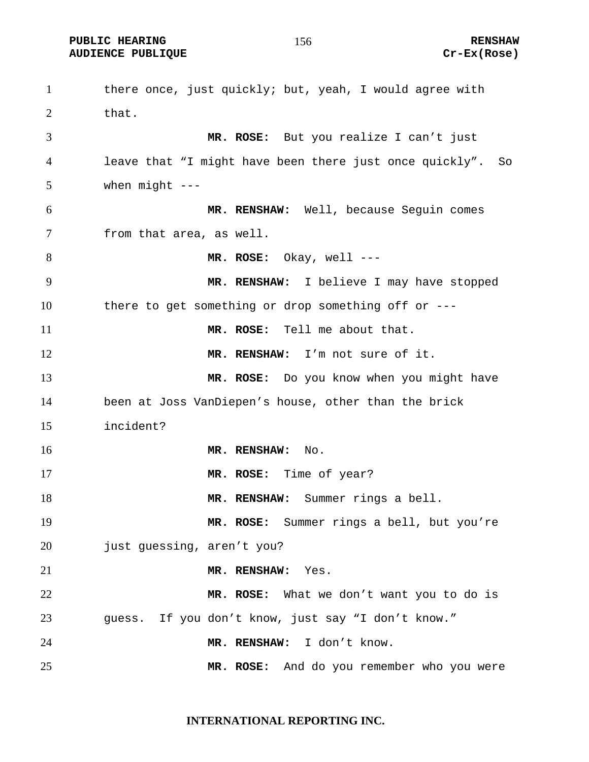**PUBLIC HEARING 6 2012 156 2014 156 2014 156 2014 156 2014 156 2014 156 2014 157 2014 158 2014 169 2014 179 201 AUDIENCE PUBLIQUE Cr-Ex(Rose)** 

1 there once, just quickly; but, yeah, I would agree with that. **MR. ROSE:** But you realize I can't just leave that "I might have been there just once quickly". So when might --- **MR. RENSHAW:** Well, because Seguin comes from that area, as well. **MR. ROSE:** Okay, well --- **MR. RENSHAW:** I believe I may have stopped there to get something or drop something off or --- **MR. ROSE:** Tell me about that. **MR. RENSHAW:** I'm not sure of it. **MR. ROSE:** Do you know when you might have been at Joss VanDiepen's house, other than the brick incident? **MR. RENSHAW:** No. **MR. ROSE:** Time of year? **MR. RENSHAW:** Summer rings a bell. **MR. ROSE:** Summer rings a bell, but you're 20 just guessing, aren't you? **MR. RENSHAW:** Yes. **MR. ROSE:** What we don't want you to do is guess. If you don't know, just say "I don't know." **MR. RENSHAW:** I don't know. **MR. ROSE:** And do you remember who you were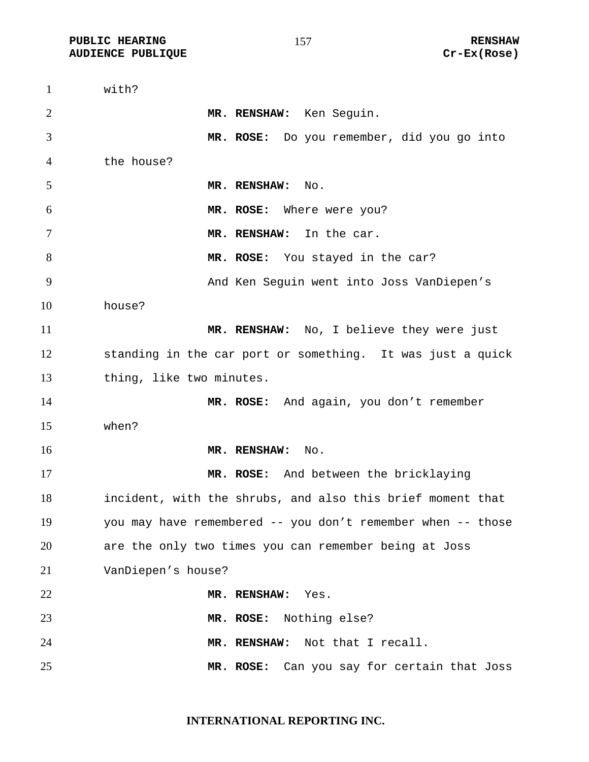PUBLIC HEARING **RENSHAW** 157 **RENSHAW** RENSHAW **RENSHAW RENSHAW RENSHAW RENSHAW RENSHAW AUDIENCE PUBLIQUE** 

| $\mathbf{1}$   | with?                                                       |
|----------------|-------------------------------------------------------------|
| $\overline{2}$ | MR. RENSHAW: Ken Seguin.                                    |
| 3              | MR. ROSE: Do you remember, did you go into                  |
| $\overline{4}$ | the house?                                                  |
| 5              | MR. RENSHAW:<br>No.                                         |
| 6              | MR. ROSE: Where were you?                                   |
| 7              | MR. RENSHAW: In the car.                                    |
| $8\phantom{.}$ | MR. ROSE: You stayed in the car?                            |
| 9              | And Ken Seguin went into Joss VanDiepen's                   |
| 10             | house?                                                      |
| 11             | MR. RENSHAW: No, I believe they were just                   |
| 12             | standing in the car port or something. It was just a quick  |
| 13             | thing, like two minutes.                                    |
| 14             | MR. ROSE: And again, you don't remember                     |
| 15             | when?                                                       |
| 16             | MR. RENSHAW:<br>No.                                         |
| 17             | MR. ROSE: And between the bricklaying                       |
| 18             | incident, with the shrubs, and also this brief moment that  |
| 19             | you may have remembered -- you don't remember when -- those |
| 20             | are the only two times you can remember being at Joss       |
| 21             | VanDiepen's house?                                          |
| 22             | MR. RENSHAW: Yes.                                           |
| 23             | MR. ROSE: Nothing else?                                     |
| 24             | MR. RENSHAW: Not that I recall.                             |
| 25             | Can you say for certain that Joss<br>MR. ROSE:              |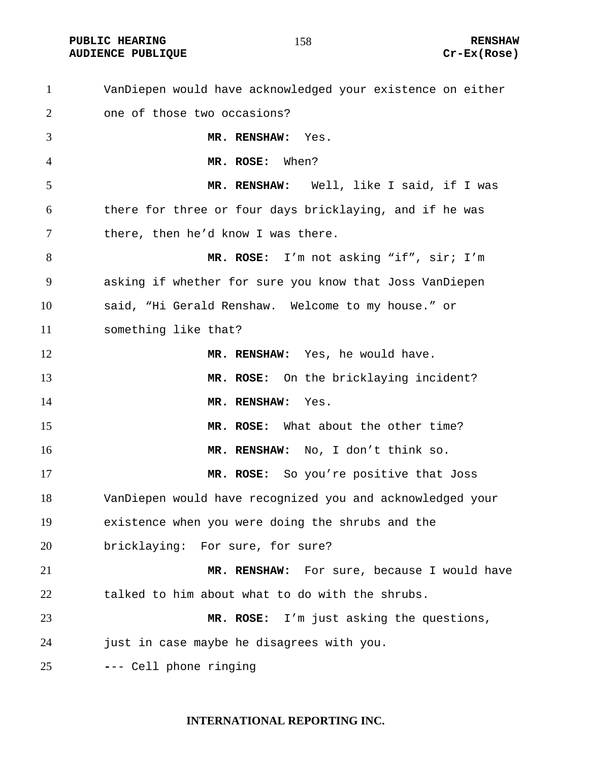PUBLIC HEARING **RENSHAW RENSHAW RENSHAW RENSHAW**<br>AUDIENCE PUBLIQUE **RENSHAW RENSHAW** Cr-Ex(Rose) **AUDIENCE PUBLIQUE** 

| $\mathbf{1}$ | VanDiepen would have acknowledged your existence on either |
|--------------|------------------------------------------------------------|
| 2            | one of those two occasions?                                |
| 3            | MR. RENSHAW: Yes.                                          |
| 4            | MR. ROSE: When?                                            |
| 5            | MR. RENSHAW: Well, like I said, if I was                   |
| 6            | there for three or four days bricklaying, and if he was    |
| 7            | there, then he'd know I was there.                         |
| 8            | MR. ROSE: I'm not asking "if", sir; I'm                    |
| 9            | asking if whether for sure you know that Joss VanDiepen    |
| 10           | said, "Hi Gerald Renshaw. Welcome to my house." or         |
| 11           | something like that?                                       |
| 12           | MR. RENSHAW: Yes, he would have.                           |
| 13           | MR. ROSE: On the bricklaying incident?                     |
| 14           | MR. RENSHAW:<br>Yes.                                       |
| 15           | MR. ROSE: What about the other time?                       |
| 16           | MR. RENSHAW: No, I don't think so.                         |
| 17           | MR. ROSE: So you're positive that Joss                     |
| 18           | VanDiepen would have recognized you and acknowledged your  |
| 19           | existence when you were doing the shrubs and the           |
| 20           | bricklaying: For sure, for sure?                           |
| 21           | MR. RENSHAW: For sure, because I would have                |
| 22           | talked to him about what to do with the shrubs.            |
| 23           | MR. ROSE: I'm just asking the questions,                   |
| 24           | just in case maybe he disagrees with you.                  |
| 25           | --- Cell phone ringing                                     |

## **INTERNATIONAL REPORTING INC.**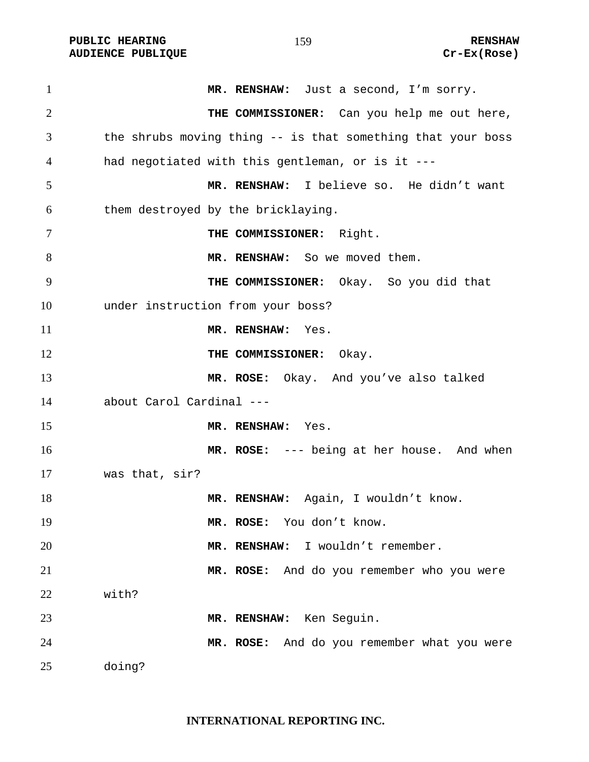PUBLIC HEARING **RENSHAW** 159 **RENSHAW** RENSHAW **RENSHAW RENSHAW RENSHAW RENSHAW RENSHAW Cr-Ex(Rose) AUDIENCE PUBLIQUE** 

| 1              | MR. RENSHAW: Just a second, I'm sorry.                      |
|----------------|-------------------------------------------------------------|
| $\overline{2}$ | THE COMMISSIONER: Can you help me out here,                 |
| 3              | the shrubs moving thing -- is that something that your boss |
| 4              | had negotiated with this gentleman, or is it ---            |
| 5              | MR. RENSHAW: I believe so. He didn't want                   |
| 6              | them destroyed by the bricklaying.                          |
| 7              | THE COMMISSIONER: Right.                                    |
| 8              | MR. RENSHAW: So we moved them.                              |
| 9              | THE COMMISSIONER: Okay. So you did that                     |
| 10             | under instruction from your boss?                           |
| 11             | MR. RENSHAW: Yes.                                           |
| 12             | THE COMMISSIONER: Okay.                                     |
| 13             | MR. ROSE: Okay. And you've also talked                      |
| 14             | about Carol Cardinal ---                                    |
| 15             | MR. RENSHAW: Yes.                                           |
| 16             | MR. ROSE: --- being at her house. And when                  |
| 17             | was that, sir?                                              |
| 18             | MR. RENSHAW: Again, I wouldn't know.                        |
| 19             | MR. ROSE: You don't know.                                   |
| 20             | MR. RENSHAW: I wouldn't remember.                           |
| 21             | MR. ROSE: And do you remember who you were                  |
| 22             | with?                                                       |
| 23             | MR. RENSHAW: Ken Seguin.                                    |
| 24             | MR. ROSE: And do you remember what you were                 |
| 25             | doing?                                                      |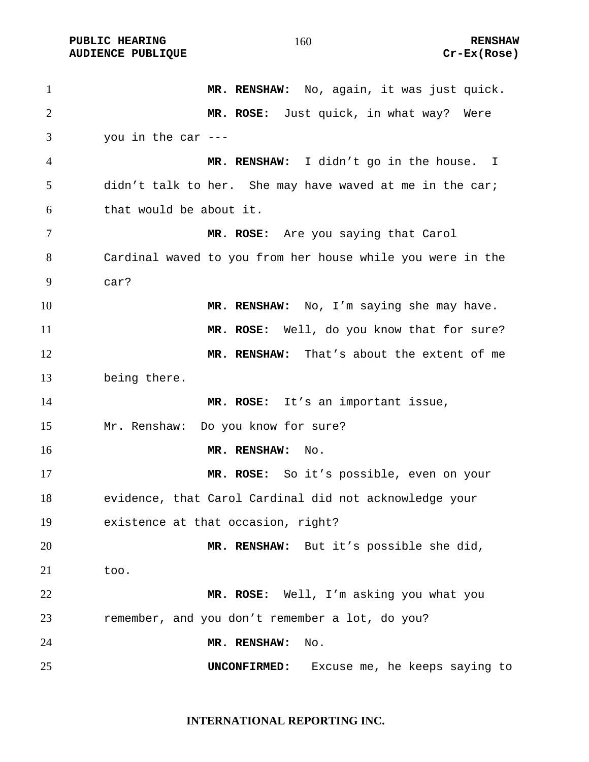PUBLIC HEARING **RENSHAW** 160 **RENSHAW** RENSHAW **RENSHAW RENSHAW RENSHAW RENSHAW Cr-Ex(Rose) AUDIENCE PUBLIQUE** 

| $\mathbf{1}$   | MR. RENSHAW: No, again, it was just quick.                 |
|----------------|------------------------------------------------------------|
| 2              | MR. ROSE: Just quick, in what way? Were                    |
| 3              | you in the car $---$                                       |
| $\overline{4}$ | MR. RENSHAW: I didn't go in the house. I                   |
| 5              | didn't talk to her. She may have waved at me in the car;   |
| 6              | that would be about it.                                    |
| 7              | MR. ROSE: Are you saying that Carol                        |
| 8              | Cardinal waved to you from her house while you were in the |
| 9              | car?                                                       |
| 10             | MR. RENSHAW: No, I'm saying she may have.                  |
| 11             | MR. ROSE: Well, do you know that for sure?                 |
| 12             | MR. RENSHAW: That's about the extent of me                 |
| 13             | being there.                                               |
| 14             | MR. ROSE: It's an important issue,                         |
| 15             | Mr. Renshaw: Do you know for sure?                         |
| 16             | MR. RENSHAW:<br>No.                                        |
| 17             | MR. ROSE: So it's possible, even on your                   |
| 18             | evidence, that Carol Cardinal did not acknowledge your     |
| 19             | existence at that occasion, right?                         |
| 20             | MR. RENSHAW: But it's possible she did,                    |
| 21             | too.                                                       |
| 22             | MR. ROSE: Well, I'm asking you what you                    |
| 23             | remember, and you don't remember a lot, do you?            |
| 24             | MR. RENSHAW:<br>No.                                        |
| 25             | Excuse me, he keeps saying to<br>UNCONFIRMED:              |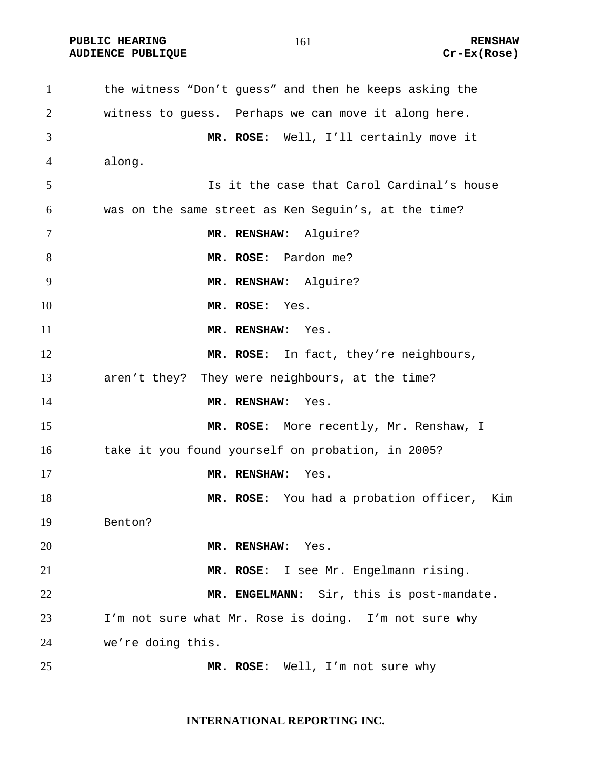**PUBLIC HEARING 161** 161 **RENSHAW AUDIENCE PUBLIQUE Cr-Ex(Rose)** 

the witness "Don't guess" and then he keeps asking the witness to guess. Perhaps we can move it along here. **MR. ROSE:** Well, I'll certainly move it along. Is it the case that Carol Cardinal's house was on the same street as Ken Seguin's, at the time? 7 MR. RENSHAW: Alquire? **MR. ROSE:** Pardon me? **MR. RENSHAW:** Alguire? **MR. ROSE:** Yes. **MR. RENSHAW:** Yes. 12 MR. ROSE: In fact, they're neighbours, aren't they? They were neighbours, at the time? **MR. RENSHAW:** Yes. **MR. ROSE:** More recently, Mr. Renshaw, I 16 take it you found yourself on probation, in 2005? **MR. RENSHAW:** Yes. **MR. ROSE:** You had a probation officer, Kim Benton? **MR. RENSHAW:** Yes. **MR. ROSE:** I see Mr. Engelmann rising. **MR. ENGELMANN:** Sir, this is post-mandate. I'm not sure what Mr. Rose is doing. I'm not sure why we're doing this. **MR. ROSE:** Well, I'm not sure why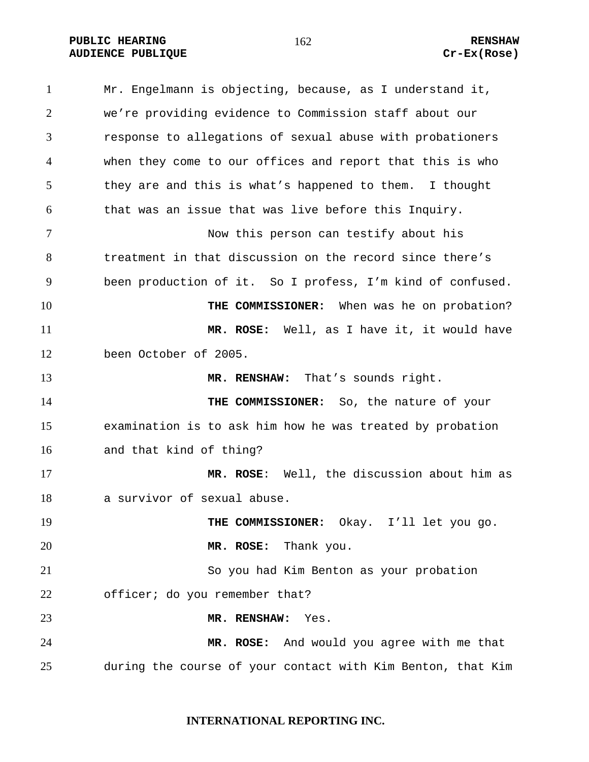**PUBLIC HEARING 162** 162 RENSHAW **AUDIENCE PUBLIQUE Cr-Ex(Rose)** 

Mr. Engelmann is objecting, because, as I understand it, we're providing evidence to Commission staff about our response to allegations of sexual abuse with probationers when they come to our offices and report that this is who they are and this is what's happened to them. I thought that was an issue that was live before this Inquiry. Now this person can testify about his treatment in that discussion on the record since there's been production of it. So I profess, I'm kind of confused. **THE COMMISSIONER:** When was he on probation? **MR. ROSE:** Well, as I have it, it would have been October of 2005. **MR. RENSHAW:** That's sounds right. **THE COMMISSIONER:** So, the nature of your examination is to ask him how he was treated by probation and that kind of thing? **MR. ROSE**: Well, the discussion about him as a survivor of sexual abuse. 19 THE COMMISSIONER: Okay. I'll let you go. **MR. ROSE:** Thank you. So you had Kim Benton as your probation officer; do you remember that? **MR. RENSHAW:** Yes. **MR. ROSE:** And would you agree with me that during the course of your contact with Kim Benton, that Kim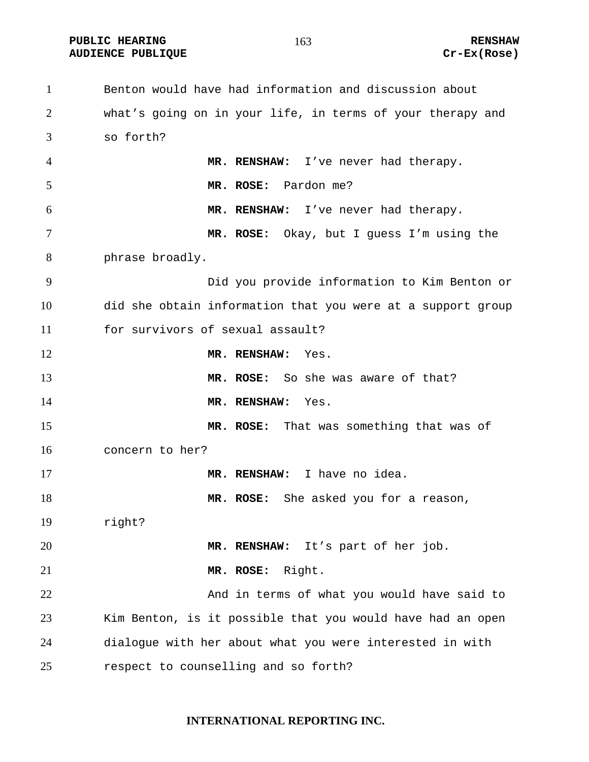**PUBLIC HEARING 163** 163 RENSHAW **AUDIENCE PUBLIQUE Cr-Ex(Rose)** 

Benton would have had information and discussion about what's going on in your life, in terms of your therapy and so forth? **MR. RENSHAW:** I've never had therapy. **MR. ROSE:** Pardon me? **MR. RENSHAW:** I've never had therapy. **MR. ROSE:** Okay, but I guess I'm using the phrase broadly. Did you provide information to Kim Benton or did she obtain information that you were at a support group for survivors of sexual assault? **MR. RENSHAW:** Yes. **MR. ROSE:** So she was aware of that? **MR. RENSHAW:** Yes. **MR. ROSE:** That was something that was of concern to her? **MR. RENSHAW:** I have no idea. **MR. ROSE:** She asked you for a reason, right? **MR. RENSHAW:** It's part of her job. **MR. ROSE:** Right. 22 And in terms of what you would have said to Kim Benton, is it possible that you would have had an open dialogue with her about what you were interested in with respect to counselling and so forth?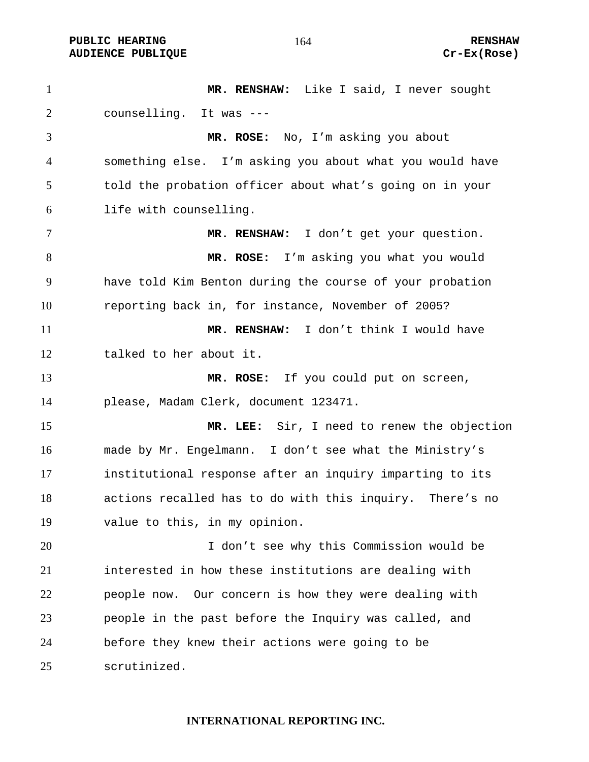**PUBLIC HEARING 164** 164 RENSHAW **AUDIENCE PUBLIQUE Cr-Ex(Rose)** 

**MR. RENSHAW:** Like I said, I never sought counselling. It was --- **MR. ROSE:** No, I'm asking you about something else. I'm asking you about what you would have told the probation officer about what's going on in your life with counselling. **MR. RENSHAW:** I don't get your question. **MR. ROSE:** I'm asking you what you would have told Kim Benton during the course of your probation reporting back in, for instance, November of 2005? **MR. RENSHAW:** I don't think I would have talked to her about it. **MR. ROSE:** If you could put on screen, please, Madam Clerk, document 123471. **MR. LEE:** Sir, I need to renew the objection made by Mr. Engelmann. I don't see what the Ministry's institutional response after an inquiry imparting to its actions recalled has to do with this inquiry. There's no value to this, in my opinion. I don't see why this Commission would be interested in how these institutions are dealing with people now. Our concern is how they were dealing with people in the past before the Inquiry was called, and before they knew their actions were going to be scrutinized.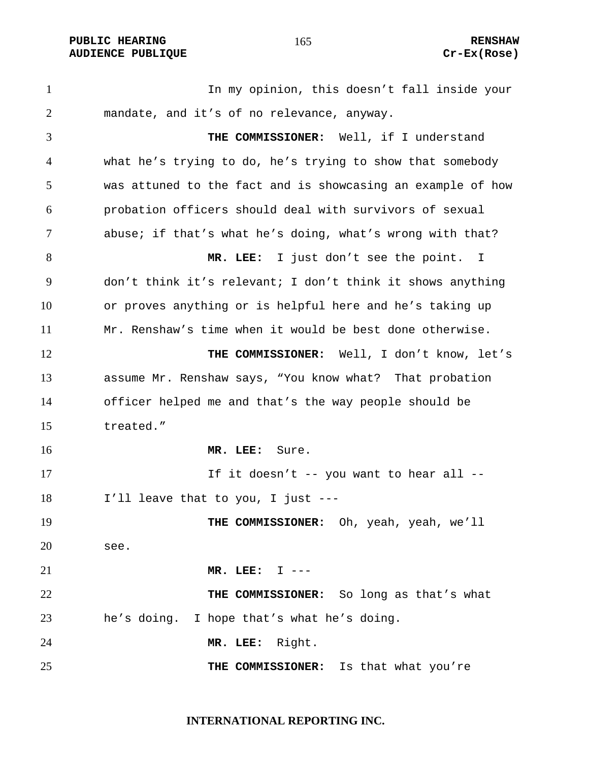**PUBLIC HEARING 165** 165 RENSHAW **AUDIENCE PUBLIQUE Cr-Ex(Rose)** 

In my opinion, this doesn't fall inside your mandate, and it's of no relevance, anyway. **THE COMMISSIONER:** Well, if I understand what he's trying to do, he's trying to show that somebody was attuned to the fact and is showcasing an example of how probation officers should deal with survivors of sexual abuse; if that's what he's doing, what's wrong with that? **MR. LEE:** I just don't see the point. I don't think it's relevant; I don't think it shows anything or proves anything or is helpful here and he's taking up Mr. Renshaw's time when it would be best done otherwise. 12 THE COMMISSIONER: Well, I don't know, let's assume Mr. Renshaw says, "You know what? That probation officer helped me and that's the way people should be treated." **MR. LEE:** Sure. 17 17 If it doesn't -- you want to hear all --I'll leave that to you, I just --- **THE COMMISSIONER:** Oh, yeah, yeah, we'll see. **MR. LEE:** I --- **THE COMMISSIONER:** So long as that's what he's doing. I hope that's what he's doing. **MR. LEE:** Right. **THE COMMISSIONER:** Is that what you're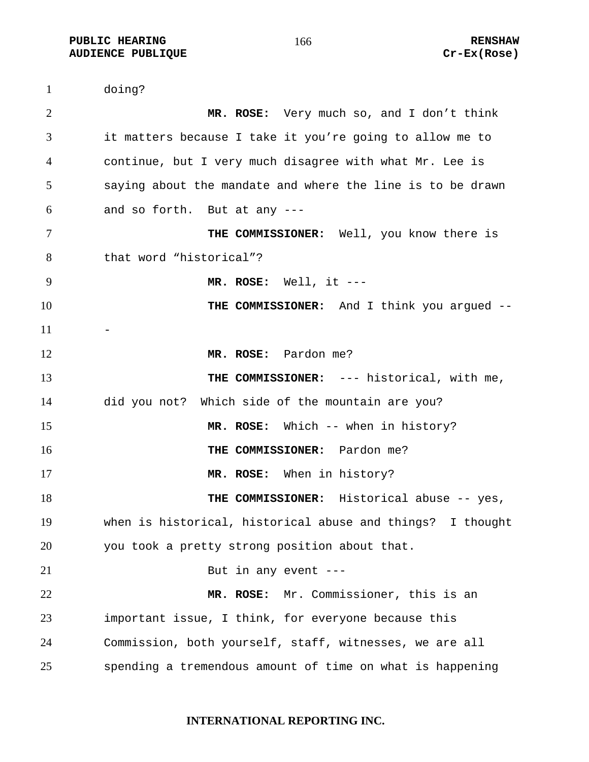**PUBLIC HEARING 166** 166 RENSHAW **AUDIENCE PUBLIQUE Cr-Ex(Rose)** 

doing? **MR. ROSE:** Very much so, and I don't think it matters because I take it you're going to allow me to continue, but I very much disagree with what Mr. Lee is saying about the mandate and where the line is to be drawn and so forth. But at any --- **THE COMMISSIONER:** Well, you know there is that word "historical"? **MR. ROSE:** Well, it --- **THE COMMISSIONER:** And I think you argued -- **MR. ROSE:** Pardon me? **THE COMMISSIONER:** --- historical, with me, did you not? Which side of the mountain are you? **MR. ROSE:** Which -- when in history? **THE COMMISSIONER:** Pardon me? **MR. ROSE:** When in history? **THE COMMISSIONER:** Historical abuse -- yes, when is historical, historical abuse and things? I thought you took a pretty strong position about that. 21 But in any event ---**MR. ROSE:** Mr. Commissioner, this is an important issue, I think, for everyone because this Commission, both yourself, staff, witnesses, we are all spending a tremendous amount of time on what is happening

#### **INTERNATIONAL REPORTING INC.**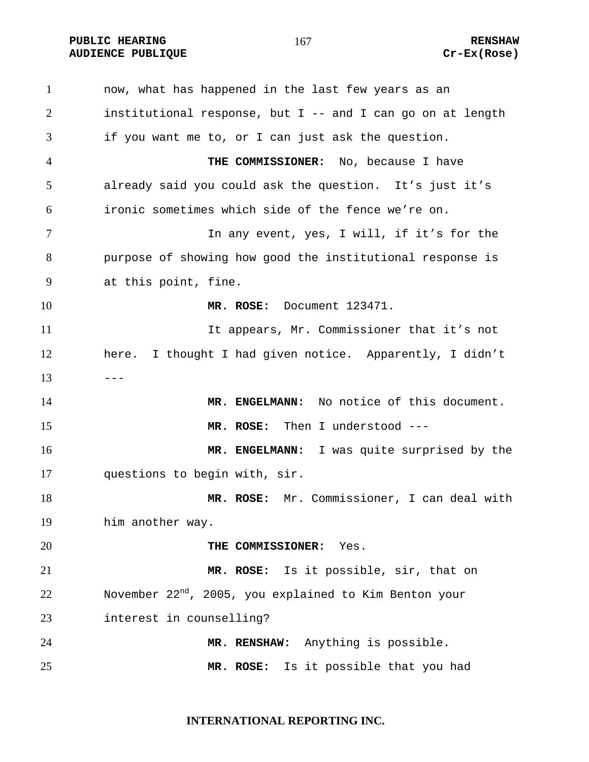**PUBLIC HEARING 167** 167 RENSHAW **AUDIENCE PUBLIQUE Cr-Ex(Rose)** 

now, what has happened in the last few years as an institutional response, but I -- and I can go on at length if you want me to, or I can just ask the question. **THE COMMISSIONER:** No, because I have already said you could ask the question. It's just it's ironic sometimes which side of the fence we're on. 7 11 In any event, yes, I will, if it's for the purpose of showing how good the institutional response is at this point, fine. **MR. ROSE:** Document 123471. It appears, Mr. Commissioner that it's not here. I thought I had given notice. Apparently, I didn't  $13 - - -$ **MR. ENGELMANN:** No notice of this document. **MR. ROSE:** Then I understood --- **MR. ENGELMANN:** I was quite surprised by the questions to begin with, sir. **MR. ROSE:** Mr. Commissioner, I can deal with him another way. **THE COMMISSIONER:** Yes. **MR. ROSE:** Is it possible, sir, that on November 22<sup>nd</sup>, 2005, you explained to Kim Benton your interest in counselling? **MR. RENSHAW:** Anything is possible. **MR. ROSE:** Is it possible that you had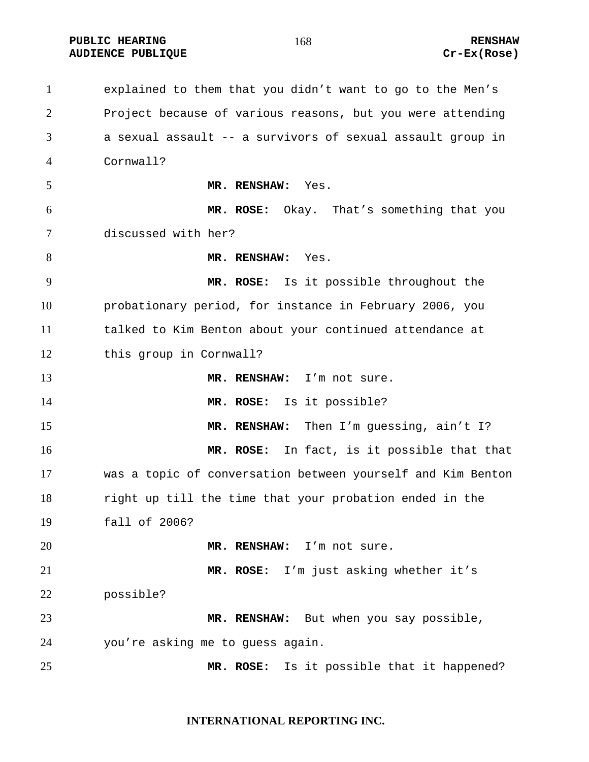**PUBLIC HEARING 168** 168 RENSHAW **AUDIENCE PUBLIQUE Cr-Ex(Rose)** 

explained to them that you didn't want to go to the Men's Project because of various reasons, but you were attending a sexual assault -- a survivors of sexual assault group in Cornwall? **MR. RENSHAW:** Yes. **MR. ROSE:** Okay. That's something that you discussed with her? 8 MR. RENSHAW: Yes. **MR. ROSE:** Is it possible throughout the probationary period, for instance in February 2006, you talked to Kim Benton about your continued attendance at this group in Cornwall? **MR. RENSHAW:** I'm not sure. **MR. ROSE:** Is it possible? 15 MR. RENSHAW: Then I'm guessing, ain't I? **MR. ROSE:** In fact, is it possible that that was a topic of conversation between yourself and Kim Benton right up till the time that your probation ended in the fall of 2006? **MR. RENSHAW:** I'm not sure. **MR. ROSE:** I'm just asking whether it's possible? **MR. RENSHAW:** But when you say possible, you're asking me to guess again. **MR. ROSE:** Is it possible that it happened?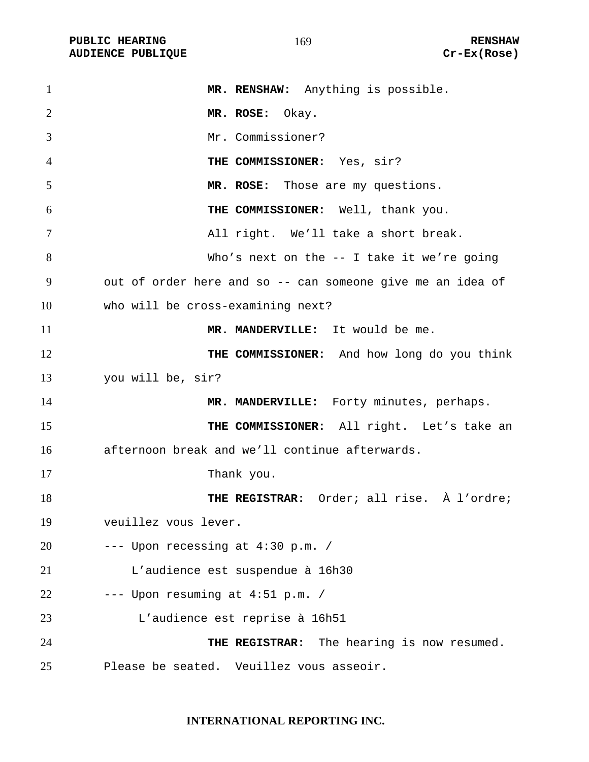PUBLIC HEARING **RENSHAW** 169 **RENSHAW** RENSHAW **RENSHAW RENSHAW RENSHAW RENSHAW RENSHAW RENSHAW RENSHAW AUDIENCE PUBLIQUE** 

| $\mathbf{1}$   | MR. RENSHAW: Anything is possible.                         |
|----------------|------------------------------------------------------------|
| $\overline{2}$ | MR. ROSE: Okay.                                            |
| 3              | Mr. Commissioner?                                          |
| $\overline{4}$ | THE COMMISSIONER: Yes, sir?                                |
| 5              | MR. ROSE: Those are my questions.                          |
| 6              | THE COMMISSIONER: Well, thank you.                         |
| 7              | All right. We'll take a short break.                       |
| 8              | Who's next on the $--$ I take it we're going               |
| 9              | out of order here and so -- can someone give me an idea of |
| 10             | who will be cross-examining next?                          |
| 11             | MR. MANDERVILLE: It would be me.                           |
| 12             | THE COMMISSIONER: And how long do you think                |
| 13             | you will be, sir?                                          |
| 14             | MR. MANDERVILLE: Forty minutes, perhaps.                   |
| 15             | THE COMMISSIONER: All right. Let's take an                 |
| 16             | afternoon break and we'll continue afterwards.             |
| 17             | Thank you.                                                 |
| 18             | THE REGISTRAR: Order; all rise. À l'ordre;                 |
| 19             | veuillez vous lever.                                       |
| 20             | --- Upon recessing at 4:30 p.m. /                          |
| 21             | L'audience est suspendue à 16h30                           |
| 22             | --- Upon resuming at 4:51 p.m. /                           |
| 23             | L'audience est reprise à 16h51                             |
| 24             | THE REGISTRAR: The hearing is now resumed.                 |
| 25             | Please be seated. Veuillez vous asseoir.                   |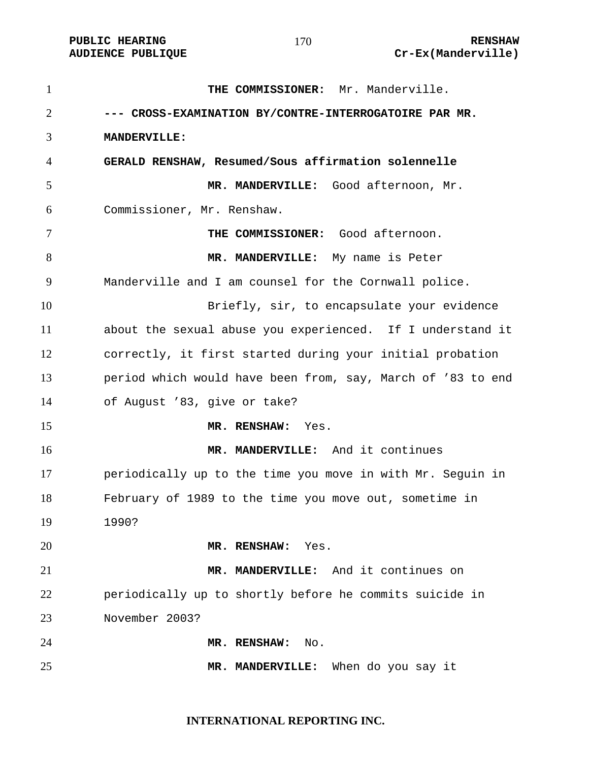| $\mathbf{1}$   | THE COMMISSIONER: Mr. Manderville.                          |
|----------------|-------------------------------------------------------------|
| $\overline{2}$ | --- CROSS-EXAMINATION BY/CONTRE-INTERROGATOIRE PAR MR.      |
| 3              | <b>MANDERVILLE:</b>                                         |
| 4              | GERALD RENSHAW, Resumed/Sous affirmation solennelle         |
| 5              | MR. MANDERVILLE: Good afternoon, Mr.                        |
| 6              | Commissioner, Mr. Renshaw.                                  |
| 7              | THE COMMISSIONER: Good afternoon.                           |
| 8              | MR. MANDERVILLE: My name is Peter                           |
| 9              | Manderville and I am counsel for the Cornwall police.       |
| 10             | Briefly, sir, to encapsulate your evidence                  |
| 11             | about the sexual abuse you experienced. If I understand it  |
| 12             | correctly, it first started during your initial probation   |
| 13             | period which would have been from, say, March of '83 to end |
| 14             | of August '83, give or take?                                |
| 15             | MR. RENSHAW:<br>Yes.                                        |
| 16             | MR. MANDERVILLE: And it continues                           |
| 17             | periodically up to the time you move in with Mr. Seguin in  |
| 18             | February of 1989 to the time you move out, sometime in      |
| 19             | 1990?                                                       |
| 20             | MR. RENSHAW:<br>Yes.                                        |
| 21             | MR. MANDERVILLE: And it continues on                        |
| 22             | periodically up to shortly before he commits suicide in     |
| 23             | November 2003?                                              |
| 24             | MR. RENSHAW:<br>No.                                         |
| 25             | MR. MANDERVILLE:<br>When do you say it                      |

#### **INTERNATIONAL REPORTING INC.**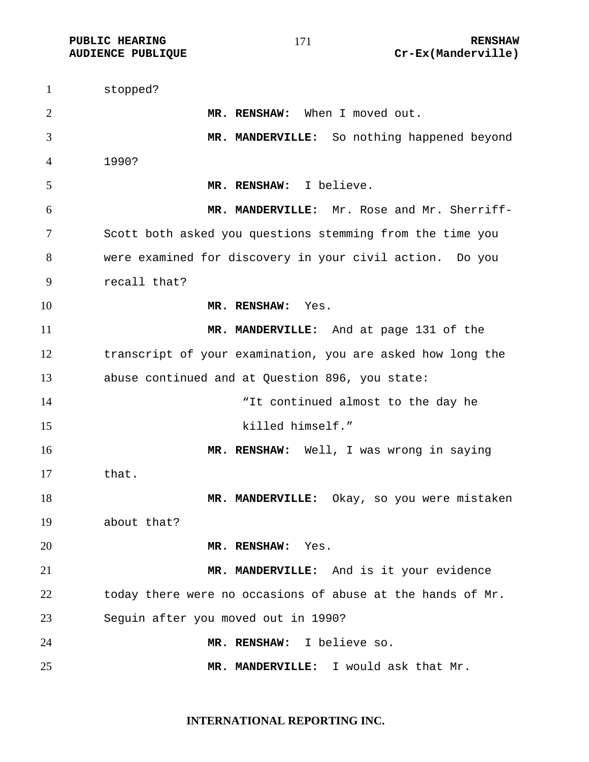stopped? **MR. RENSHAW:** When I moved out. **MR. MANDERVILLE:** So nothing happened beyond 1990? **MR. RENSHAW:** I believe. **MR. MANDERVILLE:** Mr. Rose and Mr. Sherriff-Scott both asked you questions stemming from the time you were examined for discovery in your civil action. Do you recall that? **MR. RENSHAW:** Yes. **MR. MANDERVILLE:** And at page 131 of the transcript of your examination, you are asked how long the abuse continued and at Question 896, you state: 14 The state of the state of the day he will continued almost to the day he 15 killed himself." **MR. RENSHAW:** Well, I was wrong in saying that. **MR. MANDERVILLE:** Okay, so you were mistaken about that? **MR. RENSHAW:** Yes. **MR. MANDERVILLE:** And is it your evidence today there were no occasions of abuse at the hands of Mr. Seguin after you moved out in 1990? **MR. RENSHAW:** I believe so. **MR. MANDERVILLE:** I would ask that Mr.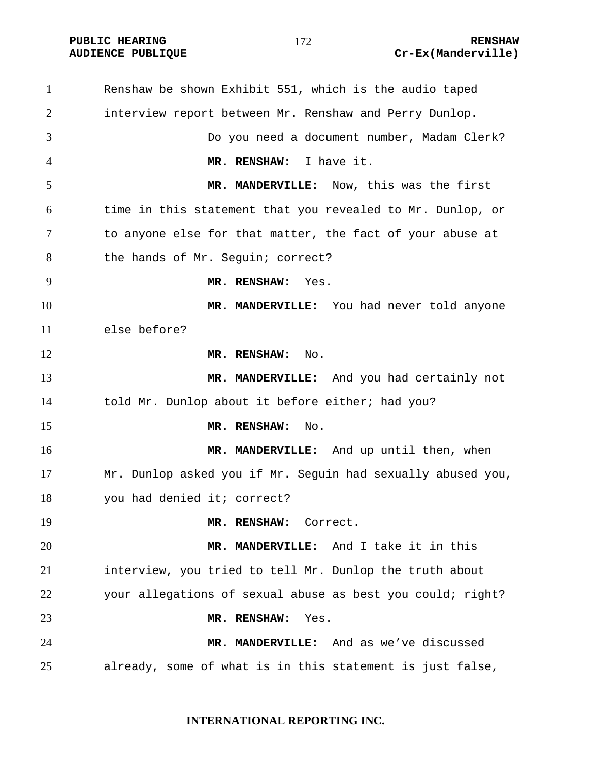**PUBLIC HEARING RENSHAW** 

# **AUDIENCE PUBLIQUE Cr-Ex(Manderville)**

Renshaw be shown Exhibit 551, which is the audio taped interview report between Mr. Renshaw and Perry Dunlop. Do you need a document number, Madam Clerk? **MR. RENSHAW:** I have it. **MR. MANDERVILLE:** Now, this was the first time in this statement that you revealed to Mr. Dunlop, or to anyone else for that matter, the fact of your abuse at 8 the hands of Mr. Seguin; correct? **MR. RENSHAW:** Yes. **MR. MANDERVILLE:** You had never told anyone else before? 12 MR. RENSHAW: No. **MR. MANDERVILLE:** And you had certainly not told Mr. Dunlop about it before either; had you? **MR. RENSHAW:** No. **MR. MANDERVILLE:** And up until then, when Mr. Dunlop asked you if Mr. Seguin had sexually abused you, you had denied it; correct? **MR. RENSHAW:** Correct. **MR. MANDERVILLE:** And I take it in this interview, you tried to tell Mr. Dunlop the truth about your allegations of sexual abuse as best you could; right? **MR. RENSHAW:** Yes. **MR. MANDERVILLE:** And as we've discussed already, some of what is in this statement is just false,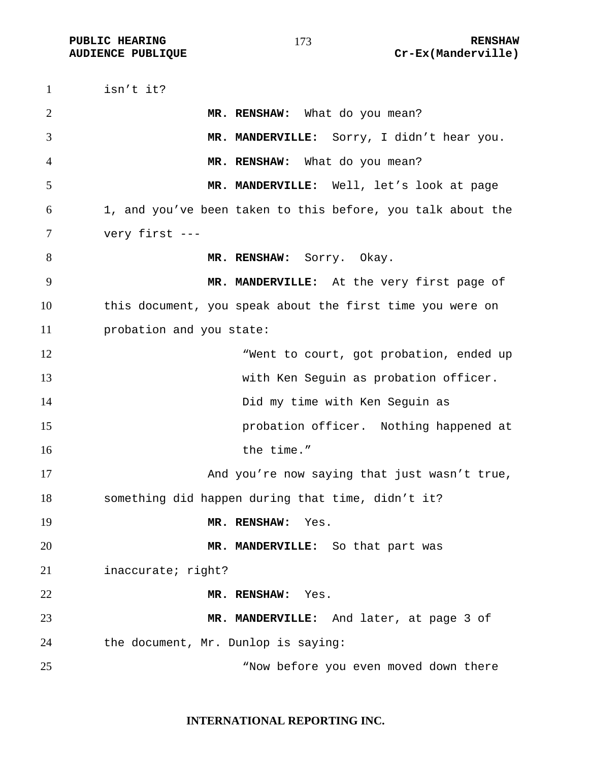isn't it? **MR. RENSHAW:** What do you mean? **MR. MANDERVILLE:** Sorry, I didn't hear you. **MR. RENSHAW:** What do you mean? **MR. MANDERVILLE:** Well, let's look at page 1, and you've been taken to this before, you talk about the very first --- **MR. RENSHAW:** Sorry. Okay. **MR. MANDERVILLE:** At the very first page of this document, you speak about the first time you were on probation and you state: 12 The Music when to court, got probation, ended up with Ken Seguin as probation officer. 14 Did my time with Ken Seguin as probation officer. Nothing happened at 16 the time." 17 And you're now saying that just wasn't true, something did happen during that time, didn't it? **MR. RENSHAW:** Yes. **MR. MANDERVILLE:** So that part was inaccurate; right? **MR. RENSHAW:** Yes. **MR. MANDERVILLE:** And later, at page 3 of the document, Mr. Dunlop is saying: "Now before you even moved down there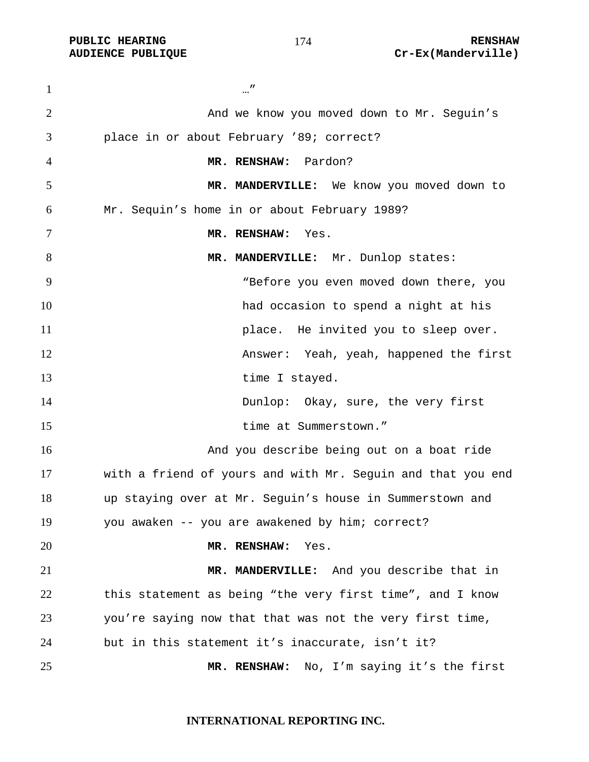…" And we know you moved down to Mr. Seguin's place in or about February '89; correct? **MR. RENSHAW:** Pardon? **MR. MANDERVILLE:** We know you moved down to Mr. Sequin's home in or about February 1989? **MR. RENSHAW:** Yes. 8 MR. MANDERVILLE: Mr. Dunlop states: "Before you even moved down there, you had occasion to spend a night at his **place**. He invited you to sleep over. Answer: Yeah, yeah, happened the first 13 time I stayed. Dunlop: Okay, sure, the very first time at Summerstown." And you describe being out on a boat ride with a friend of yours and with Mr. Seguin and that you end up staying over at Mr. Seguin's house in Summerstown and you awaken -- you are awakened by him; correct? **MR. RENSHAW:** Yes. **MR. MANDERVILLE:** And you describe that in this statement as being "the very first time", and I know you're saying now that that was not the very first time, but in this statement it's inaccurate, isn't it? **MR. RENSHAW:** No, I'm saying it's the first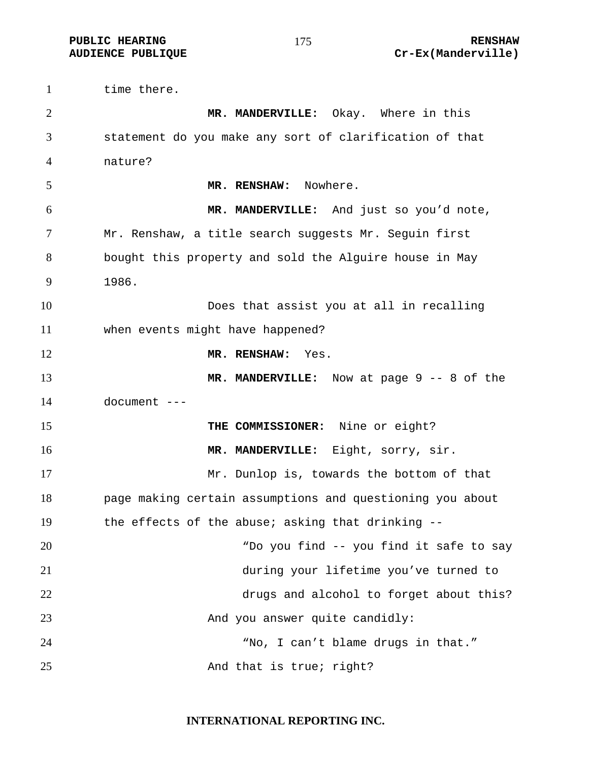time there. **MR. MANDERVILLE:** Okay. Where in this statement do you make any sort of clarification of that nature? **MR. RENSHAW:** Nowhere. **MR. MANDERVILLE:** And just so you'd note, Mr. Renshaw, a title search suggests Mr. Seguin first bought this property and sold the Alguire house in May 1986. Does that assist you at all in recalling when events might have happened? **MR. RENSHAW:** Yes. **MR. MANDERVILLE:** Now at page 9 -- 8 of the document --- **THE COMMISSIONER:** Nine or eight? **MR. MANDERVILLE:** Eight, sorry, sir. Mr. Dunlop is, towards the bottom of that page making certain assumptions and questioning you about the effects of the abuse; asking that drinking -- "Do you find -- you find it safe to say during your lifetime you've turned to drugs and alcohol to forget about this? 23 And you answer quite candidly: "No, I can't blame drugs in that." 25 And that is true; right?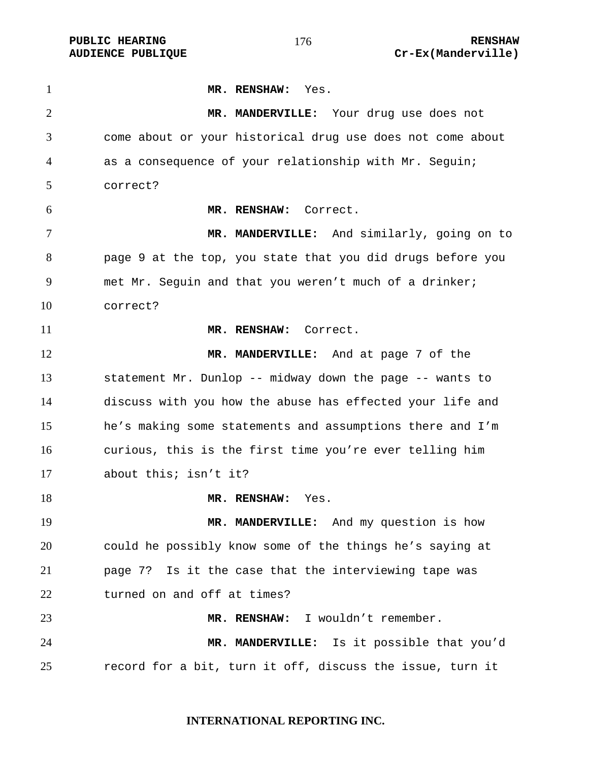**MR. RENSHAW:** Yes. **MR. MANDERVILLE:** Your drug use does not come about or your historical drug use does not come about as a consequence of your relationship with Mr. Seguin; correct? **MR. RENSHAW:** Correct. **MR. MANDERVILLE:** And similarly, going on to page 9 at the top, you state that you did drugs before you met Mr. Seguin and that you weren't much of a drinker; correct? **MR. RENSHAW:** Correct. **MR. MANDERVILLE:** And at page 7 of the statement Mr. Dunlop -- midway down the page -- wants to discuss with you how the abuse has effected your life and he's making some statements and assumptions there and I'm curious, this is the first time you're ever telling him about this; isn't it? **MR. RENSHAW:** Yes. 19 MR. MANDERVILLE: And my question is how could he possibly know some of the things he's saying at page 7?Is it the case that the interviewing tape was turned on and off at times? **MR. RENSHAW:** I wouldn't remember. **MR. MANDERVILLE:** Is it possible that you'd record for a bit, turn it off, discuss the issue, turn it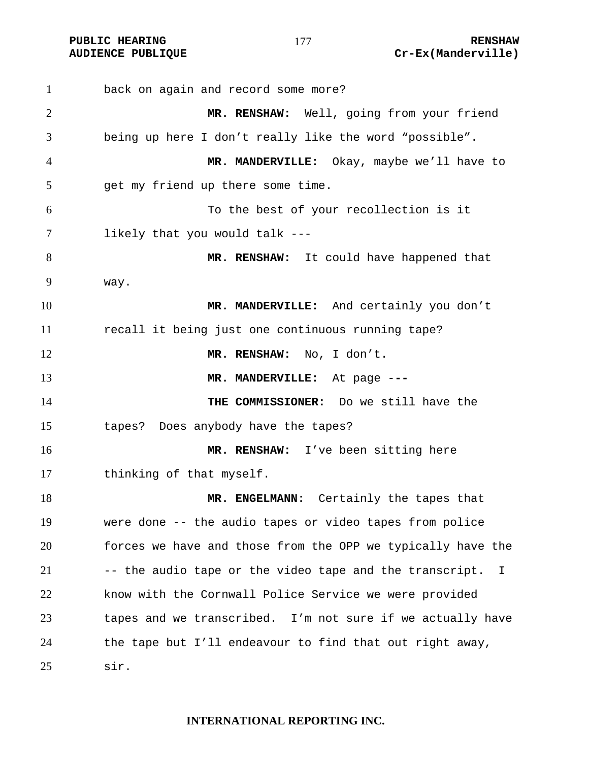back on again and record some more? **MR. RENSHAW:** Well, going from your friend being up here I don't really like the word "possible". **MR. MANDERVILLE:** Okay, maybe we'll have to get my friend up there some time. To the best of your recollection is it likely that you would talk --- 8 MR. RENSHAW: It could have happened that way. **MR. MANDERVILLE:** And certainly you don't recall it being just one continuous running tape? **MR. RENSHAW:** No, I don't. **MR. MANDERVILLE:** At page -**-- THE COMMISSIONER:** Do we still have the tapes? Does anybody have the tapes? **MR. RENSHAW:** I've been sitting here thinking of that myself. **MR. ENGELMANN:** Certainly the tapes that were done -- the audio tapes or video tapes from police forces we have and those from the OPP we typically have the -- the audio tape or the video tape and the transcript. I know with the Cornwall Police Service we were provided tapes and we transcribed. I'm not sure if we actually have the tape but I'll endeavour to find that out right away, sir.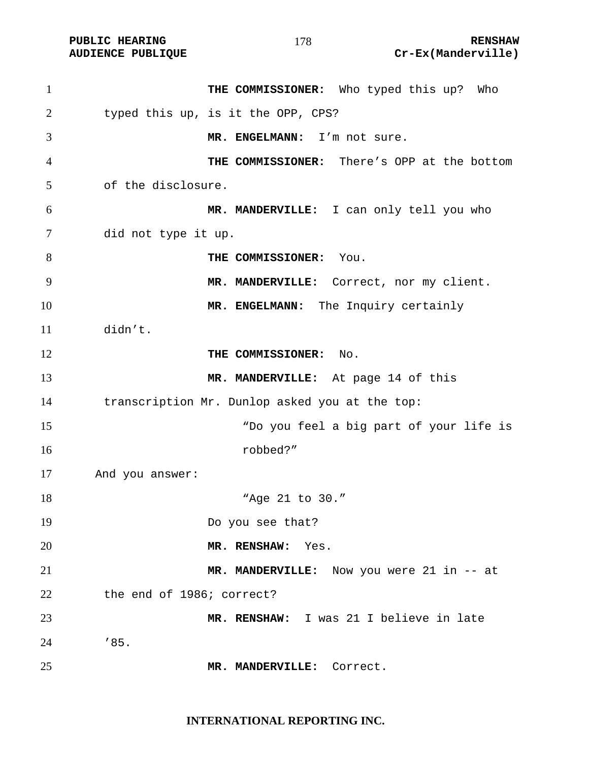PUBLIC HEARING **RENSHAW** 178 **RENSHAW** RENSHAW **RENSHAW RENSHAW RENSHAW RENSHAW Cr-Ex(Manderville)** Cr-Ex(Manderville)

| $\mathbf{1}$   | THE COMMISSIONER: Who typed this up? Who       |
|----------------|------------------------------------------------|
| $\overline{2}$ | typed this up, is it the OPP, CPS?             |
| 3              | MR. ENGELMANN: I'm not sure.                   |
| 4              | THE COMMISSIONER: There's OPP at the bottom    |
| 5              | of the disclosure.                             |
| 6              | MR. MANDERVILLE: I can only tell you who       |
| 7              | did not type it up.                            |
| 8              | THE COMMISSIONER: You.                         |
| 9              | MR. MANDERVILLE: Correct, nor my client.       |
| 10             | MR. ENGELMANN: The Inquiry certainly           |
| 11             | didn't.                                        |
| 12             | THE COMMISSIONER: No.                          |
| 13             | MR. MANDERVILLE: At page 14 of this            |
| 14             | transcription Mr. Dunlop asked you at the top: |
| 15             | "Do you feel a big part of your life is        |
| 16             | robbed?"                                       |
| 17             | And you answer:                                |
| 18             | "Age 21 to 30."                                |
| 19             | Do you see that?                               |
| 20             | MR. RENSHAW: Yes.                              |
| 21             | MR. MANDERVILLE: Now you were 21 in -- at      |
| 22             | the end of 1986; correct?                      |
| 23             | MR. RENSHAW: I was 21 I believe in late        |
| 24             | '85.                                           |
| 25             | MR. MANDERVILLE: Correct.                      |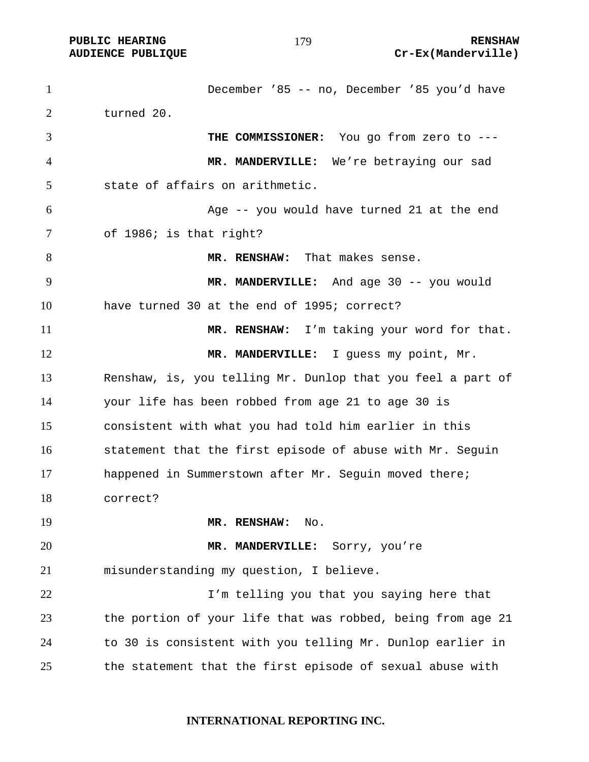December '85 -- no, December '85 you'd have turned 20. **THE COMMISSIONER:** You go from zero to --- **MR. MANDERVILLE:** We're betraying our sad state of affairs on arithmetic. Age -- you would have turned 21 at the end of 1986; is that right? **MR. RENSHAW:** That makes sense. **MR. MANDERVILLE:** And age 30 -- you would have turned 30 at the end of 1995; correct? **MR. RENSHAW:** I'm taking your word for that. 12 MR. MANDERVILLE: I guess my point, Mr. Renshaw, is, you telling Mr. Dunlop that you feel a part of your life has been robbed from age 21 to age 30 is consistent with what you had told him earlier in this statement that the first episode of abuse with Mr. Seguin happened in Summerstown after Mr. Seguin moved there; correct? **MR. RENSHAW:** No. **MR. MANDERVILLE:** Sorry, you're misunderstanding my question, I believe. I'm telling you that you saying here that the portion of your life that was robbed, being from age 21 to 30 is consistent with you telling Mr. Dunlop earlier in the statement that the first episode of sexual abuse with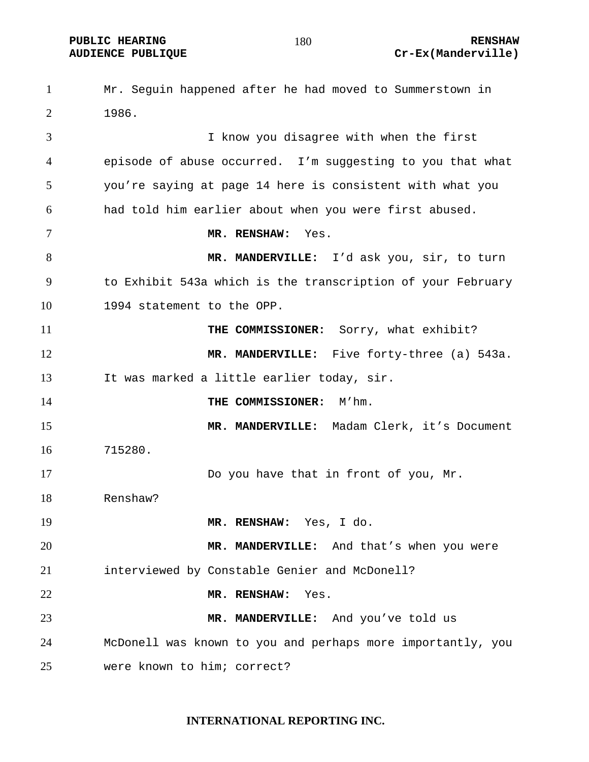Mr. Seguin happened after he had moved to Summerstown in 1986. I know you disagree with when the first episode of abuse occurred. I'm suggesting to you that what you're saying at page 14 here is consistent with what you had told him earlier about when you were first abused. **MR. RENSHAW:** Yes. **MR. MANDERVILLE:** I'd ask you, sir, to turn to Exhibit 543a which is the transcription of your February 1994 statement to the OPP. **THE COMMISSIONER:** Sorry, what exhibit? **MR. MANDERVILLE:** Five forty-three (a) 543a. It was marked a little earlier today, sir. **THE COMMISSIONER:** M'hm. **MR. MANDERVILLE:** Madam Clerk, it's Document 715280. Do you have that in front of you, Mr. Renshaw? **MR. RENSHAW:** Yes, I do. **MR. MANDERVILLE:** And that's when you were interviewed by Constable Genier and McDonell? **MR. RENSHAW:** Yes. **MR. MANDERVILLE:** And you've told us McDonell was known to you and perhaps more importantly, you were known to him; correct?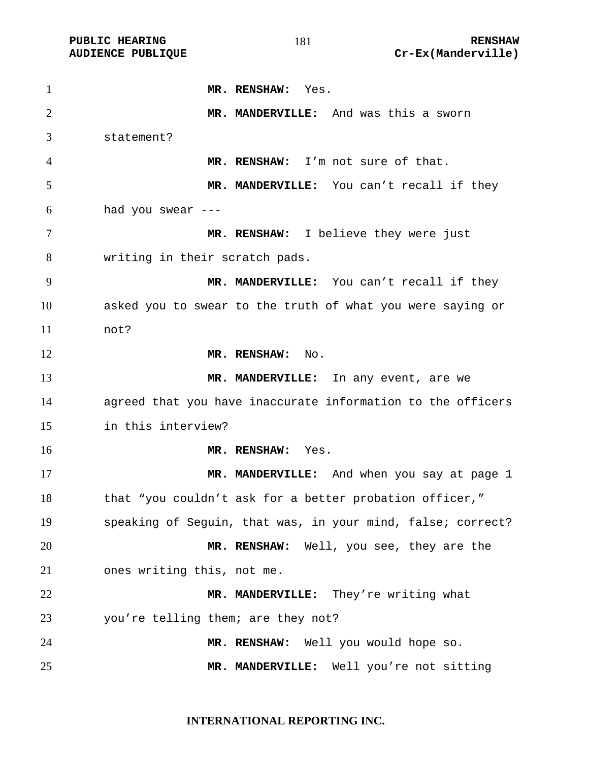**MR. RENSHAW:** Yes. **MR. MANDERVILLE:** And was this a sworn statement? **MR. RENSHAW:** I'm not sure of that. **MR. MANDERVILLE:** You can't recall if they had you swear --- **MR. RENSHAW:** I believe they were just writing in their scratch pads. **MR. MANDERVILLE:** You can't recall if they asked you to swear to the truth of what you were saying or not? 12 MR. RENSHAW: No. **MR. MANDERVILLE:** In any event, are we agreed that you have inaccurate information to the officers in this interview? **MR. RENSHAW:** Yes. **MR. MANDERVILLE:** And when you say at page 1 18 that "you couldn't ask for a better probation officer," speaking of Seguin, that was, in your mind, false; correct? **MR. RENSHAW:** Well, you see, they are the ones writing this, not me. **MR. MANDERVILLE:** They're writing what you're telling them; are they not? **MR. RENSHAW:** Well you would hope so. **MR. MANDERVILLE:** Well you're not sitting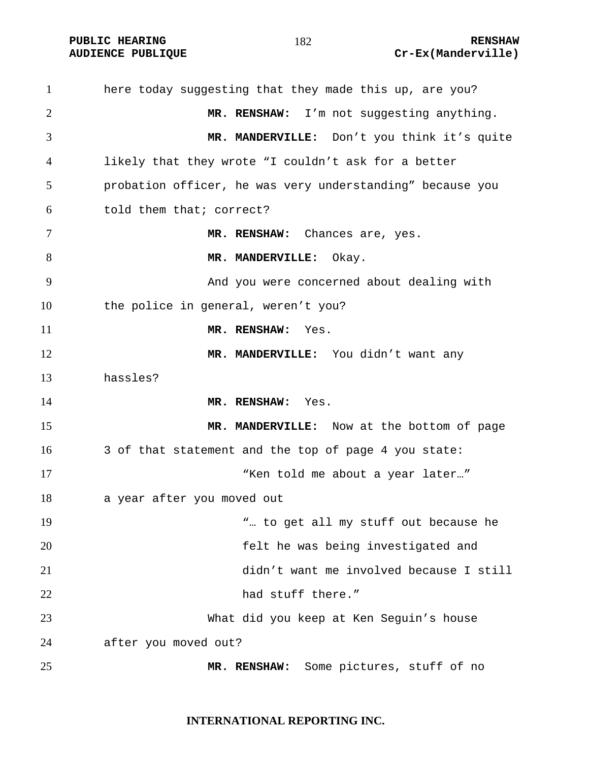**PUBLIC HEARING 182** 182 **RENSHAW** 

## **AUDIENCE PUBLIQUE Cr-Ex(Manderville)**

here today suggesting that they made this up, are you? **MR. RENSHAW:** I'm not suggesting anything. **MR. MANDERVILLE:** Don't you think it's quite likely that they wrote "I couldn't ask for a better probation officer, he was very understanding" because you told them that; correct? **MR. RENSHAW:** Chances are, yes. 8 MR. MANDERVILLE: Okay. And you were concerned about dealing with the police in general, weren't you? **MR. RENSHAW:** Yes. **MR. MANDERVILLE:** You didn't want any hassles? **MR. RENSHAW:** Yes. **MR. MANDERVILLE:** Now at the bottom of page 3 of that statement and the top of page 4 you state: 17 The set of the Millian when told me about a year later..." a year after you moved out 19 The metall my stuff out because he will be the metall my stuff out because he felt he was being investigated and didn't want me involved because I still 22 had stuff there." What did you keep at Ken Seguin's house after you moved out? **MR. RENSHAW:** Some pictures, stuff of no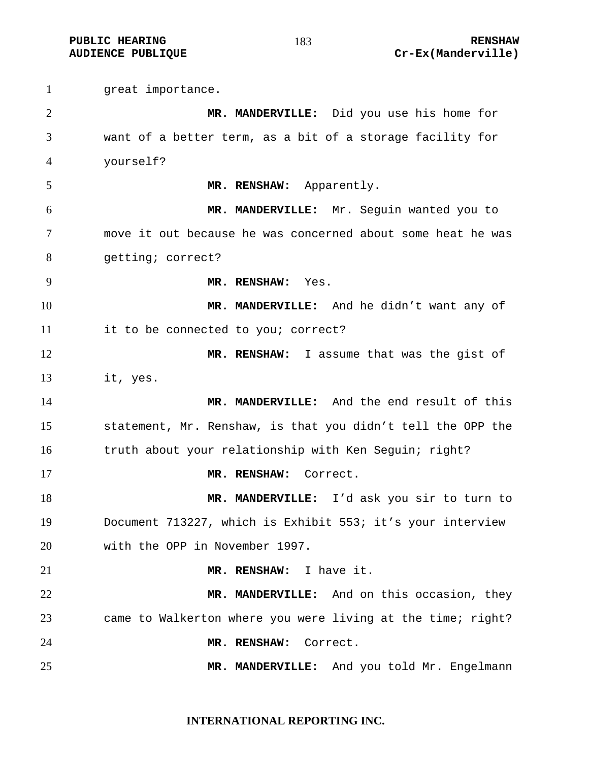great importance. **MR. MANDERVILLE:** Did you use his home for want of a better term, as a bit of a storage facility for yourself? **MR. RENSHAW:** Apparently. **MR. MANDERVILLE:** Mr. Seguin wanted you to move it out because he was concerned about some heat he was getting; correct? **MR. RENSHAW:** Yes. **MR. MANDERVILLE:** And he didn't want any of it to be connected to you; correct? **MR. RENSHAW:** I assume that was the gist of it, yes. **MR. MANDERVILLE:** And the end result of this statement, Mr. Renshaw, is that you didn't tell the OPP the truth about your relationship with Ken Seguin; right? **MR. RENSHAW:** Correct. **MR. MANDERVILLE:** I'd ask you sir to turn to Document 713227, which is Exhibit 553; it's your interview with the OPP in November 1997. **MR. RENSHAW:** I have it. **MR. MANDERVILLE:** And on this occasion, they came to Walkerton where you were living at the time; right? **MR. RENSHAW:** Correct. **MR. MANDERVILLE:** And you told Mr. Engelmann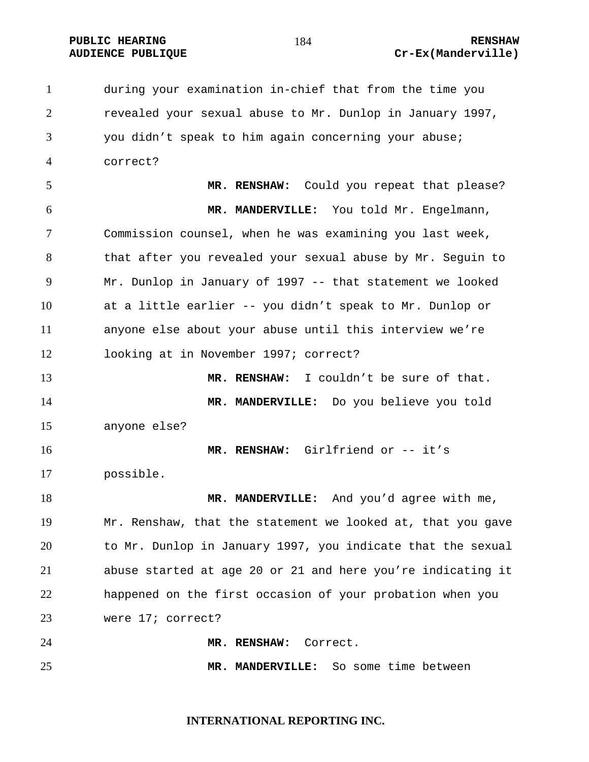## **AUDIENCE PUBLIQUE Cr-Ex(Manderville)**

during your examination in-chief that from the time you revealed your sexual abuse to Mr. Dunlop in January 1997, you didn't speak to him again concerning your abuse; correct? **MR. RENSHAW:** Could you repeat that please? **MR. MANDERVILLE:** You told Mr. Engelmann, Commission counsel, when he was examining you last week, that after you revealed your sexual abuse by Mr. Seguin to Mr. Dunlop in January of 1997 -- that statement we looked at a little earlier -- you didn't speak to Mr. Dunlop or anyone else about your abuse until this interview we're looking at in November 1997; correct? **MR. RENSHAW:** I couldn't be sure of that. **MR. MANDERVILLE:** Do you believe you told anyone else? **MR. RENSHAW:** Girlfriend or -- it's possible. **MR. MANDERVILLE:** And you'd agree with me, Mr. Renshaw, that the statement we looked at, that you gave to Mr. Dunlop in January 1997, you indicate that the sexual abuse started at age 20 or 21 and here you're indicating it happened on the first occasion of your probation when you were 17; correct? **MR. RENSHAW:** Correct. **MR. MANDERVILLE:** So some time between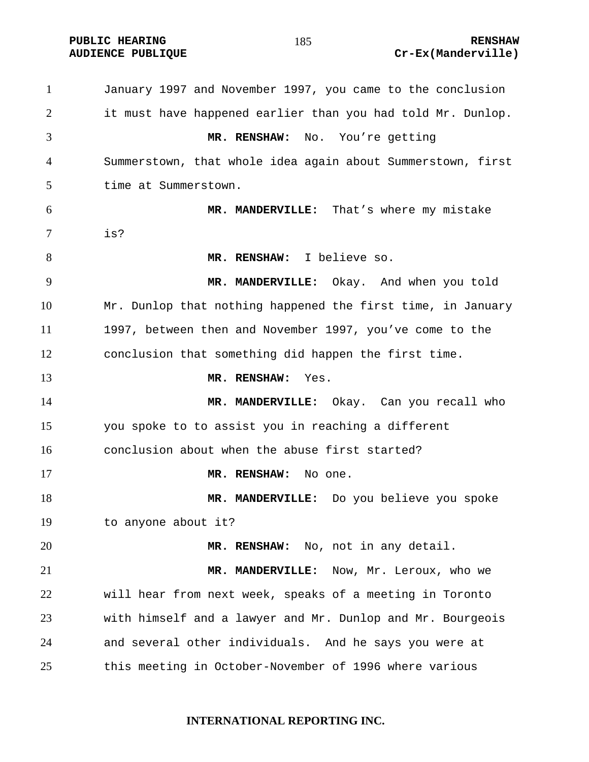**PUBLIC HEARING RENSHAW** 

## **AUDIENCE PUBLIQUE Cr-Ex(Manderville)**

January 1997 and November 1997, you came to the conclusion it must have happened earlier than you had told Mr. Dunlop. **MR. RENSHAW:** No. You're getting Summerstown, that whole idea again about Summerstown, first time at Summerstown. **MR. MANDERVILLE:** That's where my mistake is? **MR. RENSHAW:** I believe so. **MR. MANDERVILLE:** Okay. And when you told Mr. Dunlop that nothing happened the first time, in January 1997, between then and November 1997, you've come to the conclusion that something did happen the first time. **MR. RENSHAW:** Yes. **MR. MANDERVILLE:** Okay. Can you recall who you spoke to to assist you in reaching a different conclusion about when the abuse first started? **MR. RENSHAW:** No one. **MR. MANDERVILLE:** Do you believe you spoke to anyone about it? **MR. RENSHAW:** No, not in any detail. **MR. MANDERVILLE:** Now, Mr. Leroux, who we will hear from next week, speaks of a meeting in Toronto with himself and a lawyer and Mr. Dunlop and Mr. Bourgeois and several other individuals. And he says you were at this meeting in October-November of 1996 where various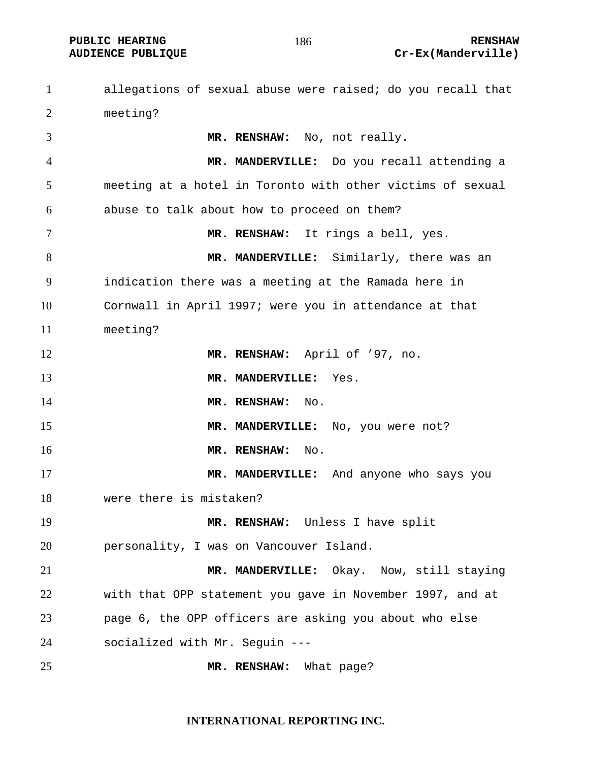**PUBLIC HEARING RENSHAW AUDIENCE PUBLIQUE Cr-Ex(Manderville)** 

allegations of sexual abuse were raised; do you recall that meeting? **MR. RENSHAW:** No, not really. **MR. MANDERVILLE:** Do you recall attending a meeting at a hotel in Toronto with other victims of sexual abuse to talk about how to proceed on them? **MR. RENSHAW:** It rings a bell, yes. **MR. MANDERVILLE:** Similarly, there was an indication there was a meeting at the Ramada here in Cornwall in April 1997; were you in attendance at that meeting? **MR. RENSHAW:** April of '97, no. **MR. MANDERVILLE:** Yes. **MR. RENSHAW:** No. **MR. MANDERVILLE:** No, you were not? **MR. RENSHAW:** No. **MR. MANDERVILLE:** And anyone who says you were there is mistaken? **MR. RENSHAW:** Unless I have split personality, I was on Vancouver Island. **MR. MANDERVILLE:** Okay. Now, still staying with that OPP statement you gave in November 1997, and at page 6, the OPP officers are asking you about who else socialized with Mr. Seguin --- **MR. RENSHAW:** What page?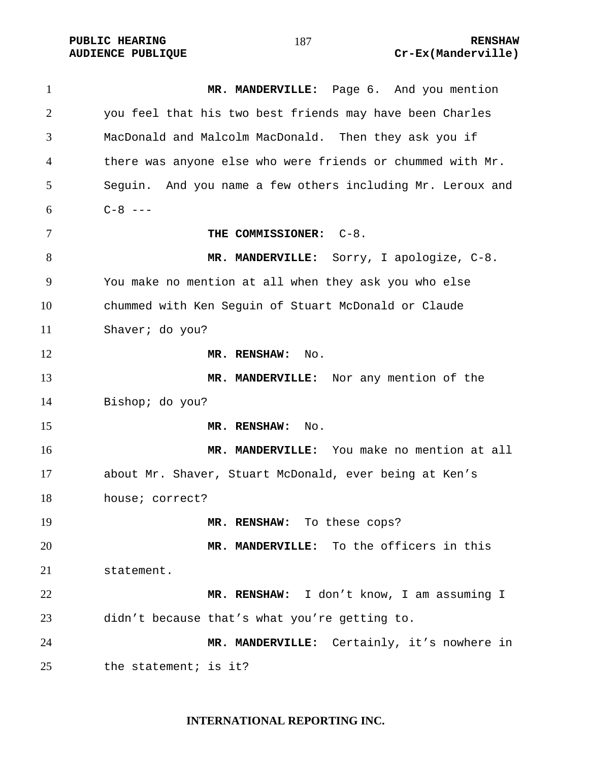1 MR. MANDERVILLE: Page 6. And you mention you feel that his two best friends may have been Charles MacDonald and Malcolm MacDonald. Then they ask you if there was anyone else who were friends or chummed with Mr. Seguin. And you name a few others including Mr. Leroux and  $6 \, C-8 \, ---$ **THE COMMISSIONER:** C-8. **MR. MANDERVILLE:** Sorry, I apologize, C-8. You make no mention at all when they ask you who else chummed with Ken Seguin of Stuart McDonald or Claude Shaver; do you? **MR. RENSHAW:** No. **MR. MANDERVILLE:** Nor any mention of the Bishop; do you? **MR. RENSHAW:** No. **MR. MANDERVILLE:** You make no mention at all about Mr. Shaver, Stuart McDonald, ever being at Ken's house; correct? **MR. RENSHAW:** To these cops? **MR. MANDERVILLE:** To the officers in this statement. **MR. RENSHAW:** I don't know, I am assuming I didn't because that's what you're getting to. **MR. MANDERVILLE:** Certainly, it's nowhere in the statement; is it?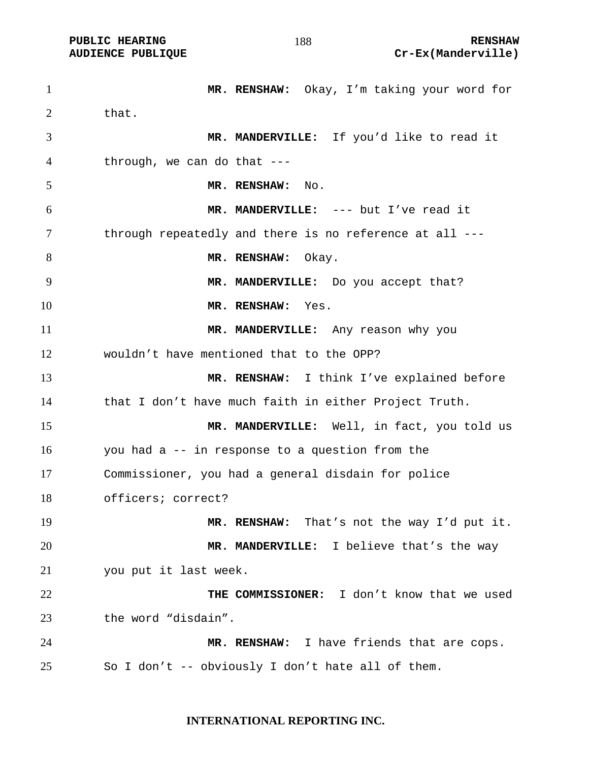**MR. RENSHAW:** Okay, I'm taking your word for 2 that. **MR. MANDERVILLE:** If you'd like to read it through, we can do that --- **MR. RENSHAW:** No. **MR. MANDERVILLE:** --- but I've read it through repeatedly and there is no reference at all --- **MR. RENSHAW:** Okay. **MR. MANDERVILLE:** Do you accept that? **MR. RENSHAW:** Yes. **MR. MANDERVILLE:** Any reason why you wouldn't have mentioned that to the OPP? **MR. RENSHAW:** I think I've explained before that I don't have much faith in either Project Truth. **MR. MANDERVILLE:** Well, in fact, you told us you had a -- in response to a question from the Commissioner, you had a general disdain for police officers; correct? **MR. RENSHAW:** That's not the way I'd put it. **MR. MANDERVILLE:** I believe that's the way you put it last week. **THE COMMISSIONER:** I don't know that we used the word "disdain". **MR. RENSHAW:** I have friends that are cops. So I don't -- obviously I don't hate all of them.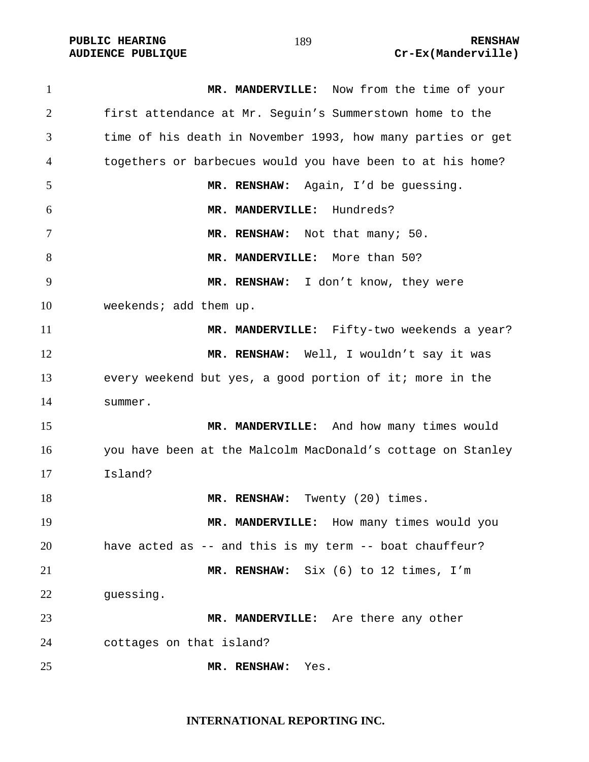**MR. MANDERVILLE:** Now from the time of your first attendance at Mr. Seguin's Summerstown home to the time of his death in November 1993, how many parties or get togethers or barbecues would you have been to at his home? **MR. RENSHAW:** Again, I'd be guessing. **MR. MANDERVILLE:** Hundreds? 7 MR. RENSHAW: Not that many; 50. **MR. MANDERVILLE:** More than 50? **MR. RENSHAW:** I don't know, they were 10 weekends; add them up. **MR. MANDERVILLE:** Fifty-two weekends a year? **MR. RENSHAW:** Well, I wouldn't say it was every weekend but yes, a good portion of it; more in the summer. **MR. MANDERVILLE:** And how many times would you have been at the Malcolm MacDonald's cottage on Stanley Island? **MR. RENSHAW:** Twenty (20) times. **MR. MANDERVILLE:** How many times would you have acted as -- and this is my term -- boat chauffeur? **MR. RENSHAW:** Six (6) to 12 times, I'm guessing. **MR. MANDERVILLE:** Are there any other cottages on that island? **MR. RENSHAW:** Yes.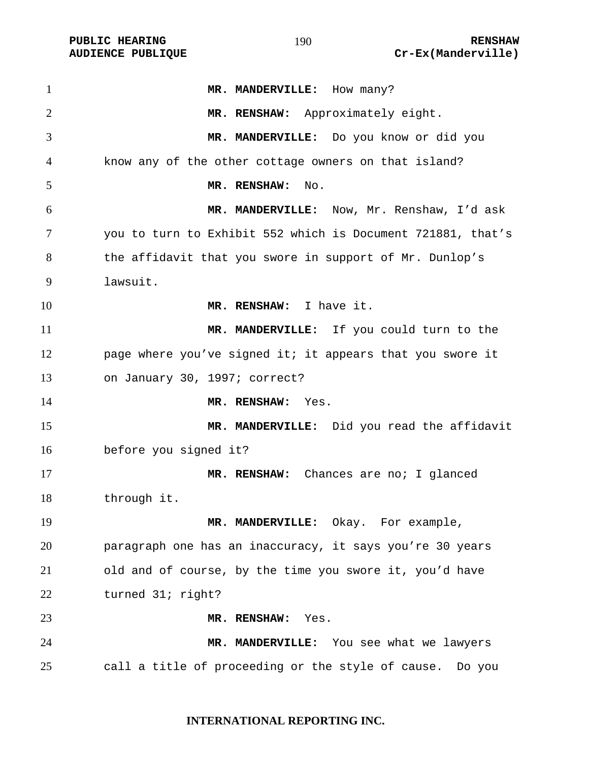PUBLIC HEARING **RENSHAW** 190 **RENSHAW** RENSHAW **RENSHAW RENSHAW RENSHAW RENSHAW Cr-Ex(Manderville)** Cr-Ex(Manderville)

| $\mathbf{1}$ | MR. MANDERVILLE: How many?                                  |
|--------------|-------------------------------------------------------------|
| 2            | MR. RENSHAW: Approximately eight.                           |
| 3            | MR. MANDERVILLE: Do you know or did you                     |
| 4            | know any of the other cottage owners on that island?        |
| 5            | MR. RENSHAW:<br>No.                                         |
| 6            | MR. MANDERVILLE: Now, Mr. Renshaw, I'd ask                  |
| 7            | you to turn to Exhibit 552 which is Document 721881, that's |
| 8            | the affidavit that you swore in support of Mr. Dunlop's     |
| 9            | lawsuit.                                                    |
| 10           | MR. RENSHAW: I have it.                                     |
| 11           | MR. MANDERVILLE: If you could turn to the                   |
| 12           | page where you've signed it; it appears that you swore it   |
| 13           | on January 30, 1997; correct?                               |
| 14           | MR. RENSHAW: Yes.                                           |
| 15           | MR. MANDERVILLE: Did you read the affidavit                 |
| 16           | before you signed it?                                       |
| 17           | MR. RENSHAW: Chances are no; I glanced                      |
| 18           | through it.                                                 |
| 19           | MR. MANDERVILLE: Okay. For example,                         |
| 20           | paragraph one has an inaccuracy, it says you're 30 years    |
| 21           | old and of course, by the time you swore it, you'd have     |
| 22           | turned 31; right?                                           |
| 23           | MR. RENSHAW:<br>Yes.                                        |
| 24           | MR. MANDERVILLE: You see what we lawyers                    |
| 25           | call a title of proceeding or the style of cause.<br>Do you |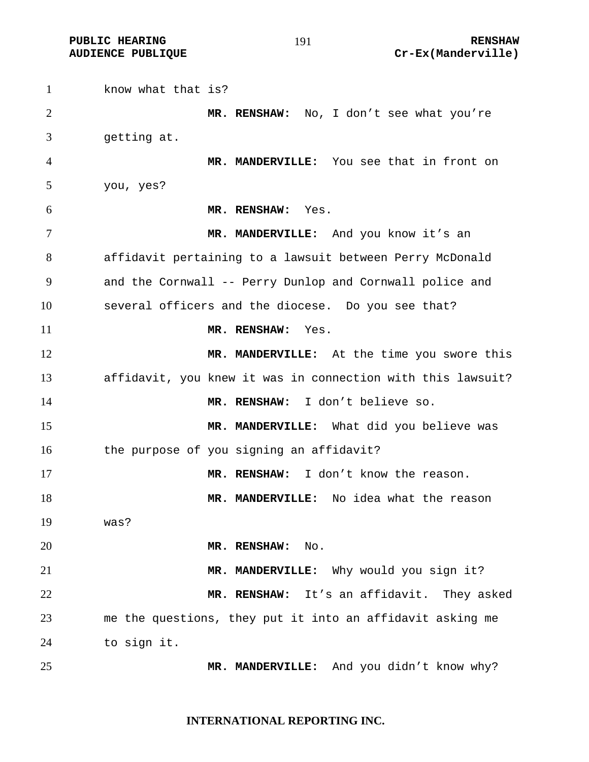**PUBLIC HEARING 191** 191 **RENSHAW AUDIENCE PUBLIQUE Cr-Ex(Manderville)** 

1 know what that is? **MR. RENSHAW:** No, I don't see what you're getting at. **MR. MANDERVILLE:** You see that in front on you, yes? **MR. RENSHAW:** Yes. **MR. MANDERVILLE:** And you know it's an affidavit pertaining to a lawsuit between Perry McDonald and the Cornwall -- Perry Dunlop and Cornwall police and several officers and the diocese. Do you see that? **MR. RENSHAW:** Yes. **MR. MANDERVILLE:** At the time you swore this affidavit, you knew it was in connection with this lawsuit? **MR. RENSHAW:** I don't believe so. **MR. MANDERVILLE:** What did you believe was 16 the purpose of you signing an affidavit? **MR. RENSHAW:** I don't know the reason. **MR. MANDERVILLE:** No idea what the reason was? **MR. RENSHAW:** No. **MR. MANDERVILLE:** Why would you sign it? **MR. RENSHAW:** It's an affidavit. They asked me the questions, they put it into an affidavit asking me to sign it. **MR. MANDERVILLE:** And you didn't know why?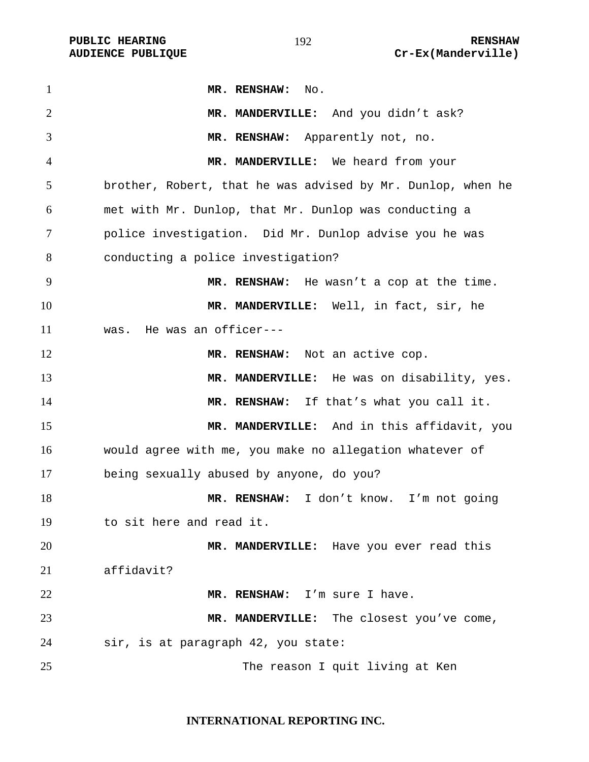| $\mathbf{1}$   | MR. RENSHAW: No.                                            |
|----------------|-------------------------------------------------------------|
| $\overline{2}$ | MR. MANDERVILLE: And you didn't ask?                        |
| 3              | MR. RENSHAW: Apparently not, no.                            |
| 4              | MR. MANDERVILLE: We heard from your                         |
| 5              | brother, Robert, that he was advised by Mr. Dunlop, when he |
| 6              | met with Mr. Dunlop, that Mr. Dunlop was conducting a       |
| 7              | police investigation. Did Mr. Dunlop advise you he was      |
| 8              | conducting a police investigation?                          |
| 9              | MR. RENSHAW: He wasn't a cop at the time.                   |
| 10             | MR. MANDERVILLE: Well, in fact, sir, he                     |
| 11             | was. He was an officer---                                   |
| 12             | MR. RENSHAW: Not an active cop.                             |
| 13             | MR. MANDERVILLE: He was on disability, yes.                 |
| 14             | MR. RENSHAW: If that's what you call it.                    |
| 15             | MR. MANDERVILLE: And in this affidavit, you                 |
| 16             | would agree with me, you make no allegation whatever of     |
| 17             | being sexually abused by anyone, do you?                    |
| 18             | MR. RENSHAW: I don't know. I'm not going                    |
| 19             | to sit here and read it.                                    |
| 20             | MR. MANDERVILLE: Have you ever read this                    |
| 21             | affidavit?                                                  |
| 22             | MR. RENSHAW: I'm sure I have.                               |
| 23             | MR. MANDERVILLE: The closest you've come,                   |
| 24             | sir, is at paragraph 42, you state:                         |
| 25             | The reason I quit living at Ken                             |

## **INTERNATIONAL REPORTING INC.**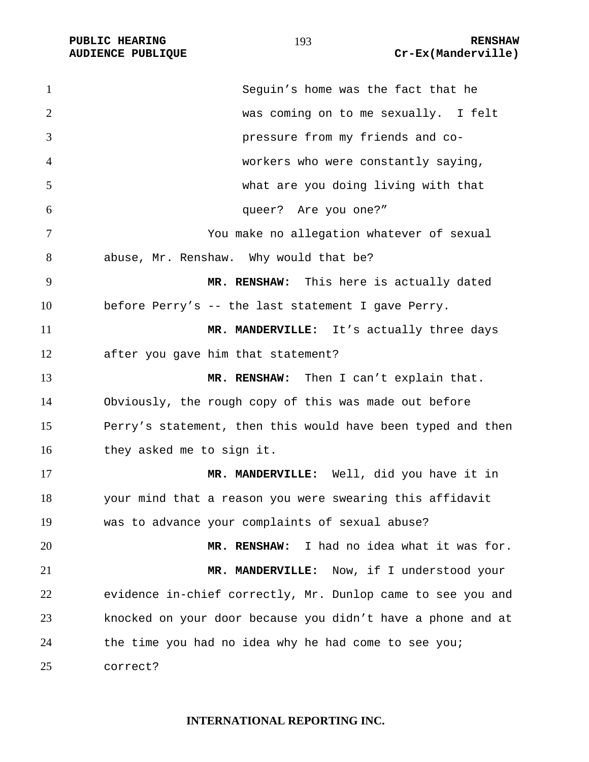| $\mathbf{1}$   | Seguin's home was the fact that he                          |
|----------------|-------------------------------------------------------------|
| $\overline{2}$ | was coming on to me sexually. I felt                        |
| 3              | pressure from my friends and co-                            |
| 4              | workers who were constantly saying,                         |
| 5              | what are you doing living with that                         |
| 6              | queer? Are you one?"                                        |
| 7              | You make no allegation whatever of sexual                   |
| 8              | abuse, Mr. Renshaw. Why would that be?                      |
| 9              | MR. RENSHAW: This here is actually dated                    |
| 10             | before Perry's -- the last statement I gave Perry.          |
| 11             | MR. MANDERVILLE: It's actually three days                   |
| 12             | after you gave him that statement?                          |
| 13             | MR. RENSHAW: Then I can't explain that.                     |
| 14             | Obviously, the rough copy of this was made out before       |
| 15             | Perry's statement, then this would have been typed and then |
| 16             | they asked me to sign it.                                   |
| 17             | MR. MANDERVILLE: Well, did you have it in                   |
| 18             | your mind that a reason you were swearing this affidavit    |
| 19             | was to advance your complaints of sexual abuse?             |
| 20             | I had no idea what it was for.<br>MR. RENSHAW:              |
| 21             | MR. MANDERVILLE: Now, if I understood your                  |
| 22             | evidence in-chief correctly, Mr. Dunlop came to see you and |
| 23             | knocked on your door because you didn't have a phone and at |
| 24             | the time you had no idea why he had come to see you;        |
| 25             | correct?                                                    |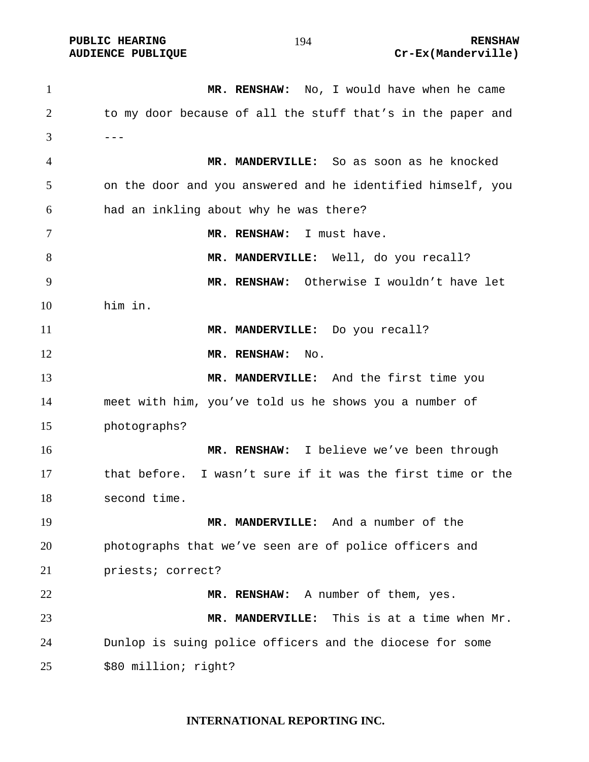**MR. RENSHAW:** No, I would have when he came to my door because of all the stuff that's in the paper and  $3 \quad - -$ **MR. MANDERVILLE:** So as soon as he knocked on the door and you answered and he identified himself, you had an inkling about why he was there? **MR. RENSHAW:** I must have. 8 MR. MANDERVILLE: Well, do you recall? **MR. RENSHAW:** Otherwise I wouldn't have let him in. **MR. MANDERVILLE:** Do you recall? 12 MR. RENSHAW: No. **MR. MANDERVILLE:** And the first time you meet with him, you've told us he shows you a number of photographs? **MR. RENSHAW:** I believe we've been through that before. I wasn't sure if it was the first time or the second time. **MR. MANDERVILLE:** And a number of the photographs that we've seen are of police officers and priests; correct? **MR. RENSHAW:** A number of them, yes. **MR. MANDERVILLE:** This is at a time when Mr. Dunlop is suing police officers and the diocese for some \$80 million; right?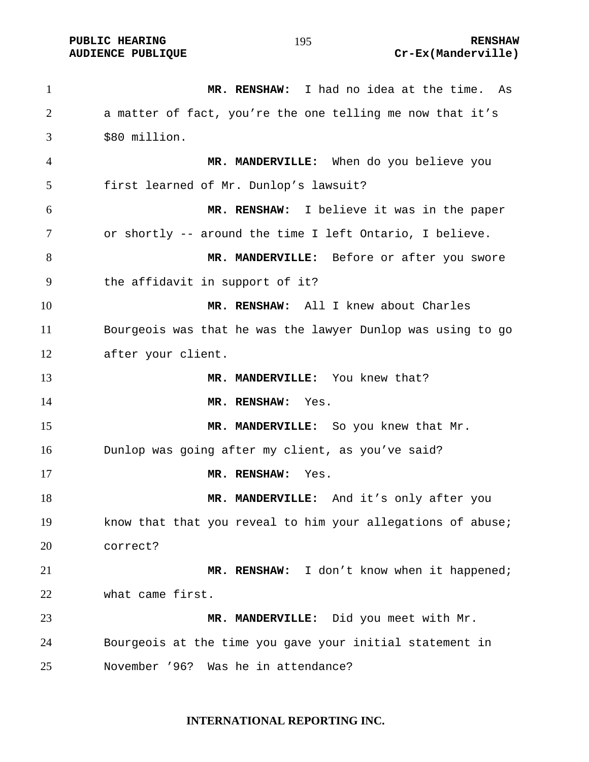**MR. RENSHAW:** I had no idea at the time. As a matter of fact, you're the one telling me now that it's \$80 million. **MR. MANDERVILLE:** When do you believe you first learned of Mr. Dunlop's lawsuit? **MR. RENSHAW:** I believe it was in the paper or shortly -- around the time I left Ontario, I believe. **MR. MANDERVILLE:** Before or after you swore the affidavit in support of it? **MR. RENSHAW:** All I knew about Charles Bourgeois was that he was the lawyer Dunlop was using to go after your client. **MR. MANDERVILLE:** You knew that? **MR. RENSHAW:** Yes. 15 MR. MANDERVILLE: So you knew that Mr. Dunlop was going after my client, as you've said? **MR. RENSHAW:** Yes. **MR. MANDERVILLE:** And it's only after you know that that you reveal to him your allegations of abuse; correct? **MR. RENSHAW:** I don't know when it happened; what came first. **MR. MANDERVILLE:** Did you meet with Mr. Bourgeois at the time you gave your initial statement in November '96? Was he in attendance?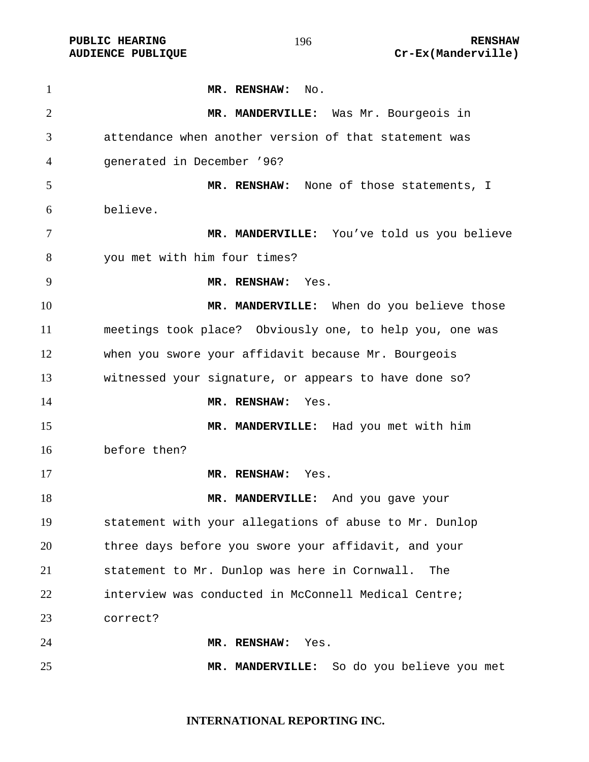**PUBLIC HEARING 196** 196

**MR. RENSHAW:** No. **MR. MANDERVILLE:** Was Mr. Bourgeois in attendance when another version of that statement was generated in December '96? **MR. RENSHAW:** None of those statements, I believe. **MR. MANDERVILLE:** You've told us you believe you met with him four times? **MR. RENSHAW:** Yes. **MR. MANDERVILLE:** When do you believe those meetings took place? Obviously one, to help you, one was when you swore your affidavit because Mr. Bourgeois witnessed your signature, or appears to have done so? **MR. RENSHAW:** Yes. **MR. MANDERVILLE:** Had you met with him before then? **MR. RENSHAW:** Yes. **MR. MANDERVILLE:** And you gave your statement with your allegations of abuse to Mr. Dunlop three days before you swore your affidavit, and your statement to Mr. Dunlop was here in Cornwall. The interview was conducted in McConnell Medical Centre; correct? **MR. RENSHAW:** Yes. **MR. MANDERVILLE:** So do you believe you met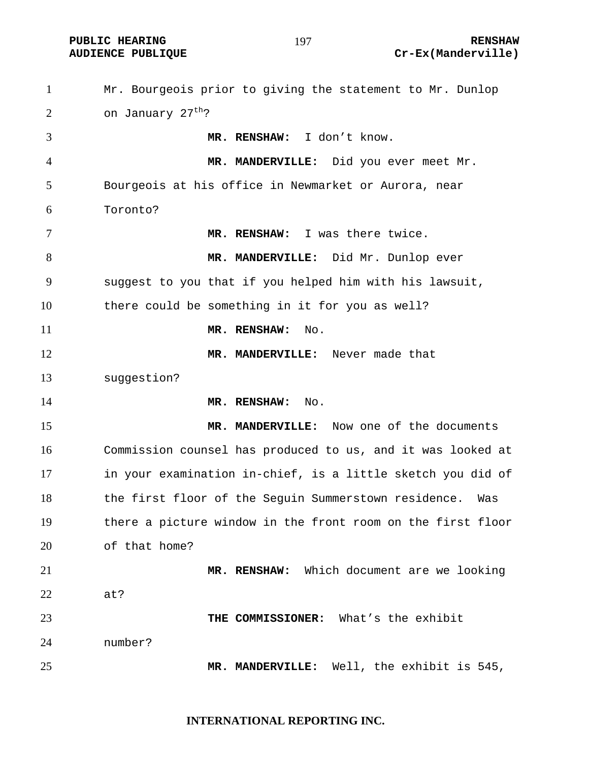**PUBLIC HEARING 197** 197

# **AUDIENCE PUBLIQUE Cr-Ex(Manderville)**

Mr. Bourgeois prior to giving the statement to Mr. Dunlop  $\ldots$  on January 27<sup>th</sup>? **MR. RENSHAW:** I don't know. **MR. MANDERVILLE:** Did you ever meet Mr. Bourgeois at his office in Newmarket or Aurora, near Toronto? **MR. RENSHAW:** I was there twice. **MR. MANDERVILLE:** Did Mr. Dunlop ever suggest to you that if you helped him with his lawsuit, there could be something in it for you as well? **MR. RENSHAW:** No. **MR. MANDERVILLE:** Never made that suggestion? **MR. RENSHAW:** No. **MR. MANDERVILLE:** Now one of the documents Commission counsel has produced to us, and it was looked at in your examination in-chief, is a little sketch you did of the first floor of the Seguin Summerstown residence. Was there a picture window in the front room on the first floor of that home? **MR. RENSHAW:** Which document are we looking at? **THE COMMISSIONER:** What's the exhibit number? **MR. MANDERVILLE:** Well, the exhibit is 545,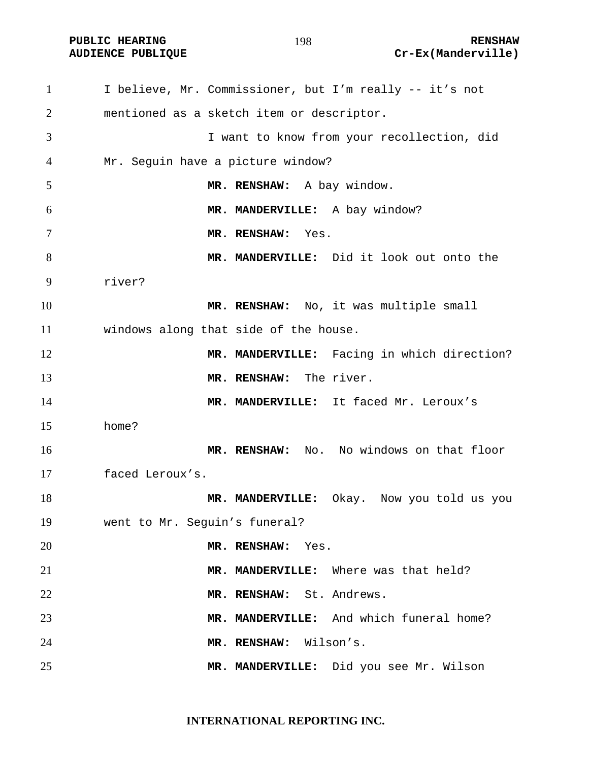I believe, Mr. Commissioner, but I'm really -- it's not mentioned as a sketch item or descriptor. I want to know from your recollection, did Mr. Seguin have a picture window? **MR. RENSHAW:** A bay window. **MR. MANDERVILLE:** A bay window? **MR. RENSHAW:** Yes. **MR. MANDERVILLE:** Did it look out onto the river? **MR. RENSHAW:** No, it was multiple small windows along that side of the house. 12 MR. MANDERVILLE: Facing in which direction? **MR. RENSHAW:** The river. **MR. MANDERVILLE:** It faced Mr. Leroux's home? **MR. RENSHAW:** No. No windows on that floor faced Leroux's. **MR. MANDERVILLE:** Okay. Now you told us you went to Mr. Seguin's funeral? **MR. RENSHAW:** Yes. **MR. MANDERVILLE:** Where was that held? **MR. RENSHAW:** St. Andrews. **MR. MANDERVILLE:** And which funeral home? **MR. RENSHAW:** Wilson's. **MR. MANDERVILLE:** Did you see Mr. Wilson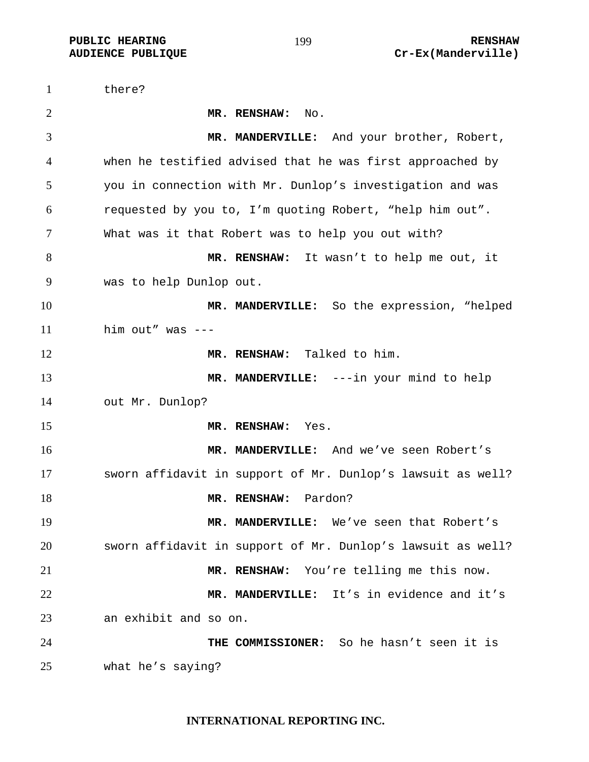there? **MR. RENSHAW:** No. **MR. MANDERVILLE:** And your brother, Robert, when he testified advised that he was first approached by you in connection with Mr. Dunlop's investigation and was requested by you to, I'm quoting Robert, "help him out". What was it that Robert was to help you out with? **MR. RENSHAW:** It wasn't to help me out, it was to help Dunlop out. **MR. MANDERVILLE:** So the expression, "helped him out" was --- 12 MR. RENSHAW: Talked to him. **MR. MANDERVILLE:** ---in your mind to help out Mr. Dunlop? **MR. RENSHAW:** Yes. **MR. MANDERVILLE:** And we've seen Robert's sworn affidavit in support of Mr. Dunlop's lawsuit as well? **MR. RENSHAW:** Pardon? **MR. MANDERVILLE:** We've seen that Robert's sworn affidavit in support of Mr. Dunlop's lawsuit as well? **MR. RENSHAW:** You're telling me this now. **MR. MANDERVILLE:** It's in evidence and it's an exhibit and so on. **THE COMMISSIONER:** So he hasn't seen it is what he's saying?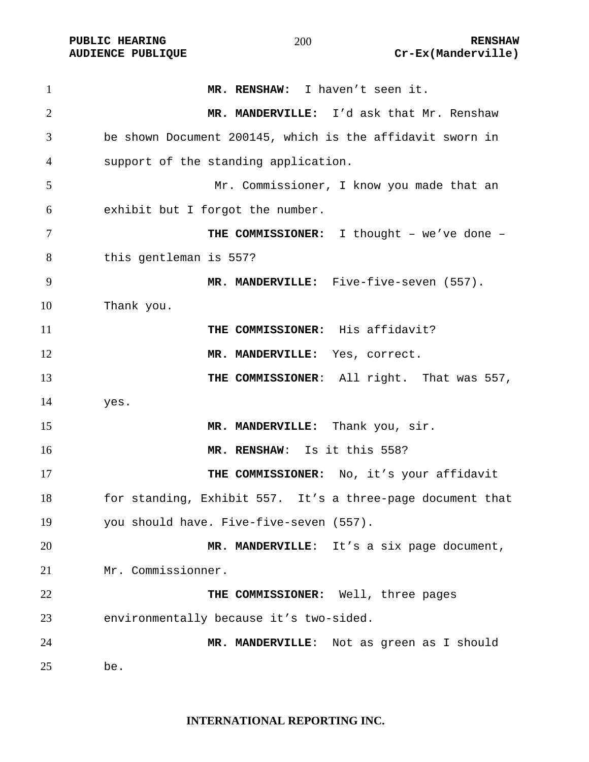| $\mathbf{1}$   | MR. RENSHAW: I haven't seen it.                            |
|----------------|------------------------------------------------------------|
| $\overline{2}$ | MR. MANDERVILLE: I'd ask that Mr. Renshaw                  |
| 3              | be shown Document 200145, which is the affidavit sworn in  |
| $\overline{4}$ | support of the standing application.                       |
| 5              | Mr. Commissioner, I know you made that an                  |
| 6              | exhibit but I forgot the number.                           |
| $\overline{7}$ | THE COMMISSIONER: I thought - we've done -                 |
| 8              | this gentleman is 557?                                     |
| 9              | MR. MANDERVILLE: Five-five-seven (557).                    |
| 10             | Thank you.                                                 |
| 11             | THE COMMISSIONER: His affidavit?                           |
| 12             | MR. MANDERVILLE: Yes, correct.                             |
| 13             | THE COMMISSIONER: All right. That was 557,                 |
| 14             | yes.                                                       |
| 15             | MR. MANDERVILLE: Thank you, sir.                           |
| 16             | MR. RENSHAW: Is it this 558?                               |
| 17             | THE COMMISSIONER: No, it's your affidavit                  |
| 18             | for standing, Exhibit 557. It's a three-page document that |
| 19             | you should have. Five-five-seven (557).                    |
| 20             | MR. MANDERVILLE: It's a six page document,                 |
| 21             | Mr. Commissionner.                                         |
| 22             | THE COMMISSIONER: Well, three pages                        |
| 23             | environmentally because it's two-sided.                    |
| 24             | MR. MANDERVILLE: Not as green as I should                  |
| 25             | be.                                                        |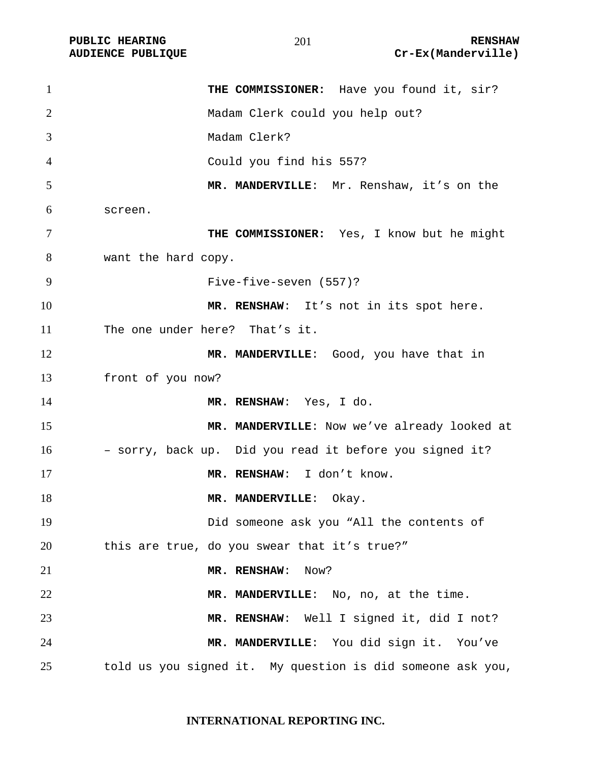| $\mathbf{1}$   | THE COMMISSIONER: Have you found it, sir?                  |
|----------------|------------------------------------------------------------|
| $\overline{2}$ | Madam Clerk could you help out?                            |
| 3              | Madam Clerk?                                               |
| 4              | Could you find his 557?                                    |
| 5              | MR. MANDERVILLE: Mr. Renshaw, it's on the                  |
| 6              | screen.                                                    |
| $\tau$         | THE COMMISSIONER: Yes, I know but he might                 |
| 8              | want the hard copy.                                        |
| 9              | Five-five-seven (557)?                                     |
| 10             | MR. RENSHAW: It's not in its spot here.                    |
| 11             | The one under here? That's it.                             |
| 12             | MR. MANDERVILLE: Good, you have that in                    |
| 13             | front of you now?                                          |
| 14             | MR. RENSHAW: Yes, I do.                                    |
| 15             | MR. MANDERVILLE: Now we've already looked at               |
| 16             | - sorry, back up. Did you read it before you signed it?    |
| 17             | MR. RENSHAW: I don't know.                                 |
| 18             | MR. MANDERVILLE: Okay.                                     |
| 19             | Did someone ask you "All the contents of                   |
| 20             | this are true, do you swear that it's true?"               |
| 21             | MR. RENSHAW:<br>Now?                                       |
| 22             | MR. MANDERVILLE: No, no, at the time.                      |
| 23             | MR. RENSHAW: Well I signed it, did I not?                  |
| 24             | MR. MANDERVILLE: You did sign it. You've                   |
| 25             | told us you signed it. My question is did someone ask you, |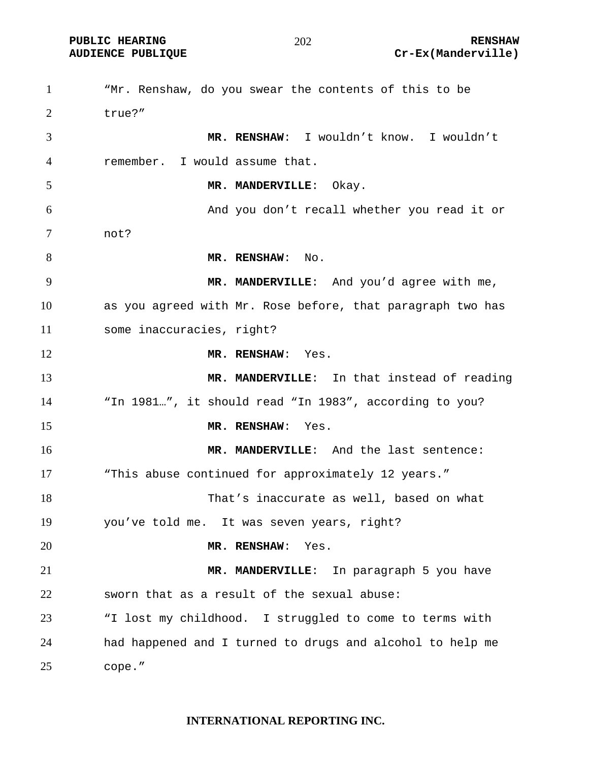"Mr. Renshaw, do you swear the contents of this to be true?" **MR. RENSHAW**: I wouldn't know. I wouldn't remember. I would assume that. **MR. MANDERVILLE**: Okay. And you don't recall whether you read it or not? 8 MR. RENSHAW: No. **MR. MANDERVILLE**: And you'd agree with me, as you agreed with Mr. Rose before, that paragraph two has some inaccuracies, right? **MR. RENSHAW**: Yes. **MR. MANDERVILLE**: In that instead of reading "In 1981…", it should read "In 1983", according to you? **MR. RENSHAW**: Yes. **MR. MANDERVILLE**: And the last sentence: 17 This abuse continued for approximately 12 years." That's inaccurate as well, based on what you've told me. It was seven years, right? **MR. RENSHAW**: Yes. **MR. MANDERVILLE**: In paragraph 5 you have sworn that as a result of the sexual abuse: "I lost my childhood. I struggled to come to terms with had happened and I turned to drugs and alcohol to help me cope."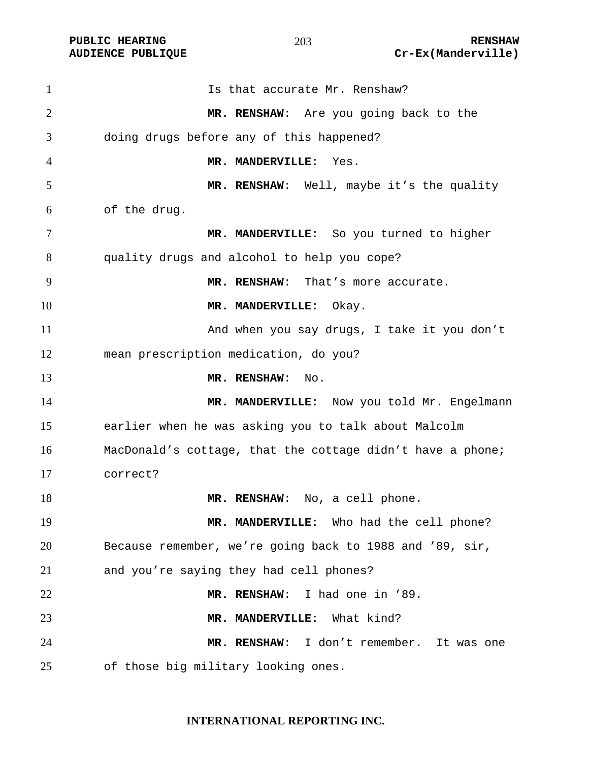| 1              | Is that accurate Mr. Renshaw?                              |
|----------------|------------------------------------------------------------|
| $\overline{2}$ | MR. RENSHAW: Are you going back to the                     |
| 3              | doing drugs before any of this happened?                   |
| 4              | MR. MANDERVILLE: Yes.                                      |
| 5              | MR. RENSHAW: Well, maybe it's the quality                  |
| 6              | of the drug.                                               |
| 7              | MR. MANDERVILLE: So you turned to higher                   |
| 8              | quality drugs and alcohol to help you cope?                |
| 9              | MR. RENSHAW: That's more accurate.                         |
| 10             | MR. MANDERVILLE: Okay.                                     |
| 11             | And when you say drugs, I take it you don't                |
| 12             | mean prescription medication, do you?                      |
| 13             | MR. RENSHAW:<br>No.                                        |
| 14             | MR. MANDERVILLE: Now you told Mr. Engelmann                |
| 15             | earlier when he was asking you to talk about Malcolm       |
| 16             | MacDonald's cottage, that the cottage didn't have a phone; |
| 17             | correct?                                                   |
| 18             | MR. RENSHAW: No, a cell phone.                             |
| 19             | MR. MANDERVILLE: Who had the cell phone?                   |
| 20             | Because remember, we're going back to 1988 and '89, sir,   |
| 21             | and you're saying they had cell phones?                    |
| 22             | MR. RENSHAW: I had one in '89.                             |
| 23             | MR. MANDERVILLE: What kind?                                |
| 24             | MR. RENSHAW: I don't remember. It was one                  |
| 25             | of those big military looking ones.                        |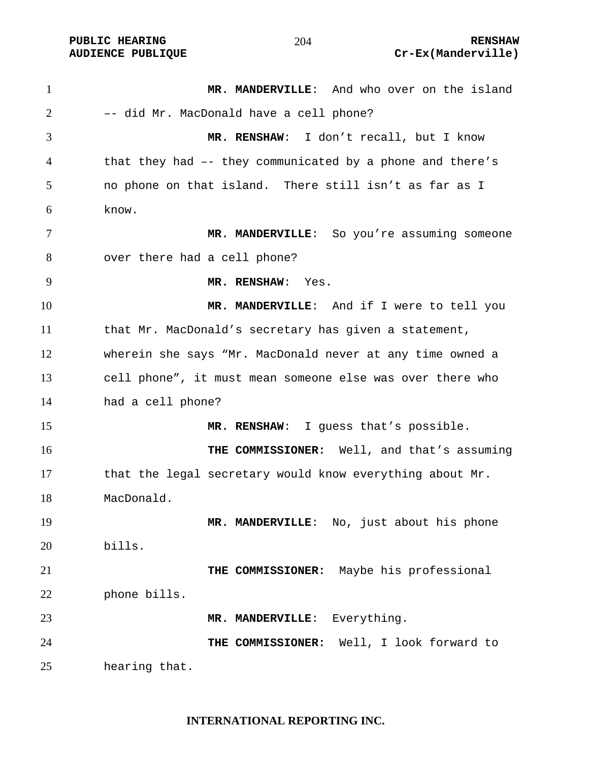**MR. MANDERVILLE**: And who over on the island –- did Mr. MacDonald have a cell phone? **MR. RENSHAW**: I don't recall, but I know that they had –- they communicated by a phone and there's no phone on that island. There still isn't as far as I know. **MR. MANDERVILLE**: So you're assuming someone over there had a cell phone? **MR. RENSHAW**: Yes. **MR. MANDERVILLE**: And if I were to tell you that Mr. MacDonald's secretary has given a statement, wherein she says "Mr. MacDonald never at any time owned a cell phone", it must mean someone else was over there who had a cell phone? **MR. RENSHAW**: I guess that's possible. **THE COMMISSIONER:** Well, and that's assuming that the legal secretary would know everything about Mr. MacDonald. **MR. MANDERVILLE**: No, just about his phone bills. **THE COMMISSIONER:** Maybe his professional phone bills. 23 MR. MANDERVILLE: Everything. **THE COMMISSIONER:** Well, I look forward to hearing that.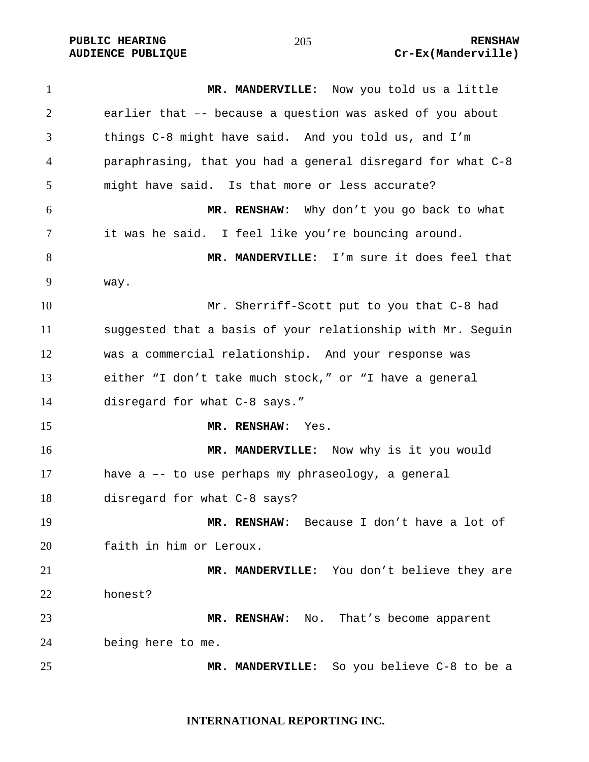**MR. MANDERVILLE**: Now you told us a little earlier that –- because a question was asked of you about things C-8 might have said. And you told us, and I'm paraphrasing, that you had a general disregard for what C-8 might have said. Is that more or less accurate? **MR. RENSHAW**: Why don't you go back to what it was he said. I feel like you're bouncing around. **MR. MANDERVILLE**: I'm sure it does feel that way. Mr. Sherriff-Scott put to you that C-8 had suggested that a basis of your relationship with Mr. Seguin was a commercial relationship. And your response was either "I don't take much stock," or "I have a general disregard for what C-8 says." **MR. RENSHAW**: Yes. **MR. MANDERVILLE**: Now why is it you would have a –- to use perhaps my phraseology, a general disregard for what C-8 says? **MR. RENSHAW**: Because I don't have a lot of faith in him or Leroux. **MR. MANDERVILLE**: You don't believe they are honest? **MR. RENSHAW**: No. That's become apparent being here to me. **MR. MANDERVILLE**: So you believe C-8 to be a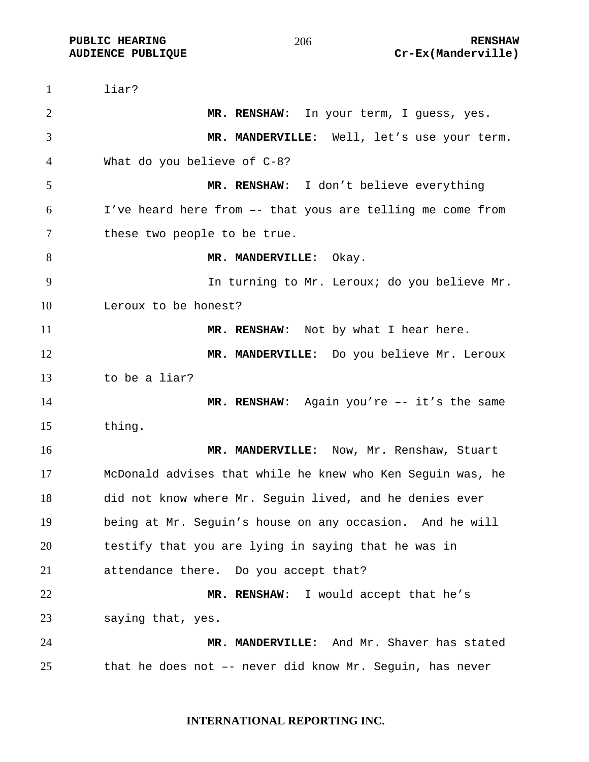liar? **MR. RENSHAW**: In your term, I guess, yes. **MR. MANDERVILLE**: Well, let's use your term. What do you believe of C-8? **MR. RENSHAW**: I don't believe everything I've heard here from –- that yous are telling me come from these two people to be true. 8 MR. MANDERVILLE: Okay. In turning to Mr. Leroux; do you believe Mr. Leroux to be honest? **MR. RENSHAW:** Not by what I hear here. **MR. MANDERVILLE**: Do you believe Mr. Leroux to be a liar? **MR. RENSHAW**: Again you're -- it's the same thing. **MR. MANDERVILLE**: Now, Mr. Renshaw, Stuart McDonald advises that while he knew who Ken Seguin was, he did not know where Mr. Seguin lived, and he denies ever being at Mr. Seguin's house on any occasion. And he will testify that you are lying in saying that he was in attendance there. Do you accept that? **MR. RENSHAW**: I would accept that he's saying that, yes. **MR. MANDERVILLE**: And Mr. Shaver has stated that he does not –- never did know Mr. Seguin, has never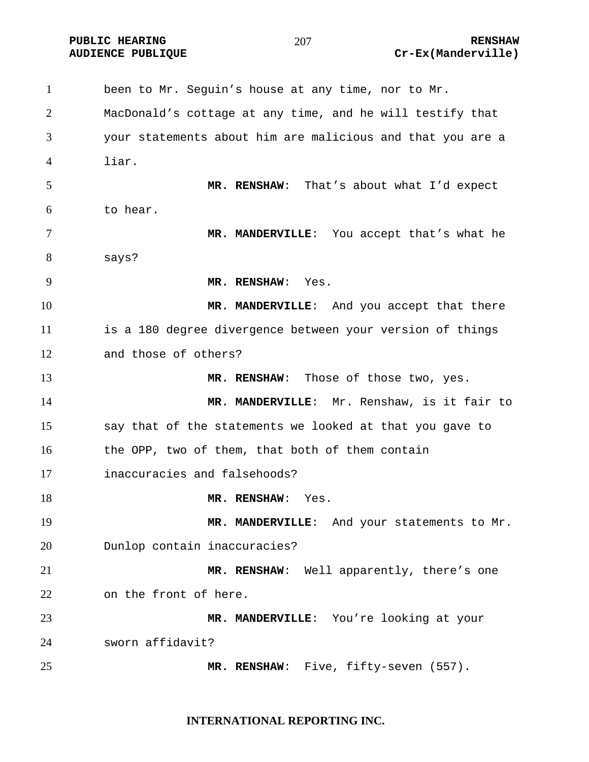**PUBLIC HEARING RENSHAW** 

#### 

been to Mr. Seguin's house at any time, nor to Mr. MacDonald's cottage at any time, and he will testify that your statements about him are malicious and that you are a liar. **MR. RENSHAW**: That's about what I'd expect to hear. **MR. MANDERVILLE**: You accept that's what he says? **MR. RENSHAW**: Yes. **MR. MANDERVILLE**: And you accept that there is a 180 degree divergence between your version of things and those of others? **MR. RENSHAW**: Those of those two, yes. **MR. MANDERVILLE**: Mr. Renshaw, is it fair to say that of the statements we looked at that you gave to the OPP, two of them, that both of them contain inaccuracies and falsehoods? 18 MR. RENSHAW: Yes. 19 MR. MANDERVILLE: And your statements to Mr. Dunlop contain inaccuracies? **MR. RENSHAW**: Well apparently, there's one on the front of here. **MR. MANDERVILLE**: You're looking at your sworn affidavit? **MR. RENSHAW**: Five, fifty-seven (557).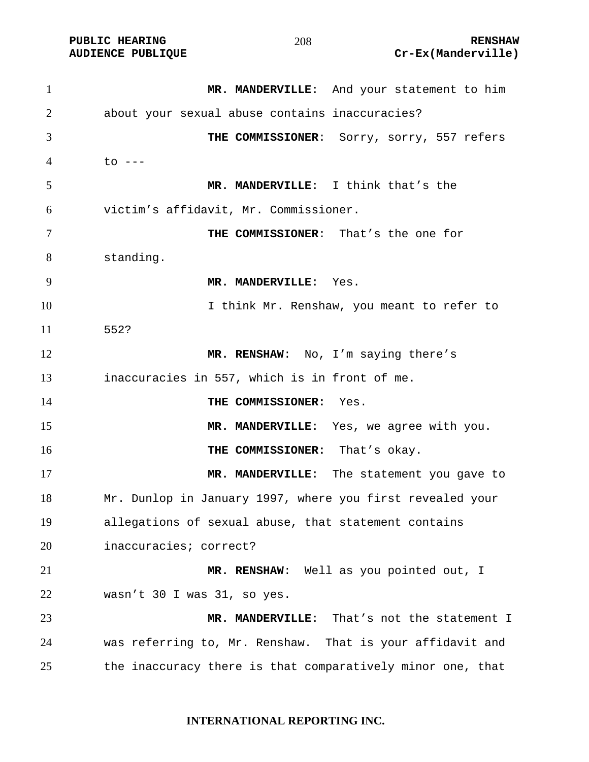| 1  | MR. MANDERVILLE: And your statement to him                                                                                                                                                                                                                                                                                                                                           |
|----|--------------------------------------------------------------------------------------------------------------------------------------------------------------------------------------------------------------------------------------------------------------------------------------------------------------------------------------------------------------------------------------|
| 2  | about your sexual abuse contains inaccuracies?                                                                                                                                                                                                                                                                                                                                       |
| 3  | THE COMMISSIONER: Sorry, sorry, 557 refers                                                                                                                                                                                                                                                                                                                                           |
| 4  | $\overline{c}$ $\overline{c}$ $\overline{c}$ $\overline{c}$ $\overline{c}$ $\overline{c}$ $\overline{c}$ $\overline{c}$ $\overline{c}$ $\overline{c}$ $\overline{c}$ $\overline{c}$ $\overline{c}$ $\overline{c}$ $\overline{c}$ $\overline{c}$ $\overline{c}$ $\overline{c}$ $\overline{c}$ $\overline{c}$ $\overline{c}$ $\overline{c}$ $\overline{c}$ $\overline{c}$ $\overline{$ |
| 5  | MR. MANDERVILLE: I think that's the                                                                                                                                                                                                                                                                                                                                                  |
| 6  | victim's affidavit, Mr. Commissioner.                                                                                                                                                                                                                                                                                                                                                |
| 7  | THE COMMISSIONER: That's the one for                                                                                                                                                                                                                                                                                                                                                 |
| 8  | standing.                                                                                                                                                                                                                                                                                                                                                                            |
| 9  | MR. MANDERVILLE: Yes.                                                                                                                                                                                                                                                                                                                                                                |
| 10 | I think Mr. Renshaw, you meant to refer to                                                                                                                                                                                                                                                                                                                                           |
| 11 | 552?                                                                                                                                                                                                                                                                                                                                                                                 |
| 12 | MR. RENSHAW: No, I'm saying there's                                                                                                                                                                                                                                                                                                                                                  |
| 13 | inaccuracies in 557, which is in front of me.                                                                                                                                                                                                                                                                                                                                        |
| 14 | THE COMMISSIONER:<br>Yes.                                                                                                                                                                                                                                                                                                                                                            |
| 15 | MR. MANDERVILLE: Yes, we agree with you.                                                                                                                                                                                                                                                                                                                                             |
| 16 | THE COMMISSIONER: That's okay.                                                                                                                                                                                                                                                                                                                                                       |
| 17 | MR. MANDERVILLE: The statement you gave to                                                                                                                                                                                                                                                                                                                                           |
| 18 | Mr. Dunlop in January 1997, where you first revealed your                                                                                                                                                                                                                                                                                                                            |
| 19 | allegations of sexual abuse, that statement contains                                                                                                                                                                                                                                                                                                                                 |
| 20 | inaccuracies; correct?                                                                                                                                                                                                                                                                                                                                                               |
| 21 | MR. RENSHAW: Well as you pointed out, I                                                                                                                                                                                                                                                                                                                                              |
| 22 | wasn't 30 I was 31, so yes.                                                                                                                                                                                                                                                                                                                                                          |
| 23 | That's not the statement I<br>MR. MANDERVILLE:                                                                                                                                                                                                                                                                                                                                       |
| 24 | was referring to, Mr. Renshaw. That is your affidavit and                                                                                                                                                                                                                                                                                                                            |
| 25 | the inaccuracy there is that comparatively minor one, that                                                                                                                                                                                                                                                                                                                           |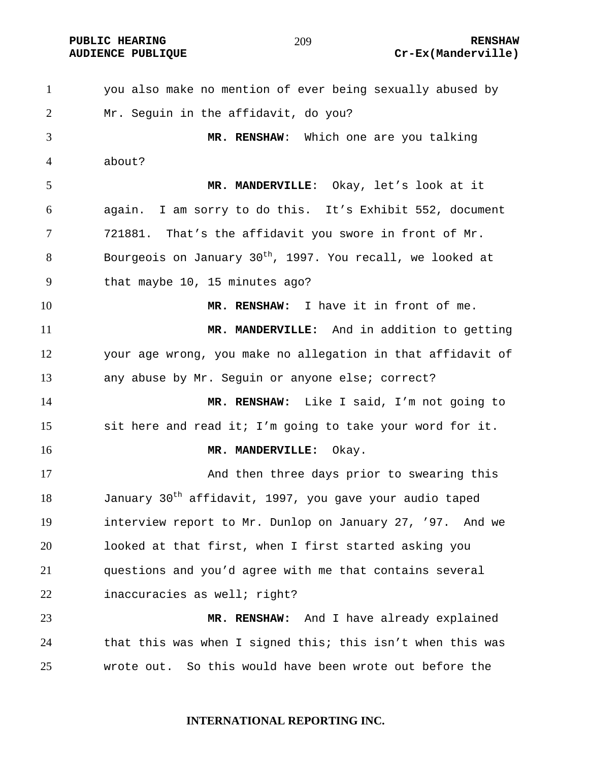you also make no mention of ever being sexually abused by Mr. Seguin in the affidavit, do you? **MR. RENSHAW**: Which one are you talking about? **MR. MANDERVILLE**: Okay, let's look at it again. I am sorry to do this. It's Exhibit 552, document 721881. That's the affidavit you swore in front of Mr. Bourgeois on January 30<sup>th</sup>, 1997. You recall, we looked at that maybe 10, 15 minutes ago? **MR. RENSHAW:** I have it in front of me. **MR. MANDERVILLE:** And in addition to getting your age wrong, you make no allegation in that affidavit of any abuse by Mr. Seguin or anyone else; correct? **MR. RENSHAW:** Like I said, I'm not going to sit here and read it; I'm going to take your word for it. **MR. MANDERVILLE:** Okay. And then three days prior to swearing this 18 January  $30<sup>th</sup>$  affidavit, 1997, you gave your audio taped interview report to Mr. Dunlop on January 27, '97. And we looked at that first, when I first started asking you questions and you'd agree with me that contains several inaccuracies as well; right? **MR. RENSHAW:** And I have already explained that this was when I signed this; this isn't when this was wrote out. So this would have been wrote out before the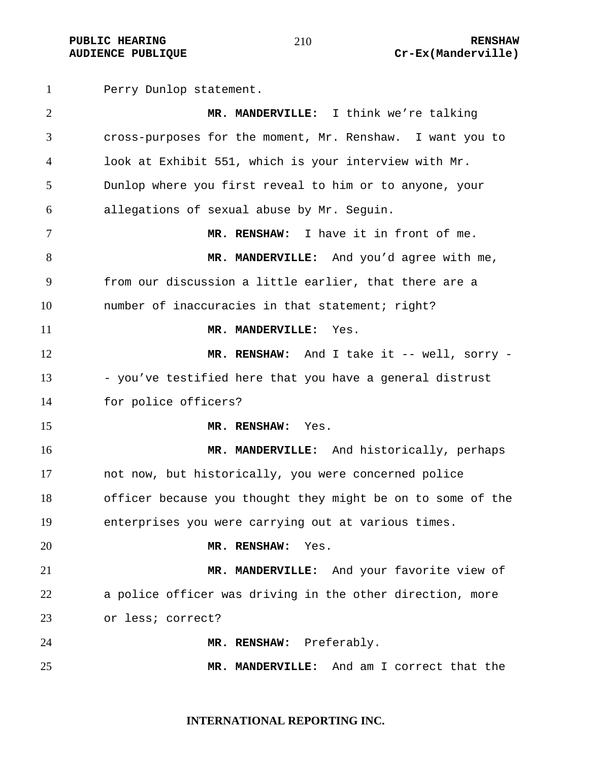#### **PUBLIC HEARING 210** 210 **AUDIENCE PUBLIQUE Cr-Ex(Manderville)**

Perry Dunlop statement.

**MR. MANDERVILLE:** I think we're talking cross-purposes for the moment, Mr. Renshaw. I want you to look at Exhibit 551, which is your interview with Mr. Dunlop where you first reveal to him or to anyone, your allegations of sexual abuse by Mr. Seguin. **MR. RENSHAW:** I have it in front of me. **MR. MANDERVILLE:** And you'd agree with me, from our discussion a little earlier, that there are a number of inaccuracies in that statement; right? **MR. MANDERVILLE:** Yes. 12 MR. RENSHAW: And I take it -- well, sorry -13 - you've testified here that you have a general distrust for police officers? **MR. RENSHAW:** Yes. **MR. MANDERVILLE:** And historically, perhaps not now, but historically, you were concerned police officer because you thought they might be on to some of the enterprises you were carrying out at various times. **MR. RENSHAW:** Yes. **MR. MANDERVILLE:** And your favorite view of a police officer was driving in the other direction, more or less; correct? **MR. RENSHAW:** Preferably. **MR. MANDERVILLE:** And am I correct that the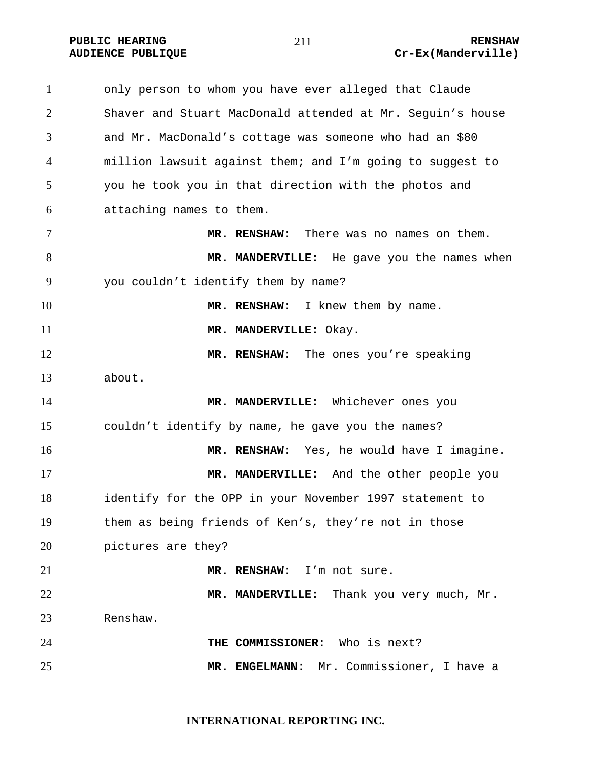only person to whom you have ever alleged that Claude Shaver and Stuart MacDonald attended at Mr. Seguin's house and Mr. MacDonald's cottage was someone who had an \$80 million lawsuit against them; and I'm going to suggest to you he took you in that direction with the photos and attaching names to them. **MR. RENSHAW:** There was no names on them. **MR. MANDERVILLE:** He gave you the names when you couldn't identify them by name? **MR. RENSHAW:** I knew them by name. 11 MR. MANDERVILLE: Okay. **MR. RENSHAW:** The ones you're speaking about. **MR. MANDERVILLE:** Whichever ones you couldn't identify by name, he gave you the names? **MR. RENSHAW:** Yes, he would have I imagine. **MR. MANDERVILLE:** And the other people you identify for the OPP in your November 1997 statement to them as being friends of Ken's, they're not in those pictures are they? **MR. RENSHAW:** I'm not sure. 22 MR. MANDERVILLE: Thank you very much, Mr. Renshaw. **THE COMMISSIONER:** Who is next? **MR. ENGELMANN:** Mr. Commissioner, I have a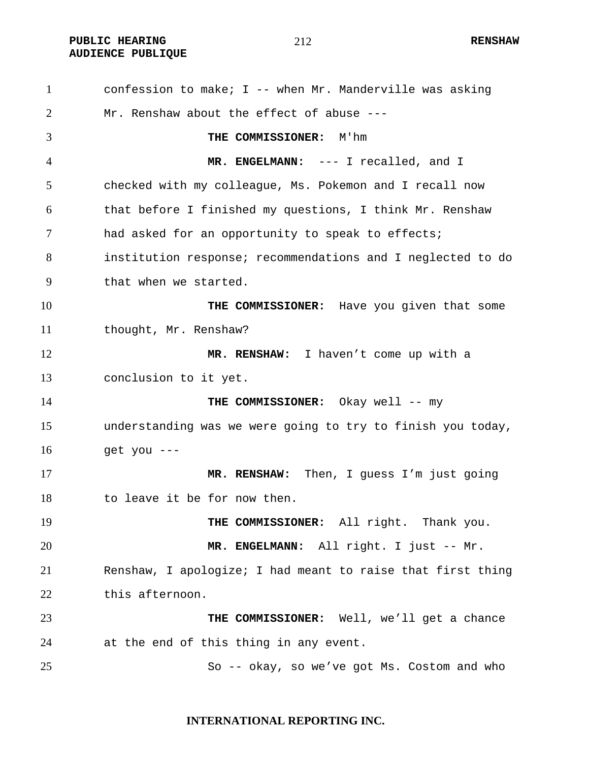**PUBLIC HEARING 212** 212 **AUDIENCE PUBLIQUE** 

confession to make; I -- when Mr. Manderville was asking Mr. Renshaw about the effect of abuse --- **THE COMMISSIONER:** M'hm **MR. ENGELMANN:** --- I recalled, and I checked with my colleague, Ms. Pokemon and I recall now that before I finished my questions, I think Mr. Renshaw had asked for an opportunity to speak to effects; institution response; recommendations and I neglected to do that when we started. **THE COMMISSIONER:** Have you given that some thought, Mr. Renshaw? **MR. RENSHAW:** I haven't come up with a conclusion to it yet. **THE COMMISSIONER:** Okay well -- my understanding was we were going to try to finish you today, get you --- **MR. RENSHAW:** Then, I guess I'm just going to leave it be for now then. 19 THE COMMISSIONER: All right. Thank you. **MR. ENGELMANN:** All right. I just -- Mr. Renshaw, I apologize; I had meant to raise that first thing this afternoon. **THE COMMISSIONER:** Well, we'll get a chance at the end of this thing in any event. So -- okay, so we've got Ms. Costom and who

#### **INTERNATIONAL REPORTING INC.**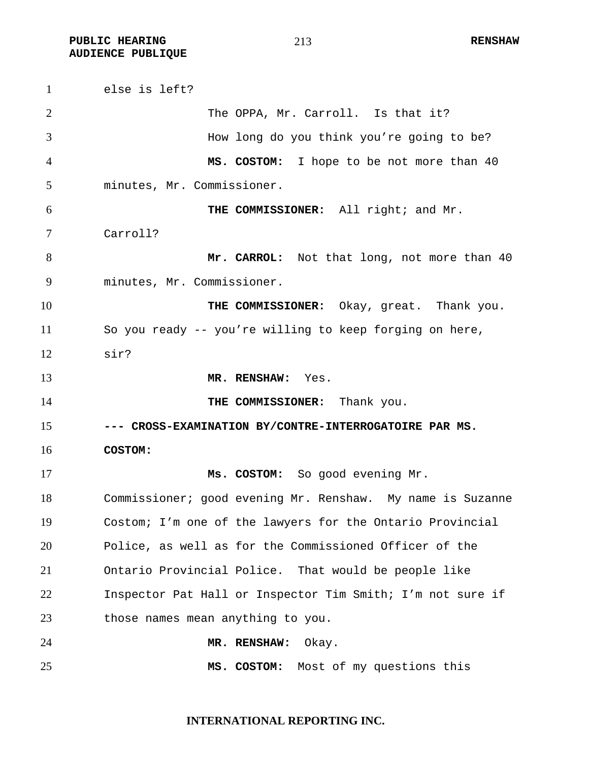**PUBLIC HEARING 213** 213 **AUDIENCE PUBLIQUE** 

else is left? The OPPA, Mr. Carroll. Is that it? How long do you think you're going to be? **MS. COSTOM:** I hope to be not more than 40 minutes, Mr. Commissioner. **THE COMMISSIONER:** All right; and Mr. Carroll? **Mr. CARROL:** Not that long, not more than 40 minutes, Mr. Commissioner. 10 THE COMMISSIONER: Okay, great. Thank you. So you ready -- you're willing to keep forging on here, sir? **MR. RENSHAW:** Yes. **THE COMMISSIONER:** Thank you. **--- CROSS-EXAMINATION BY/CONTRE-INTERROGATOIRE PAR MS. COSTOM: Ms. COSTOM:** So good evening Mr. Commissioner; good evening Mr. Renshaw. My name is Suzanne Costom; I'm one of the lawyers for the Ontario Provincial Police, as well as for the Commissioned Officer of the Ontario Provincial Police. That would be people like Inspector Pat Hall or Inspector Tim Smith; I'm not sure if 23 those names mean anything to you. **MR. RENSHAW:** Okay. **MS. COSTOM:** Most of my questions this

# **INTERNATIONAL REPORTING INC.**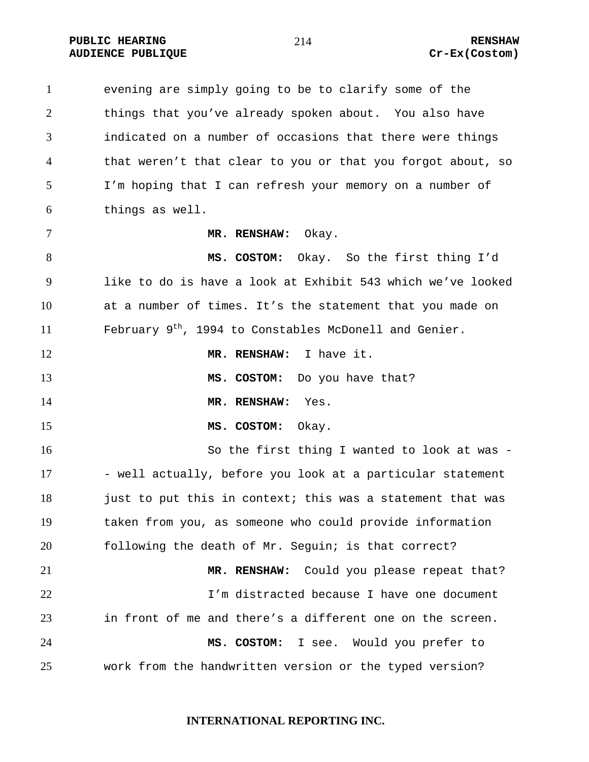**PUBLIC HEARING 214** 214 RENSHAW **AUDIENCE PUBLIQUE Cr-Ex(Costom)** 

evening are simply going to be to clarify some of the things that you've already spoken about. You also have indicated on a number of occasions that there were things that weren't that clear to you or that you forgot about, so I'm hoping that I can refresh your memory on a number of things as well. **MR. RENSHAW:** Okay. **MS. COSTOM:** Okay. So the first thing I'd like to do is have a look at Exhibit 543 which we've looked at a number of times. It's the statement that you made on 11 February  $9^{th}$ , 1994 to Constables McDonell and Genier. **MR. RENSHAW:** I have it. **MS. COSTOM:** Do you have that? **MR. RENSHAW:** Yes. **MS. COSTOM:** Okay. So the first thing I wanted to look at was - 17 - well actually, before you look at a particular statement 18 just to put this in context; this was a statement that was taken from you, as someone who could provide information following the death of Mr. Seguin; is that correct? **MR. RENSHAW:** Could you please repeat that? I'm distracted because I have one document in front of me and there's a different one on the screen. **MS. COSTOM:** I see. Would you prefer to work from the handwritten version or the typed version?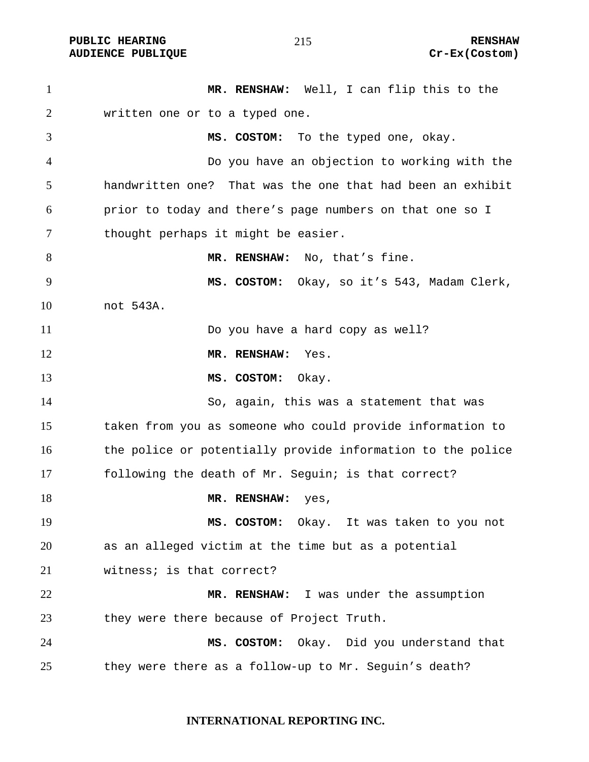PUBLIC HEARING **RENSHAW** 215 **RENSHAW RENSHAW RENSHAW RENSHAW RENSHAW RENSHAW Cr-Ex(Costom) AUDIENCE PUBLIQUE** 

| $\mathbf{1}$   | MR. RENSHAW: Well, I can flip this to the                   |
|----------------|-------------------------------------------------------------|
| $\overline{2}$ | written one or to a typed one.                              |
| 3              | MS. COSTOM: To the typed one, okay.                         |
| $\overline{4}$ | Do you have an objection to working with the                |
| 5              | handwritten one? That was the one that had been an exhibit  |
| 6              | prior to today and there's page numbers on that one so I    |
| 7              | thought perhaps it might be easier.                         |
| 8              | MR. RENSHAW: No, that's fine.                               |
| 9              | MS. COSTOM: Okay, so it's 543, Madam Clerk,                 |
| 10             | not 543A.                                                   |
| 11             | Do you have a hard copy as well?                            |
| 12             | MR. RENSHAW:<br>Yes.                                        |
| 13             | MS. COSTOM:<br>Okay.                                        |
| 14             | So, again, this was a statement that was                    |
| 15             | taken from you as someone who could provide information to  |
| 16             | the police or potentially provide information to the police |
| 17             | following the death of Mr. Sequin; is that correct?         |
| 18             | MR. RENSHAW:<br>yes,                                        |
| 19             | MS. COSTOM: Okay. It was taken to you not                   |
| 20             | as an alleged victim at the time but as a potential         |
| 21             | witness; is that correct?                                   |
| 22             | MR. RENSHAW: I was under the assumption                     |
| 23             | they were there because of Project Truth.                   |
| 24             | MS. COSTOM: Okay. Did you understand that                   |
| 25             | they were there as a follow-up to Mr. Seguin's death?       |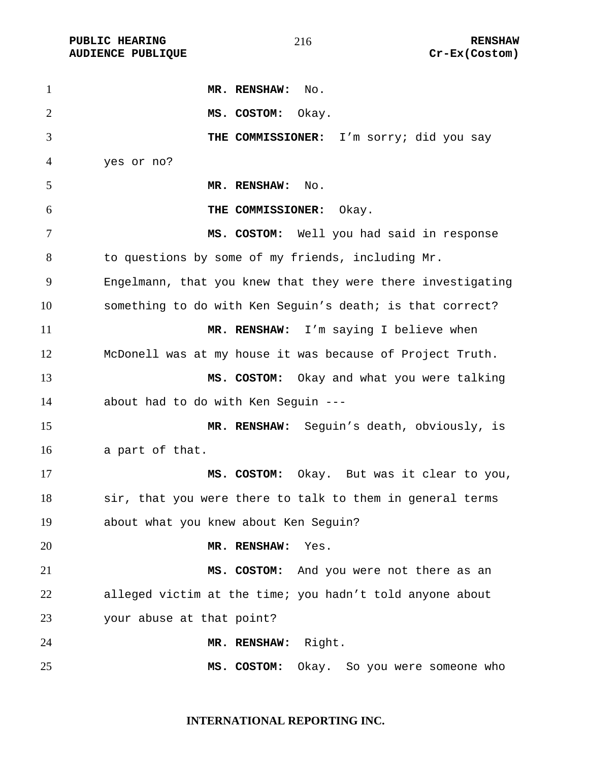**AUDIENCE PUBLIQUE** 

| $\mathbf{1}$   | MR. RENSHAW:<br>No.                                         |
|----------------|-------------------------------------------------------------|
| $\overline{2}$ | MS. COSTOM:<br>Okay.                                        |
| 3              | THE COMMISSIONER: I'm sorry; did you say                    |
| 4              | yes or no?                                                  |
| 5              | MR. RENSHAW:<br>$\mathbb N$ o.                              |
| 6              | THE COMMISSIONER:<br>Okay.                                  |
| 7              | MS. COSTOM: Well you had said in response                   |
| 8              | to questions by some of my friends, including Mr.           |
| 9              | Engelmann, that you knew that they were there investigating |
| 10             | something to do with Ken Seguin's death; is that correct?   |
| 11             | MR. RENSHAW: I'm saying I believe when                      |
| 12             | McDonell was at my house it was because of Project Truth.   |
| 13             | MS. COSTOM: Okay and what you were talking                  |
| 14             | about had to do with Ken Seguin ---                         |
| 15             | MR. RENSHAW: Seguin's death, obviously, is                  |
| 16             | a part of that.                                             |
| 17             | MS. COSTOM: Okay. But was it clear to you,                  |
| 18             | sir, that you were there to talk to them in general terms   |
| 19             | about what you knew about Ken Seguin?                       |
| 20             | MR. RENSHAW:<br>Yes.                                        |
| 21             | MS. COSTOM: And you were not there as an                    |
| 22             | alleged victim at the time; you hadn't told anyone about    |
| 23             | your abuse at that point?                                   |
| 24             | MR. RENSHAW: Right.                                         |
| 25             | MS. COSTOM: Okay. So you were someone who                   |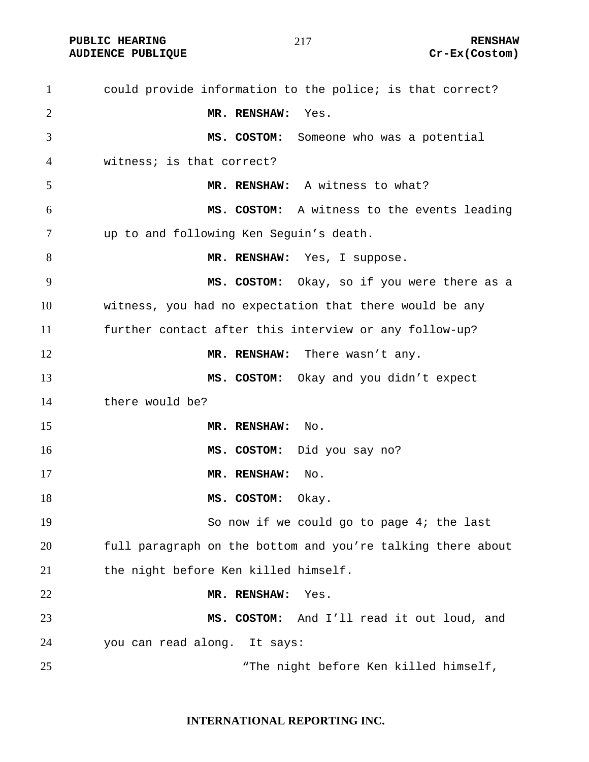PUBLIC HEARING **RENSHAW** 217 **RENSHAW** RENSHAW **RENSHAW RENSHAW RENSHAW RENSHAW RENSHAW AUDIENCE PUBLIQUE** 

#### 

| $\mathbf{1}$   | could provide information to the police; is that correct?   |
|----------------|-------------------------------------------------------------|
| $\overline{2}$ | MR. RENSHAW:<br>Yes.                                        |
| 3              | MS. COSTOM: Someone who was a potential                     |
| 4              | witness; is that correct?                                   |
| 5              | MR. RENSHAW: A witness to what?                             |
| 6              | MS. COSTOM: A witness to the events leading                 |
| 7              | up to and following Ken Seguin's death.                     |
| 8              | MR. RENSHAW: Yes, I suppose.                                |
| 9              | MS. COSTOM: Okay, so if you were there as a                 |
| 10             | witness, you had no expectation that there would be any     |
| 11             | further contact after this interview or any follow-up?      |
| 12             | MR. RENSHAW: There wasn't any.                              |
| 13             | MS. COSTOM: Okay and you didn't expect                      |
| 14             | there would be?                                             |
| 15             | MR. RENSHAW:<br>No.                                         |
| 16             | MS. COSTOM: Did you say no?                                 |
| 17             | MR. RENSHAW:<br>No.                                         |
| 18             | MS. COSTOM:<br>Okay.                                        |
| 19             | So now if we could go to page 4; the last                   |
| 20             | full paragraph on the bottom and you're talking there about |
| 21             | the night before Ken killed himself.                        |
| 22             | MR. RENSHAW:<br>Yes.                                        |
| 23             | MS. COSTOM: And I'll read it out loud, and                  |
| 24             | you can read along. It says:                                |
| 25             | "The night before Ken killed himself,                       |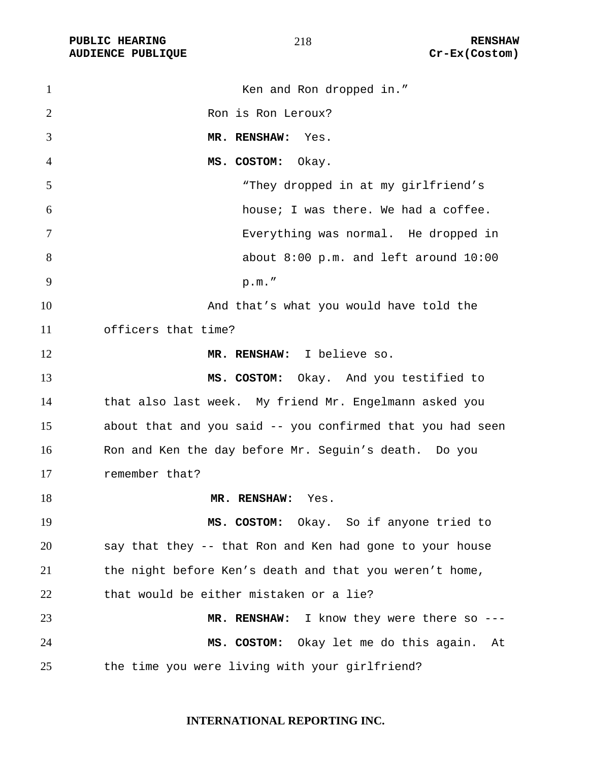PUBLIC HEARING **RENSHAW** 218 **RENSHAW** RENSHAW<br>AUDIENCE PUBLIQUE **RENSHAW** Cr-Ex(Costom) **AUDIENCE PUBLIQUE** 

| $\mathbf{1}$   | Ken and Ron dropped in."                                   |
|----------------|------------------------------------------------------------|
| $\overline{2}$ | Ron is Ron Leroux?                                         |
| 3              | MR. RENSHAW:<br>Yes.                                       |
| $\overline{4}$ | MS. COSTOM:<br>Okay.                                       |
| 5              | "They dropped in at my girlfriend's                        |
| 6              | house; I was there. We had a coffee.                       |
| 7              | Everything was normal. He dropped in                       |
| 8              | about 8:00 p.m. and left around 10:00                      |
| 9              | p.m.'                                                      |
| 10             | And that's what you would have told the                    |
| 11             | officers that time?                                        |
| 12             | MR. RENSHAW: I believe so.                                 |
| 13             | MS. COSTOM: Okay. And you testified to                     |
| 14             | that also last week. My friend Mr. Engelmann asked you     |
| 15             | about that and you said -- you confirmed that you had seen |
| 16             | Ron and Ken the day before Mr. Seguin's death. Do you      |
| 17             | remember that?                                             |
| 18             | MR. RENSHAW: Yes.                                          |
| 19             | MS. COSTOM: Okay. So if anyone tried to                    |
| 20             | say that they -- that Ron and Ken had gone to your house   |
| 21             | the night before Ken's death and that you weren't home,    |
| 22             | that would be either mistaken or a lie?                    |
| 23             | MR. RENSHAW: I know they were there so ---                 |
| 24             | Okay let me do this again.<br>MS. COSTOM:<br>At            |
| 25             | the time you were living with your girlfriend?             |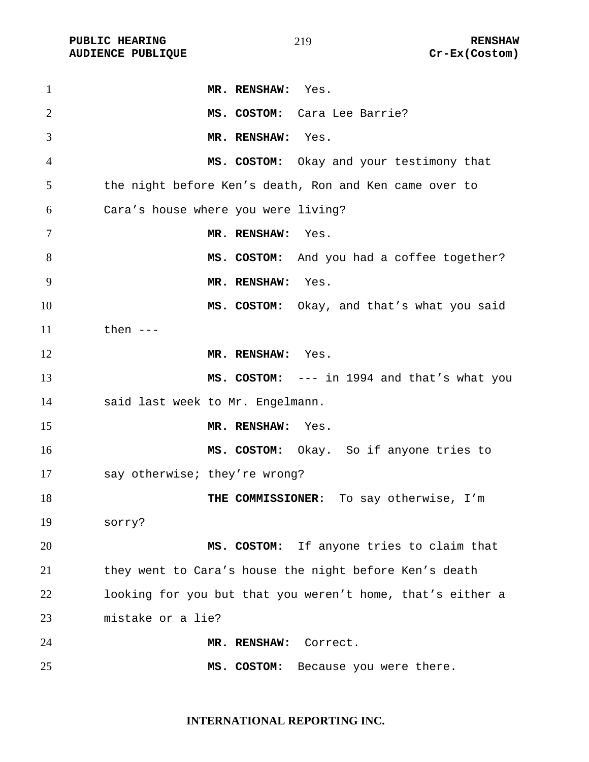**PUBLIC HEARING** 219 219

| $\mathbf{1}$   | MR. RENSHAW: Yes.                                          |
|----------------|------------------------------------------------------------|
| $\overline{2}$ | MS. COSTOM: Cara Lee Barrie?                               |
| 3              | MR. RENSHAW: Yes.                                          |
| $\overline{4}$ | MS. COSTOM: Okay and your testimony that                   |
| 5              | the night before Ken's death, Ron and Ken came over to     |
| 6              | Cara's house where you were living?                        |
| 7              | MR. RENSHAW: Yes.                                          |
| 8              | MS. COSTOM: And you had a coffee together?                 |
| 9              | MR. RENSHAW: Yes.                                          |
| 10             | MS. COSTOM: Okay, and that's what you said                 |
| 11             | then $---$                                                 |
| 12             | MR. RENSHAW: Yes.                                          |
| 13             | MS. COSTOM: --- in 1994 and that's what you                |
| 14             | said last week to Mr. Engelmann.                           |
| 15             | MR. RENSHAW: Yes.                                          |
| 16             | MS. COSTOM: Okay. So if anyone tries to                    |
| 17             | say otherwise; they're wrong?                              |
| 18             | THE COMMISSIONER: To say otherwise, I'm                    |
| 19             | sorry?                                                     |
| 20             | MS. COSTOM: If anyone tries to claim that                  |
| 21             | they went to Cara's house the night before Ken's death     |
| 22             | looking for you but that you weren't home, that's either a |
| 23             | mistake or a lie?                                          |
| 24             | MR. RENSHAW:<br>Correct.                                   |
| 25             | Because you were there.<br>MS. COSTOM:                     |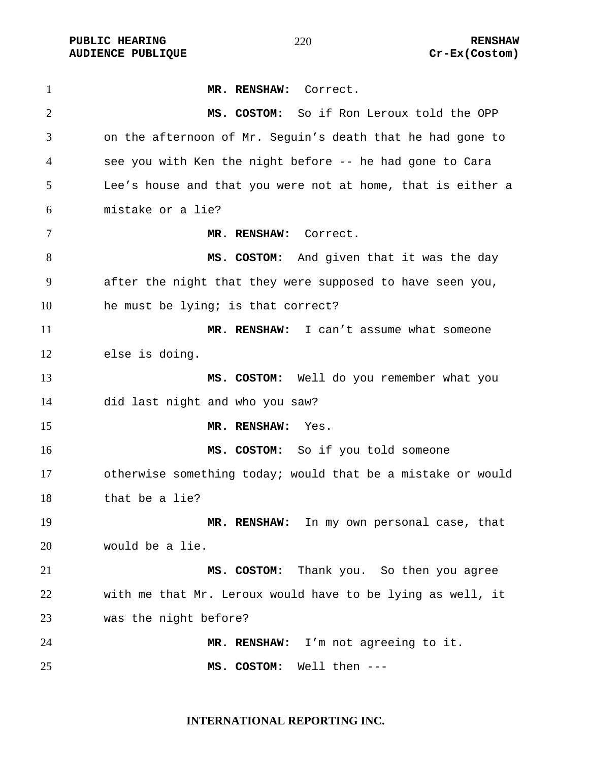**PUBLIC HEARING**  $\frac{270}{100}$  **RENSHAW** 

**MR. RENSHAW:** Correct. **MS. COSTOM:** So if Ron Leroux told the OPP on the afternoon of Mr. Seguin's death that he had gone to see you with Ken the night before -- he had gone to Cara Lee's house and that you were not at home, that is either a mistake or a lie? **MR. RENSHAW:** Correct. **MS. COSTOM:** And given that it was the day after the night that they were supposed to have seen you, he must be lying; is that correct? **MR. RENSHAW:** I can't assume what someone else is doing. **MS. COSTOM:** Well do you remember what you did last night and who you saw? **MR. RENSHAW:** Yes. **MS. COSTOM:** So if you told someone otherwise something today; would that be a mistake or would that be a lie? **MR. RENSHAW:** In my own personal case, that would be a lie. **MS. COSTOM:** Thank you. So then you agree with me that Mr. Leroux would have to be lying as well, it was the night before? **MR. RENSHAW:** I'm not agreeing to it. **MS. COSTOM:** Well then ---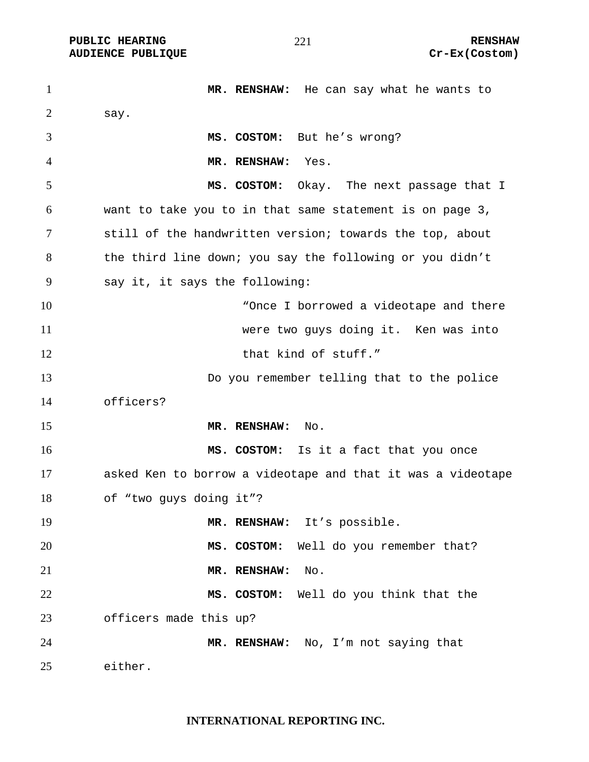**PUBLIC HEARING**  $\frac{21}{10}$  **221 RENSHAW** 

**MR. RENSHAW:** He can say what he wants to 2 say. **MS. COSTOM:** But he's wrong? **MR. RENSHAW:** Yes. **MS. COSTOM:** Okay.The next passage that I want to take you to in that same statement is on page 3, still of the handwritten version; towards the top, about the third line down; you say the following or you didn't say it, it says the following: 10 The state of the Cherno of the Cherno works are the Morrowed a videotape and there were two guys doing it. Ken was into 12 that kind of stuff." Do you remember telling that to the police officers? **MR. RENSHAW:** No. **MS. COSTOM:** Is it a fact that you once asked Ken to borrow a videotape and that it was a videotape of "two guys doing it"? 19 MR. RENSHAW: It's possible. **MS. COSTOM:** Well do you remember that? **MR. RENSHAW:** No. **MS. COSTOM:** Well do you think that the officers made this up? **MR. RENSHAW:** No, I'm not saying that either.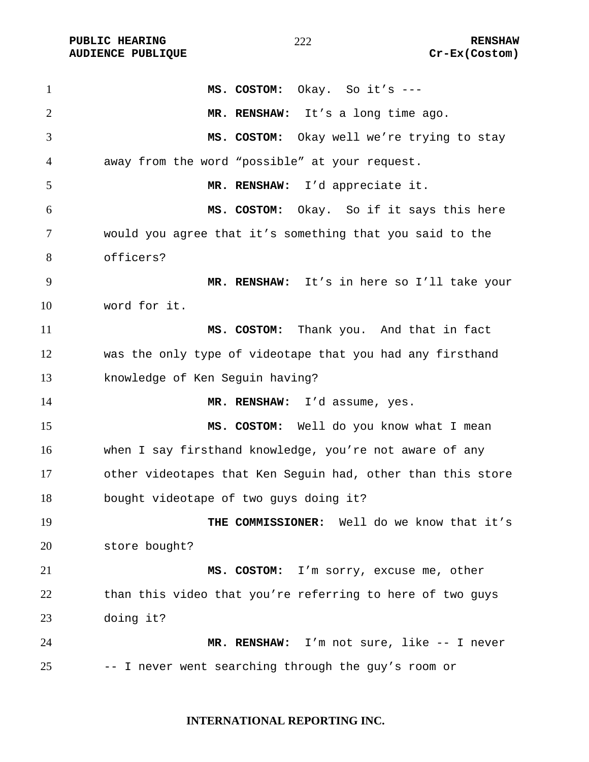| $\mathbf{1}$ | MS. COSTOM: Okay. So it's ---                               |
|--------------|-------------------------------------------------------------|
| 2            | MR. RENSHAW: It's a long time ago.                          |
| 3            | MS. COSTOM: Okay well we're trying to stay                  |
| 4            | away from the word "possible" at your request.              |
| 5            | MR. RENSHAW: I'd appreciate it.                             |
| 6            | MS. COSTOM: Okay. So if it says this here                   |
| 7            | would you agree that it's something that you said to the    |
| 8            | officers?                                                   |
| 9            | MR. RENSHAW: It's in here so I'll take your                 |
| 10           | word for it.                                                |
| 11           | MS. COSTOM: Thank you. And that in fact                     |
| 12           | was the only type of videotape that you had any firsthand   |
| 13           | knowledge of Ken Seguin having?                             |
| 14           | MR. RENSHAW: I'd assume, yes.                               |
| 15           | MS. COSTOM: Well do you know what I mean                    |
| 16           | when I say firsthand knowledge, you're not aware of any     |
| 17           | other videotapes that Ken Seguin had, other than this store |
| 18           | bought videotape of two guys doing it?                      |
| 19           | THE COMMISSIONER: Well do we know that it's                 |
| 20           | store bought?                                               |
| 21           | MS. COSTOM: I'm sorry, excuse me, other                     |
| 22           | than this video that you're referring to here of two guys   |
| 23           | doing it?                                                   |
| 24           | MR. RENSHAW: I'm not sure, like -- I never                  |
| 25           | -- I never went searching through the guy's room or         |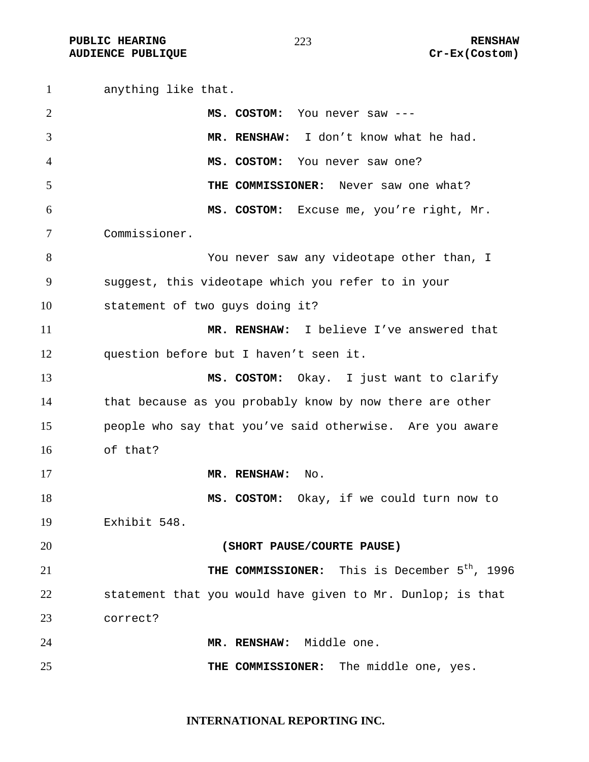**PUBLIC HEARING**  $\frac{273}{273}$  **RENSHAW AUDIENCE PUBLIQUE COSTOM COSTOM** 

anything like that. **MS. COSTOM:** You never saw --- **MR. RENSHAW:** I don't know what he had. **MS. COSTOM:** You never saw one? **THE COMMISSIONER:** Never saw one what? **MS. COSTOM:** Excuse me, you're right, Mr. Commissioner. You never saw any videotape other than, I suggest, this videotape which you refer to in your statement of two guys doing it? **MR. RENSHAW:** I believe I've answered that question before but I haven't seen it. **MS. COSTOM:** Okay. I just want to clarify that because as you probably know by now there are other people who say that you've said otherwise. Are you aware of that? **MR. RENSHAW:** No. **MS. COSTOM:** Okay, if we could turn now to Exhibit 548. **(SHORT PAUSE/COURTE PAUSE) THE COMMISSIONER:** This is December 5<sup>th</sup>, 1996 statement that you would have given to Mr. Dunlop; is that correct? **MR. RENSHAW:** Middle one. **THE COMMISSIONER:** The middle one, yes.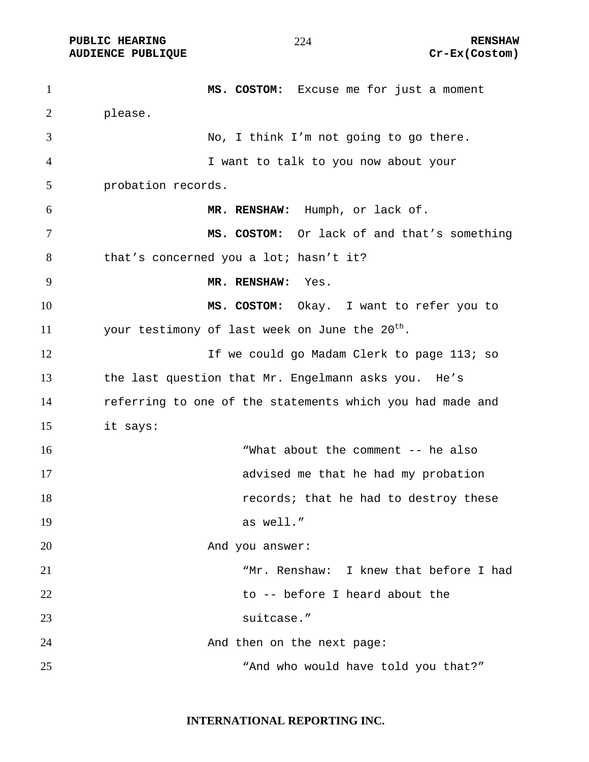**PUBLIC HEARING**  $\frac{274}{100}$  **RENSHAW** 

**AUDIENCE PUBLIQUE COSTOM COSTOM** 

**MS. COSTOM:** Excuse me for just a moment please. No, I think I'm not going to go there. I want to talk to you now about your probation records. **MR. RENSHAW:** Humph, or lack of. **MS. COSTOM:** Or lack of and that's something that's concerned you a lot; hasn't it? **MR. RENSHAW:** Yes. **MS. COSTOM:** Okay.I want to refer you to 11 vour testimony of last week on June the  $20^{\text{th}}$ . 12 12 If we could go Madam Clerk to page 113; so the last question that Mr. Engelmann asks you. He's referring to one of the statements which you had made and it says: "What about the comment -- he also advised me that he had my probation **18** *records;* that he had to destroy these 19 as well." 20 And you answer: "Mr. Renshaw: I knew that before I had to -- before I heard about the suitcase." 24 And then on the next page: 25 The Mand who would have told you that?"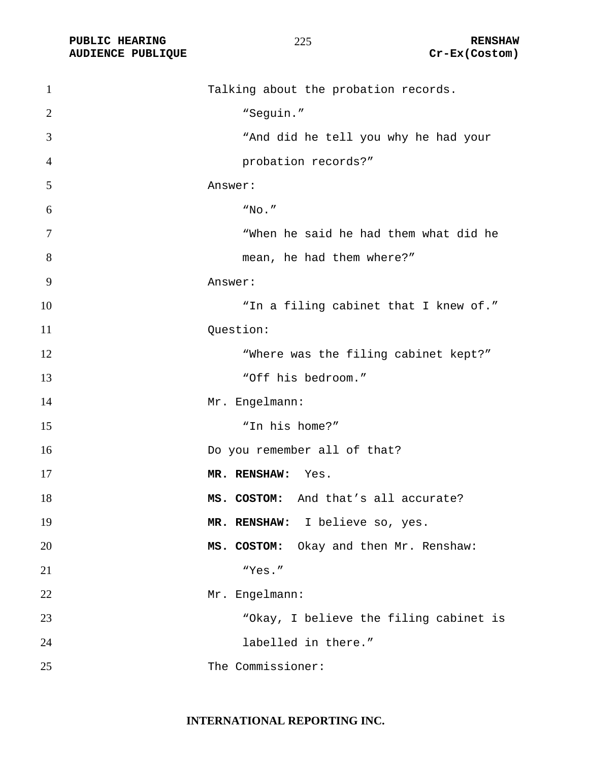PUBLIC HEARING **RENSHAW** 225 **RENSHAW** RENSHAW **RENSHAW RENSHAW RENSHAW RENSHAW Cr-Ex(Costom) AUDIENCE PUBLIQUE** 

| $\mathbf{1}$   | Talking about the probation records.      |
|----------------|-------------------------------------------|
| 2              | "Seguin."                                 |
| 3              | "And did he tell you why he had your      |
| $\overline{4}$ | probation records?"                       |
| 5              | Answer:                                   |
| 6              | "No. "                                    |
| 7              | "When he said he had them what did he     |
| 8              | mean, he had them where?"                 |
| 9              | Answer:                                   |
| 10             | "In a filing cabinet that I knew of."     |
| 11             | Question:                                 |
| 12             | "Where was the filing cabinet kept?"      |
| 13             | "Off his bedroom."                        |
| 14             | Mr. Engelmann:                            |
| 15             | "In his home?"                            |
| 16             | Do you remember all of that?              |
| 17             | MR. RENSHAW: Yes.                         |
| 18             | MS. COSTOM: And that's all accurate?      |
| 19             | MR. RENSHAW: I believe so, yes.           |
| 20             | MS. COSTOM:<br>Okay and then Mr. Renshaw: |
| 21             | "Yes."                                    |
| 22             | Mr. Engelmann:                            |
| 23             | "Okay, I believe the filing cabinet is    |
| 24             | labelled in there."                       |
| 25             | The Commissioner:                         |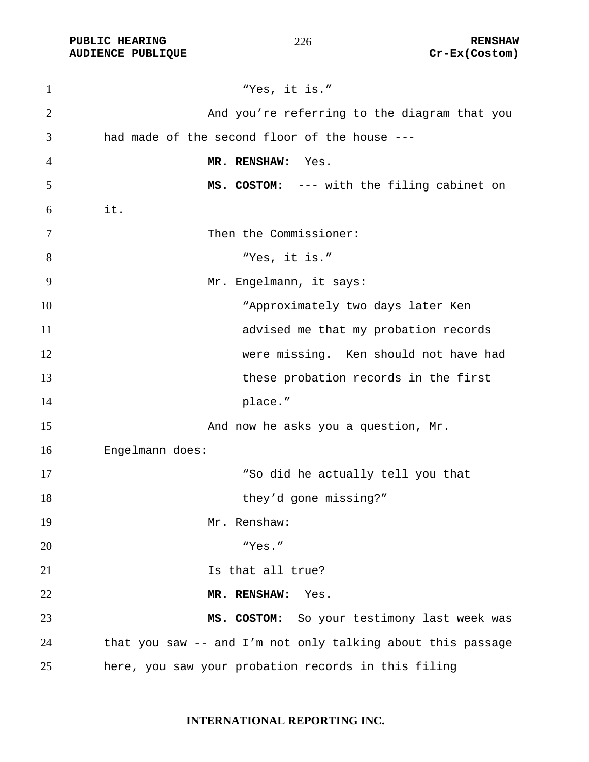PUBLIC HEARING **RENSHAW** 226 **RENSHAW** RENSHAW **RENSHAW RENSHAW RENSHAW RENSHAW Cr-Ex(Costom) AUDIENCE PUBLIQUE** 

| $\mathbf{1}$   | "Yes, it is."                                               |
|----------------|-------------------------------------------------------------|
| $\overline{2}$ | And you're referring to the diagram that you                |
| 3              | had made of the second floor of the house ---               |
| 4              | MR. RENSHAW:<br>Yes.                                        |
| 5              | MS. COSTOM: --- with the filing cabinet on                  |
| 6              | it.                                                         |
| 7              | Then the Commissioner:                                      |
| 8              | "Yes, it is."                                               |
| 9              | Mr. Engelmann, it says:                                     |
| 10             | "Approximately two days later Ken                           |
| 11             | advised me that my probation records                        |
| 12             | were missing. Ken should not have had                       |
| 13             | these probation records in the first                        |
| 14             | place."                                                     |
| 15             | And now he asks you a question, Mr.                         |
| 16             | Engelmann does:                                             |
| 17             | "So did he actually tell you that                           |
| 18             | they'd gone missing?"                                       |
| 19             | Mr. Renshaw:                                                |
| 20             | "Yes."                                                      |
| 21             | Is that all true?                                           |
| 22             | MR. RENSHAW:<br>Yes.                                        |
| 23             | MS. COSTOM: So your testimony last week was                 |
| 24             | that you saw -- and I'm not only talking about this passage |
| 25             | here, you saw your probation records in this filing         |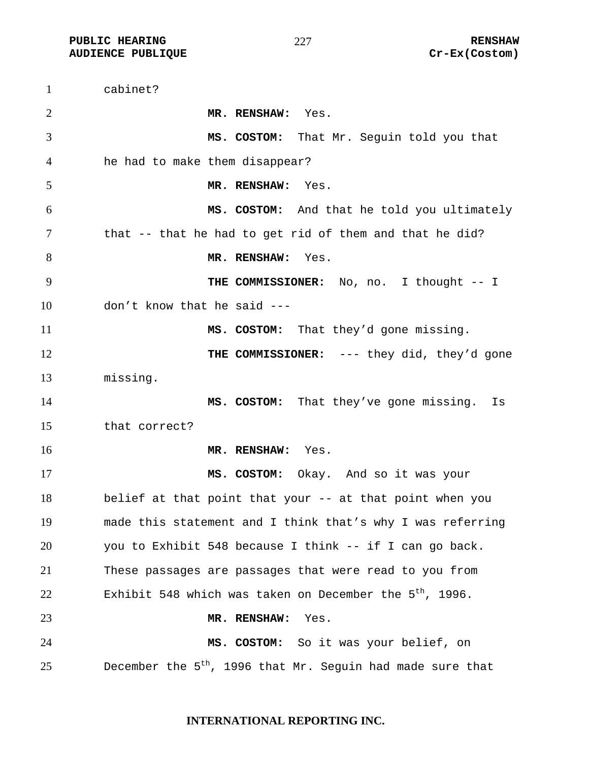**PUBLIC HEARING RENSHAW** 

cabinet? **MR. RENSHAW:** Yes. **MS. COSTOM:** That Mr. Seguin told you that he had to make them disappear? **MR. RENSHAW:** Yes. **MS. COSTOM:** And that he told you ultimately that -- that he had to get rid of them and that he did? 8 MR. RENSHAW: Yes. **THE COMMISSIONER:** No, no. I thought -- I don't know that he said --- **MS. COSTOM:** That they'd gone missing. **THE COMMISSIONER:** --- they did, they'd gone missing. 14 MS. COSTOM: That they've gone missing. Is that correct? **MR. RENSHAW:** Yes. **MS. COSTOM:** Okay. And so it was your belief at that point that your -- at that point when you made this statement and I think that's why I was referring you to Exhibit 548 because I think -- if I can go back. These passages are passages that were read to you from 22 Exhibit 548 which was taken on December the  $5<sup>th</sup>$ , 1996. **MR. RENSHAW:** Yes. **MS. COSTOM:** So it was your belief, on 25 December the  $5<sup>th</sup>$ , 1996 that Mr. Seguin had made sure that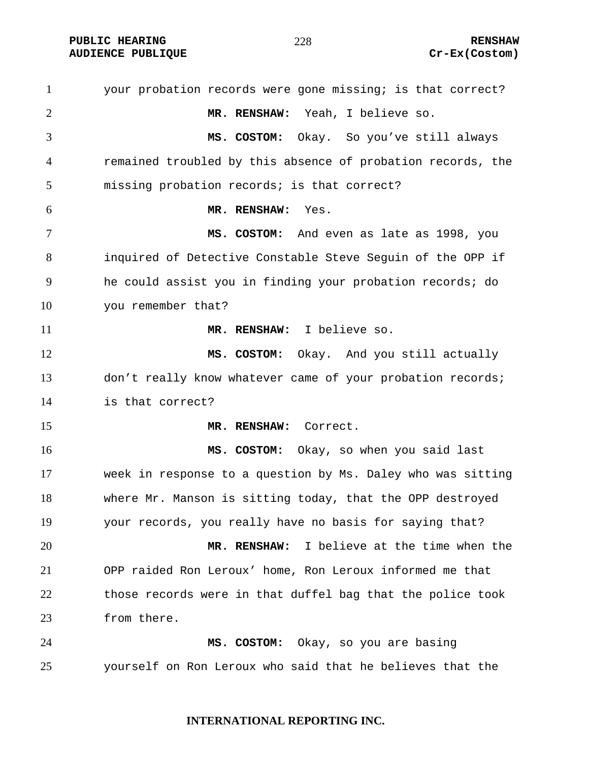**PUBLIC HEARING**  $\frac{278}{278}$  **RENSHAW** 

your probation records were gone missing; is that correct? **MR. RENSHAW:** Yeah, I believe so. **MS. COSTOM:** Okay.So you've still always remained troubled by this absence of probation records, the missing probation records; is that correct? **MR. RENSHAW:** Yes. **MS. COSTOM:** And even as late as 1998, you inquired of Detective Constable Steve Seguin of the OPP if he could assist you in finding your probation records; do you remember that? **MR. RENSHAW:** I believe so. **MS. COSTOM:** Okay. And you still actually 13 don't really know whatever came of your probation records; is that correct? **MR. RENSHAW:** Correct. **MS. COSTOM:** Okay, so when you said last week in response to a question by Ms. Daley who was sitting where Mr. Manson is sitting today, that the OPP destroyed your records, you really have no basis for saying that? **MR. RENSHAW:** I believe at the time when the OPP raided Ron Leroux' home, Ron Leroux informed me that those records were in that duffel bag that the police took from there. **MS. COSTOM:** Okay, so you are basing yourself on Ron Leroux who said that he believes that the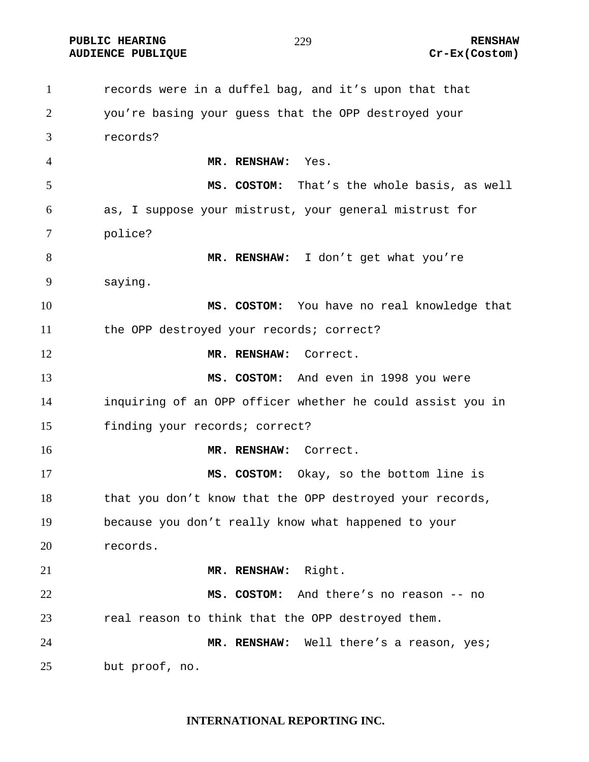**PUBLIC HEARING**  $\frac{279}{279}$  **RENSHAW** 

#### 

**AUDIENCE PUBLIQUE COSTOM COSTOM** 

records were in a duffel bag, and it's upon that that you're basing your guess that the OPP destroyed your records? **MR. RENSHAW:** Yes. **MS. COSTOM:** That's the whole basis, as well as, I suppose your mistrust, your general mistrust for police? **MR. RENSHAW:** I don't get what you're saying. **MS. COSTOM:** You have no real knowledge that the OPP destroyed your records; correct? **MR. RENSHAW:** Correct. **MS. COSTOM:** And even in 1998 you were inquiring of an OPP officer whether he could assist you in finding your records; correct? **MR. RENSHAW:** Correct. **MS. COSTOM:** Okay, so the bottom line is 18 that you don't know that the OPP destroyed your records, because you don't really know what happened to your records. **MR. RENSHAW:** Right. **MS. COSTOM:** And there's no reason -- no real reason to think that the OPP destroyed them. **MR. RENSHAW:** Well there's a reason, yes; but proof, no.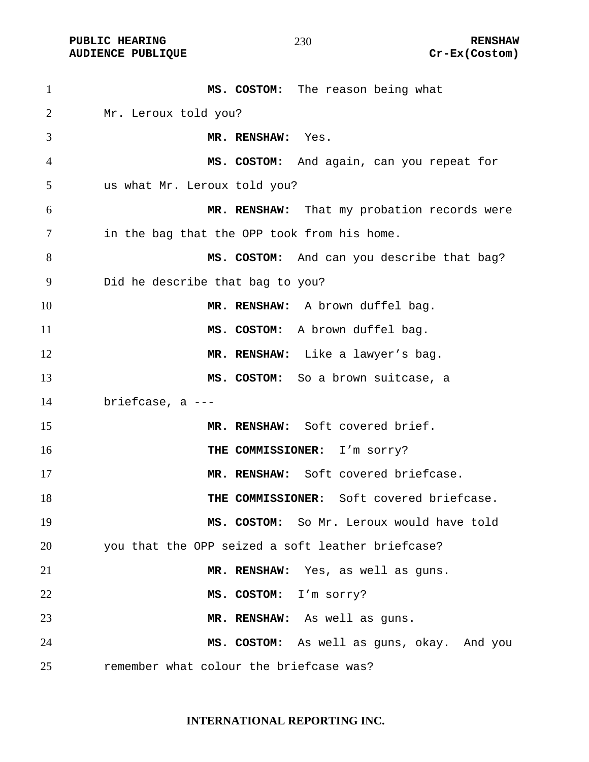**AUDIENCE PUBLIQUE** 

#### 

| $\mathbf{1}$ | MS. COSTOM: The reason being what                 |
|--------------|---------------------------------------------------|
| 2            | Mr. Leroux told you?                              |
| 3            | MR. RENSHAW: Yes.                                 |
| 4            | MS. COSTOM: And again, can you repeat for         |
| 5            | us what Mr. Leroux told you?                      |
| 6            | MR. RENSHAW: That my probation records were       |
| 7            | in the bag that the OPP took from his home.       |
| 8            | MS. COSTOM: And can you describe that bag?        |
| 9            | Did he describe that bag to you?                  |
| 10           | MR. RENSHAW: A brown duffel bag.                  |
| 11           | MS. COSTOM: A brown duffel bag.                   |
| 12           | MR. RENSHAW: Like a lawyer's bag.                 |
| 13           | MS. COSTOM: So a brown suitcase, a                |
| 14           | briefcase, a $---$                                |
| 15           | MR. RENSHAW: Soft covered brief.                  |
| 16           | THE COMMISSIONER: I'm sorry?                      |
| 17           | MR. RENSHAW: Soft covered briefcase.              |
| 18           | THE COMMISSIONER: Soft covered briefcase.         |
| 19           | MS. COSTOM: So Mr. Leroux would have told         |
| 20           | you that the OPP seized a soft leather briefcase? |
| 21           | MR. RENSHAW: Yes, as well as guns.                |
| 22           | MS. COSTOM: I'm sorry?                            |
| 23           | MR. RENSHAW: As well as guns.                     |
| 24           | MS. COSTOM: As well as guns, okay. And you        |
| 25           | remember what colour the briefcase was?           |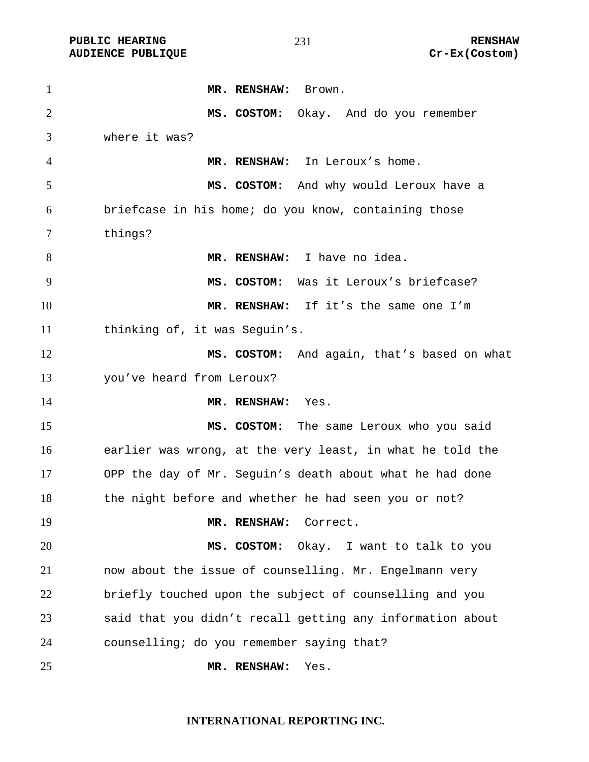**AUDIENCE PUBLIQUE** 

#### 

| $\mathbf{1}$   | MR. RENSHAW:<br>Brown.                                    |
|----------------|-----------------------------------------------------------|
| $\overline{2}$ | MS. COSTOM: Okay. And do you remember                     |
| 3              | where it was?                                             |
| 4              | MR. RENSHAW: In Leroux's home.                            |
| 5              | MS. COSTOM: And why would Leroux have a                   |
| 6              | briefcase in his home; do you know, containing those      |
| 7              | things?                                                   |
| 8              | MR. RENSHAW: I have no idea.                              |
| 9              | MS. COSTOM: Was it Leroux's briefcase?                    |
| 10             | MR. RENSHAW: If it's the same one I'm                     |
| 11             | thinking of, it was Seguin's.                             |
| 12             | MS. COSTOM: And again, that's based on what               |
| 13             | you've heard from Leroux?                                 |
| 14             | MR. RENSHAW:<br>Yes.                                      |
| 15             | MS. COSTOM: The same Leroux who you said                  |
| 16             | earlier was wrong, at the very least, in what he told the |
| 17             | OPP the day of Mr. Seguin's death about what he had done  |
| 18             | the night before and whether he had seen you or not?      |
| 19             | Correct.<br>MR. RENSHAW:                                  |
| 20             | MS. COSTOM:<br>Okay. I want to talk to you                |
| 21             | now about the issue of counselling. Mr. Engelmann very    |
| 22             | briefly touched upon the subject of counselling and you   |
| 23             | said that you didn't recall getting any information about |
| 24             | counselling; do you remember saying that?                 |
| 25             | MR. RENSHAW:<br>Yes.                                      |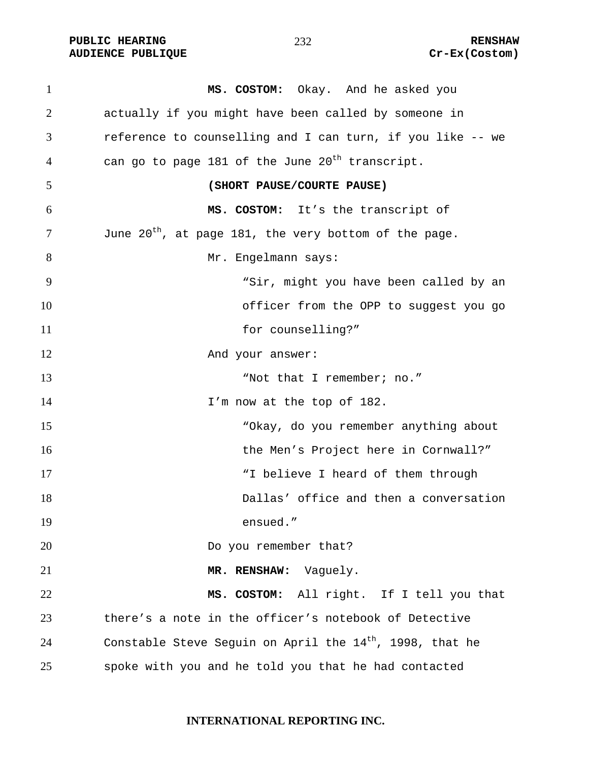**PUBLIC HEARING 232** 232

1 **MS. COSTOM:** Okay. And he asked you 2 actually if you might have been called by someone in 3 reference to counselling and I can turn, if you like -- we 4 can go to page 181 of the June  $20<sup>th</sup>$  transcript. 5 **(SHORT PAUSE/COURTE PAUSE)**  6 **MS. COSTOM:** It's the transcript of  $J$  June  $20^{th}$ , at page 181, the very bottom of the page. 8 Mr. Engelmann says: 9 "Sir, might you have been called by an 10 officer from the OPP to suggest you go 11 for counselling?" 12 And your answer: 13 "Not that I remember; no." 14 I'm now at the top of 182. 15 "Okay, do you remember anything about 16 the Men's Project here in Cornwall?" 17 Thelieve I heard of them through 18 Dallas' office and then a conversation 19 ensued." 20 Do you remember that? 21 MR. RENSHAW: Vaguely. 22 **MS. COSTOM:** All right. If I tell you that 23 there's a note in the officer's notebook of Detective 24 Constable Steve Seguin on April the  $14<sup>th</sup>$ , 1998, that he 25 spoke with you and he told you that he had contacted

232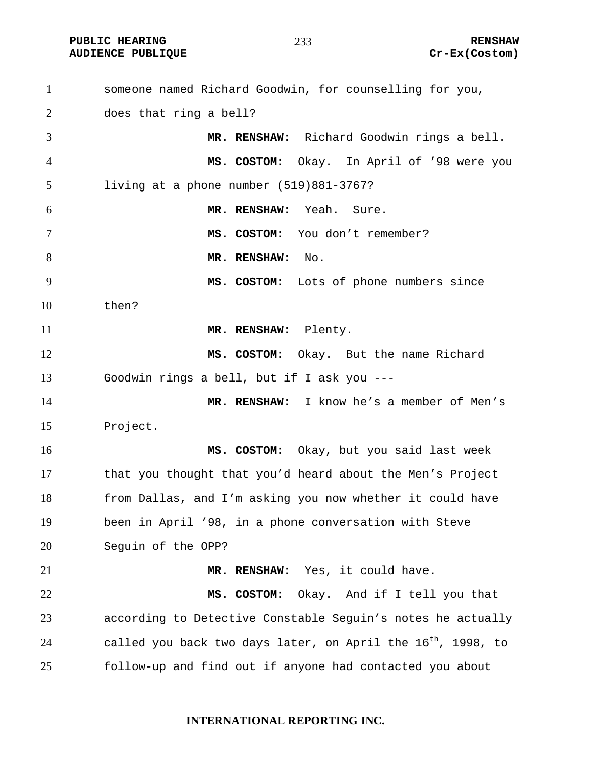**AUDIENCE PUBLIQUE** 

| $\mathbf{1}$   | someone named Richard Goodwin, for counselling for you,                  |
|----------------|--------------------------------------------------------------------------|
| 2              | does that ring a bell?                                                   |
| 3              | MR. RENSHAW: Richard Goodwin rings a bell.                               |
| $\overline{4}$ | MS. COSTOM: Okay. In April of '98 were you                               |
| 5              | living at a phone number (519)881-3767?                                  |
| 6              | MR. RENSHAW: Yeah. Sure.                                                 |
| $\tau$         | MS. COSTOM: You don't remember?                                          |
| 8              | MR. RENSHAW: No.                                                         |
| 9              | MS. COSTOM: Lots of phone numbers since                                  |
| 10             | then?                                                                    |
| 11             | MR. RENSHAW: Plenty.                                                     |
| 12             | MS. COSTOM: Okay. But the name Richard                                   |
| 13             | Goodwin rings a bell, but if I ask you ---                               |
| 14             | MR. RENSHAW: I know he's a member of Men's                               |
| 15             | Project.                                                                 |
| 16             | MS. COSTOM: Okay, but you said last week                                 |
| 17             | that you thought that you'd heard about the Men's Project                |
| 18             | from Dallas, and I'm asking you now whether it could have                |
| 19             | been in April '98, in a phone conversation with Steve                    |
| 20             | Seguin of the OPP?                                                       |
| 21             | MR. RENSHAW: Yes, it could have.                                         |
| 22             | MS. COSTOM: Okay. And if I tell you that                                 |
| 23             | according to Detective Constable Seguin's notes he actually              |
| 24             | called you back two days later, on April the 16 <sup>th</sup> , 1998, to |
| 25             | follow-up and find out if anyone had contacted you about                 |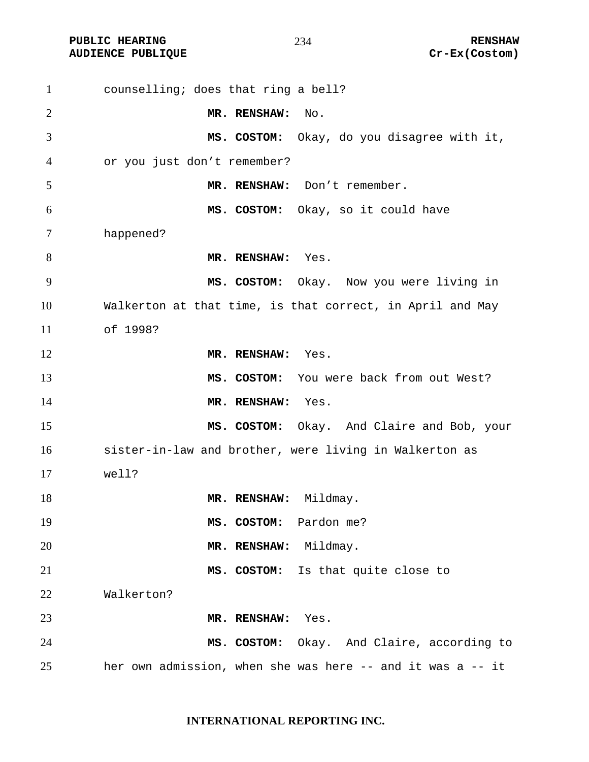**AUDIENCE PUBLIQUE** 

| $\mathbf{1}$ | counselling; does that ring a bell?                        |
|--------------|------------------------------------------------------------|
| 2            | MR. RENSHAW:<br>No.                                        |
| 3            | MS. COSTOM: Okay, do you disagree with it,                 |
| 4            | or you just don't remember?                                |
| 5            | MR. RENSHAW: Don't remember.                               |
| 6            | MS. COSTOM: Okay, so it could have                         |
| 7            | happened?                                                  |
| 8            | MR. RENSHAW: Yes.                                          |
| 9            | MS. COSTOM: Okay. Now you were living in                   |
| 10           | Walkerton at that time, is that correct, in April and May  |
| 11           | of 1998?                                                   |
| 12           | MR. RENSHAW: Yes.                                          |
| 13           | MS. COSTOM: You were back from out West?                   |
| 14           | MR. RENSHAW: Yes.                                          |
| 15           | MS. COSTOM: Okay. And Claire and Bob, your                 |
| 16           | sister-in-law and brother, were living in Walkerton as     |
| 17           | well?                                                      |
| 18           | MR. RENSHAW: Mildmay.                                      |
| 19           | Pardon me?<br>MS. COSTOM:                                  |
| 20           | MR. RENSHAW:<br>Mildmay.                                   |
| 21           | Is that quite close to<br>MS. COSTOM:                      |
| 22           | Walkerton?                                                 |
| 23           | MR. RENSHAW:<br>Yes.                                       |
| 24           | MS. COSTOM: Okay. And Claire, according to                 |
| 25           | her own admission, when she was here -- and it was a -- it |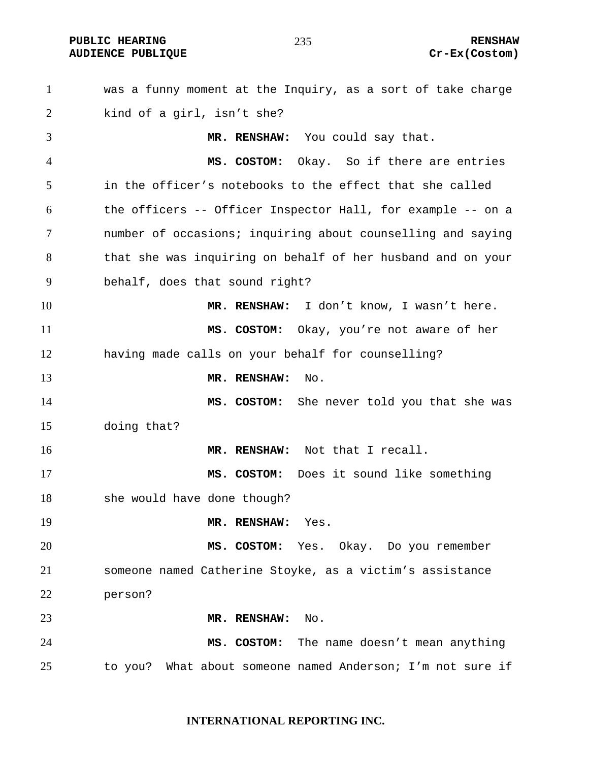**PUBLIC HEARING 235** 235 RENSHAW

# **AUDIENCE PUBLIQUE COSTOM COSTOM**

was a funny moment at the Inquiry, as a sort of take charge kind of a girl, isn't she? **MR. RENSHAW:** You could say that. **MS. COSTOM:** Okay. So if there are entries in the officer's notebooks to the effect that she called the officers -- Officer Inspector Hall, for example -- on a number of occasions; inquiring about counselling and saying that she was inquiring on behalf of her husband and on your behalf, does that sound right? **MR. RENSHAW:** I don't know, I wasn't here. **MS. COSTOM:** Okay, you're not aware of her having made calls on your behalf for counselling? **MR. RENSHAW:** No. **MS. COSTOM:** She never told you that she was doing that? **MR. RENSHAW:** Not that I recall. **MS. COSTOM:** Does it sound like something she would have done though? **MR. RENSHAW:** Yes. **MS. COSTOM:** Yes. Okay. Do you remember someone named Catherine Stoyke, as a victim's assistance person? **MR. RENSHAW:** No. **MS. COSTOM:** The name doesn't mean anything to you? What about someone named Anderson; I'm not sure if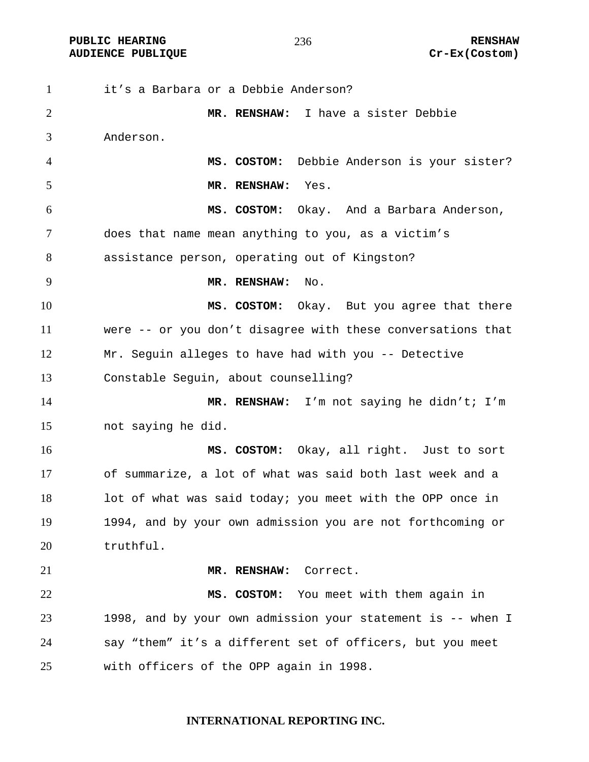**PUBLIC HEARING 236** 236 RENSHAW **AUDIENCE PUBLIQUE Cr-Ex(Costom)** 

it's a Barbara or a Debbie Anderson? **MR. RENSHAW:** I have a sister Debbie Anderson. **MS. COSTOM:** Debbie Anderson is your sister? **MR. RENSHAW:** Yes. **MS. COSTOM:** Okay. And a Barbara Anderson, does that name mean anything to you, as a victim's assistance person, operating out of Kingston? **MR. RENSHAW:** No. **MS. COSTOM:** Okay. But you agree that there were -- or you don't disagree with these conversations that Mr. Seguin alleges to have had with you -- Detective Constable Seguin, about counselling? **MR. RENSHAW:** I'm not saying he didn't; I'm not saying he did. **MS. COSTOM:** Okay, all right. Just to sort of summarize, a lot of what was said both last week and a 18 lot of what was said today; you meet with the OPP once in 1994, and by your own admission you are not forthcoming or truthful. **MR. RENSHAW:** Correct. **MS. COSTOM:** You meet with them again in 1998, and by your own admission your statement is -- when I say "them" it's a different set of officers, but you meet with officers of the OPP again in 1998.

# **INTERNATIONAL REPORTING INC.**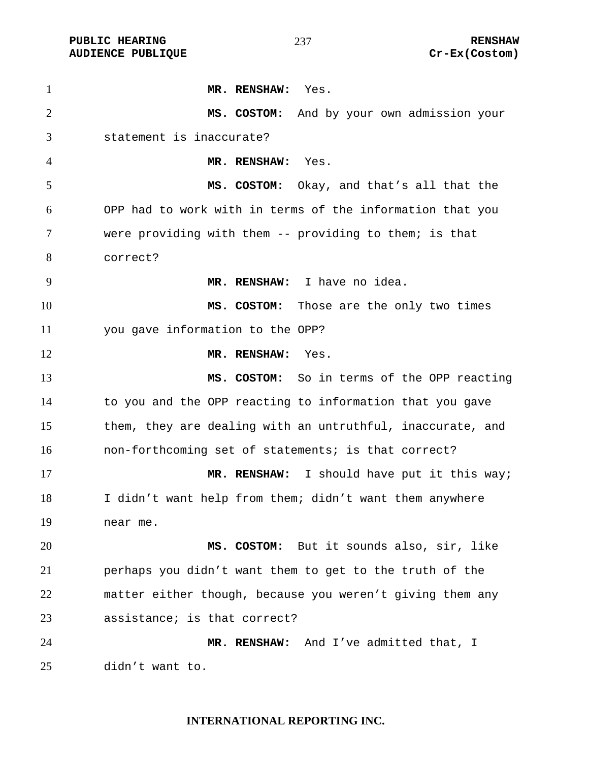**PUBLIC HEARING 237** 237 RENSHAW

**MR. RENSHAW:** Yes. **MS. COSTOM:** And by your own admission your statement is inaccurate? **MR. RENSHAW:** Yes. **MS. COSTOM:** Okay, and that's all that the OPP had to work with in terms of the information that you were providing with them -- providing to them; is that correct? **MR. RENSHAW:** I have no idea. **MS. COSTOM:** Those are the only two times you gave information to the OPP? **MR. RENSHAW:** Yes. **MS. COSTOM:** So in terms of the OPP reacting to you and the OPP reacting to information that you gave them, they are dealing with an untruthful, inaccurate, and non-forthcoming set of statements; is that correct? **MR. RENSHAW:** I should have put it this way; I didn't want help from them; didn't want them anywhere near me. **MS. COSTOM:** But it sounds also, sir, like perhaps you didn't want them to get to the truth of the matter either though, because you weren't giving them any assistance; is that correct? **MR. RENSHAW:** And I've admitted that, I didn't want to.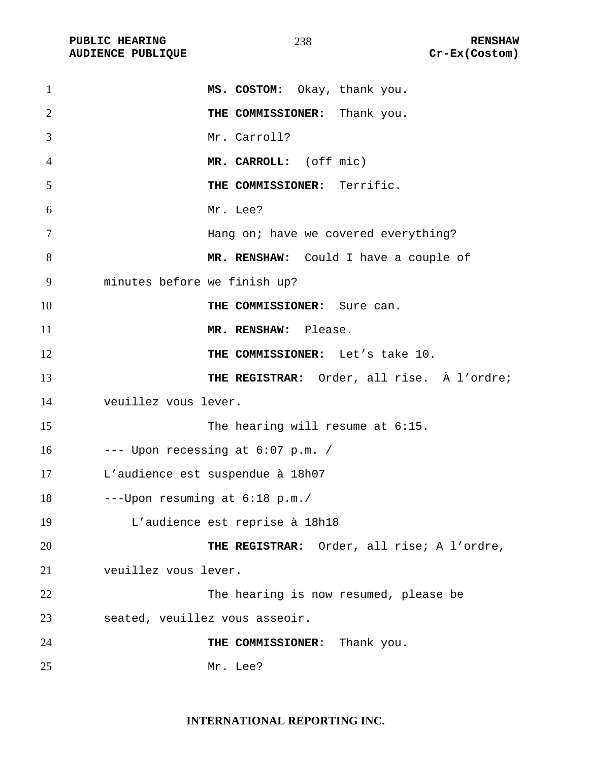PUBLIC HEARING **RENSHAW** 238 RENSHAW RENSHAW **RENSHAW** 238 **AUDIENCE PUBLIQUE** 

| $\mathbf{1}$   | MS. COSTOM: Okay, thank you.               |
|----------------|--------------------------------------------|
| $\overline{2}$ | THE COMMISSIONER: Thank you.               |
| 3              | Mr. Carroll?                               |
| 4              | MR. CARROLL: (off mic)                     |
| 5              | THE COMMISSIONER: Terrific.                |
| 6              | Mr. Lee?                                   |
| $\tau$         | Hang on; have we covered everything?       |
| 8              | MR. RENSHAW: Could I have a couple of      |
| 9              | minutes before we finish up?               |
| 10             | THE COMMISSIONER: Sure can.                |
| 11             | MR. RENSHAW: Please.                       |
| 12             | THE COMMISSIONER: Let's take 10.           |
| 13             | THE REGISTRAR: Order, all rise. À l'ordre; |
| 14             | veuillez vous lever.                       |
| 15             | The hearing will resume at 6:15.           |
| 16             | --- Upon recessing at 6:07 p.m. /          |
| 17             | L'audience est suspendue à 18h07           |
| 18             | ---Upon resuming at 6:18 p.m./             |
| 19             | L'audience est reprise à 18h18             |
| 20             | THE REGISTRAR: Order, all rise; A l'ordre, |
| 21             | veuillez vous lever.                       |
| 22             | The hearing is now resumed, please be      |
| 23             | seated, veuillez vous asseoir.             |
| 24             | THE COMMISSIONER: Thank you.               |
| 25             | Mr. Lee?                                   |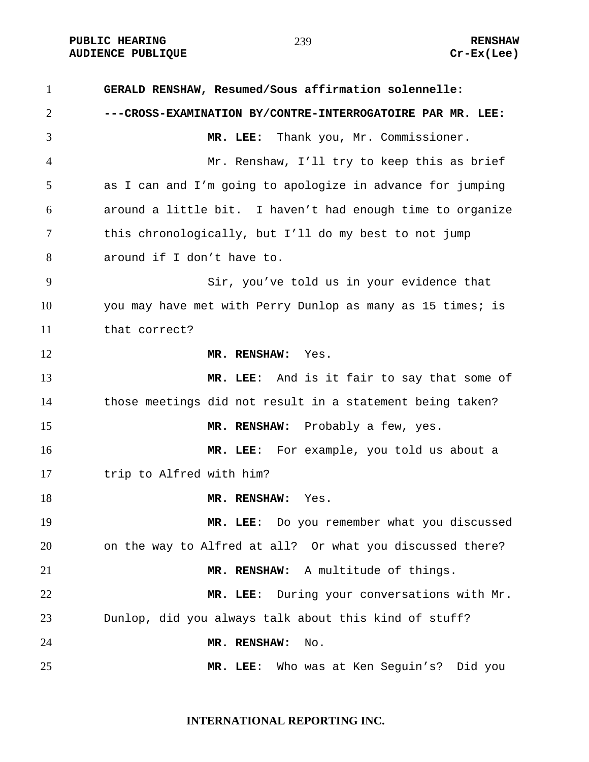**GERALD RENSHAW, Resumed/Sous affirmation solennelle: ---CROSS-EXAMINATION BY/CONTRE-INTERROGATOIRE PAR MR. LEE: MR. LEE:** Thank you, Mr. Commissioner. Mr. Renshaw, I'll try to keep this as brief as I can and I'm going to apologize in advance for jumping around a little bit. I haven't had enough time to organize this chronologically, but I'll do my best to not jump around if I don't have to. Sir, you've told us in your evidence that you may have met with Perry Dunlop as many as 15 times; is that correct? **MR. RENSHAW:** Yes. **MR. LEE**: And is it fair to say that some of those meetings did not result in a statement being taken? **MR. RENSHAW:** Probably a few, yes. **MR. LEE**: For example, you told us about a 17 trip to Alfred with him? **MR. RENSHAW:** Yes. **MR. LEE**: Do you remember what you discussed on the way to Alfred at all? Or what you discussed there? **MR. RENSHAW:** A multitude of things. **MR. LEE**: During your conversations with Mr. Dunlop, did you always talk about this kind of stuff? **MR. RENSHAW:** No. **MR. LEE**: Who was at Ken Seguin's? Did you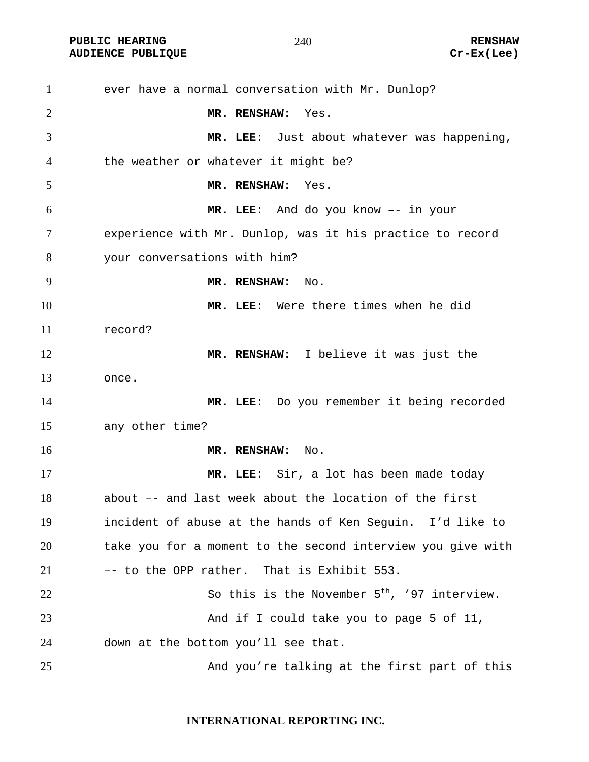**PUBLIC HEARING 240** 240

ever have a normal conversation with Mr. Dunlop? **MR. RENSHAW:** Yes. **MR. LEE**: Just about whatever was happening, the weather or whatever it might be? **MR. RENSHAW:** Yes. **MR. LEE**: And do you know –- in your experience with Mr. Dunlop, was it his practice to record your conversations with him? **MR. RENSHAW:** No. **MR. LEE**: Were there times when he did record? **MR. RENSHAW:** I believe it was just the once. **MR. LEE**: Do you remember it being recorded any other time? **MR. RENSHAW:** No. **MR. LEE**: Sir, a lot has been made today about –- and last week about the location of the first incident of abuse at the hands of Ken Seguin. I'd like to take you for a moment to the second interview you give with –- to the OPP rather. That is Exhibit 553. 22 So this is the November  $5<sup>th</sup>$ , '97 interview. 23 And if I could take you to page 5 of 11, down at the bottom you'll see that. 25 And you're talking at the first part of this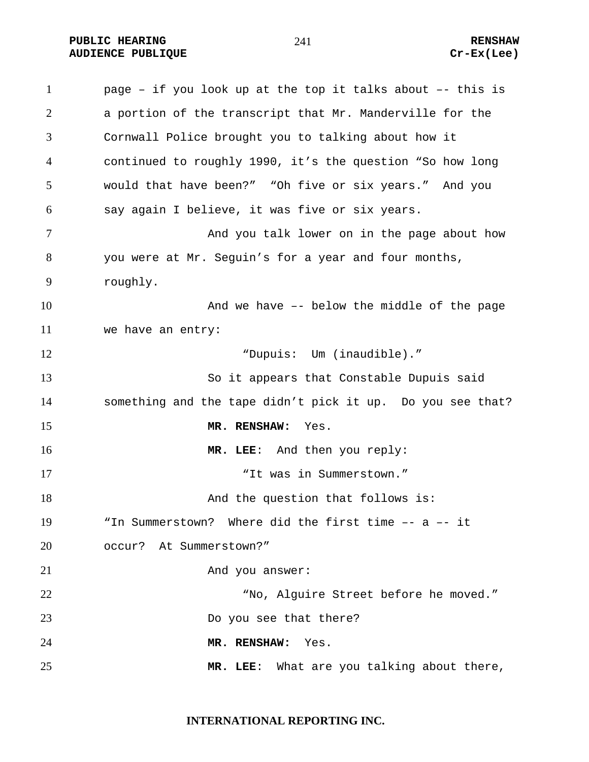**PUBLIC HEARING 241 CONSTRUCTED ASSESSED. AUDIENCE PUBLIQUE Cr-Ex(Lee)** 

page – if you look up at the top it talks about –- this is a portion of the transcript that Mr. Manderville for the Cornwall Police brought you to talking about how it continued to roughly 1990, it's the question "So how long would that have been?" "Oh five or six years." And you say again I believe, it was five or six years. 7 And you talk lower on in the page about how you were at Mr. Seguin's for a year and four months, roughly. And we have –- below the middle of the page we have an entry: "Dupuis: Um (inaudible)." So it appears that Constable Dupuis said something and the tape didn't pick it up. Do you see that? **MR. RENSHAW:** Yes. **MR. LEE**: And then you reply: "It was in Summerstown." 18 And the question that follows is: "In Summerstown? Where did the first time –- a –- it occur? At Summerstown?" 21 And you answer: "No, Alguire Street before he moved." 23 Do you see that there? **MR. RENSHAW:** Yes. **MR. LEE**: What are you talking about there,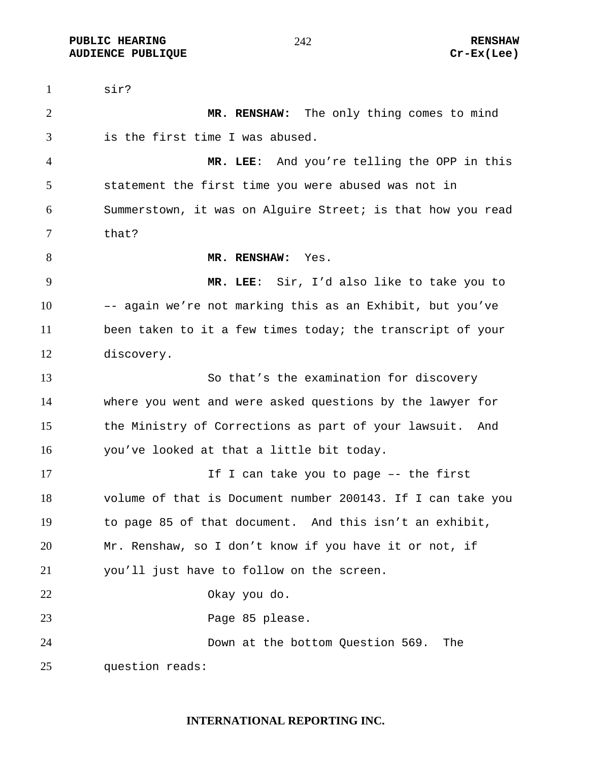**PUBLIC HEARING**  $\frac{242}{ }$  242 **AUDIENCE PUBLIQUE Cr-Ex(Lee)** 

sir? **MR. RENSHAW:** The only thing comes to mind is the first time I was abused. **MR. LEE**: And you're telling the OPP in this statement the first time you were abused was not in Summerstown, it was on Alguire Street; is that how you read that? **MR. RENSHAW:** Yes. **MR. LEE**: Sir, I'd also like to take you to –- again we're not marking this as an Exhibit, but you've been taken to it a few times today; the transcript of your discovery. So that's the examination for discovery where you went and were asked questions by the lawyer for the Ministry of Corrections as part of your lawsuit. And you've looked at that a little bit today. 17 17 If I can take you to page -- the first volume of that is Document number 200143. If I can take you to page 85 of that document. And this isn't an exhibit, Mr. Renshaw, so I don't know if you have it or not, if you'll just have to follow on the screen. Okay you do. Page 85 please. Down at the bottom Question 569. The question reads: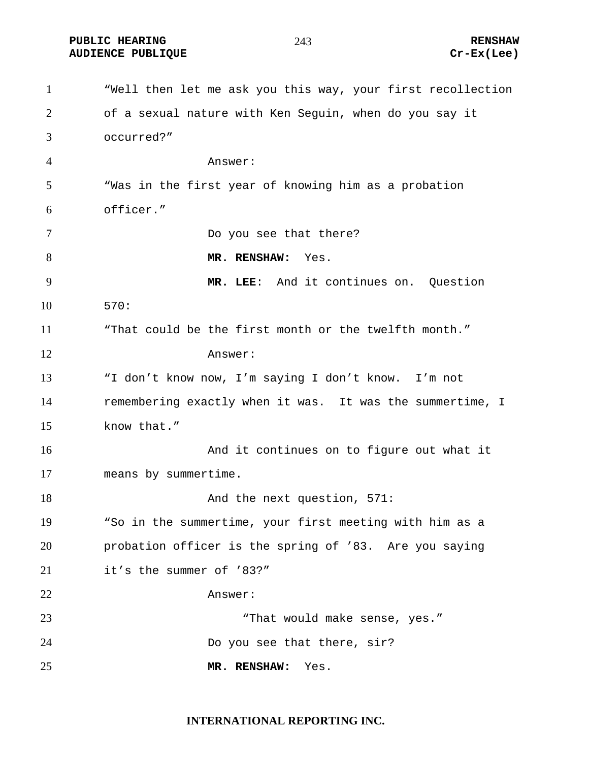**PUBLIC HEARING 243** 223 RENSHAW **AUDIENCE PUBLIQUE Cr-Ex(Lee)** 

"Well then let me ask you this way, your first recollection of a sexual nature with Ken Seguin, when do you say it occurred?" Answer: "Was in the first year of knowing him as a probation officer." Do you see that there? **MR. RENSHAW:** Yes. **MR. LEE**: And it continues on. Question 570: "That could be the first month or the twelfth month." Answer: "I don't know now, I'm saying I don't know. I'm not remembering exactly when it was. It was the summertime, I know that." **And it continues on to figure out what it** means by summertime. 18 And the next question, 571: "So in the summertime, your first meeting with him as a probation officer is the spring of '83. Are you saying it's the summer of '83?" Answer: "That would make sense, yes." Do you see that there, sir? **MR. RENSHAW:** Yes.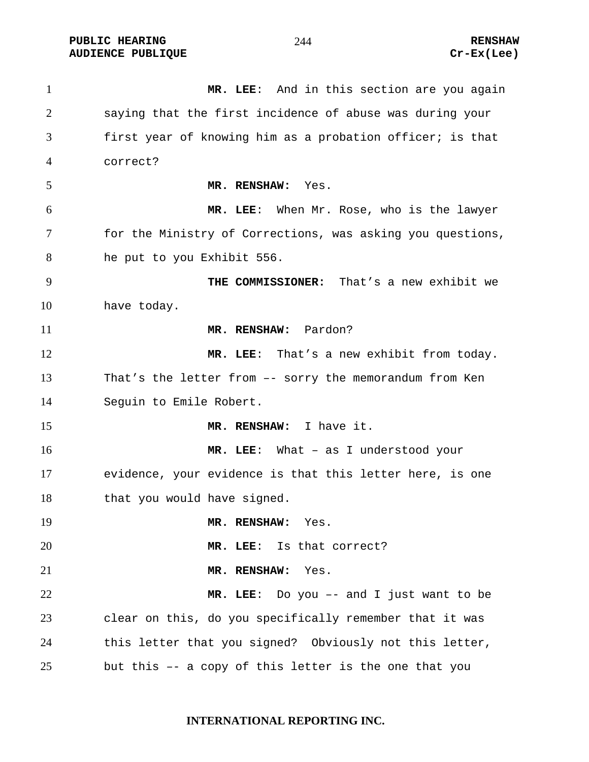**PUBLIC HEARING RENSHAW AUDIENCE PUBLIQUE Cr-Ex(Lee)** 

**MR. LEE**: And in this section are you again saying that the first incidence of abuse was during your first year of knowing him as a probation officer; is that correct? **MR. RENSHAW:** Yes. **MR. LEE**: When Mr. Rose, who is the lawyer for the Ministry of Corrections, was asking you questions, he put to you Exhibit 556. **THE COMMISSIONER:** That's a new exhibit we have today. **MR. RENSHAW:** Pardon? **MR. LEE**: That's a new exhibit from today. That's the letter from –- sorry the memorandum from Ken Seguin to Emile Robert. **MR. RENSHAW:** I have it. **MR. LEE**: What – as I understood your evidence, your evidence is that this letter here, is one 18 that you would have signed. **MR. RENSHAW:** Yes. **MR. LEE**: Is that correct? **MR. RENSHAW:** Yes. **MR. LEE**: Do you –- and I just want to be clear on this, do you specifically remember that it was this letter that you signed? Obviously not this letter, but this –- a copy of this letter is the one that you

# **INTERNATIONAL REPORTING INC.**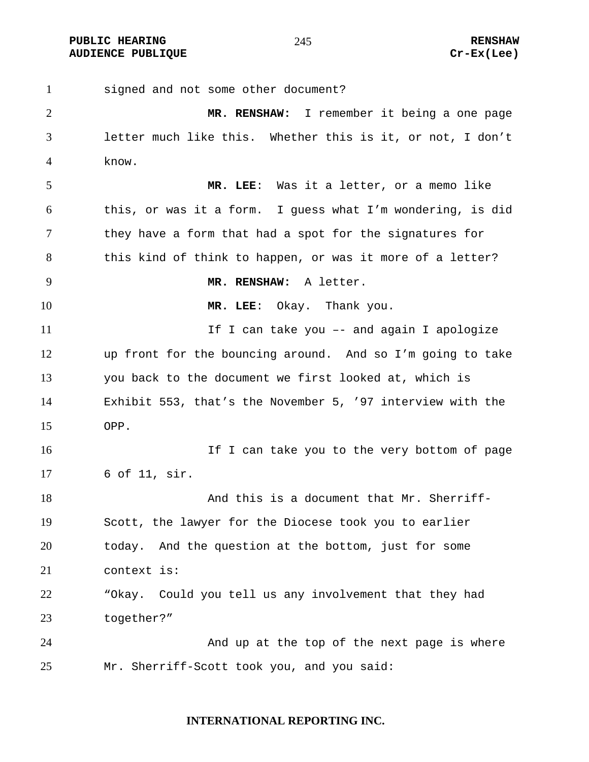**PUBLIC HEARING 245** 245 RENSHAW **AUDIENCE PUBLIQUE Cr-Ex(Lee)** 

signed and not some other document? **MR. RENSHAW:** I remember it being a one page letter much like this. Whether this is it, or not, I don't know. **MR. LEE**: Was it a letter, or a memo like this, or was it a form. I guess what I'm wondering, is did they have a form that had a spot for the signatures for 8 this kind of think to happen, or was it more of a letter? **MR. RENSHAW:** A letter. **MR. LEE**: Okay. Thank you. 11 11 If I can take you -- and again I apologize up front for the bouncing around. And so I'm going to take you back to the document we first looked at, which is Exhibit 553, that's the November 5, '97 interview with the OPP. 16 16 If I can take you to the very bottom of page 6 of 11, sir. 18 And this is a document that Mr. Sherriff-Scott, the lawyer for the Diocese took you to earlier today. And the question at the bottom, just for some context is: "Okay. Could you tell us any involvement that they had together?" And up at the top of the next page is where Mr. Sherriff-Scott took you, and you said: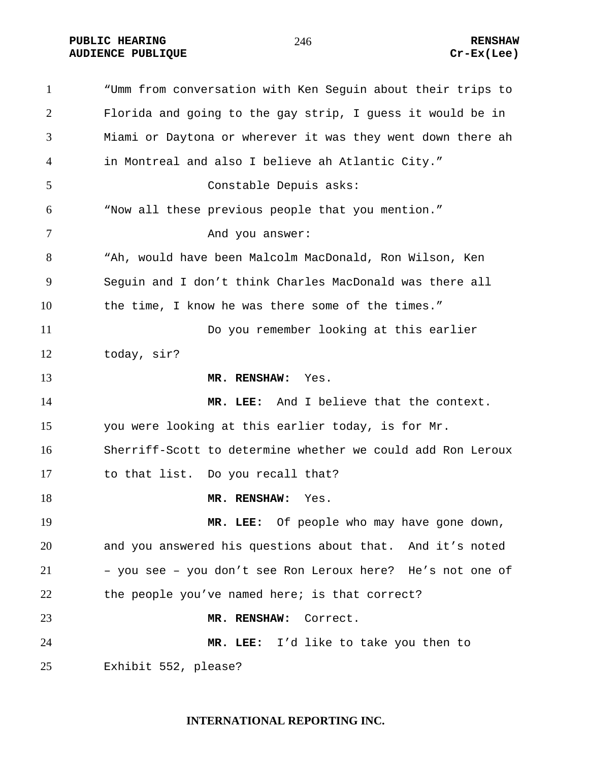**PUBLIC HEARING 246** 246 RENSHAW **AUDIENCE PUBLIQUE Cr-Ex(Lee)** 

"Umm from conversation with Ken Seguin about their trips to Florida and going to the gay strip, I guess it would be in Miami or Daytona or wherever it was they went down there ah in Montreal and also I believe ah Atlantic City." Constable Depuis asks: "Now all these previous people that you mention." 7 And you answer: "Ah, would have been Malcolm MacDonald, Ron Wilson, Ken Seguin and I don't think Charles MacDonald was there all the time, I know he was there some of the times." Do you remember looking at this earlier today, sir? **MR. RENSHAW:** Yes. **MR. LEE:** And I believe that the context. you were looking at this earlier today, is for Mr. Sherriff-Scott to determine whether we could add Ron Leroux to that list. Do you recall that? **MR. RENSHAW:** Yes. **MR. LEE:** Of people who may have gone down, and you answered his questions about that. And it's noted – you see – you don't see Ron Leroux here? He's not one of the people you've named here; is that correct? **MR. RENSHAW:** Correct. **MR. LEE:** I'd like to take you then to Exhibit 552, please?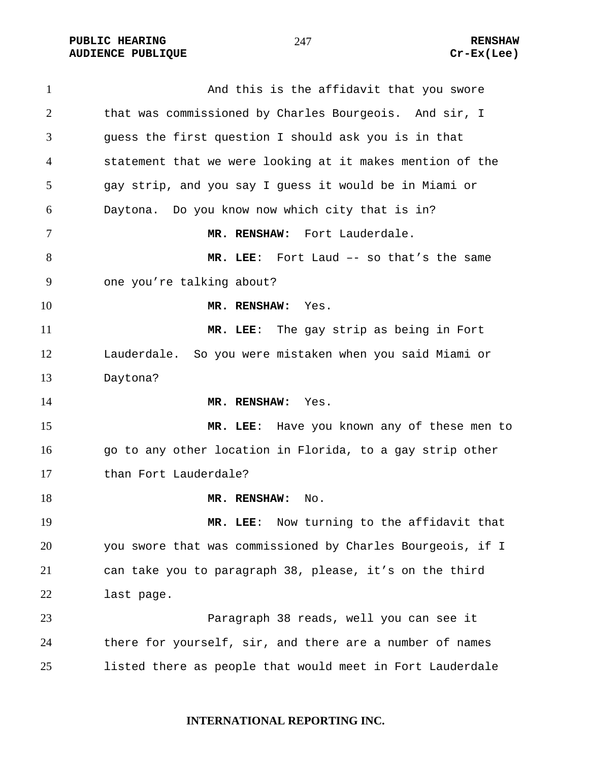PUBLIC HEARING **RENSHAW** 247 **RENSHAW** RENSHAW RENSHAW **AUDIENCE PUBLIQUE** 

| $\mathbf{1}$ | And this is the affidavit that you swore                   |
|--------------|------------------------------------------------------------|
| 2            | that was commissioned by Charles Bourgeois. And sir, I     |
| 3            | guess the first question I should ask you is in that       |
| 4            | statement that we were looking at it makes mention of the  |
| 5            | gay strip, and you say I guess it would be in Miami or     |
| 6            | Daytona. Do you know now which city that is in?            |
| 7            | Fort Lauderdale.<br>MR. RENSHAW:                           |
| 8            | MR. LEE: Fort Laud -- so that's the same                   |
| 9            | one you're talking about?                                  |
| 10           | MR. RENSHAW:<br>Yes.                                       |
| 11           | MR. LEE: The gay strip as being in Fort                    |
| 12           | Lauderdale. So you were mistaken when you said Miami or    |
| 13           | Daytona?                                                   |
| 14           | MR. RENSHAW:<br>Yes.                                       |
| 15           | MR. LEE: Have you known any of these men to                |
| 16           | go to any other location in Florida, to a gay strip other  |
| 17           |                                                            |
|              | than Fort Lauderdale?                                      |
| 18           | MR. RENSHAW:<br>No.                                        |
| 19           | Now turning to the affidavit that<br>$MR.$ LEE:            |
| 20           | you swore that was commissioned by Charles Bourgeois, if I |
| 21           | can take you to paragraph 38, please, it's on the third    |
| 22           | last page.                                                 |
| 23           | Paragraph 38 reads, well you can see it                    |
| 24           | there for yourself, sir, and there are a number of names   |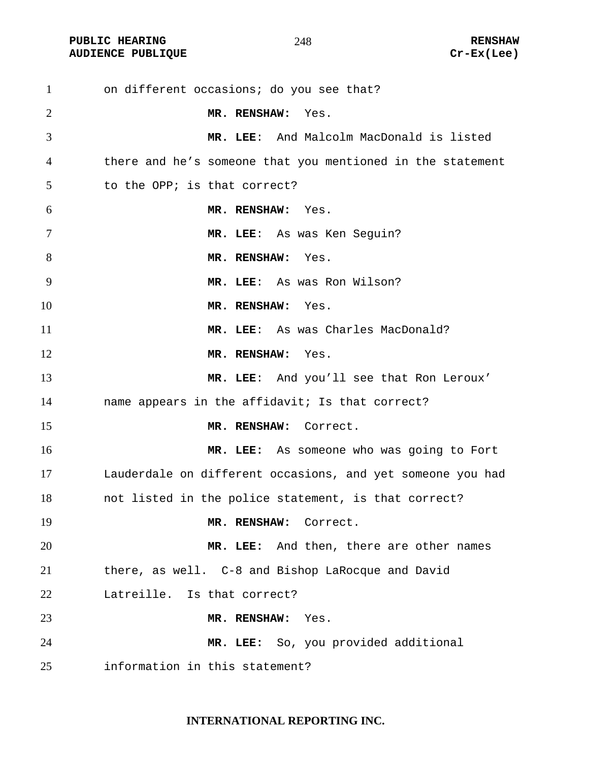**PUBLIC HEARING 248** 228 RENSHAW **AUDIENCE PUBLIQUE Cr-Ex(Lee)** 

on different occasions; do you see that? **MR. RENSHAW:** Yes. **MR. LEE**: And Malcolm MacDonald is listed there and he's someone that you mentioned in the statement to the OPP; is that correct? **MR. RENSHAW:** Yes. **MR. LEE**: As was Ken Seguin? **MR. RENSHAW:** Yes. **MR. LEE**: As was Ron Wilson? **MR. RENSHAW:** Yes. **MR. LEE**: As was Charles MacDonald? **MR. RENSHAW:** Yes. **MR. LEE**: And you'll see that Ron Leroux' name appears in the affidavit; Is that correct? **MR. RENSHAW:** Correct. **MR. LEE:** As someone who was going to Fort Lauderdale on different occasions, and yet someone you had not listed in the police statement, is that correct? **MR. RENSHAW:** Correct. **MR. LEE:** And then, there are other names there, as well. C-8 and Bishop LaRocque and David Latreille. Is that correct? **MR. RENSHAW:** Yes. **MR. LEE:** So, you provided additional information in this statement?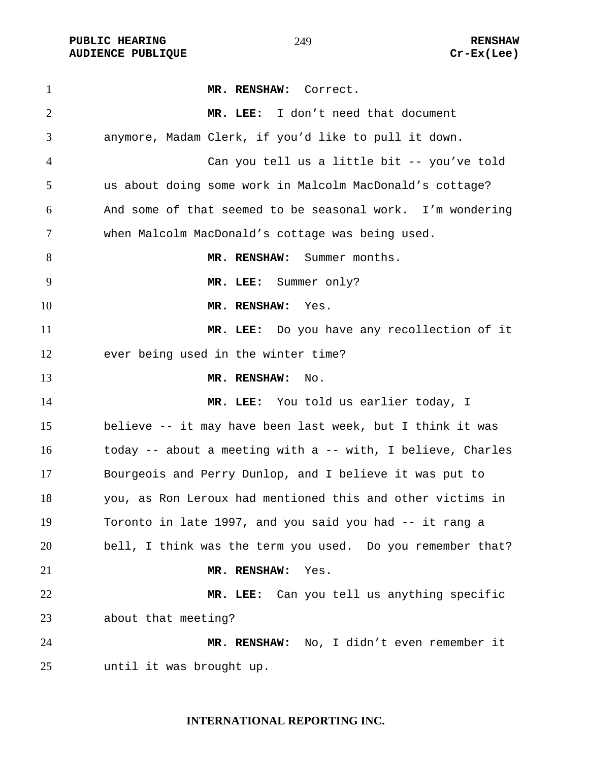PUBLIC HEARING **RENSHAW** 249 **RENSHAW** RENSHAW **RENSHAW RENSHAW RENSHAW RENSHAW Cr-Ex(Lee) AUDIENCE PUBLIQUE** 

| $\mathbf{1}$   | MR. RENSHAW: Correct.                                       |
|----------------|-------------------------------------------------------------|
| $\overline{2}$ | MR. LEE: I don't need that document                         |
| 3              | anymore, Madam Clerk, if you'd like to pull it down.        |
| 4              | Can you tell us a little bit -- you've told                 |
| 5              | us about doing some work in Malcolm MacDonald's cottage?    |
| 6              | And some of that seemed to be seasonal work. I'm wondering  |
| 7              | when Malcolm MacDonald's cottage was being used.            |
| 8              | MR. RENSHAW: Summer months.                                 |
| 9              | MR. LEE: Summer only?                                       |
| 10             | MR. RENSHAW:<br>Yes.                                        |
| 11             | MR. LEE: Do you have any recollection of it                 |
| 12             | ever being used in the winter time?                         |
| 13             | MR. RENSHAW:<br>No.                                         |
| 14             | MR. LEE: You told us earlier today, I                       |
| 15             | believe -- it may have been last week, but I think it was   |
| 16             | today -- about a meeting with a -- with, I believe, Charles |
| 17             | Bourgeois and Perry Dunlop, and I believe it was put to     |
| 18             | you, as Ron Leroux had mentioned this and other victims in  |
| 19             | Toronto in late 1997, and you said you had -- it rang a     |
| 20             | bell, I think was the term you used. Do you remember that?  |
| 21             | MR. RENSHAW:<br>Yes.                                        |
| 22             | MR. LEE: Can you tell us anything specific                  |
| 23             | about that meeting?                                         |
| 24             | MR. RENSHAW: No, I didn't even remember it                  |
| 25             | until it was brought up.                                    |

# **INTERNATIONAL REPORTING INC.**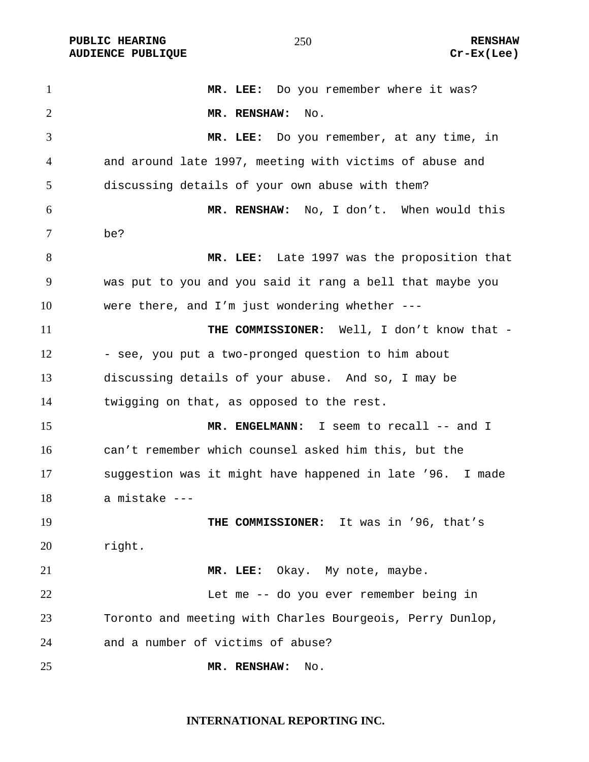**PUBLIC HEARING**  $\overline{250}$  **250 RENSHAW AUDIENCE PUBLIQUE Cr-Ex(Lee)** 

1 MR. LEE: Do you remember where it was? **MR. RENSHAW:** No. **MR. LEE:** Do you remember, at any time, in and around late 1997, meeting with victims of abuse and discussing details of your own abuse with them? **MR. RENSHAW:** No, I don't. When would this be? **MR. LEE:** Late 1997 was the proposition that was put to you and you said it rang a bell that maybe you were there, and I'm just wondering whether --- **THE COMMISSIONER:** Well, I don't know that -12 - see, you put a two-pronged question to him about discussing details of your abuse. And so, I may be twigging on that, as opposed to the rest. **MR. ENGELMANN:** I seem to recall -- and I can't remember which counsel asked him this, but the suggestion was it might have happened in late '96. I made a mistake --- **THE COMMISSIONER:** It was in '96, that's right. **MR. LEE:** Okay. My note, maybe. Let me -- do you ever remember being in Toronto and meeting with Charles Bourgeois, Perry Dunlop, and a number of victims of abuse? **MR. RENSHAW:** No.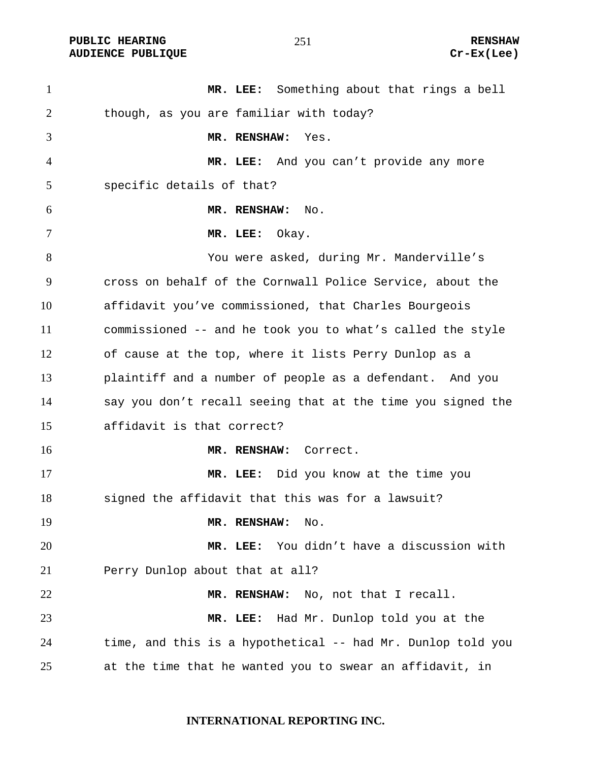PUBLIC HEARING **RENSHAW** 251 **RENSHAW** RENSHAW **RENSHAW RENSHAW RENSHAW RENSHAW RENSHAW AUDIENCE PUBLIQUE** 

| $\mathbf{1}$ | MR. LEE: Something about that rings a bell                  |
|--------------|-------------------------------------------------------------|
| 2            | though, as you are familiar with today?                     |
| 3            | MR. RENSHAW:<br>Yes.                                        |
| 4            | MR. LEE: And you can't provide any more                     |
| 5            | specific details of that?                                   |
| 6            | MR. RENSHAW:<br>No.                                         |
| 7            | Okay.<br>MR. LEE:                                           |
| 8            | You were asked, during Mr. Manderville's                    |
| 9            | cross on behalf of the Cornwall Police Service, about the   |
| 10           | affidavit you've commissioned, that Charles Bourgeois       |
| 11           | commissioned -- and he took you to what's called the style  |
| 12           | of cause at the top, where it lists Perry Dunlop as a       |
| 13           | plaintiff and a number of people as a defendant. And you    |
| 14           | say you don't recall seeing that at the time you signed the |
| 15           | affidavit is that correct?                                  |
| 16           | MR. RENSHAW: Correct.                                       |
| 17           | MR. LEE: Did you know at the time you                       |
| 18           | signed the affidavit that this was for a lawsuit?           |
| 19           | MR. RENSHAW:<br>No.                                         |
| 20           | You didn't have a discussion with<br>MR. LEE:               |
| 21           | Perry Dunlop about that at all?                             |
| 22           | MR. RENSHAW: No, not that I recall.                         |
| 23           | MR. LEE: Had Mr. Dunlop told you at the                     |
| 24           | time, and this is a hypothetical -- had Mr. Dunlop told you |
| 25           | at the time that he wanted you to swear an affidavit, in    |

# **INTERNATIONAL REPORTING INC.**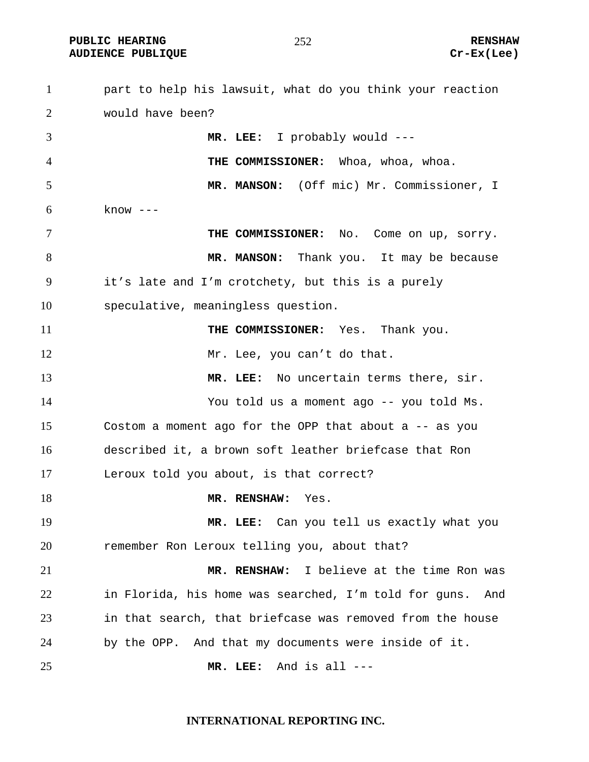**PUBLIC HEARING**  $\frac{1}{252}$  **252 RENSHAW** 

part to help his lawsuit, what do you think your reaction would have been? **MR. LEE:** I probably would --- **THE COMMISSIONER:** Whoa, whoa, whoa. **MR. MANSON:** (Off mic) Mr. Commissioner, I  $6 \quad$  know ---**THE COMMISSIONER:** No. Come on up, sorry. 8 MR. MANSON: Thank you. It may be because it's late and I'm crotchety, but this is a purely speculative, meaningless question. **THE COMMISSIONER:** Yes. Thank you. 12 Mr. Lee, you can't do that. **MR. LEE:** No uncertain terms there, sir. You told us a moment ago -- you told Ms. Costom a moment ago for the OPP that about a -- as you described it, a brown soft leather briefcase that Ron Leroux told you about, is that correct? **MR. RENSHAW:** Yes. **MR. LEE:** Can you tell us exactly what you remember Ron Leroux telling you, about that? **MR. RENSHAW:** I believe at the time Ron was in Florida, his home was searched, I'm told for guns. And in that search, that briefcase was removed from the house by the OPP. And that my documents were inside of it. **MR. LEE:** And is all ---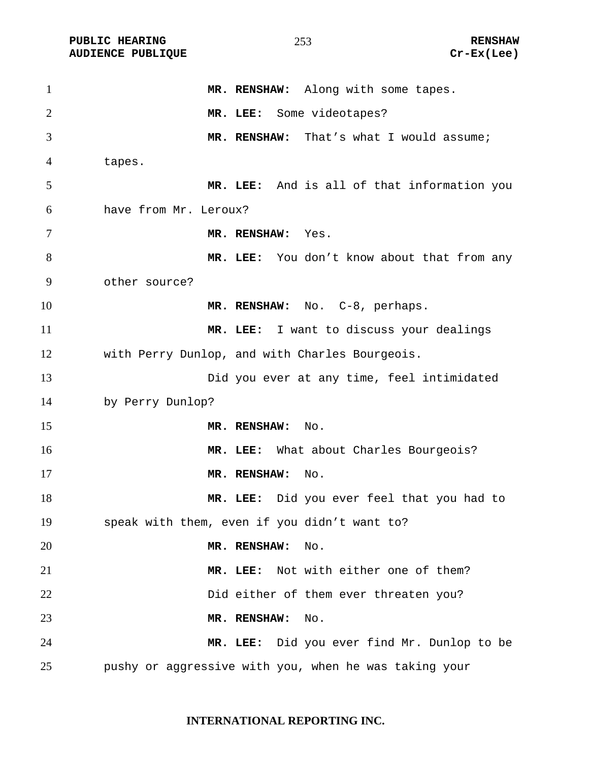PUBLIC HEARING **RENSHAW** 253 RENSHAW RENSHAW RENSHAW **RENSHAW** 253 **AUDIENCE PUBLIQUE** 

| $\mathbf{1}$   | MR. RENSHAW: Along with some tapes.                   |
|----------------|-------------------------------------------------------|
| $\overline{2}$ | MR. LEE: Some videotapes?                             |
| 3              | MR. RENSHAW: That's what I would assume;              |
| 4              | tapes.                                                |
| 5              | MR. LEE: And is all of that information you           |
| 6              | have from Mr. Leroux?                                 |
| 7              | MR. RENSHAW: Yes.                                     |
| 8              | MR. LEE: You don't know about that from any           |
| 9              | other source?                                         |
| 10             | MR. RENSHAW: No. C-8, perhaps.                        |
| 11             | MR. LEE: I want to discuss your dealings              |
| 12             | with Perry Dunlop, and with Charles Bourgeois.        |
| 13             | Did you ever at any time, feel intimidated            |
| 14             | by Perry Dunlop?                                      |
| 15             | MR. RENSHAW:<br>No.                                   |
| 16             | MR. LEE: What about Charles Bourgeois?                |
| 17             | MR. RENSHAW:<br>No.                                   |
| 18             | MR. LEE: Did you ever feel that you had to            |
| 19             | speak with them, even if you didn't want to?          |
| 20             | MR. RENSHAW:<br>No.                                   |
| 21             | Not with either one of them?<br>MR. LEE:              |
| 22             | Did either of them ever threaten you?                 |
| 23             | MR. RENSHAW:<br>No.                                   |
| 24             | MR. LEE: Did you ever find Mr. Dunlop to be           |
| 25             | pushy or aggressive with you, when he was taking your |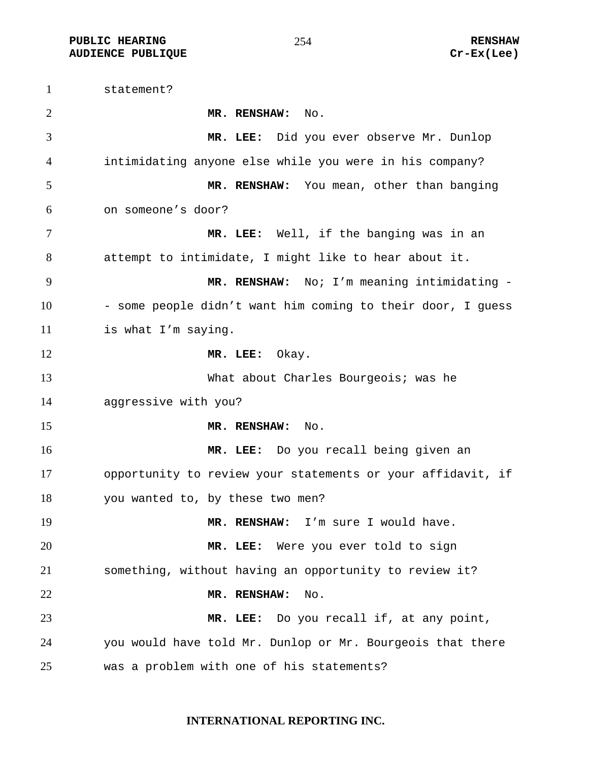**PUBLIC HEARING**   $254$  RENSHAW **AUDIENCE PUBLIQUE Cr-Ex(Lee)** 

statement? **MR. RENSHAW:** No. **MR. LEE:** Did you ever observe Mr. Dunlop intimidating anyone else while you were in his company? **MR. RENSHAW:** You mean, other than banging on someone's door? **MR. LEE:** Well, if the banging was in an attempt to intimidate, I might like to hear about it. **MR. RENSHAW:** No; I'm meaning intimidating - 10 - some people didn't want him coming to their door, I guess is what I'm saying. 12 MR. LEE: Okay. What about Charles Bourgeois; was he aggressive with you? **MR. RENSHAW:** No. **MR. LEE:** Do you recall being given an opportunity to review your statements or your affidavit, if you wanted to, by these two men? **MR. RENSHAW:** I'm sure I would have. **MR. LEE:** Were you ever told to sign something, without having an opportunity to review it? **MR. RENSHAW:** No. **MR. LEE:** Do you recall if, at any point, you would have told Mr. Dunlop or Mr. Bourgeois that there was a problem with one of his statements?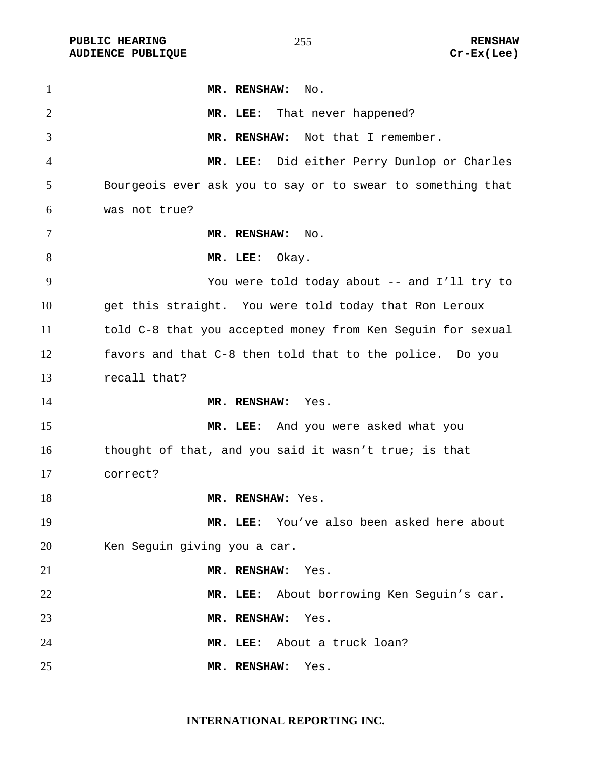PUBLIC HEARING **RENSHAW RENSHAW RENSHAW RENSHAW** 255 **RENSHAW** RENSHAW RENSHAW **AUDIENCE PUBLIQUE** 

| $\mathbf{1}$   | MR. RENSHAW:<br>$\mathop{\rm No}\nolimits.$                 |
|----------------|-------------------------------------------------------------|
| $\overline{2}$ | MR. LEE: That never happened?                               |
| 3              | MR. RENSHAW: Not that I remember.                           |
| 4              | MR. LEE: Did either Perry Dunlop or Charles                 |
| 5              | Bourgeois ever ask you to say or to swear to something that |
| 6              | was not true?                                               |
| 7              | MR. RENSHAW:<br>No.                                         |
| 8              | MR. LEE:<br>Okay.                                           |
| 9              | You were told today about -- and I'll try to                |
| 10             | get this straight. You were told today that Ron Leroux      |
| 11             | told C-8 that you accepted money from Ken Seguin for sexual |
| 12             | favors and that C-8 then told that to the police. Do you    |
| 13             | recall that?                                                |
| 14             | MR. RENSHAW: Yes.                                           |
| 15             | MR. LEE: And you were asked what you                        |
| 16             | thought of that, and you said it wasn't true; is that       |
| 17             | correct?                                                    |
| 18             | MR. RENSHAW: Yes.                                           |
| 19             | MR. LEE: You've also been asked here about                  |
| 20             | Ken Seguin giving you a car.                                |
| 21             | MR. RENSHAW:<br>Yes.                                        |
| 22             | MR. LEE: About borrowing Ken Seguin's car.                  |
| 23             | MR. RENSHAW:<br>Yes.                                        |
| 24             | About a truck loan?<br>MR. LEE:                             |
| 25             | MR. RENSHAW:<br>Yes.                                        |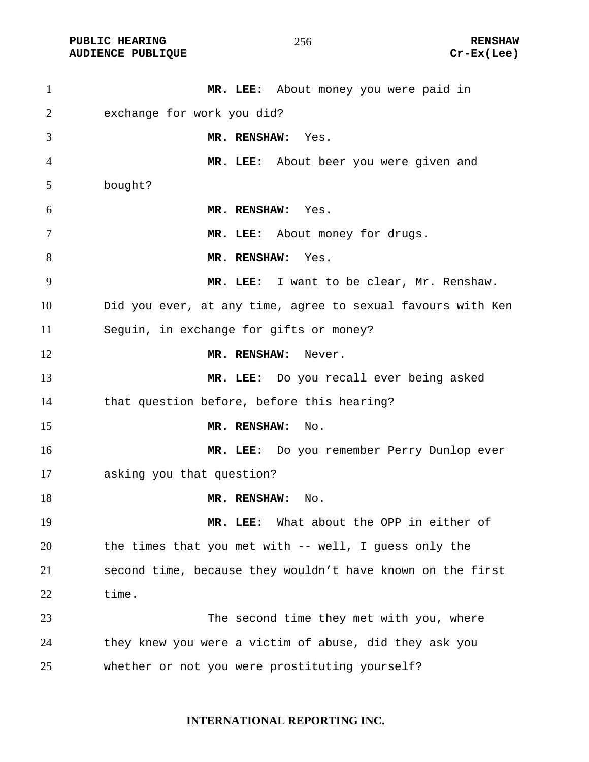PUBLIC HEARING **RENSHAW** 256 **RENSHAW** RENSHAW **RENSHAW** 256 **RENSHAW** Cr-Ex(Lee) **AUDIENCE PUBLIQUE** 

| $\mathbf{1}$ | MR. LEE: About money you were paid in                       |
|--------------|-------------------------------------------------------------|
| 2            | exchange for work you did?                                  |
| 3            | MR. RENSHAW:<br>Yes.                                        |
| 4            | MR. LEE: About beer you were given and                      |
| 5            | bought?                                                     |
| 6            | MR. RENSHAW: Yes.                                           |
| 7            | MR. LEE: About money for drugs.                             |
| 8            | MR. RENSHAW:<br>Yes.                                        |
| 9            | MR. LEE: I want to be clear, Mr. Renshaw.                   |
| 10           | Did you ever, at any time, agree to sexual favours with Ken |
| 11           | Seguin, in exchange for gifts or money?                     |
| 12           | MR. RENSHAW:<br>Never.                                      |
| 13           | MR. LEE: Do you recall ever being asked                     |
| 14           | that question before, before this hearing?                  |
| 15           | MR. RENSHAW:<br>No.                                         |
| 16           | MR. LEE: Do you remember Perry Dunlop ever                  |
| 17           | asking you that question?                                   |
| 18           | MR. RENSHAW:<br>No.                                         |
| 19           | What about the OPP in either of<br>MR. LEE:                 |
| 20           | the times that you met with -- well, I guess only the       |
| 21           | second time, because they wouldn't have known on the first  |
| 22           | time.                                                       |
| 23           | The second time they met with you, where                    |
| 24           | they knew you were a victim of abuse, did they ask you      |
| 25           | whether or not you were prostituting yourself?              |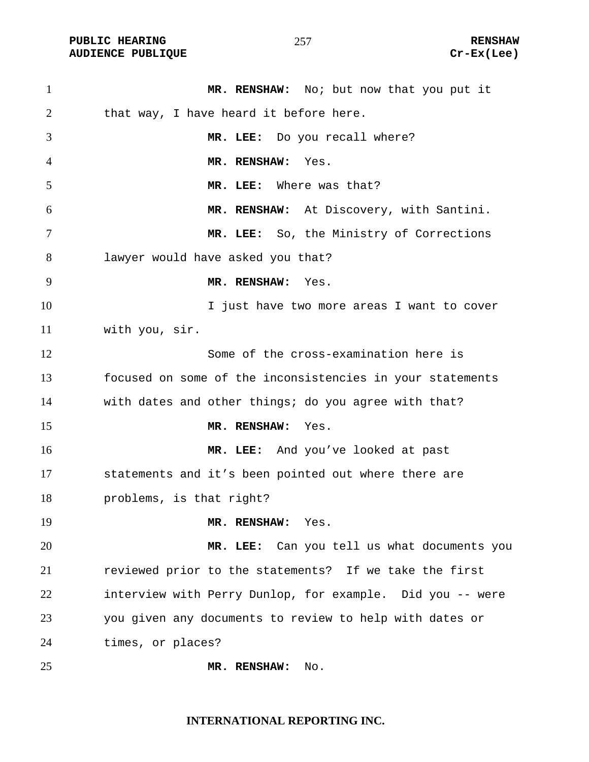PUBLIC HEARING **RENSHAW** 257 **RENSHAW** RENSHAW **RENSHAW RENSHAW RENSHAW RENSHAW RENSHAW AUDIENCE PUBLIQUE** 

| $\mathbf{1}$ | MR. RENSHAW: No: but now that you put it                  |
|--------------|-----------------------------------------------------------|
| 2            | that way, I have heard it before here.                    |
| 3            | MR. LEE: Do you recall where?                             |
| 4            | MR. RENSHAW:<br>Yes.                                      |
| 5            | Where was that?<br>MR. LEE:                               |
| 6            | MR. RENSHAW: At Discovery, with Santini.                  |
| 7            | MR. LEE: So, the Ministry of Corrections                  |
| 8            | lawyer would have asked you that?                         |
| 9            | MR. RENSHAW:<br>Yes.                                      |
| 10           | I just have two more areas I want to cover                |
| 11           | with you, sir.                                            |
| 12           | Some of the cross-examination here is                     |
| 13           | focused on some of the inconsistencies in your statements |
| 14           | with dates and other things; do you agree with that?      |
| 15           | MR. RENSHAW:<br>Yes.                                      |
| 16           | MR. LEE: And you've looked at past                        |
| 17           | statements and it's been pointed out where there are      |
| 18           | problems, is that right?                                  |
| 19           | MR. RENSHAW:<br>Yes.                                      |
| 20           | MR. LEE: Can you tell us what documents you               |
| 21           | reviewed prior to the statements? If we take the first    |
| 22           | interview with Perry Dunlop, for example. Did you -- were |
| 23           | you given any documents to review to help with dates or   |
| 24           | times, or places?                                         |
| 25           | MR. RENSHAW:<br>No.                                       |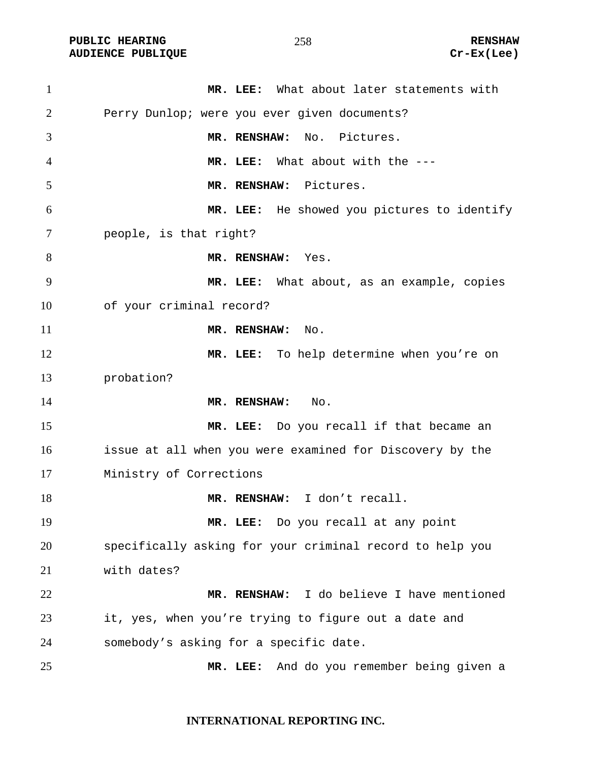PUBLIC HEARING **RENSHAW RENSHAW RENSHAW RENSHAW** 258 **RENSHAW** Cr-Ex(Lee) **AUDIENCE PUBLIQUE** 

| $\mathbf{1}$   | MR. LEE: What about later statements with                |
|----------------|----------------------------------------------------------|
| 2              | Perry Dunlop; were you ever given documents?             |
| 3              | MR. RENSHAW:<br>No. Pictures.                            |
| $\overline{4}$ | MR. LEE: What about with the ---                         |
| 5              | MR. RENSHAW: Pictures.                                   |
| 6              | MR. LEE: He showed you pictures to identify              |
| 7              | people, is that right?                                   |
| 8              | MR. RENSHAW: Yes.                                        |
| 9              | MR. LEE: What about, as an example, copies               |
| 10             | of your criminal record?                                 |
| 11             | MR. RENSHAW: No.                                         |
| 12             | MR. LEE: To help determine when you're on                |
| 13             | probation?                                               |
| 14             | MR. RENSHAW:<br>No.                                      |
| 15             | MR. LEE: Do you recall if that became an                 |
| 16             | issue at all when you were examined for Discovery by the |
| 17             | Ministry of Corrections                                  |
| 18             | MR. RENSHAW: I don't recall.                             |
| 19             | Do you recall at any point<br>MR. LEE:                   |
| 20             | specifically asking for your criminal record to help you |
| 21             | with dates?                                              |
| 22             | MR. RENSHAW: I do believe I have mentioned               |
| 23             | it, yes, when you're trying to figure out a date and     |
| 24             | somebody's asking for a specific date.                   |
| 25             | And do you remember being given a<br>MR. LEE:            |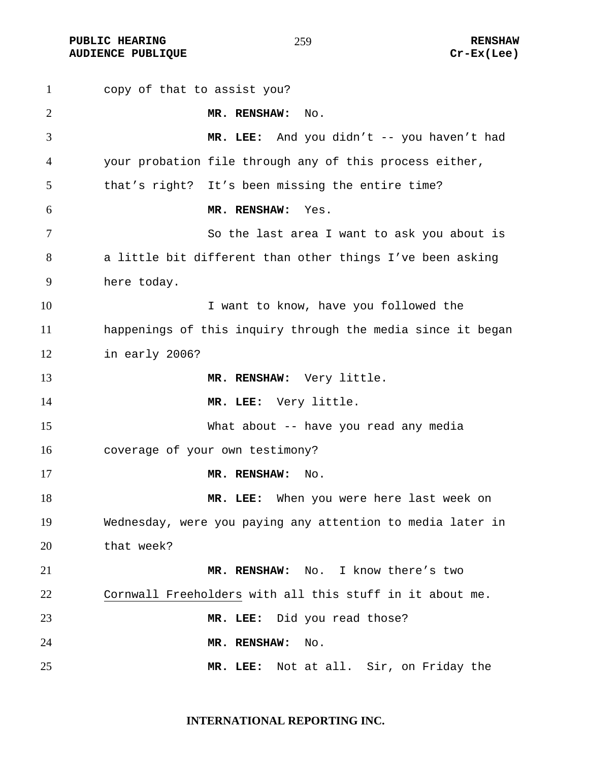**PUBLIC HEARING**  $\frac{1}{259}$  **259** RENSHAW **AUDIENCE PUBLIQUE Cr-Ex(Lee)** 

copy of that to assist you? **MR. RENSHAW:** No. **MR. LEE:** And you didn't -- you haven't had your probation file through any of this process either, that's right? It's been missing the entire time? **MR. RENSHAW:** Yes. So the last area I want to ask you about is a little bit different than other things I've been asking here today. 10 10 I want to know, have you followed the happenings of this inquiry through the media since it began in early 2006? **MR. RENSHAW:** Very little. 14 MR. LEE: Very little. What about -- have you read any media coverage of your own testimony? **MR. RENSHAW:** No. **MR. LEE:** When you were here last week on Wednesday, were you paying any attention to media later in that week? **MR. RENSHAW:** No. I know there's two Cornwall Freeholders with all this stuff in it about me. **MR. LEE:** Did you read those? **MR. RENSHAW:** No. **MR. LEE:** Not at all. Sir, on Friday the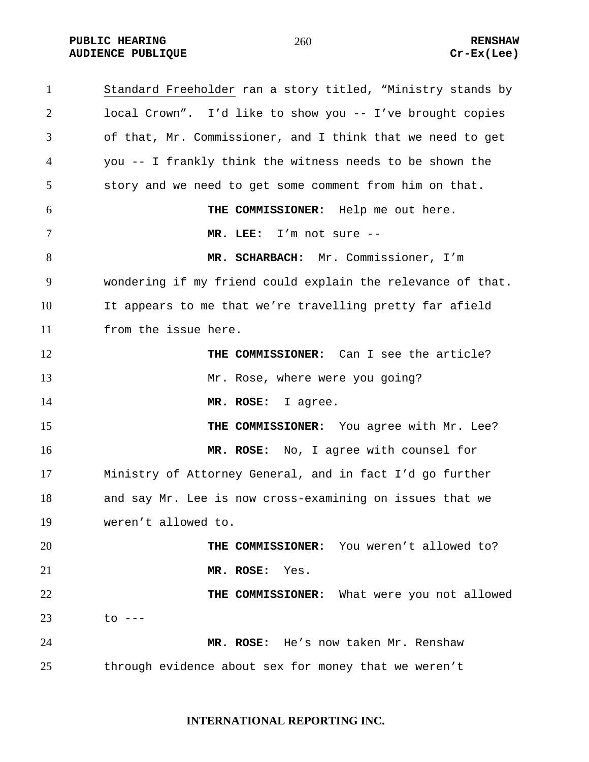PUBLIC HEARING **RENSHAW** 260 **RENSHAW** RENSHAW **RENSHAW RENSHAW RENSHAW RENSHAW Cr-Ex(Lee) AUDIENCE PUBLIQUE** 

| $\mathbf{1}$   | Standard Freeholder ran a story titled, "Ministry stands by |
|----------------|-------------------------------------------------------------|
| $\overline{2}$ | local Crown". I'd like to show you -- I've brought copies   |
| 3              | of that, Mr. Commissioner, and I think that we need to get  |
| $\overline{4}$ | you -- I frankly think the witness needs to be shown the    |
| 5              | story and we need to get some comment from him on that.     |
| 6              | THE COMMISSIONER: Help me out here.                         |
| $\tau$         | MR. LEE: I'm not sure --                                    |
| 8              | MR. SCHARBACH: Mr. Commissioner, I'm                        |
| 9              | wondering if my friend could explain the relevance of that. |
| 10             | It appears to me that we're travelling pretty far afield    |
| 11             | from the issue here.                                        |
| 12             | THE COMMISSIONER: Can I see the article?                    |
| 13             | Mr. Rose, where were you going?                             |
| 14             | MR. ROSE: I agree.                                          |
| 15             | THE COMMISSIONER: You agree with Mr. Lee?                   |
| 16             | MR. ROSE: No, I agree with counsel for                      |
| 17             | Ministry of Attorney General, and in fact I'd go further    |
| 18             | and say Mr. Lee is now cross-examining on issues that we    |
| 19             | weren't allowed to.                                         |
| 20             | THE COMMISSIONER: You weren't allowed to?                   |
| 21             | MR. ROSE: Yes.                                              |
| 22             | THE COMMISSIONER: What were you not allowed                 |
| 23             | to ---                                                      |
| 24             | MR. ROSE: He's now taken Mr. Renshaw                        |
| 25             | through evidence about sex for money that we weren't        |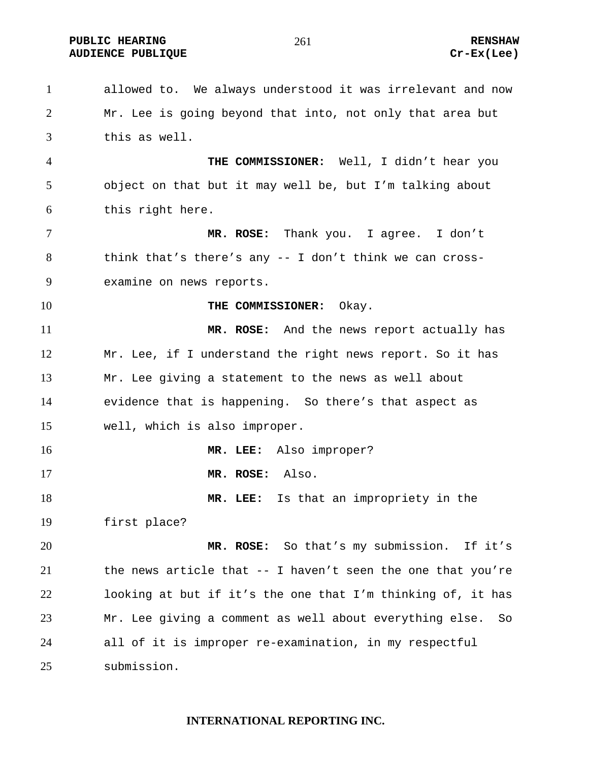**PUBLIC HEARING**  $\begin{array}{ccc} 261 & 261 \end{array}$  **RENSHAW AUDIENCE PUBLIQUE Cr-Ex(Lee)** 

allowed to. We always understood it was irrelevant and now Mr. Lee is going beyond that into, not only that area but this as well. **THE COMMISSIONER:** Well, I didn't hear you object on that but it may well be, but I'm talking about this right here. **MR. ROSE:** Thank you. I agree. I don't think that's there's any -- I don't think we can cross-examine on news reports. **THE COMMISSIONER:** Okay. **MR. ROSE:** And the news report actually has Mr. Lee, if I understand the right news report. So it has Mr. Lee giving a statement to the news as well about evidence that is happening. So there's that aspect as well, which is also improper. **MR. LEE:** Also improper? **MR. ROSE:** Also. **MR. LEE:** Is that an impropriety in the first place? **MR. ROSE:** So that's my submission. If it's the news article that -- I haven't seen the one that you're looking at but if it's the one that I'm thinking of, it has Mr. Lee giving a comment as well about everything else. So all of it is improper re-examination, in my respectful submission.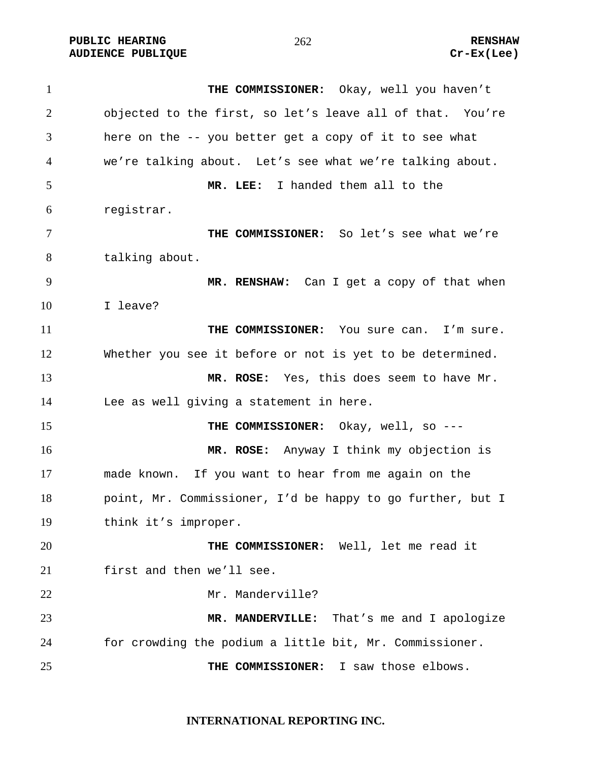PUBLIC HEARING **RENSHAW** 262 **RENSHAW** RENSHAW RENSHAW **RENSHAW** 262 **AUDIENCE PUBLIQUE** 

| $\mathbf{1}$   | THE COMMISSIONER: Okay, well you haven't                   |
|----------------|------------------------------------------------------------|
| $\overline{2}$ | objected to the first, so let's leave all of that. You're  |
| 3              | here on the -- you better get a copy of it to see what     |
| $\overline{4}$ | we're talking about. Let's see what we're talking about.   |
| 5              | MR. LEE: I handed them all to the                          |
| 6              | registrar.                                                 |
| $\tau$         | THE COMMISSIONER: So let's see what we're                  |
| 8              | talking about.                                             |
| 9              | MR. RENSHAW: Can I get a copy of that when                 |
| 10             | I leave?                                                   |
| 11             | THE COMMISSIONER: You sure can. I'm sure.                  |
| 12             | Whether you see it before or not is yet to be determined.  |
| 13             | MR. ROSE: Yes, this does seem to have Mr.                  |
| 14             | Lee as well giving a statement in here.                    |
| 15             | THE COMMISSIONER: Okay, well, so ---                       |
| 16             | MR. ROSE: Anyway I think my objection is                   |
| 17             | made known. If you want to hear from me again on the       |
| 18             | point, Mr. Commissioner, I'd be happy to go further, but I |
| 19             | think it's improper.                                       |
| 20             | THE COMMISSIONER: Well, let me read it                     |
| 21             | first and then we'll see.                                  |
| 22             | Mr. Manderville?                                           |
| 23             | MR. MANDERVILLE: That's me and I apologize                 |
| 24             | for crowding the podium a little bit, Mr. Commissioner.    |
| 25             | THE COMMISSIONER: I saw those elbows.                      |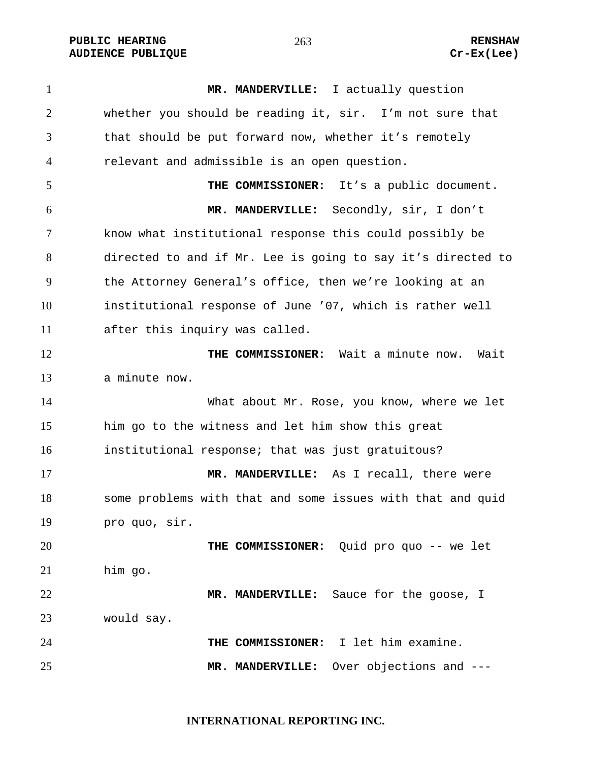**PUBLIC HEARING**  $\frac{263}{1000}$  **RENSHAW AUDIENCE PUBLIQUE Cr-Ex(Lee)** 

**MR. MANDERVILLE:** I actually question whether you should be reading it, sir. I'm not sure that that should be put forward now, whether it's remotely relevant and admissible is an open question. **THE COMMISSIONER:** It's a public document. **MR. MANDERVILLE:** Secondly, sir, I don't know what institutional response this could possibly be directed to and if Mr. Lee is going to say it's directed to the Attorney General's office, then we're looking at an institutional response of June '07, which is rather well after this inquiry was called. **THE COMMISSIONER:** Wait a minute now. Wait a minute now. 14 What about Mr. Rose, you know, where we let him go to the witness and let him show this great institutional response; that was just gratuitous? **MR. MANDERVILLE:** As I recall, there were some problems with that and some issues with that and quid pro quo, sir. **THE COMMISSIONER:** Quid pro quo -- we let him go. **MR. MANDERVILLE:** Sauce for the goose, I would say. **THE COMMISSIONER:** I let him examine. **MR. MANDERVILLE:** Over objections and ---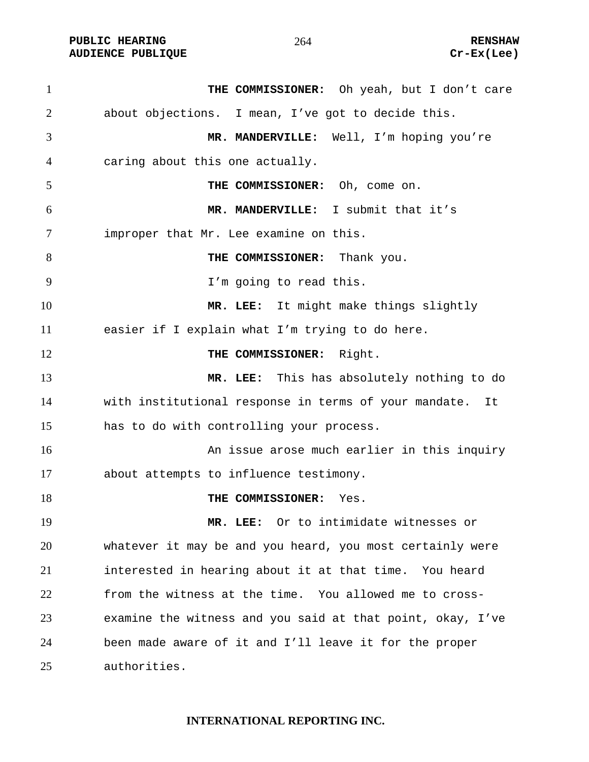**PUBLIC HEARING**  $264$  264 RENSHAW **AUDIENCE PUBLIQUE Cr-Ex(Lee)** 

**THE COMMISSIONER:** Oh yeah, but I don't care about objections. I mean, I've got to decide this. **MR. MANDERVILLE:** Well, I'm hoping you're caring about this one actually. **THE COMMISSIONER:** Oh, come on. **MR. MANDERVILLE:** I submit that it's improper that Mr. Lee examine on this. **THE COMMISSIONER:** Thank you. I'm going to read this. **MR. LEE:** It might make things slightly easier if I explain what I'm trying to do here. **THE COMMISSIONER:** Right. **MR. LEE:** This has absolutely nothing to do with institutional response in terms of your mandate. It has to do with controlling your process. An issue arose much earlier in this inquiry about attempts to influence testimony. **THE COMMISSIONER:** Yes. **MR. LEE:** Or to intimidate witnesses or whatever it may be and you heard, you most certainly were interested in hearing about it at that time. You heard from the witness at the time. You allowed me to cross-examine the witness and you said at that point, okay, I've been made aware of it and I'll leave it for the proper authorities.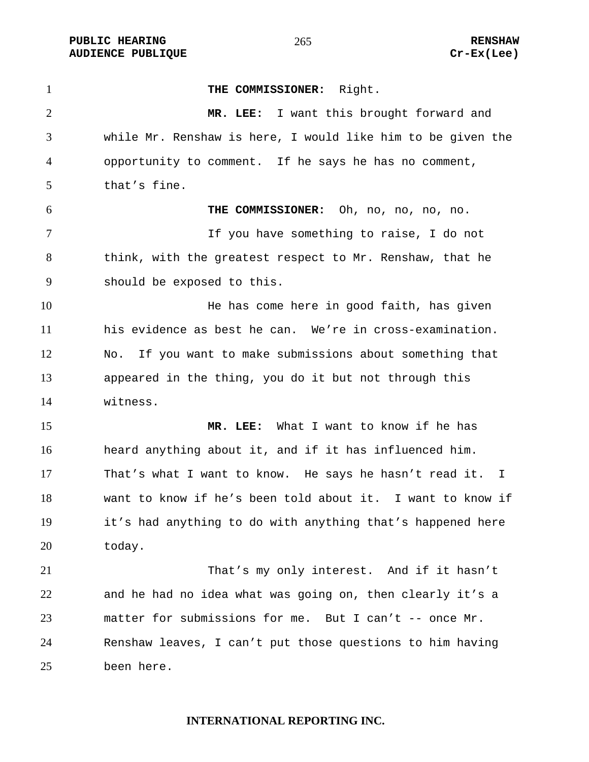PUBLIC HEARING **RENSHAW** 265 **RENSHAW** RENSHAW **RENSHAW RENSHAW RENSHAW RENSHAW Cr-Ex(Lee) AUDIENCE PUBLIQUE** 

| $\mathbf{1}$   | THE COMMISSIONER: Right.                                    |
|----------------|-------------------------------------------------------------|
| $\overline{2}$ | MR. LEE: I want this brought forward and                    |
| 3              | while Mr. Renshaw is here, I would like him to be given the |
| $\overline{4}$ | opportunity to comment. If he says he has no comment,       |
| 5              | that's fine.                                                |
| 6              | THE COMMISSIONER: Oh, no, no, no, no.                       |
| $\tau$         | If you have something to raise, I do not                    |
| 8              | think, with the greatest respect to Mr. Renshaw, that he    |
| 9              | should be exposed to this.                                  |
| 10             | He has come here in good faith, has given                   |
| 11             | his evidence as best he can. We're in cross-examination.    |
| 12             | If you want to make submissions about something that<br>No. |
| 13             | appeared in the thing, you do it but not through this       |
| 14             | witness.                                                    |
| 15             | MR. LEE: What I want to know if he has                      |
| 16             | heard anything about it, and if it has influenced him.      |
| 17             | That's what I want to know. He says he hasn't read it. I    |
| 18             | want to know if he's been told about it. I want to know if  |
| 19             | it's had anything to do with anything that's happened here  |
| 20             | today.                                                      |
| 21             | That's my only interest. And if it hasn't                   |
| 22             | and he had no idea what was going on, then clearly it's a   |
| 23             | matter for submissions for me. But I can't -- once Mr.      |
| 24             | Renshaw leaves, I can't put those questions to him having   |
| 25             | been here.                                                  |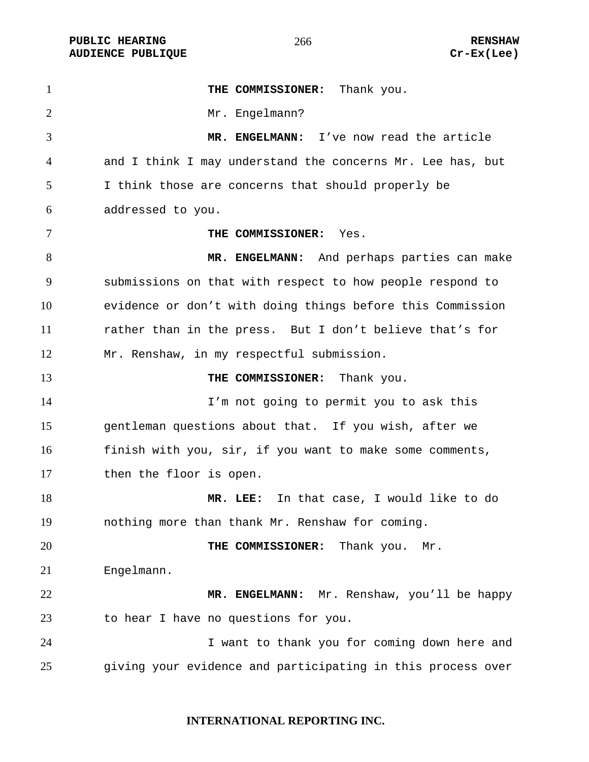PUBLIC HEARING **RENSHAW** 266 **RENSHAW** RENSHAW **RENSHAW RENSHAW RENSHAW RENSHAW Cr-Ex(Lee) AUDIENCE PUBLIQUE** 

| $\mathbf{1}$   | THE COMMISSIONER: Thank you.                                |
|----------------|-------------------------------------------------------------|
| $\overline{2}$ | Mr. Engelmann?                                              |
| 3              | MR. ENGELMANN: I've now read the article                    |
| $\overline{4}$ | and I think I may understand the concerns Mr. Lee has, but  |
| 5              | I think those are concerns that should properly be          |
| 6              | addressed to you.                                           |
| 7              | THE COMMISSIONER:<br>Yes.                                   |
| 8              | MR. ENGELMANN: And perhaps parties can make                 |
| 9              | submissions on that with respect to how people respond to   |
| 10             | evidence or don't with doing things before this Commission  |
| 11             | rather than in the press. But I don't believe that's for    |
| 12             | Mr. Renshaw, in my respectful submission.                   |
| 13             | THE COMMISSIONER: Thank you.                                |
| 14             | I'm not going to permit you to ask this                     |
| 15             | gentleman questions about that. If you wish, after we       |
| 16             | finish with you, sir, if you want to make some comments,    |
| 17             | then the floor is open.                                     |
| 18             | MR. LEE: In that case, I would like to do                   |
| 19             | nothing more than thank Mr. Renshaw for coming.             |
| 20             | THE COMMISSIONER:<br>Thank you.<br>Mr.                      |
| 21             | Engelmann.                                                  |
| 22             | MR. ENGELMANN: Mr. Renshaw, you'll be happy                 |
| 23             | to hear I have no questions for you.                        |
| 24             | I want to thank you for coming down here and                |
| 25             | giving your evidence and participating in this process over |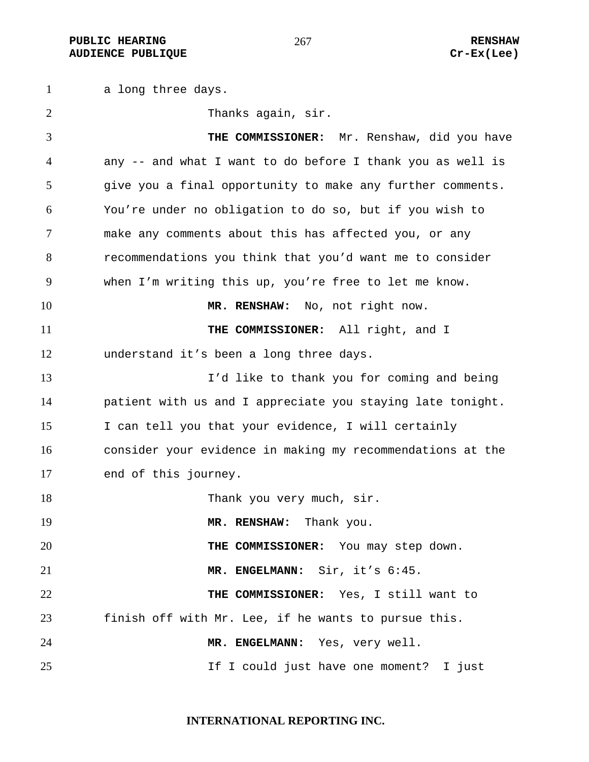a long three days. Thanks again, sir. **THE COMMISSIONER:** Mr. Renshaw, did you have any -- and what I want to do before I thank you as well is give you a final opportunity to make any further comments. You're under no obligation to do so, but if you wish to make any comments about this has affected you, or any recommendations you think that you'd want me to consider when I'm writing this up, you're free to let me know. **MR. RENSHAW:** No, not right now. **THE COMMISSIONER:** All right, and I understand it's been a long three days. I'd like to thank you for coming and being patient with us and I appreciate you staying late tonight. I can tell you that your evidence, I will certainly consider your evidence in making my recommendations at the end of this journey. 18 Thank you very much, sir. **MR. RENSHAW:** Thank you. **THE COMMISSIONER:** You may step down. **MR. ENGELMANN:** Sir, it's 6:45. **THE COMMISSIONER:** Yes, I still want to finish off with Mr. Lee, if he wants to pursue this. **MR. ENGELMANN:** Yes, very well. 25 15 If I could just have one moment? I just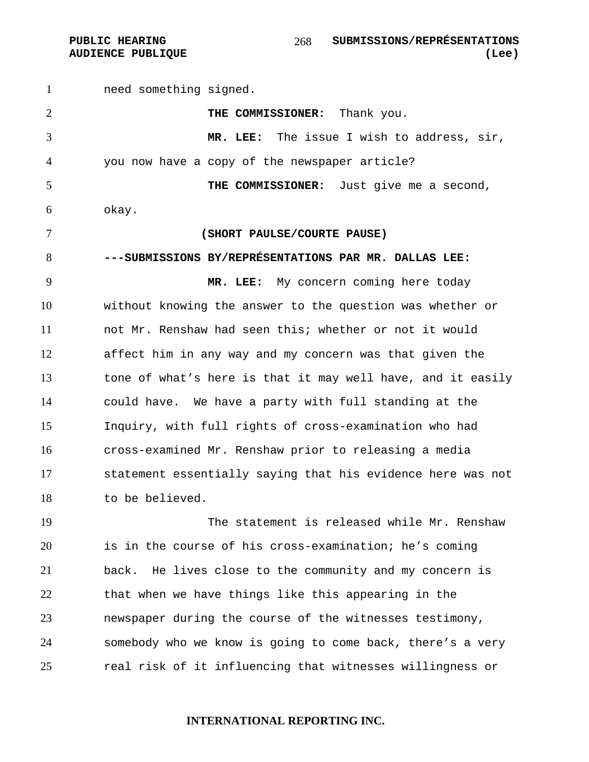PUBLIC HEARING SUBMISSIONS/REPRÉSENTATIONS **AUDIENCE PUBLIQUE (Lee)**  

need something signed. **THE COMMISSIONER:** Thank you. **MR. LEE:** The issue I wish to address, sir, you now have a copy of the newspaper article? **THE COMMISSIONER:** Just give me a second, okay. **(SHORT PAULSE/COURTE PAUSE) ---SUBMISSIONS BY/REPRÉSENTATIONS PAR MR. DALLAS LEE: MR. LEE:** My concern coming here today without knowing the answer to the question was whether or not Mr. Renshaw had seen this; whether or not it would affect him in any way and my concern was that given the 13 tone of what's here is that it may well have, and it easily could have. We have a party with full standing at the Inquiry, with full rights of cross-examination who had cross-examined Mr. Renshaw prior to releasing a media statement essentially saying that his evidence here was not to be believed. The statement is released while Mr. Renshaw is in the course of his cross-examination; he's coming back. He lives close to the community and my concern is that when we have things like this appearing in the newspaper during the course of the witnesses testimony,

somebody who we know is going to come back, there's a very real risk of it influencing that witnesses willingness or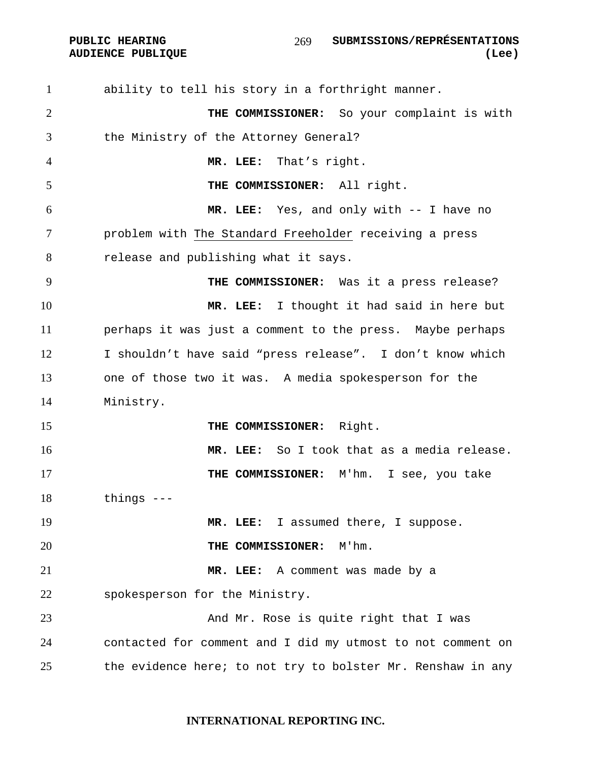ability to tell his story in a forthright manner. **THE COMMISSIONER:** So your complaint is with the Ministry of the Attorney General? **MR. LEE:** That's right. **THE COMMISSIONER:** All right. **MR. LEE:** Yes, and only with -- I have no problem with The Standard Freeholder receiving a press release and publishing what it says. **THE COMMISSIONER:** Was it a press release? **MR. LEE:** I thought it had said in here but perhaps it was just a comment to the press. Maybe perhaps I shouldn't have said "press release". I don't know which one of those two it was. A media spokesperson for the Ministry. **THE COMMISSIONER:** Right. **MR. LEE:** So I took that as a media release. **THE COMMISSIONER:** M'hm. I see, you take things --- **MR. LEE:** I assumed there, I suppose. **THE COMMISSIONER:** M'hm. **MR. LEE:** A comment was made by a spokesperson for the Ministry. 23 And Mr. Rose is quite right that I was contacted for comment and I did my utmost to not comment on 25 the evidence here; to not try to bolster Mr. Renshaw in any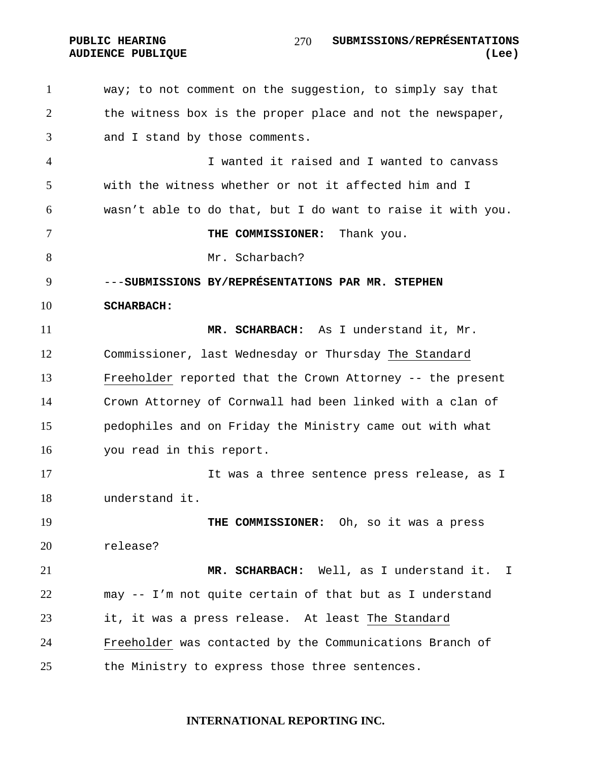PUBLIC HEARING SUBMISSIONS/REPRÉSENTATIONS **AUDIENCE PUBLIQUE (Lee)**  

way; to not comment on the suggestion, to simply say that the witness box is the proper place and not the newspaper, and I stand by those comments. I wanted it raised and I wanted to canvass with the witness whether or not it affected him and I wasn't able to do that, but I do want to raise it with you. **THE COMMISSIONER:** Thank you. 8 Mr. Scharbach? ---**SUBMISSIONS BY/REPRÉSENTATIONS PAR MR. STEPHEN SCHARBACH: MR. SCHARBACH:** As I understand it, Mr. Commissioner, last Wednesday or Thursday The Standard Freeholder reported that the Crown Attorney -- the present Crown Attorney of Cornwall had been linked with a clan of pedophiles and on Friday the Ministry came out with what you read in this report. It was a three sentence press release, as I understand it. **THE COMMISSIONER:** Oh, so it was a press release? **MR. SCHARBACH:** Well, as I understand it. I may -- I'm not quite certain of that but as I understand it, it was a press release. At least The Standard Freeholder was contacted by the Communications Branch of 25 the Ministry to express those three sentences.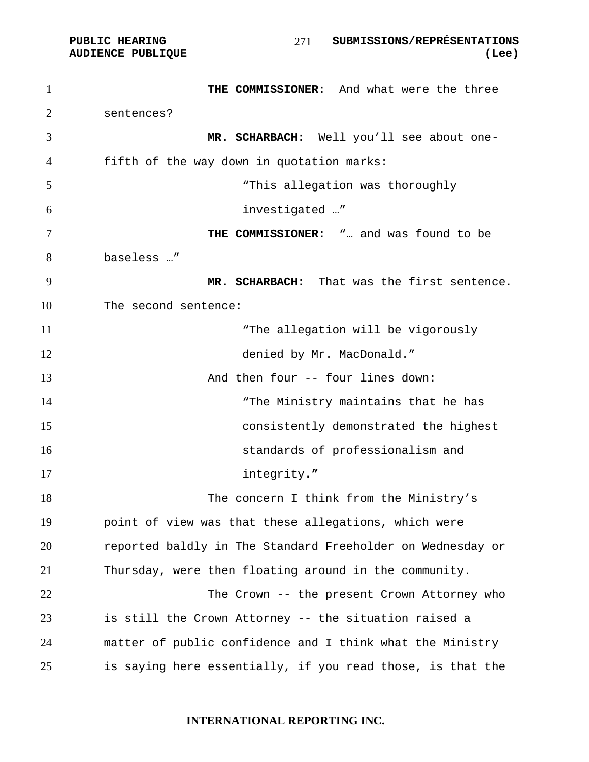PUBLIC HEARING SUBMISSIONS/REPRÉSENTATIONS **AUDIENCE PUBLIQUE (Lee)**  

**THE COMMISSIONER:** And what were the three sentences? **MR. SCHARBACH:** Well you'll see about one-fifth of the way down in quotation marks: "This allegation was thoroughly investigated …" **THE COMMISSIONER:** "… and was found to be baseless …" **MR. SCHARBACH:** That was the first sentence. The second sentence: 11 The allegation will be vigorously 12 denied by Mr. MacDonald." And then four -- four lines down: 14 The Ministry maintains that he has consistently demonstrated the highest standards of professionalism and integrity**."**  The concern I think from the Ministry's point of view was that these allegations, which were reported baldly in The Standard Freeholder on Wednesday or Thursday, were then floating around in the community. The Crown -- the present Crown Attorney who is still the Crown Attorney -- the situation raised a matter of public confidence and I think what the Ministry is saying here essentially, if you read those, is that the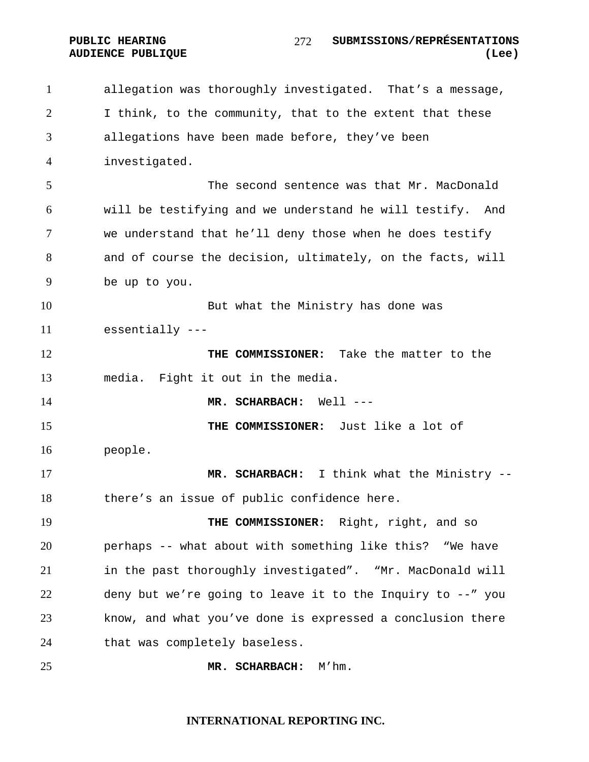allegation was thoroughly investigated. That's a message, I think, to the community, that to the extent that these allegations have been made before, they've been investigated. The second sentence was that Mr. MacDonald will be testifying and we understand he will testify. And we understand that he'll deny those when he does testify and of course the decision, ultimately, on the facts, will be up to you. But what the Ministry has done was essentially --- **THE COMMISSIONER:** Take the matter to the media. Fight it out in the media. **MR. SCHARBACH:** Well --- **THE COMMISSIONER:** Just like a lot of people. **MR. SCHARBACH:** I think what the Ministry -- there's an issue of public confidence here. **THE COMMISSIONER:** Right, right, and so perhaps -- what about with something like this? "We have in the past thoroughly investigated". "Mr. MacDonald will deny but we're going to leave it to the Inquiry to --" you know, and what you've done is expressed a conclusion there that was completely baseless. **MR. SCHARBACH:** M'hm.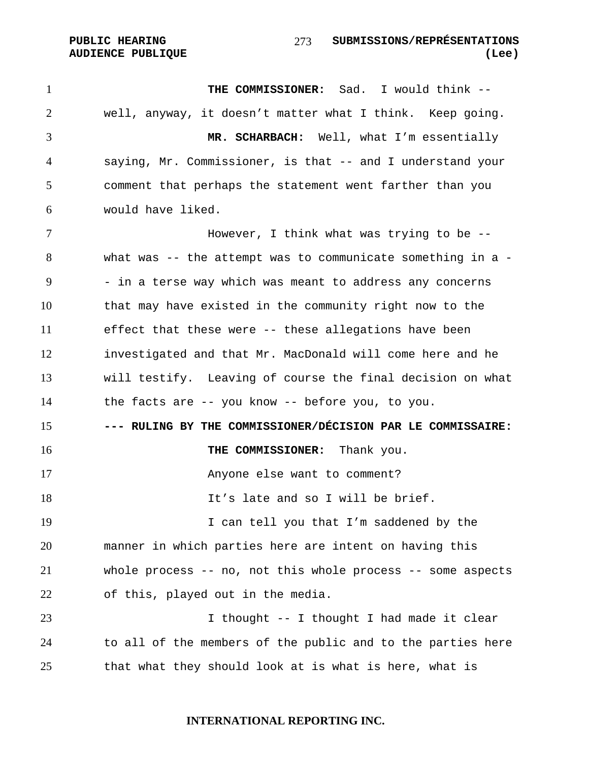**THE COMMISSIONER:** Sad. I would think -- well, anyway, it doesn't matter what I think. Keep going. **MR. SCHARBACH:** Well, what I'm essentially saying, Mr. Commissioner, is that -- and I understand your comment that perhaps the statement went farther than you would have liked. However, I think what was trying to be -- what was -- the attempt was to communicate something in a - - in a terse way which was meant to address any concerns that may have existed in the community right now to the effect that these were -- these allegations have been investigated and that Mr. MacDonald will come here and he will testify. Leaving of course the final decision on what the facts are -- you know -- before you, to you. **--- RULING BY THE COMMISSIONER/DÉCISION PAR LE COMMISSAIRE: THE COMMISSIONER:** Thank you. Anyone else want to comment? **It's late and so I will be brief.** 19 19 I can tell you that I'm saddened by the manner in which parties here are intent on having this whole process -- no, not this whole process -- some aspects of this, played out in the media. 23 I thought -- I thought I had made it clear to all of the members of the public and to the parties here that what they should look at is what is here, what is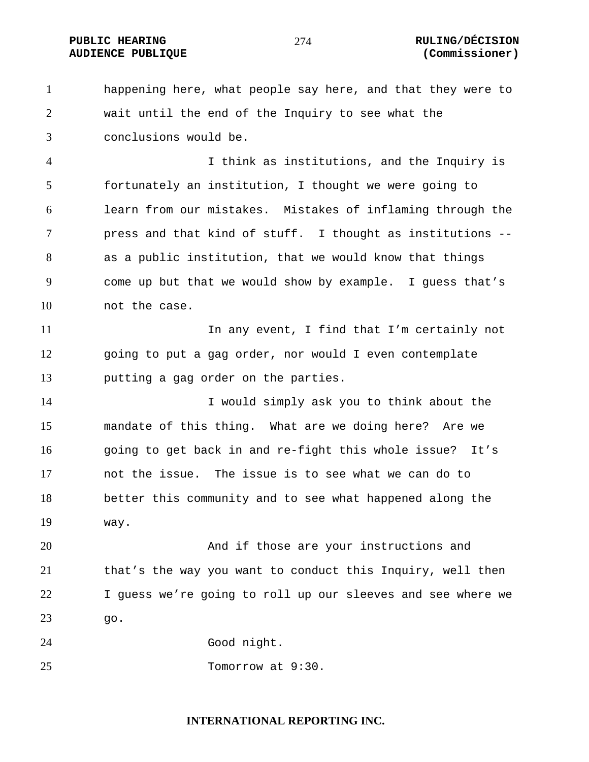### PUBLIC HEARING  $274$  RULING/DÉCISION **AUDIENCE PUBLIQUE (Commissioner)**

happening here, what people say here, and that they were to wait until the end of the Inquiry to see what the conclusions would be.

I think as institutions, and the Inquiry is fortunately an institution, I thought we were going to learn from our mistakes. Mistakes of inflaming through the press and that kind of stuff. I thought as institutions -- as a public institution, that we would know that things come up but that we would show by example. I guess that's not the case.

11 11 In any event, I find that I'm certainly not going to put a gag order, nor would I even contemplate putting a gag order on the parties.

I would simply ask you to think about the mandate of this thing. What are we doing here? Are we going to get back in and re-fight this whole issue? It's not the issue. The issue is to see what we can do to better this community and to see what happened along the way.

And if those are your instructions and that's the way you want to conduct this Inquiry, well then I guess we're going to roll up our sleeves and see where we go.

Good night.

Tomorrow at 9:30.

## **INTERNATIONAL REPORTING INC.**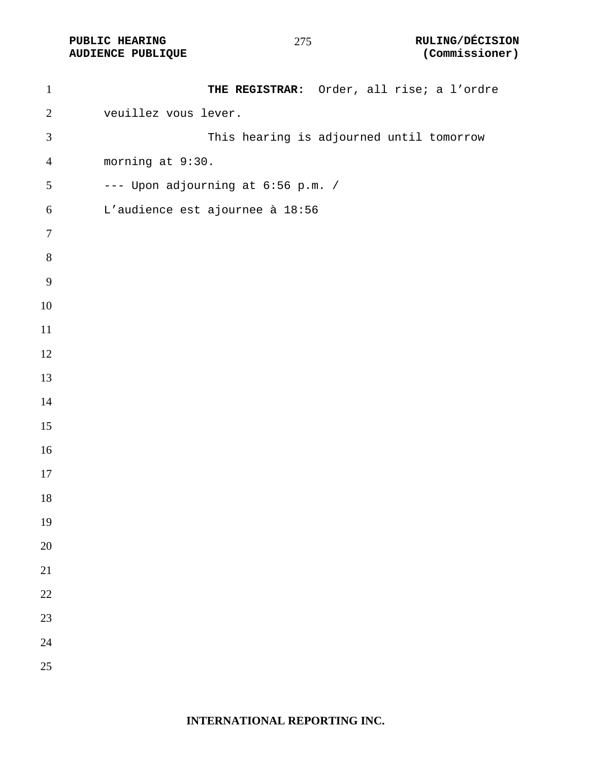**AUDIENCE PUBLIQUE** 

| $\mathbf{1}$     | THE REGISTRAR: Order, all rise; a l'ordre |
|------------------|-------------------------------------------|
| $\overline{2}$   | veuillez vous lever.                      |
| $\mathfrak{Z}$   | This hearing is adjourned until tomorrow  |
| $\overline{4}$   | morning at 9:30.                          |
| $\mathfrak{S}$   | --- Upon adjourning at 6:56 p.m. /        |
| $\boldsymbol{6}$ | L'audience est ajournee à 18:56           |
| $\tau$           |                                           |
| $\, 8$           |                                           |
| $\overline{9}$   |                                           |
| 10               |                                           |
| $11\,$           |                                           |
| 12               |                                           |
| 13               |                                           |
| $14$             |                                           |
| 15               |                                           |
| 16               |                                           |
| 17               |                                           |
| 18               |                                           |
| 19               |                                           |
| 20               |                                           |
| 21               |                                           |
| 22               |                                           |
| 23               |                                           |
| 24               |                                           |
| 25               |                                           |